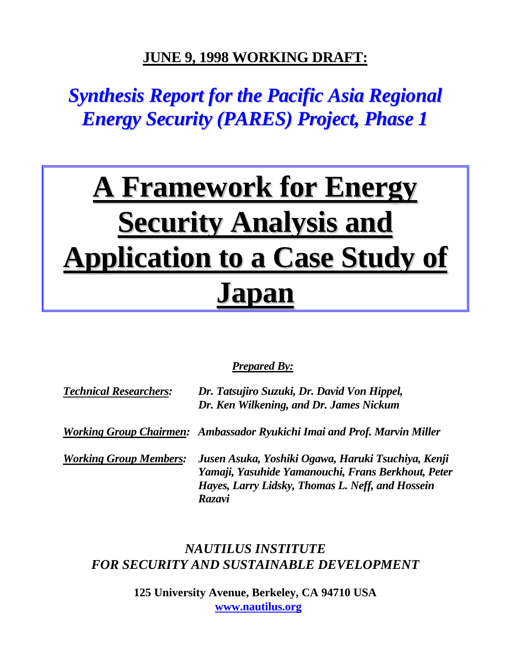## **JUNE 9, 1998 WORKING DRAFT:**

# <span id="page-0-0"></span>*Synthesis Report for the Pacific Asia Regional Energy Security (PARES) Project, Phase 1*

# **A Framework for Energy Security Analysis and Application to a Case Study of Japan**

#### *Prepared By:*

| <b>Technical Researchers:</b> | Dr. Tatsujiro Suzuki, Dr. David Von Hippel,<br>Dr. Ken Wilkening, and Dr. James Nickum                                                                                        |  |  |  |  |
|-------------------------------|-------------------------------------------------------------------------------------------------------------------------------------------------------------------------------|--|--|--|--|
|                               | Working Group Chairmen: Ambassador Ryukichi Imai and Prof. Marvin Miller                                                                                                      |  |  |  |  |
| <b>Working Group Members:</b> | Jusen Asuka, Yoshiki Ogawa, Haruki Tsuchiya, Kenji<br>Yamaji, Yasuhide Yamanouchi, Frans Berkhout, Peter<br>Hayes, Larry Lidsky, Thomas L. Neff, and Hossein<br><b>Razavi</b> |  |  |  |  |

### *NAUTILUS INSTITUTE FOR SECURITY AND SUSTAINABLE DEVELOPMENT*

**125 University Avenue, Berkeley, CA 94710 USA www.nautilus.org**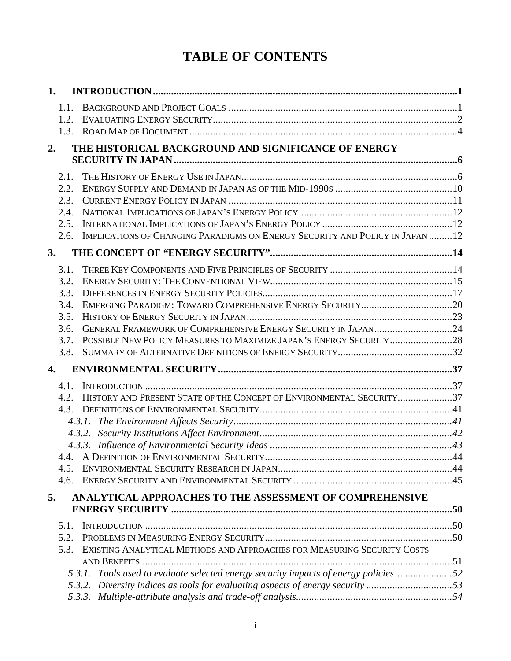# **TABLE OF CONTENTS**

| 1. |              |                                                                                     |  |
|----|--------------|-------------------------------------------------------------------------------------|--|
|    | 1.1.         |                                                                                     |  |
|    | 1.2.         |                                                                                     |  |
|    |              |                                                                                     |  |
| 2. |              | THE HISTORICAL BACKGROUND AND SIGNIFICANCE OF ENERGY                                |  |
|    |              |                                                                                     |  |
|    | 2.1.         |                                                                                     |  |
|    | 2.2.         |                                                                                     |  |
|    | 2.3.         |                                                                                     |  |
|    | 2.4.         |                                                                                     |  |
|    | 2.5.         |                                                                                     |  |
|    | 2.6.         | IMPLICATIONS OF CHANGING PARADIGMS ON ENERGY SECURITY AND POLICY IN JAPAN 12        |  |
| 3. |              |                                                                                     |  |
|    |              |                                                                                     |  |
|    | 3.1.<br>3.2. |                                                                                     |  |
|    | 3.3.         |                                                                                     |  |
|    | 3.4.         |                                                                                     |  |
|    | 3.5.         |                                                                                     |  |
|    | 3.6.         | GENERAL FRAMEWORK OF COMPREHENSIVE ENERGY SECURITY IN JAPAN24                       |  |
|    | 3.7.         |                                                                                     |  |
|    | 3.8.         |                                                                                     |  |
| 4. |              |                                                                                     |  |
|    | 4.1.         |                                                                                     |  |
|    | 4.2.         | HISTORY AND PRESENT STATE OF THE CONCEPT OF ENVIRONMENTAL SECURITY37                |  |
|    | 4.3.         |                                                                                     |  |
|    |              |                                                                                     |  |
|    |              |                                                                                     |  |
|    |              |                                                                                     |  |
|    | 4.5.         |                                                                                     |  |
|    | 4.6.         |                                                                                     |  |
| 5. |              | ANALYTICAL APPROACHES TO THE ASSESSMENT OF COMPREHENSIVE                            |  |
|    |              |                                                                                     |  |
|    | 5.1.         |                                                                                     |  |
|    | 5.2.         |                                                                                     |  |
|    | 5.3.         | EXISTING ANALYTICAL METHODS AND APPROACHES FOR MEASURING SECURITY COSTS             |  |
|    |              |                                                                                     |  |
|    |              | 5.3.1. Tools used to evaluate selected energy security impacts of energy policies52 |  |
|    |              | 5.3.2. Diversity indices as tools for evaluating aspects of energy security53       |  |
|    |              |                                                                                     |  |
|    |              |                                                                                     |  |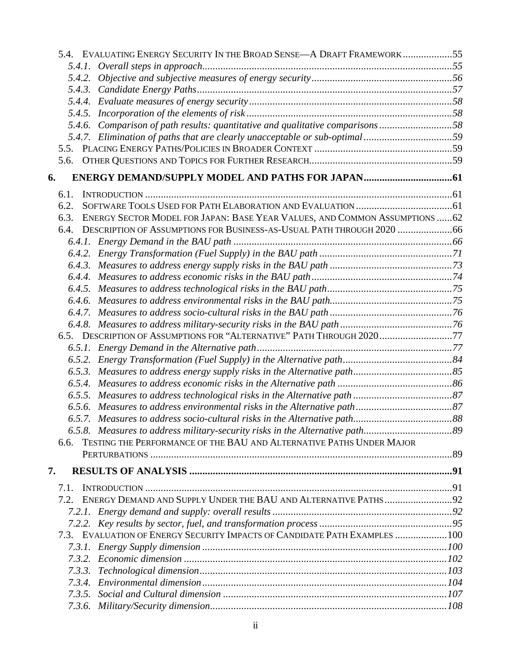|    |        | 5.4. EVALUATING ENERGY SECURITY IN THE BROAD SENSE—A DRAFT FRAMEWORK 55       |  |
|----|--------|-------------------------------------------------------------------------------|--|
|    |        |                                                                               |  |
|    |        |                                                                               |  |
|    |        |                                                                               |  |
|    |        |                                                                               |  |
|    |        |                                                                               |  |
|    |        | 5.4.6. Comparison of path results: quantitative and qualitative comparisons58 |  |
|    |        | 5.4.7. Elimination of paths that are clearly unacceptable or sub-optimal59    |  |
|    |        |                                                                               |  |
|    |        |                                                                               |  |
| 6. |        |                                                                               |  |
|    | 6.1.   |                                                                               |  |
|    | 6.2.   |                                                                               |  |
|    | 6.3.   | ENERGY SECTOR MODEL FOR JAPAN: BASE YEAR VALUES, AND COMMON ASSUMPTIONS  62   |  |
|    | 6.4.   |                                                                               |  |
|    |        |                                                                               |  |
|    |        |                                                                               |  |
|    |        |                                                                               |  |
|    |        |                                                                               |  |
|    |        |                                                                               |  |
|    |        |                                                                               |  |
|    |        |                                                                               |  |
|    |        |                                                                               |  |
|    |        | 6.5. DESCRIPTION OF ASSUMPTIONS FOR "ALTERNATIVE" PATH THROUGH 202077         |  |
|    |        |                                                                               |  |
|    |        |                                                                               |  |
|    |        |                                                                               |  |
|    |        |                                                                               |  |
|    |        |                                                                               |  |
|    |        |                                                                               |  |
|    |        |                                                                               |  |
|    |        |                                                                               |  |
|    | 6.6.   | TESTING THE PERFORMANCE OF THE BAU AND ALTERNATIVE PATHS UNDER MAJOR          |  |
|    |        |                                                                               |  |
| 7. |        |                                                                               |  |
|    | 7.1.   |                                                                               |  |
|    | 7.2.   |                                                                               |  |
|    |        |                                                                               |  |
|    |        |                                                                               |  |
|    |        | 7.3. EVALUATION OF ENERGY SECURITY IMPACTS OF CANDIDATE PATH EXAMPLES  100    |  |
|    |        |                                                                               |  |
|    |        |                                                                               |  |
|    | 7.3.3. |                                                                               |  |
|    |        |                                                                               |  |
|    |        |                                                                               |  |
|    |        |                                                                               |  |
|    |        |                                                                               |  |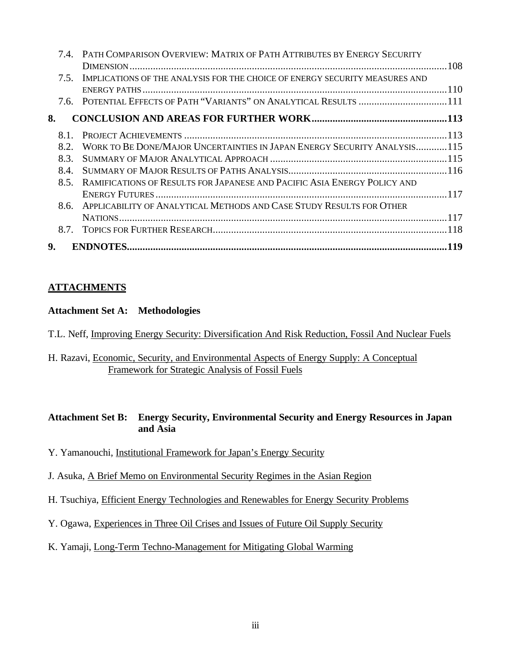|    |      | PATH COMPARISON OVERVIEW: MATRIX OF PATH ATTRIBUTES BY ENERGY SECURITY      |     |
|----|------|-----------------------------------------------------------------------------|-----|
|    |      |                                                                             |     |
|    | 7.5. | IMPLICATIONS OF THE ANALYSIS FOR THE CHOICE OF ENERGY SECURITY MEASURES AND |     |
|    |      |                                                                             |     |
|    |      | 7.6. POTENTIAL EFFECTS OF PATH "VARIANTS" ON ANALYTICAL RESULTS 111         |     |
| 8. |      |                                                                             |     |
|    | 8.1. |                                                                             |     |
|    | 8.2  | WORK TO BE DONE/MAJOR UNCERTAINTIES IN JAPAN ENERGY SECURITY ANALYSIS115    |     |
|    | 8.3. |                                                                             |     |
|    | 8.4. |                                                                             |     |
|    | 8.5. | RAMIFICATIONS OF RESULTS FOR JAPANESE AND PACIFIC ASIA ENERGY POLICY AND    |     |
|    |      |                                                                             |     |
|    | 8.6. | APPLICABILITY OF ANALYTICAL METHODS AND CASE STUDY RESULTS FOR OTHER        |     |
|    |      |                                                                             |     |
|    | 8.7. |                                                                             |     |
| 9. |      |                                                                             | 119 |
|    |      |                                                                             |     |

#### **ATTACHMENTS**

#### **Attachment Set A: Methodologies**

T.L. Neff, Improving Energy Security: Diversification And Risk Reduction, Fossil And Nuclear Fuels

H. Razavi, Economic, Security, and Environmental Aspects of Energy Supply: A Conceptual Framework for Strategic Analysis of Fossil Fuels

#### **Attachment Set B: Energy Security, Environmental Security and Energy Resources in Japan and Asia**

- Y. Yamanouchi, Institutional Framework for Japan's Energy Security
- J. Asuka, A Brief Memo on Environmental Security Regimes in the Asian Region
- H. Tsuchiya, Efficient Energy Technologies and Renewables for Energy Security Problems
- Y. Ogawa, Experiences in Three Oil Crises and Issues of Future Oil Supply Security
- K. Yamaji, Long-Term Techno-Management for Mitigating Global Warming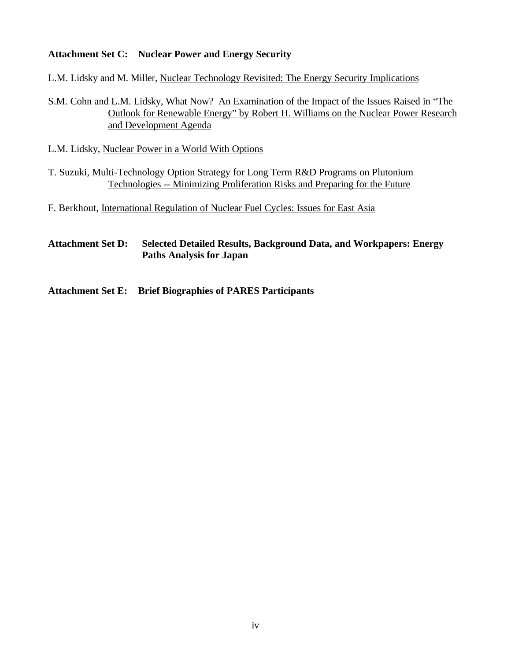#### **Attachment Set C: Nuclear Power and Energy Security**

L.M. Lidsky and M. Miller, Nuclear Technology Revisited: The Energy Security Implications

S.M. Cohn and L.M. Lidsky, What Now? An Examination of the Impact of the Issues Raised in "The Outlook for Renewable Energy" by Robert H. Williams on the Nuclear Power Research and Development Agenda

L.M. Lidsky, Nuclear Power in a World With Options

T. Suzuki, Multi-Technology Option Strategy for Long Term R&D Programs on Plutonium Technologies -- Minimizing Proliferation Risks and Preparing for the Future

F. Berkhout, International Regulation of Nuclear Fuel Cycles: Issues for East Asia

#### **Attachment Set D: [Selected Detailed Results, Background Data, and Workpapers: Energy](#page-0-0) Paths Analysis for Japan**

**Attachment Set E: Brief Biographies of PARES Participants**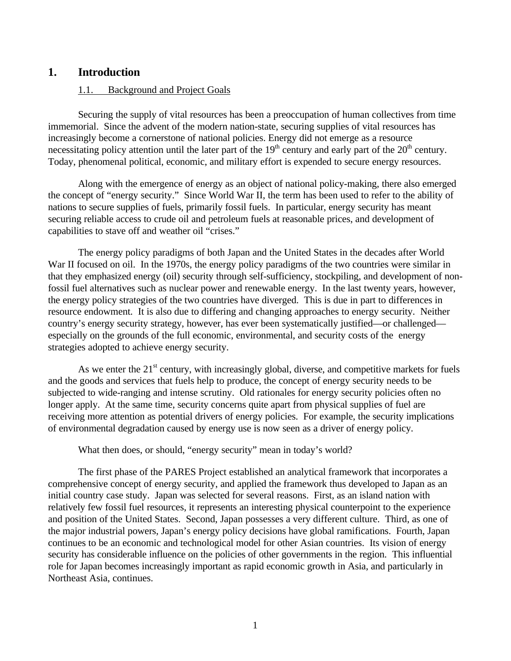#### <span id="page-5-0"></span>**1. Introduction**

#### 1.1. Background and Project Goals

Securing the supply of vital resources has been a preoccupation of human collectives from time immemorial. Since the advent of the modern nation-state, securing supplies of vital resources has increasingly become a cornerstone of national policies. Energy did not emerge as a resource necessitating policy attention until the later part of the  $19<sup>th</sup>$  century and early part of the  $20<sup>th</sup>$  century. Today, phenomenal political, economic, and military effort is expended to secure energy resources.

Along with the emergence of energy as an object of national policy-making, there also emerged the concept of "energy security." Since World War II, the term has been used to refer to the ability of nations to secure supplies of fuels, primarily fossil fuels. In particular, energy security has meant securing reliable access to crude oil and petroleum fuels at reasonable prices, and development of capabilities to stave off and weather oil "crises."

The energy policy paradigms of both Japan and the United States in the decades after World War II focused on oil. In the 1970s, the energy policy paradigms of the two countries were similar in that they emphasized energy (oil) security through self-sufficiency, stockpiling, and development of nonfossil fuel alternatives such as nuclear power and renewable energy. In the last twenty years, however, the energy policy strategies of the two countries have diverged. This is due in part to differences in resource endowment. It is also due to differing and changing approaches to energy security. Neither country's energy security strategy, however, has ever been systematically justified—or challenged especially on the grounds of the full economic, environmental, and security costs of the energy strategies adopted to achieve energy security.

As we enter the  $21<sup>st</sup>$  century, with increasingly global, diverse, and competitive markets for fuels and the goods and services that fuels help to produce, the concept of energy security needs to be subjected to wide-ranging and intense scrutiny. Old rationales for energy security policies often no longer apply. At the same time, security concerns quite apart from physical supplies of fuel are receiving more attention as potential drivers of energy policies. For example, the security implications of environmental degradation caused by energy use is now seen as a driver of energy policy.

What then does, or should, "energy security" mean in today's world?

The first phase of the PARES Project established an analytical framework that incorporates a comprehensive concept of energy security, and applied the framework thus developed to Japan as an initial country case study. Japan was selected for several reasons. First, as an island nation with relatively few fossil fuel resources, it represents an interesting physical counterpoint to the experience and position of the United States. Second, Japan possesses a very different culture. Third, as one of the major industrial powers, Japan's energy policy decisions have global ramifications. Fourth, Japan continues to be an economic and technological model for other Asian countries. Its vision of energy security has considerable influence on the policies of other governments in the region. This influential role for Japan becomes increasingly important as rapid economic growth in Asia, and particularly in Northeast Asia, continues.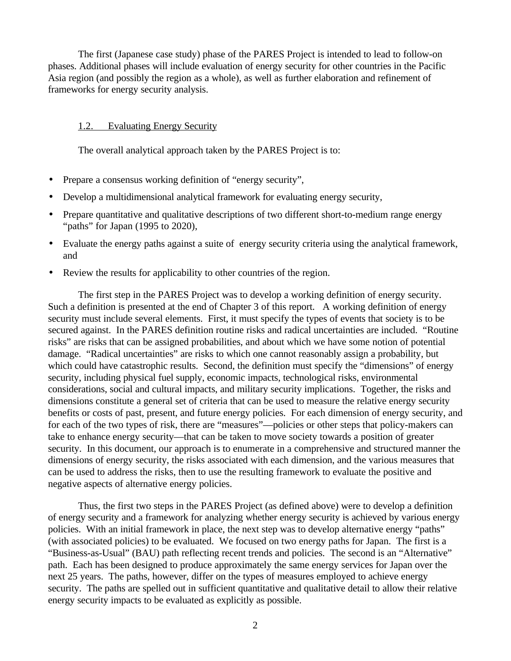<span id="page-6-0"></span>The first (Japanese case study) phase of the PARES Project is intended to lead to follow-on phases. Additional phases will include evaluation of energy security for other countries in the Pacific Asia region (and possibly the region as a whole), as well as further elaboration and refinement of frameworks for energy security analysis.

#### 1.2. Evaluating Energy Security

The overall analytical approach taken by the PARES Project is to:

- Prepare a consensus working definition of "energy security",
- Develop a multidimensional analytical framework for evaluating energy security,
- Prepare quantitative and qualitative descriptions of two different short-to-medium range energy "paths" for Japan (1995 to 2020),
- Evaluate the energy paths against a suite of energy security criteria using the analytical framework, and
- Review the results for applicability to other countries of the region.

The first step in the PARES Project was to develop a working definition of energy security. Such a definition is presented at the end of Chapter 3 of this report. A working definition of energy security must include several elements. First, it must specify the types of events that society is to be secured against. In the PARES definition routine risks and radical uncertainties are included. "Routine risks" are risks that can be assigned probabilities, and about which we have some notion of potential damage. "Radical uncertainties" are risks to which one cannot reasonably assign a probability, but which could have catastrophic results. Second, the definition must specify the "dimensions" of energy security, including physical fuel supply, economic impacts, technological risks, environmental considerations, social and cultural impacts, and military security implications. Together, the risks and dimensions constitute a general set of criteria that can be used to measure the relative energy security benefits or costs of past, present, and future energy policies. For each dimension of energy security, and for each of the two types of risk, there are "measures"—policies or other steps that policy-makers can take to enhance energy security—that can be taken to move society towards a position of greater security. In this document, our approach is to enumerate in a comprehensive and structured manner the dimensions of energy security, the risks associated with each dimension, and the various measures that can be used to address the risks, then to use the resulting framework to evaluate the positive and negative aspects of alternative energy policies.

Thus, the first two steps in the PARES Project (as defined above) were to develop a definition of energy security and a framework for analyzing whether energy security is achieved by various energy policies. With an initial framework in place, the next step was to develop alternative energy "paths" (with associated policies) to be evaluated. We focused on two energy paths for Japan. The first is a "Business-as-Usual" (BAU) path reflecting recent trends and policies. The second is an "Alternative" path. Each has been designed to produce approximately the same energy services for Japan over the next 25 years. The paths, however, differ on the types of measures employed to achieve energy security. The paths are spelled out in sufficient quantitative and qualitative detail to allow their relative energy security impacts to be evaluated as explicitly as possible.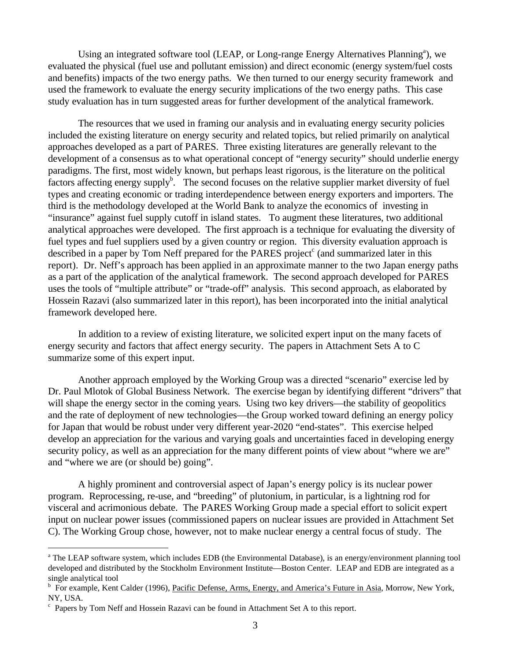Using an integrated software tool (LEAP, or Long-range Energy Alternatives Planning<sup>a</sup>), we evaluated the physical (fuel use and pollutant emission) and direct economic (energy system/fuel costs and benefits) impacts of the two energy paths. We then turned to our energy security framework and used the framework to evaluate the energy security implications of the two energy paths. This case study evaluation has in turn suggested areas for further development of the analytical framework.

The resources that we used in framing our analysis and in evaluating energy security policies included the existing literature on energy security and related topics, but relied primarily on analytical approaches developed as a part of PARES. Three existing literatures are generally relevant to the development of a consensus as to what operational concept of "energy security" should underlie energy paradigms. The first, most widely known, but perhaps least rigorous, is the literature on the political factors affecting energy supply<sup>b</sup>. The second focuses on the relative supplier market diversity of fuel types and creating economic or trading interdependence between energy exporters and importers. The third is the methodology developed at the World Bank to analyze the economics of investing in "insurance" against fuel supply cutoff in island states. To augment these literatures, two additional analytical approaches were developed. The first approach is a technique for evaluating the diversity of fuel types and fuel suppliers used by a given country or region. This diversity evaluation approach is described in a paper by Tom Neff prepared for the PARES project<sup>c</sup> (and summarized later in this report). Dr. Neff's approach has been applied in an approximate manner to the two Japan energy paths as a part of the application of the analytical framework. The second approach developed for PARES uses the tools of "multiple attribute" or "trade-off" analysis. This second approach, as elaborated by Hossein Razavi (also summarized later in this report), has been incorporated into the initial analytical framework developed here.

In addition to a review of existing literature, we solicited expert input on the many facets of energy security and factors that affect energy security. The papers in Attachment Sets A to C summarize some of this expert input.

Another approach employed by the Working Group was a directed "scenario" exercise led by Dr. Paul Mlotok of Global Business Network. The exercise began by identifying different "drivers" that will shape the energy sector in the coming years. Using two key drivers—the stability of geopolitics and the rate of deployment of new technologies—the Group worked toward defining an energy policy for Japan that would be robust under very different year-2020 "end-states". This exercise helped develop an appreciation for the various and varying goals and uncertainties faced in developing energy security policy, as well as an appreciation for the many different points of view about "where we are" and "where we are (or should be) going".

A highly prominent and controversial aspect of Japan's energy policy is its nuclear power program. Reprocessing, re-use, and "breeding" of plutonium, in particular, is a lightning rod for visceral and acrimonious debate. The PARES Working Group made a special effort to solicit expert input on nuclear power issues (commissioned papers on nuclear issues are provided in Attachment Set C). The Working Group chose, however, not to make nuclear energy a central focus of study. The

<sup>&</sup>lt;sup>a</sup> The LEAP software system, which includes EDB (the Environmental Database), is an energy/environment planning tool developed and distributed by the Stockholm Environment Institute—Boston Center. LEAP and EDB are integrated as a single analytical tool

<sup>&</sup>lt;sup>b</sup> For example, Kent Calder (1996), Pacific Defense, Arms, Energy, and America's Future in Asia, Morrow, New York, NY, USA.

<sup>&</sup>lt;sup>c</sup> Papers by Tom Neff and Hossein Razavi can be found in Attachment Set A to this report.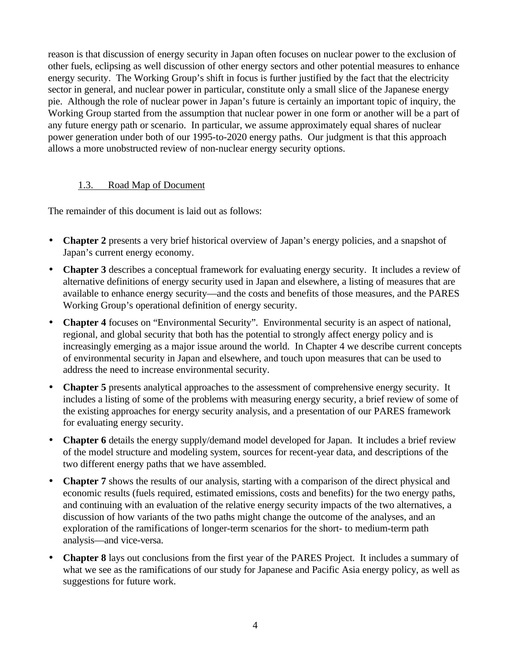<span id="page-8-0"></span>reason is that discussion of energy security in Japan often focuses on nuclear power to the exclusion of other fuels, eclipsing as well discussion of other energy sectors and other potential measures to enhance energy security. The Working Group's shift in focus is further justified by the fact that the electricity sector in general, and nuclear power in particular, constitute only a small slice of the Japanese energy pie. Although the role of nuclear power in Japan's future is certainly an important topic of inquiry, the Working Group started from the assumption that nuclear power in one form or another will be a part of any future energy path or scenario. In particular, we assume approximately equal shares of nuclear power generation under both of our 1995-to-2020 energy paths. Our judgment is that this approach allows a more unobstructed review of non-nuclear energy security options.

#### 1.3. Road Map of Document

The remainder of this document is laid out as follows:

- **Chapter 2** presents a very brief historical overview of Japan's energy policies, and a snapshot of Japan's current energy economy.
- **Chapter 3** describes a conceptual framework for evaluating energy security. It includes a review of alternative definitions of energy security used in Japan and elsewhere, a listing of measures that are available to enhance energy security—and the costs and benefits of those measures, and the PARES Working Group's operational definition of energy security.
- **Chapter 4** focuses on "Environmental Security". Environmental security is an aspect of national, regional, and global security that both has the potential to strongly affect energy policy and is increasingly emerging as a major issue around the world. In Chapter 4 we describe current concepts of environmental security in Japan and elsewhere, and touch upon measures that can be used to address the need to increase environmental security.
- **Chapter 5** presents analytical approaches to the assessment of comprehensive energy security. It includes a listing of some of the problems with measuring energy security, a brief review of some of the existing approaches for energy security analysis, and a presentation of our PARES framework for evaluating energy security.
- **Chapter 6** details the energy supply/demand model developed for Japan. It includes a brief review of the model structure and modeling system, sources for recent-year data, and descriptions of the two different energy paths that we have assembled.
- **Chapter 7** shows the results of our analysis, starting with a comparison of the direct physical and economic results (fuels required, estimated emissions, costs and benefits) for the two energy paths, and continuing with an evaluation of the relative energy security impacts of the two alternatives, a discussion of how variants of the two paths might change the outcome of the analyses, and an exploration of the ramifications of longer-term scenarios for the short- to medium-term path analysis—and vice-versa.
- **Chapter 8** lays out conclusions from the first year of the PARES Project. It includes a summary of what we see as the ramifications of our study for Japanese and Pacific Asia energy policy, as well as suggestions for future work.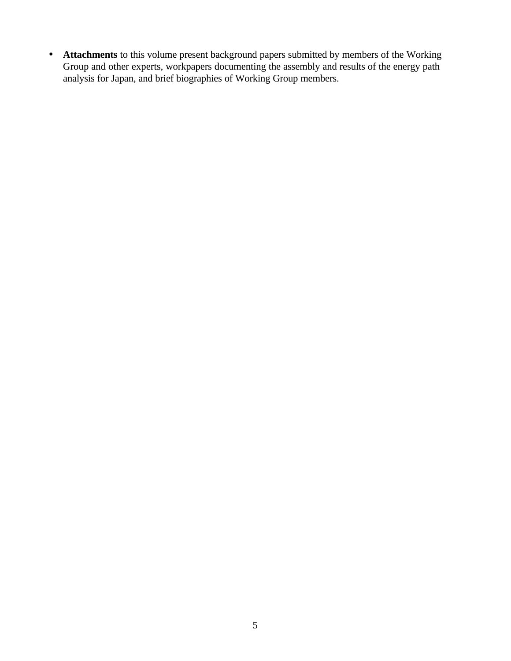• **Attachments** to this volume present background papers submitted by members of the Working Group and other experts, workpapers documenting the assembly and results of the energy path analysis for Japan, and brief biographies of Working Group members.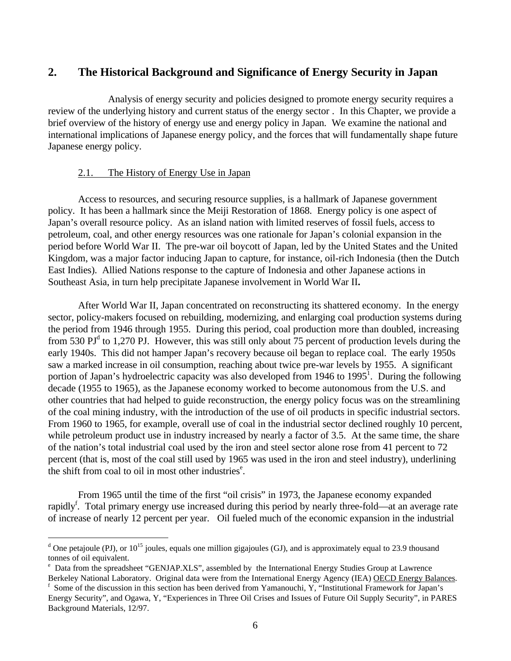#### <span id="page-10-0"></span>**2. The Historical Background and Significance of Energy Security in Japan**

Analysis of energy security and policies designed to promote energy security requires a review of the underlying history and current status of the energy sector . In this Chapter, we provide a brief overview of the history of energy use and energy policy in Japan. We examine the national and international implications of Japanese energy policy, and the forces that will fundamentally shape future Japanese energy policy.

#### 2.1. The History of Energy Use in Japan

 $\overline{a}$ 

Access to resources, and securing resource supplies, is a hallmark of Japanese government policy. It has been a hallmark since the Meiji Restoration of 1868. Energy policy is one aspect of Japan's overall resource policy. As an island nation with limited reserves of fossil fuels, access to petroleum, coal, and other energy resources was one rationale for Japan's colonial expansion in the period before World War II. The pre-war oil boycott of Japan, led by the United States and the United Kingdom, was a major factor inducing Japan to capture, for instance, oil-rich Indonesia (then the Dutch East Indies). Allied Nations response to the capture of Indonesia and other Japanese actions in Southeast Asia, in turn help precipitate Japanese involvement in World War II**.**

After World War II, Japan concentrated on reconstructing its shattered economy. In the energy sector, policy-makers focused on rebuilding, modernizing, and enlarging coal production systems during the period from 1946 through 1955. During this period, coal production more than doubled, increasing from 530  $PI<sup>d</sup>$  to 1,270 PJ. However, this was still only about 75 percent of production levels during the early 1940s. This did not hamper Japan's recovery because oil began to replace coal. The early 1950s saw a marked increase in oil consumption, reaching about twice pre-war levels by 1955. A significant portion of Japan's hydroelectric capacity was also developed from 1946 to 1995<sup>1</sup>. During the following decade (1955 to 1965), as the Japanese economy worked to become autonomous from the U.S. and other countries that had helped to guide reconstruction, the energy policy focus was on the streamlining of the coal mining industry, with the introduction of the use of oil products in specific industrial sectors. From 1960 to 1965, for example, overall use of coal in the industrial sector declined roughly 10 percent, while petroleum product use in industry increased by nearly a factor of 3.5. At the same time, the share of the nation's total industrial coal used by the iron and steel sector alone rose from 41 percent to 72 percent (that is, most of the coal still used by 1965 was used in the iron and steel industry), underlining the shift from coal to oil in most other industries<sup>e</sup>.

From 1965 until the time of the first "oil crisis" in 1973, the Japanese economy expanded rapidly<sup>f</sup>. Total primary energy use increased during this period by nearly three-fold—at an average rate of increase of nearly 12 percent per year. Oil fueled much of the economic expansion in the industrial

<sup>&</sup>lt;sup>d</sup> One petajoule (PJ), or  $10^{15}$  joules, equals one million gigajoules (GJ), and is approximately equal to 23.9 thousand tonnes of oil equivalent.

<sup>&</sup>lt;sup>e</sup> Data from the spreadsheet "GENJAP.XLS", assembled by the International Energy Studies Group at Lawrence

Berkeley National Laboratory. Original data were from the International Energy Agency (IEA) OECD Energy Balances. f Some of the discussion in this section has been derived from Yamanouchi, Y, "Institutional Framework for Japan's Energy Security", and Ogawa, Y, "Experiences in Three Oil Crises and Issues of Future Oil Supply Security", in PARES Background Materials, 12/97.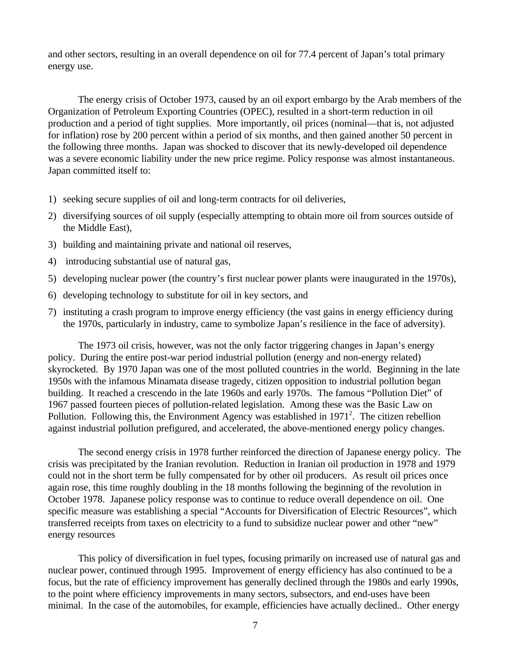and other sectors, resulting in an overall dependence on oil for 77.4 percent of Japan's total primary energy use.

The energy crisis of October 1973, caused by an oil export embargo by the Arab members of the Organization of Petroleum Exporting Countries (OPEC), resulted in a short-term reduction in oil production and a period of tight supplies. More importantly, oil prices (nominal—that is, not adjusted for inflation) rose by 200 percent within a period of six months, and then gained another 50 percent in the following three months. Japan was shocked to discover that its newly-developed oil dependence was a severe economic liability under the new price regime. Policy response was almost instantaneous. Japan committed itself to:

- 1) seeking secure supplies of oil and long-term contracts for oil deliveries,
- 2) diversifying sources of oil supply (especially attempting to obtain more oil from sources outside of the Middle East),
- 3) building and maintaining private and national oil reserves,
- 4) introducing substantial use of natural gas,
- 5) developing nuclear power (the country's first nuclear power plants were inaugurated in the 1970s),
- 6) developing technology to substitute for oil in key sectors, and
- 7) instituting a crash program to improve energy efficiency (the vast gains in energy efficiency during the 1970s, particularly in industry, came to symbolize Japan's resilience in the face of adversity).

The 1973 oil crisis, however, was not the only factor triggering changes in Japan's energy policy. During the entire post-war period industrial pollution (energy and non-energy related) skyrocketed. By 1970 Japan was one of the most polluted countries in the world. Beginning in the late 1950s with the infamous Minamata disease tragedy, citizen opposition to industrial pollution began building. It reached a crescendo in the late 1960s and early 1970s. The famous "Pollution Diet" of 1967 passed fourteen pieces of pollution-related legislation. Among these was the Basic Law on Pollution. Following this, the Environment Agency was established in  $1971<sup>2</sup>$ . The citizen rebellion against industrial pollution prefigured, and accelerated, the above-mentioned energy policy changes.

The second energy crisis in 1978 further reinforced the direction of Japanese energy policy. The crisis was precipitated by the Iranian revolution. Reduction in Iranian oil production in 1978 and 1979 could not in the short term be fully compensated for by other oil producers. As result oil prices once again rose, this time roughly doubling in the 18 months following the beginning of the revolution in October 1978. Japanese policy response was to continue to reduce overall dependence on oil. One specific measure was establishing a special "Accounts for Diversification of Electric Resources", which transferred receipts from taxes on electricity to a fund to subsidize nuclear power and other "new" energy resources

This policy of diversification in fuel types, focusing primarily on increased use of natural gas and nuclear power, continued through 1995. Improvement of energy efficiency has also continued to be a focus, but the rate of efficiency improvement has generally declined through the 1980s and early 1990s, to the point where efficiency improvements in many sectors, subsectors, and end-uses have been minimal. In the case of the automobiles, for example, efficiencies have actually declined.. Other energy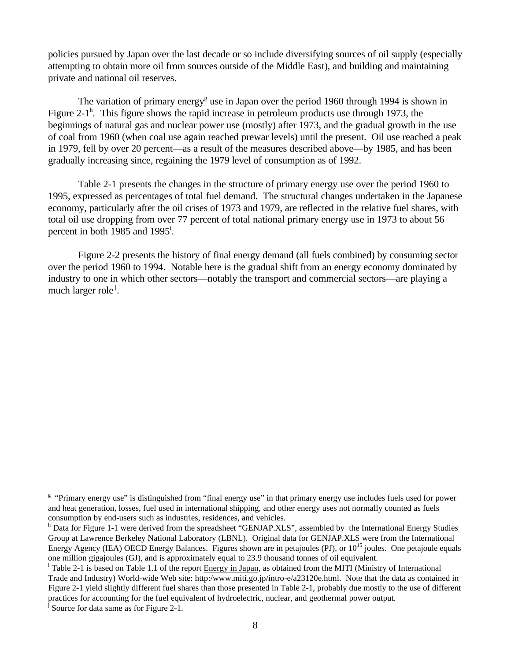policies pursued by Japan over the last decade or so include diversifying sources of oil supply (especially attempting to obtain more oil from sources outside of the Middle East), and building and maintaining private and national oil reserves.

The variation of primary energy<sup>g</sup> use in Japan over the period 1960 through 1994 is shown in Figure 2-1<sup>h</sup>. This figure shows the rapid increase in petroleum products use through 1973, the beginnings of natural gas and nuclear power use (mostly) after 1973, and the gradual growth in the use of coal from 1960 (when coal use again reached prewar levels) until the present. Oil use reached a peak in 1979, fell by over 20 percent—as a result of the measures described above—by 1985, and has been gradually increasing since, regaining the 1979 level of consumption as of 1992.

Table 2-1 presents the changes in the structure of primary energy use over the period 1960 to 1995, expressed as percentages of total fuel demand. The structural changes undertaken in the Japanese economy, particularly after the oil crises of 1973 and 1979, are reflected in the relative fuel shares, with total oil use dropping from over 77 percent of total national primary energy use in 1973 to about 56 percent in both 1985 and 1995<sup>i</sup>.

Figure 2-2 presents the history of final energy demand (all fuels combined) by consuming sector over the period 1960 to 1994. Notable here is the gradual shift from an energy economy dominated by industry to one in which other sectors—notably the transport and commercial sectors—are playing a much larger role<sup>j</sup>.

<sup>&</sup>lt;sup>g</sup> "Primary energy use" is distinguished from "final energy use" in that primary energy use includes fuels used for power and heat generation, losses, fuel used in international shipping, and other energy uses not normally counted as fuels consumption by end-users such as industries, residences, and vehicles.

<sup>&</sup>lt;sup>h</sup> Data for Figure 1-1 were derived from the spreadsheet "GENJAP.XLS", assembled by the International Energy Studies Group at Lawrence Berkeley National Laboratory (LBNL). Original data for GENJAP.XLS were from the International Energy Agency (IEA) OECD Energy Balances. Figures shown are in petajoules (PJ), or  $10^{15}$  joules. One petajoule equals one million gigajoules (GJ), and is approximately equal to 23.9 thousand tonnes of oil equivalent.

<sup>&</sup>lt;sup>i</sup> Table 2-1 is based on Table 1.1 of the report Energy in Japan, as obtained from the MITI (Ministry of International Trade and Industry) World-wide Web site: http:/www.miti.go.jp/intro-e/a23120e.html. Note that the data as contained in Figure 2-1 yield slightly different fuel shares than those presented in Table 2-1, probably due mostly to the use of different practices for accounting for the fuel equivalent of hydroelectric, nuclear, and geothermal power output.

<sup>&</sup>lt;sup>j</sup> Source for data same as for Figure 2-1.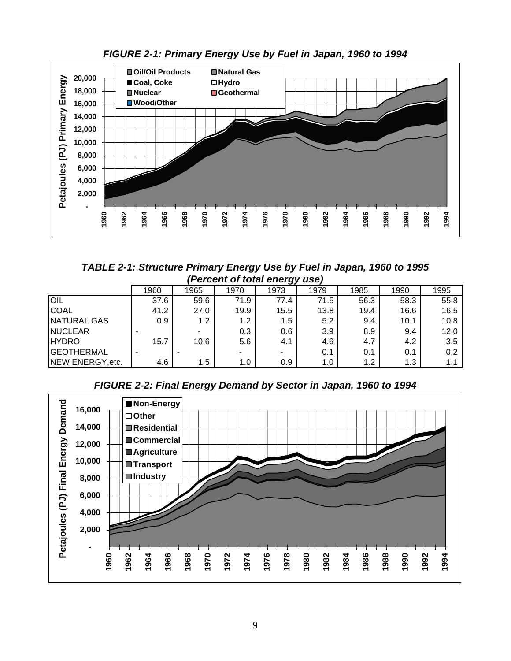

*FIGURE 2-1: Primary Energy Use by Fuel in Japan, 1960 to 1994*

*TABLE 2-1: Structure Primary Energy Use by Fuel in Japan, 1960 to 1995 (Percent of total energy use)*

| $\mu$ crocht of total chory asc |      |      |      |      |      |      |      |      |
|---------------------------------|------|------|------|------|------|------|------|------|
|                                 | 1960 | 1965 | 1970 | 1973 | 1979 | 1985 | 1990 | 1995 |
| <b>OIL</b>                      | 37.6 | 59.6 | 71.9 | 77.4 | 71.5 | 56.3 | 58.3 | 55.8 |
| <b>COAL</b>                     | 41.2 | 27.0 | 19.9 | 15.5 | 13.8 | 19.4 | 16.6 | 16.5 |
| NATURAL GAS                     | 0.9  | 1.2  | 1.2  | 1.5  | 5.2  | 9.4  | 10.1 | 10.8 |
| <b>NUCLEAR</b>                  |      |      | 0.3  | 0.6  | 3.9  | 8.9  | 9.4  | 12.0 |
| <b>HYDRO</b>                    | 15.7 | 10.6 | 5.6  | 4.1  | 4.6  | 4.7  | 4.2  | 3.5  |
| <b>GEOTHERMAL</b>               |      |      |      | ۰.   | 0.1  | 0.1  | 0.1  | 0.2  |
| NEW ENERGY, etc.                | 4.6  | 1.5  | 1.0  | 0.9  | 1.0  | 1.2  | 1.3  | 1.1  |



*FIGURE 2-2: Final Energy Demand by Sector in Japan, 1960 to 1994*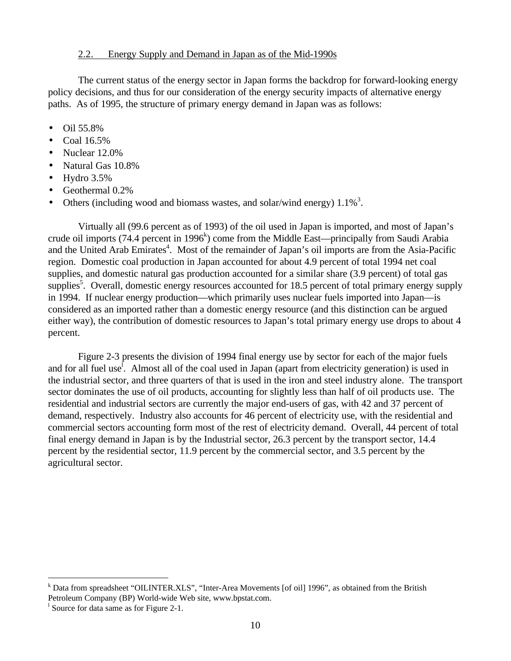#### 2.2. Energy Supply and Demand in Japan as of the Mid-1990s

<span id="page-14-0"></span>The current status of the energy sector in Japan forms the backdrop for forward-looking energy policy decisions, and thus for our consideration of the energy security impacts of alternative energy paths. As of 1995, the structure of primary energy demand in Japan was as follows:

- Oil 55.8%
- Coal 16.5%
- Nuclear 12.0%
- Natural Gas 10.8%
- Hydro  $3.5\%$
- Geothermal 0.2%
- Others (including wood and biomass wastes, and solar/wind energy)  $1.1\%$ <sup>3</sup>.

Virtually all (99.6 percent as of 1993) of the oil used in Japan is imported, and most of Japan's crude oil imports (74.4 percent in 1996<sup>k</sup>) come from the Middle East—principally from Saudi Arabia and the United Arab Emirates<sup>4</sup>. Most of the remainder of Japan's oil imports are from the Asia-Pacific region. Domestic coal production in Japan accounted for about 4.9 percent of total 1994 net coal supplies, and domestic natural gas production accounted for a similar share (3.9 percent) of total gas supplies<sup>5</sup>. Overall, domestic energy resources accounted for 18.5 percent of total primary energy supply in 1994. If nuclear energy production—which primarily uses nuclear fuels imported into Japan—is considered as an imported rather than a domestic energy resource (and this distinction can be argued either way), the contribution of domestic resources to Japan's total primary energy use drops to about 4 percent.

Figure 2-3 presents the division of 1994 final energy use by sector for each of the major fuels and for all fuel use<sup>1</sup>. Almost all of the coal used in Japan (apart from electricity generation) is used in the industrial sector, and three quarters of that is used in the iron and steel industry alone. The transport sector dominates the use of oil products, accounting for slightly less than half of oil products use. The residential and industrial sectors are currently the major end-users of gas, with 42 and 37 percent of demand, respectively. Industry also accounts for 46 percent of electricity use, with the residential and commercial sectors accounting form most of the rest of electricity demand. Overall, 44 percent of total final energy demand in Japan is by the Industrial sector, 26.3 percent by the transport sector, 14.4 percent by the residential sector, 11.9 percent by the commercial sector, and 3.5 percent by the agricultural sector.

k<br>Inter-Area Movements [of oil] 1996", as obtained from the British<br> Petroleum Company (BP) World-wide Web site, www.bpstat.com.

<sup>&</sup>lt;sup>1</sup> Source for data same as for Figure 2-1.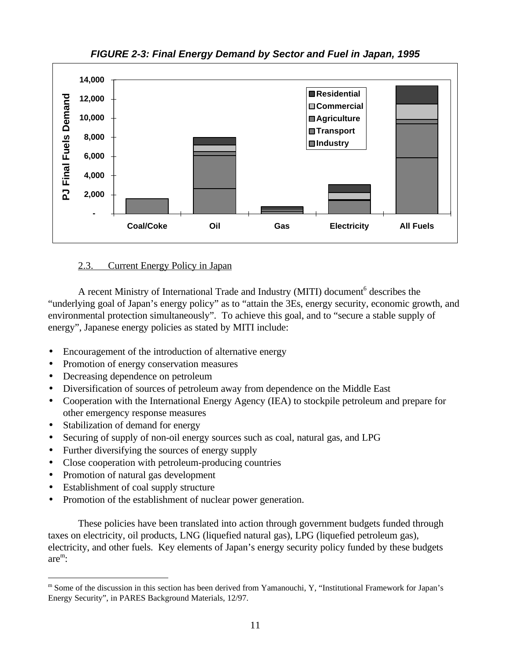

*FIGURE 2-3: Final Energy Demand by Sector and Fuel in Japan, 1995*

#### 2.3. Current Energy Policy in Japan

A recent Ministry of International Trade and Industry (MITI) document<sup>6</sup> describes the "underlying goal of Japan's energy policy" as to "attain the 3Es, energy security, economic growth, and environmental protection simultaneously". To achieve this goal, and to "secure a stable supply of energy", Japanese energy policies as stated by MITI include:

- Encouragement of the introduction of alternative energy
- Promotion of energy conservation measures
- Decreasing dependence on petroleum
- Diversification of sources of petroleum away from dependence on the Middle East
- Cooperation with the International Energy Agency (IEA) to stockpile petroleum and prepare for other emergency response measures
- Stabilization of demand for energy
- Securing of supply of non-oil energy sources such as coal, natural gas, and LPG
- Further diversifying the sources of energy supply
- Close cooperation with petroleum-producing countries
- Promotion of natural gas development
- Establishment of coal supply structure

 $\overline{a}$ 

• Promotion of the establishment of nuclear power generation.

These policies have been translated into action through government budgets funded through taxes on electricity, oil products, LNG (liquefied natural gas), LPG (liquefied petroleum gas), electricity, and other fuels. Key elements of Japan's energy security policy funded by these budgets are<sup>m</sup> :

m Some of the discussion in this section has been derived from Yamanouchi, Y, "Institutional Framework for Japan's Energy Security", in PARES Background Materials, 12/97.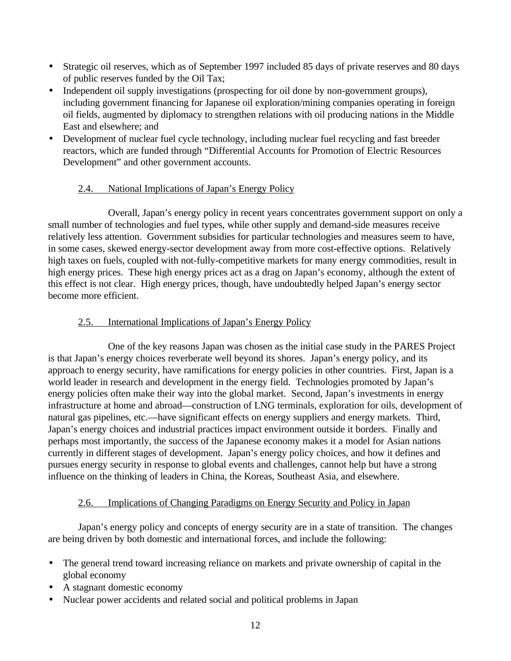- <span id="page-16-0"></span>• Strategic oil reserves, which as of September 1997 included 85 days of private reserves and 80 days of public reserves funded by the Oil Tax;
- Independent oil supply investigations (prospecting for oil done by non-government groups), including government financing for Japanese oil exploration/mining companies operating in foreign oil fields, augmented by diplomacy to strengthen relations with oil producing nations in the Middle East and elsewhere; and
- Development of nuclear fuel cycle technology, including nuclear fuel recycling and fast breeder reactors, which are funded through "Differential Accounts for Promotion of Electric Resources Development" and other government accounts.

#### 2.4. National Implications of Japan's Energy Policy

<span id="page-16-1"></span>Overall, Japan's energy policy in recent years concentrates government support on only a small number of technologies and fuel types, while other supply and demand-side measures receive relatively less attention. Government subsidies for particular technologies and measures seem to have, in some cases, skewed energy-sector development away from more cost-effective options. Relatively high taxes on fuels, coupled with not-fully-competitive markets for many energy commodities, result in high energy prices. These high energy prices act as a drag on Japan's economy, although the extent of this effect is not clear. High energy prices, though, have undoubtedly helped Japan's energy sector become more efficient.

#### 2.5. International Implications of Japan's Energy Policy

One of the key reasons Japan was chosen as the initial case study in the PARES Project is that Japan's energy choices reverberate well beyond its shores. Japan's energy policy, and its approach to energy security, have ramifications for energy policies in other countries. First, Japan is a world leader in research and development in the energy field. Technologies promoted by Japan's energy policies often make their way into the global market. Second, Japan's investments in energy infrastructure at home and abroad—construction of LNG terminals, exploration for oils, development of natural gas pipelines, etc.—have significant effects on energy suppliers and energy markets. Third, Japan's energy choices and industrial practices impact environment outside it borders. Finally and perhaps most importantly, the success of the Japanese economy makes it a model for Asian nations currently in different stages of development. Japan's energy policy choices, and how it defines and pursues energy security in response to global events and challenges, cannot help but have a strong influence on the thinking of leaders in China, the Koreas, Southeast Asia, and elsewhere.

#### 2.6. Implications of Changing Paradigms on Energy Security and Policy in Japan

Japan's energy policy and concepts of energy security are in a state of transition. The changes are being driven by both domestic and international forces, and include the following:

- The general trend toward increasing reliance on markets and private ownership of capital in the global economy
- A stagnant domestic economy
- Nuclear power accidents and related social and political problems in Japan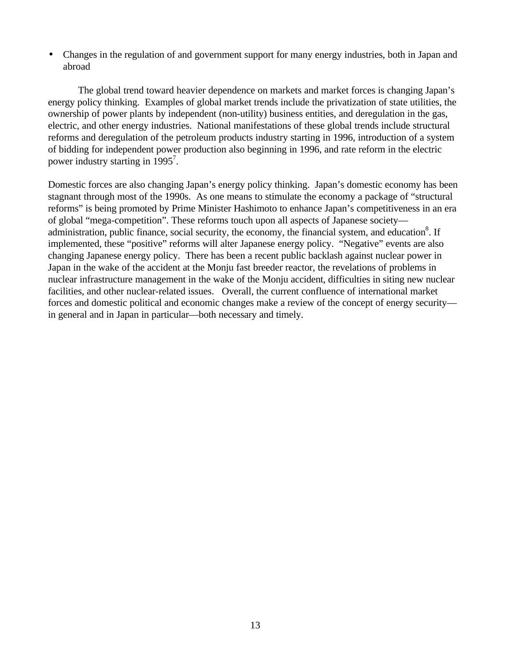• Changes in the regulation of and government support for many energy industries, both in Japan and abroad

The global trend toward heavier dependence on markets and market forces is changing Japan's energy policy thinking. Examples of global market trends include the privatization of state utilities, the ownership of power plants by independent (non-utility) business entities, and deregulation in the gas, electric, and other energy industries. National manifestations of these global trends include structural reforms and deregulation of the petroleum products industry starting in 1996, introduction of a system of bidding for independent power production also beginning in 1996, and rate reform in the electric power industry starting in 1995<sup>7</sup>.

Domestic forces are also changing Japan's energy policy thinking. Japan's domestic economy has been stagnant through most of the 1990s. As one means to stimulate the economy a package of "structural reforms" is being promoted by Prime Minister Hashimoto to enhance Japan's competitiveness in an era of global "mega-competition". These reforms touch upon all aspects of Japanese society administration, public finance, social security, the economy, the financial system, and education<sup>8</sup>. If implemented, these "positive" reforms will alter Japanese energy policy. "Negative" events are also changing Japanese energy policy. There has been a recent public backlash against nuclear power in Japan in the wake of the accident at the Monju fast breeder reactor, the revelations of problems in nuclear infrastructure management in the wake of the Monju accident, difficulties in siting new nuclear facilities, and other nuclear-related issues. Overall, the current confluence of international market forces and domestic political and economic changes make a review of the concept of energy security in general and in Japan in particular—both necessary and timely.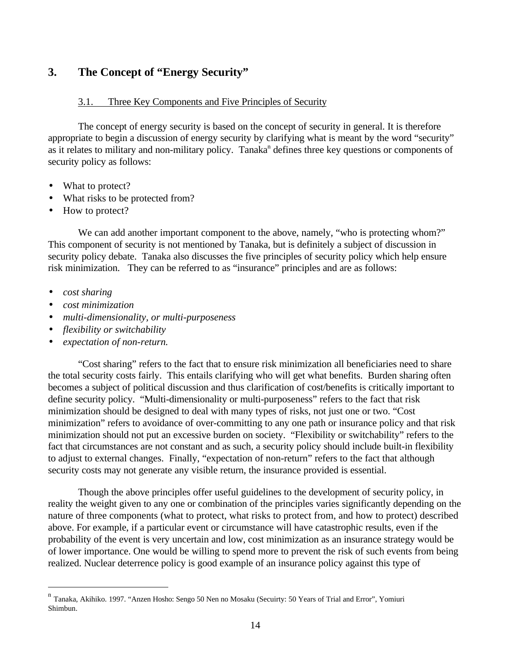#### <span id="page-18-0"></span>**3. The Concept of "Energy Security"**

#### 3.1. Three Key Components and Five Principles of Security

The concept of energy security is based on the concept of security in general. It is therefore appropriate to begin a discussion of energy security by clarifying what is meant by the word "security" as it relates to military and non-military policy. Tanaka<sup>n</sup> defines three key questions or components of security policy as follows:

- What to protect?
- What risks to be protected from?
- How to protect?

We can add another important component to the above, namely, "who is protecting whom?" This component of security is not mentioned by Tanaka, but is definitely a subject of discussion in security policy debate. Tanaka also discusses the five principles of security policy which help ensure risk minimization. They can be referred to as "insurance" principles and are as follows:

• *cost sharing*

 $\overline{a}$ 

- *cost minimization*
- *multi-dimensionality, or multi-purposeness*
- *flexibility or switchability*
- *expectation of non-return.*

"Cost sharing" refers to the fact that to ensure risk minimization all beneficiaries need to share the total security costs fairly. This entails clarifying who will get what benefits. Burden sharing often becomes a subject of political discussion and thus clarification of cost/benefits is critically important to define security policy. "Multi-dimensionality or multi-purposeness" refers to the fact that risk minimization should be designed to deal with many types of risks, not just one or two. "Cost minimization" refers to avoidance of over-committing to any one path or insurance policy and that risk minimization should not put an excessive burden on society. "Flexibility or switchability" refers to the fact that circumstances are not constant and as such, a security policy should include built-in flexibility to adjust to external changes. Finally, "expectation of non-return" refers to the fact that although security costs may not generate any visible return, the insurance provided is essential.

Though the above principles offer useful guidelines to the development of security policy, in reality the weight given to any one or combination of the principles varies significantly depending on the nature of three components (what to protect, what risks to protect from, and how to protect) described above. For example, if a particular event or circumstance will have catastrophic results, even if the probability of the event is very uncertain and low, cost minimization as an insurance strategy would be of lower importance. One would be willing to spend more to prevent the risk of such events from being realized. Nuclear deterrence policy is good example of an insurance policy against this type of

<sup>&</sup>lt;sup>n</sup> Tanaka, Akihiko. 1997. "Anzen Hosho: Sengo 50 Nen no Mosaku (Secuirty: 50 Years of Trial and Error", Yomiuri Shimbun.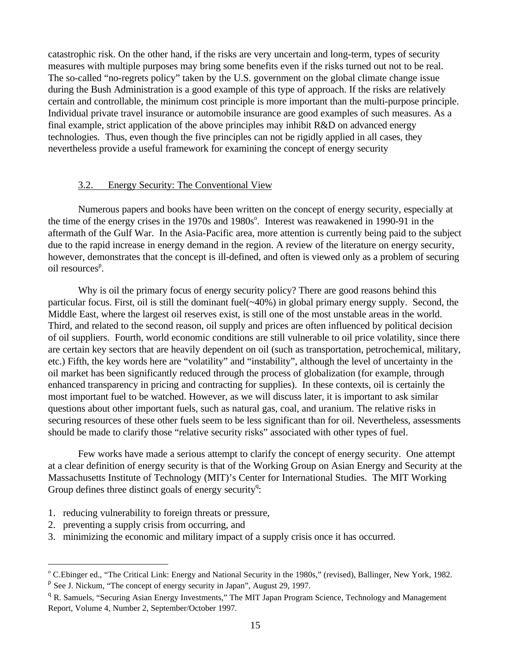<span id="page-19-0"></span>catastrophic risk. On the other hand, if the risks are very uncertain and long-term, types of security measures with multiple purposes may bring some benefits even if the risks turned out not to be real. The so-called "no-regrets policy" taken by the U.S. government on the global climate change issue during the Bush Administration is a good example of this type of approach. If the risks are relatively certain and controllable, the minimum cost principle is more important than the multi-purpose principle. Individual private travel insurance or automobile insurance are good examples of such measures. As a final example, strict application of the above principles may inhibit R&D on advanced energy technologies. Thus, even though the five principles can not be rigidly applied in all cases, they nevertheless provide a useful framework for examining the concept of energy security

#### 3.2. Energy Security: The Conventional View

Numerous papers and books have been written on the concept of energy security, especially at the time of the energy crises in the 1970s and 1980s<sup>o</sup>. Interest was reawakened in 1990-91 in the aftermath of the Gulf War. In the Asia-Pacific area, more attention is currently being paid to the subject due to the rapid increase in energy demand in the region. A review of the literature on energy security, however, demonstrates that the concept is ill-defined, and often is viewed only as a problem of securing oil resources<sup>p</sup>.

Why is oil the primary focus of energy security policy? There are good reasons behind this particular focus. First, oil is still the dominant fuel(~40%) in global primary energy supply. Second, the Middle East, where the largest oil reserves exist, is still one of the most unstable areas in the world. Third, and related to the second reason, oil supply and prices are often influenced by political decision of oil suppliers. Fourth, world economic conditions are still vulnerable to oil price volatility, since there are certain key sectors that are heavily dependent on oil (such as transportation, petrochemical, military, etc.) Fifth, the key words here are "volatility" and "instability", although the level of uncertainty in the oil market has been significantly reduced through the process of globalization (for example, through enhanced transparency in pricing and contracting for supplies). In these contexts, oil is certainly the most important fuel to be watched. However, as we will discuss later, it is important to ask similar questions about other important fuels, such as natural gas, coal, and uranium. The relative risks in securing resources of these other fuels seem to be less significant than for oil. Nevertheless, assessments should be made to clarify those "relative security risks" associated with other types of fuel.

Few works have made a serious attempt to clarify the concept of energy security. One attempt at a clear definition of energy security is that of the Working Group on Asian Energy and Security at the Massachusetts Institute of Technology (MIT)'s Center for International Studies. The MIT Working Group defines three distinct goals of energy security<sup>q</sup>:

- 1. reducing vulnerability to foreign threats or pressure,
- 2. preventing a supply crisis from occurring, and

 $\overline{a}$ 

3. minimizing the economic and military impact of a supply crisis once it has occurred.

<sup>&</sup>lt;sup>o</sup> C.Ebinger ed., "The Critical Link: Energy and National Security in the 1980s," (revised), Ballinger, New York, 1982. <sup>p</sup> See J. Nickum, "The concept of energy security in Japan", August 29, 1997.

<sup>&</sup>lt;sup>q</sup> R. Samuels, "Securing Asian Energy Investments," The MIT Japan Program Science, Technology and Management Report, Volume 4, Number 2, September/October 1997.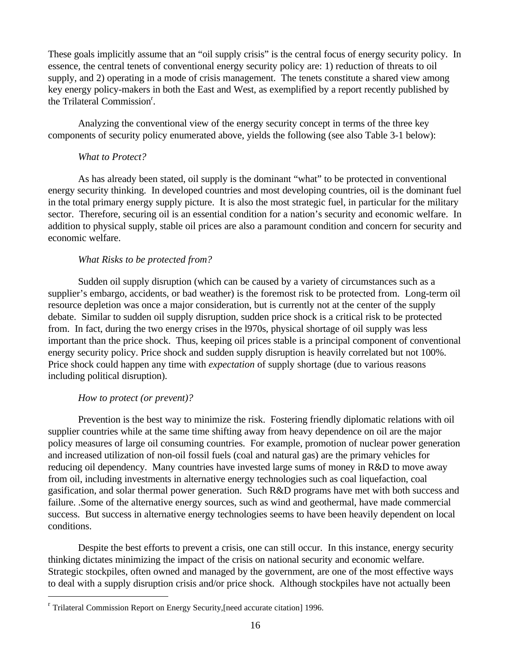These goals implicitly assume that an "oil supply crisis" is the central focus of energy security policy. In essence, the central tenets of conventional energy security policy are: 1) reduction of threats to oil supply, and 2) operating in a mode of crisis management. The tenets constitute a shared view among key energy policy-makers in both the East and West, as exemplified by a report recently published by the Trilateral Commission<sup>r</sup>.

Analyzing the conventional view of the energy security concept in terms of the three key components of security policy enumerated above, yields the following (see also Table 3-1 below):

#### *What to Protect?*

As has already been stated, oil supply is the dominant "what" to be protected in conventional energy security thinking. In developed countries and most developing countries, oil is the dominant fuel in the total primary energy supply picture. It is also the most strategic fuel, in particular for the military sector. Therefore, securing oil is an essential condition for a nation's security and economic welfare. In addition to physical supply, stable oil prices are also a paramount condition and concern for security and economic welfare.

#### *What Risks to be protected from?*

Sudden oil supply disruption (which can be caused by a variety of circumstances such as a supplier's embargo, accidents, or bad weather) is the foremost risk to be protected from. Long-term oil resource depletion was once a major consideration, but is currently not at the center of the supply debate. Similar to sudden oil supply disruption, sudden price shock is a critical risk to be protected from. In fact, during the two energy crises in the l970s, physical shortage of oil supply was less important than the price shock. Thus, keeping oil prices stable is a principal component of conventional energy security policy. Price shock and sudden supply disruption is heavily correlated but not 100%. Price shock could happen any time with *expectation* of supply shortage (due to various reasons including political disruption).

#### *How to protect (or prevent)?*

 $\overline{a}$ 

Prevention is the best way to minimize the risk. Fostering friendly diplomatic relations with oil supplier countries while at the same time shifting away from heavy dependence on oil are the major policy measures of large oil consuming countries. For example, promotion of nuclear power generation and increased utilization of non-oil fossil fuels (coal and natural gas) are the primary vehicles for reducing oil dependency. Many countries have invested large sums of money in R&D to move away from oil, including investments in alternative energy technologies such as coal liquefaction, coal gasification, and solar thermal power generation. Such R&D programs have met with both success and failure. .Some of the alternative energy sources, such as wind and geothermal, have made commercial success. But success in alternative energy technologies seems to have been heavily dependent on local conditions.

Despite the best efforts to prevent a crisis, one can still occur. In this instance, energy security thinking dictates minimizing the impact of the crisis on national security and economic welfare. Strategic stockpiles, often owned and managed by the government, are one of the most effective ways to deal with a supply disruption crisis and/or price shock. Although stockpiles have not actually been

<sup>&</sup>lt;sup>r</sup> Trilateral Commission Report on Energy Security, [need accurate citation] 1996.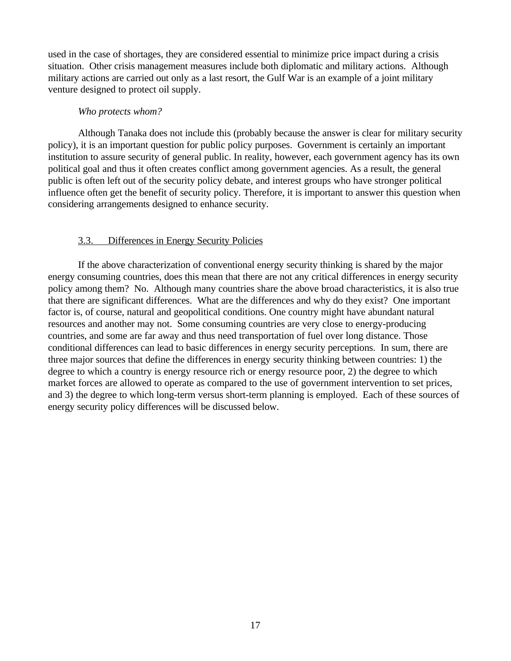<span id="page-21-0"></span>used in the case of shortages, they are considered essential to minimize price impact during a crisis situation. Other crisis management measures include both diplomatic and military actions. Although military actions are carried out only as a last resort, the Gulf War is an example of a joint military venture designed to protect oil supply.

#### *Who protects whom?*

Although Tanaka does not include this (probably because the answer is clear for military security policy), it is an important question for public policy purposes. Government is certainly an important institution to assure security of general public. In reality, however, each government agency has its own political goal and thus it often creates conflict among government agencies. As a result, the general public is often left out of the security policy debate, and interest groups who have stronger political influence often get the benefit of security policy. Therefore, it is important to answer this question when considering arrangements designed to enhance security.

#### 3.3. Differences in Energy Security Policies

If the above characterization of conventional energy security thinking is shared by the major energy consuming countries, does this mean that there are not any critical differences in energy security policy among them? No. Although many countries share the above broad characteristics, it is also true that there are significant differences. What are the differences and why do they exist? One important factor is, of course, natural and geopolitical conditions. One country might have abundant natural resources and another may not. Some consuming countries are very close to energy-producing countries, and some are far away and thus need transportation of fuel over long distance. Those conditional differences can lead to basic differences in energy security perceptions. In sum, there are three major sources that define the differences in energy security thinking between countries: 1) the degree to which a country is energy resource rich or energy resource poor, 2) the degree to which market forces are allowed to operate as compared to the use of government intervention to set prices, and 3) the degree to which long-term versus short-term planning is employed. Each of these sources of energy security policy differences will be discussed below.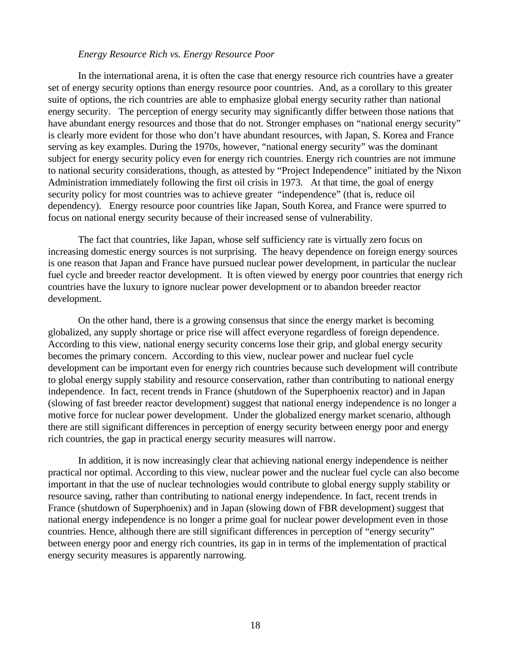#### *Energy Resource Rich vs. Energy Resource Poor*

In the international arena, it is often the case that energy resource rich countries have a greater set of energy security options than energy resource poor countries. And, as a corollary to this greater suite of options, the rich countries are able to emphasize global energy security rather than national energy security. The perception of energy security may significantly differ between those nations that have abundant energy resources and those that do not. Stronger emphases on "national energy security" is clearly more evident for those who don't have abundant resources, with Japan, S. Korea and France serving as key examples. During the 1970s, however, "national energy security" was the dominant subject for energy security policy even for energy rich countries. Energy rich countries are not immune to national security considerations, though, as attested by "Project Independence" initiated by the Nixon Administration immediately following the first oil crisis in 1973. At that time, the goal of energy security policy for most countries was to achieve greater "independence" (that is, reduce oil dependency). Energy resource poor countries like Japan, South Korea, and France were spurred to focus on national energy security because of their increased sense of vulnerability.

The fact that countries, like Japan, whose self sufficiency rate is virtually zero focus on increasing domestic energy sources is not surprising. The heavy dependence on foreign energy sources is one reason that Japan and France have pursued nuclear power development, in particular the nuclear fuel cycle and breeder reactor development. It is often viewed by energy poor countries that energy rich countries have the luxury to ignore nuclear power development or to abandon breeder reactor development.

On the other hand, there is a growing consensus that since the energy market is becoming globalized, any supply shortage or price rise will affect everyone regardless of foreign dependence. According to this view, national energy security concerns lose their grip, and global energy security becomes the primary concern. According to this view, nuclear power and nuclear fuel cycle development can be important even for energy rich countries because such development will contribute to global energy supply stability and resource conservation, rather than contributing to national energy independence. In fact, recent trends in France (shutdown of the Superphoenix reactor) and in Japan (slowing of fast breeder reactor development) suggest that national energy independence is no longer a motive force for nuclear power development. Under the globalized energy market scenario, although there are still significant differences in perception of energy security between energy poor and energy rich countries, the gap in practical energy security measures will narrow.

In addition, it is now increasingly clear that achieving national energy independence is neither practical nor optimal. According to this view, nuclear power and the nuclear fuel cycle can also become important in that the use of nuclear technologies would contribute to global energy supply stability or resource saving, rather than contributing to national energy independence. In fact, recent trends in France (shutdown of Superphoenix) and in Japan (slowing down of FBR development) suggest that national energy independence is no longer a prime goal for nuclear power development even in those countries. Hence, although there are still significant differences in perception of "energy security" between energy poor and energy rich countries, its gap in in terms of the implementation of practical energy security measures is apparently narrowing.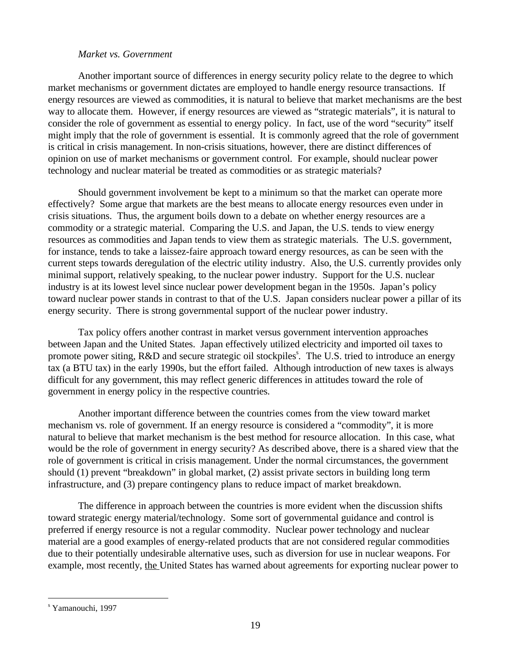#### *Market vs. Government*

Another important source of differences in energy security policy relate to the degree to which market mechanisms or government dictates are employed to handle energy resource transactions. If energy resources are viewed as commodities, it is natural to believe that market mechanisms are the best way to allocate them. However, if energy resources are viewed as "strategic materials", it is natural to consider the role of government as essential to energy policy. In fact, use of the word "security" itself might imply that the role of government is essential. It is commonly agreed that the role of government is critical in crisis management. In non-crisis situations, however, there are distinct differences of opinion on use of market mechanisms or government control. For example, should nuclear power technology and nuclear material be treated as commodities or as strategic materials?

Should government involvement be kept to a minimum so that the market can operate more effectively? Some argue that markets are the best means to allocate energy resources even under in crisis situations. Thus, the argument boils down to a debate on whether energy resources are a commodity or a strategic material. Comparing the U.S. and Japan, the U.S. tends to view energy resources as commodities and Japan tends to view them as strategic materials. The U.S. government, for instance, tends to take a laissez-faire approach toward energy resources, as can be seen with the current steps towards deregulation of the electric utility industry. Also, the U.S. currently provides only minimal support, relatively speaking, to the nuclear power industry. Support for the U.S. nuclear industry is at its lowest level since nuclear power development began in the 1950s. Japan's policy toward nuclear power stands in contrast to that of the U.S. Japan considers nuclear power a pillar of its energy security. There is strong governmental support of the nuclear power industry.

Tax policy offers another contrast in market versus government intervention approaches between Japan and the United States. Japan effectively utilized electricity and imported oil taxes to promote power siting, R&D and secure strategic oil stockpiles<sup>s</sup>. The U.S. tried to introduce an energy tax (a BTU tax) in the early 1990s, but the effort failed. Although introduction of new taxes is always difficult for any government, this may reflect generic differences in attitudes toward the role of government in energy policy in the respective countries.

Another important difference between the countries comes from the view toward market mechanism vs. role of government. If an energy resource is considered a "commodity", it is more natural to believe that market mechanism is the best method for resource allocation. In this case, what would be the role of government in energy security? As described above, there is a shared view that the role of government is critical in crisis management. Under the normal circumstances, the government should (1) prevent "breakdown" in global market, (2) assist private sectors in building long term infrastructure, and (3) prepare contingency plans to reduce impact of market breakdown.

The difference in approach between the countries is more evident when the discussion shifts toward strategic energy material/technology. Some sort of governmental guidance and control is preferred if energy resource is not a regular commodity. Nuclear power technology and nuclear material are a good examples of energy-related products that are not considered regular commodities due to their potentially undesirable alternative uses, such as diversion for use in nuclear weapons. For example, most recently, the United States has warned about agreements for exporting nuclear power to

s Yamanouchi, 1997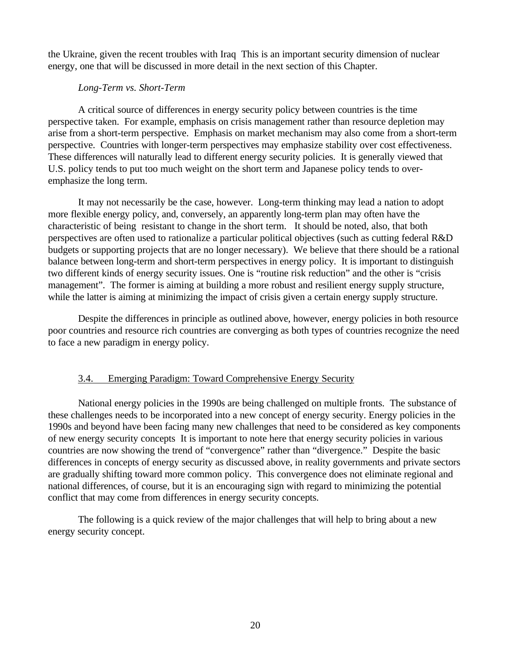the Ukraine, given the recent troubles with Iraq This is an important security dimension of nuclear energy, one that will be discussed in more detail in the next section of this Chapter.

#### *Long-Term vs. Short-Term*

A critical source of differences in energy security policy between countries is the time perspective taken. For example, emphasis on crisis management rather than resource depletion may arise from a short-term perspective. Emphasis on market mechanism may also come from a short-term perspective. Countries with longer-term perspectives may emphasize stability over cost effectiveness. These differences will naturally lead to different energy security policies. It is generally viewed that U.S. policy tends to put too much weight on the short term and Japanese policy tends to overemphasize the long term.

It may not necessarily be the case, however. Long-term thinking may lead a nation to adopt more flexible energy policy, and, conversely, an apparently long-term plan may often have the characteristic of being resistant to change in the short term. It should be noted, also, that both perspectives are often used to rationalize a particular political objectives (such as cutting federal R&D budgets or supporting projects that are no longer necessary). We believe that there should be a rational balance between long-term and short-term perspectives in energy policy. It is important to distinguish two different kinds of energy security issues. One is "routine risk reduction" and the other is "crisis management". The former is aiming at building a more robust and resilient energy supply structure, while the latter is aiming at minimizing the impact of crisis given a certain energy supply structure.

<span id="page-24-0"></span>Despite the differences in principle as outlined above, however, energy policies in both resource poor countries and resource rich countries are converging as both types of countries recognize the need to face a new paradigm in energy policy.

#### 3.4. Emerging Paradigm: Toward Comprehensive Energy Security

National energy policies in the 1990s are being challenged on multiple fronts. The substance of these challenges needs to be incorporated into a new concept of energy security. Energy policies in the 1990s and beyond have been facing many new challenges that need to be considered as key components of new energy security concepts It is important to note here that energy security policies in various countries are now showing the trend of "convergence" rather than "divergence." Despite the basic differences in concepts of energy security as discussed above, in reality governments and private sectors are gradually shifting toward more common policy. This convergence does not eliminate regional and national differences, of course, but it is an encouraging sign with regard to minimizing the potential conflict that may come from differences in energy security concepts.

The following is a quick review of the major challenges that will help to bring about a new energy security concept.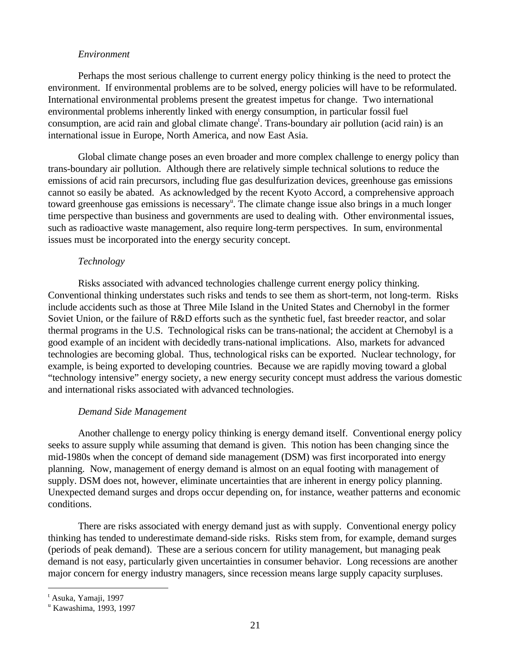#### *Environment*

Perhaps the most serious challenge to current energy policy thinking is the need to protect the environment. If environmental problems are to be solved, energy policies will have to be reformulated. International environmental problems present the greatest impetus for change. Two international environmental problems inherently linked with energy consumption, in particular fossil fuel consumption, are acid rain and global climate change<sup>t</sup>. Trans-boundary air pollution (acid rain) is an international issue in Europe, North America, and now East Asia.

Global climate change poses an even broader and more complex challenge to energy policy than trans-boundary air pollution. Although there are relatively simple technical solutions to reduce the emissions of acid rain precursors, including flue gas desulfurization devices, greenhouse gas emissions cannot so easily be abated. As acknowledged by the recent Kyoto Accord, a comprehensive approach toward greenhouse gas emissions is necessary<sup>u</sup>. The climate change issue also brings in a much longer time perspective than business and governments are used to dealing with. Other environmental issues, such as radioactive waste management, also require long-term perspectives. In sum, environmental issues must be incorporated into the energy security concept.

#### *Technology*

Risks associated with advanced technologies challenge current energy policy thinking. Conventional thinking understates such risks and tends to see them as short-term, not long-term. Risks include accidents such as those at Three Mile Island in the United States and Chernobyl in the former Soviet Union, or the failure of R&D efforts such as the synthetic fuel, fast breeder reactor, and solar thermal programs in the U.S. Technological risks can be trans-national; the accident at Chernobyl is a good example of an incident with decidedly trans-national implications. Also, markets for advanced technologies are becoming global. Thus, technological risks can be exported. Nuclear technology, for example, is being exported to developing countries. Because we are rapidly moving toward a global "technology intensive" energy society, a new energy security concept must address the various domestic and international risks associated with advanced technologies.

#### *Demand Side Management*

Another challenge to energy policy thinking is energy demand itself. Conventional energy policy seeks to assure supply while assuming that demand is given. This notion has been changing since the mid-1980s when the concept of demand side management (DSM) was first incorporated into energy planning. Now, management of energy demand is almost on an equal footing with management of supply. DSM does not, however, eliminate uncertainties that are inherent in energy policy planning. Unexpected demand surges and drops occur depending on, for instance, weather patterns and economic conditions.

There are risks associated with energy demand just as with supply. Conventional energy policy thinking has tended to underestimate demand-side risks. Risks stem from, for example, demand surges (periods of peak demand). These are a serious concern for utility management, but managing peak demand is not easy, particularly given uncertainties in consumer behavior. Long recessions are another major concern for energy industry managers, since recession means large supply capacity surpluses.

<sup>&</sup>lt;sup>t</sup> Asuka, Yamaji, 1997

u Kawashima, 1993, 1997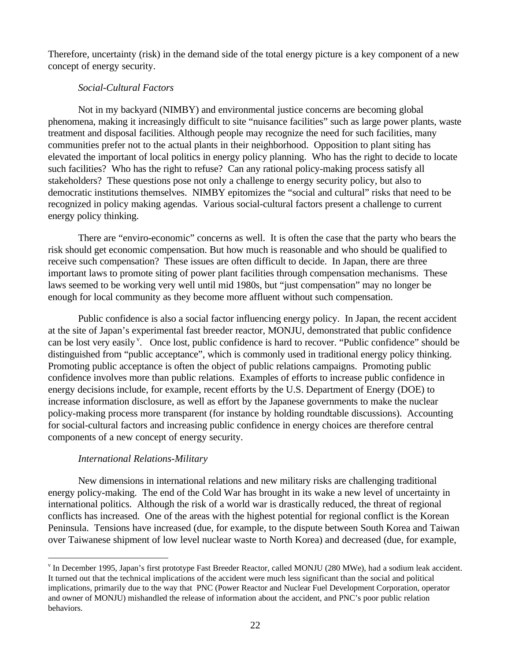Therefore, uncertainty (risk) in the demand side of the total energy picture is a key component of a new concept of energy security.

#### *Social-Cultural Factors*

Not in my backyard (NIMBY) and environmental justice concerns are becoming global phenomena, making it increasingly difficult to site "nuisance facilities" such as large power plants, waste treatment and disposal facilities. Although people may recognize the need for such facilities, many communities prefer not to the actual plants in their neighborhood. Opposition to plant siting has elevated the important of local politics in energy policy planning. Who has the right to decide to locate such facilities? Who has the right to refuse? Can any rational policy-making process satisfy all stakeholders? These questions pose not only a challenge to energy security policy, but also to democratic institutions themselves. NIMBY epitomizes the "social and cultural" risks that need to be recognized in policy making agendas. Various social-cultural factors present a challenge to current energy policy thinking.

There are "enviro-economic" concerns as well. It is often the case that the party who bears the risk should get economic compensation. But how much is reasonable and who should be qualified to receive such compensation? These issues are often difficult to decide. In Japan, there are three important laws to promote siting of power plant facilities through compensation mechanisms. These laws seemed to be working very well until mid 1980s, but "just compensation" may no longer be enough for local community as they become more affluent without such compensation.

Public confidence is also a social factor influencing energy policy. In Japan, the recent accident at the site of Japan's experimental fast breeder reactor, MONJU, demonstrated that public confidence can be lost very easily<sup>v</sup>. Once lost, public confidence is hard to recover. "Public confidence" should be distinguished from "public acceptance", which is commonly used in traditional energy policy thinking. Promoting public acceptance is often the object of public relations campaigns. Promoting public confidence involves more than public relations. Examples of efforts to increase public confidence in energy decisions include, for example, recent efforts by the U.S. Department of Energy (DOE) to increase information disclosure, as well as effort by the Japanese governments to make the nuclear policy-making process more transparent (for instance by holding roundtable discussions). Accounting for social-cultural factors and increasing public confidence in energy choices are therefore central components of a new concept of energy security.

#### *International Relations-Military*

 $\overline{a}$ 

New dimensions in international relations and new military risks are challenging traditional energy policy-making. The end of the Cold War has brought in its wake a new level of uncertainty in international politics. Although the risk of a world war is drastically reduced, the threat of regional conflicts has increased. One of the areas with the highest potential for regional conflict is the Korean Peninsula. Tensions have increased (due, for example, to the dispute between South Korea and Taiwan over Taiwanese shipment of low level nuclear waste to North Korea) and decreased (due, for example,

v In December 1995, Japan's first prototype Fast Breeder Reactor, called MONJU (280 MWe), had a sodium leak accident. It turned out that the technical implications of the accident were much less significant than the social and political implications, primarily due to the way that PNC (Power Reactor and Nuclear Fuel Development Corporation, operator and owner of MONJU) mishandled the release of information about the accident, and PNC's poor public relation behaviors.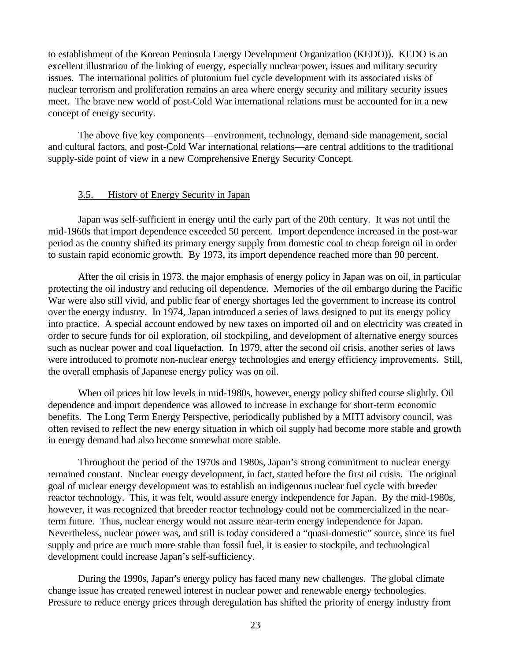<span id="page-27-0"></span>to establishment of the Korean Peninsula Energy Development Organization (KEDO)). KEDO is an excellent illustration of the linking of energy, especially nuclear power, issues and military security issues. The international politics of plutonium fuel cycle development with its associated risks of nuclear terrorism and proliferation remains an area where energy security and military security issues meet. The brave new world of post-Cold War international relations must be accounted for in a new concept of energy security.

The above five key components—environment, technology, demand side management, social and cultural factors, and post-Cold War international relations—are central additions to the traditional supply-side point of view in a new Comprehensive Energy Security Concept.

#### 3.5. History of Energy Security in Japan

Japan was self-sufficient in energy until the early part of the 20th century. It was not until the mid-1960s that import dependence exceeded 50 percent. Import dependence increased in the post-war period as the country shifted its primary energy supply from domestic coal to cheap foreign oil in order to sustain rapid economic growth. By 1973, its import dependence reached more than 90 percent.

After the oil crisis in 1973, the major emphasis of energy policy in Japan was on oil, in particular protecting the oil industry and reducing oil dependence. Memories of the oil embargo during the Pacific War were also still vivid, and public fear of energy shortages led the government to increase its control over the energy industry. In 1974, Japan introduced a series of laws designed to put its energy policy into practice. A special account endowed by new taxes on imported oil and on electricity was created in order to secure funds for oil exploration, oil stockpiling, and development of alternative energy sources such as nuclear power and coal liquefaction. In 1979, after the second oil crisis, another series of laws were introduced to promote non-nuclear energy technologies and energy efficiency improvements. Still, the overall emphasis of Japanese energy policy was on oil.

When oil prices hit low levels in mid-1980s, however, energy policy shifted course slightly. Oil dependence and import dependence was allowed to increase in exchange for short-term economic benefits. The Long Term Energy Perspective, periodically published by a MITI advisory council, was often revised to reflect the new energy situation in which oil supply had become more stable and growth in energy demand had also become somewhat more stable.

Throughout the period of the 1970s and 1980s, Japan's strong commitment to nuclear energy remained constant. Nuclear energy development, in fact, started before the first oil crisis. The original goal of nuclear energy development was to establish an indigenous nuclear fuel cycle with breeder reactor technology. This, it was felt, would assure energy independence for Japan. By the mid-1980s, however, it was recognized that breeder reactor technology could not be commercialized in the nearterm future. Thus, nuclear energy would not assure near-term energy independence for Japan. Nevertheless, nuclear power was, and still is today considered a "quasi-domestic" source, since its fuel supply and price are much more stable than fossil fuel, it is easier to stockpile, and technological development could increase Japan's self-sufficiency.

During the 1990s, Japan's energy policy has faced many new challenges. The global climate change issue has created renewed interest in nuclear power and renewable energy technologies. Pressure to reduce energy prices through deregulation has shifted the priority of energy industry from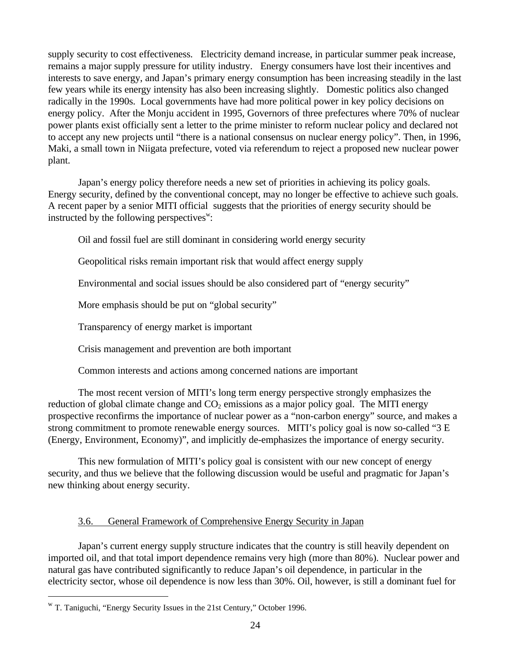supply security to cost effectiveness. Electricity demand increase, in particular summer peak increase, remains a major supply pressure for utility industry. Energy consumers have lost their incentives and interests to save energy, and Japan's primary energy consumption has been increasing steadily in the last few years while its energy intensity has also been increasing slightly. Domestic politics also changed radically in the 1990s. Local governments have had more political power in key policy decisions on energy policy. After the Monju accident in 1995, Governors of three prefectures where 70% of nuclear power plants exist officially sent a letter to the prime minister to reform nuclear policy and declared not to accept any new projects until "there is a national consensus on nuclear energy policy". Then, in 1996, Maki, a small town in Niigata prefecture, voted via referendum to reject a proposed new nuclear power plant.

Japan's energy policy therefore needs a new set of priorities in achieving its policy goals. Energy security, defined by the conventional concept, may no longer be effective to achieve such goals. A recent paper by a senior MITI official suggests that the priorities of energy security should be instructed by the following perspectives<sup>w</sup>:

Oil and fossil fuel are still dominant in considering world energy security

<span id="page-28-0"></span>Geopolitical risks remain important risk that would affect energy supply

Environmental and social issues should be also considered part of "energy security"

More emphasis should be put on "global security"

Transparency of energy market is important

Crisis management and prevention are both important

Common interests and actions among concerned nations are important

The most recent version of MITI's long term energy perspective strongly emphasizes the reduction of global climate change and  $CO<sub>2</sub>$  emissions as a major policy goal. The MITI energy prospective reconfirms the importance of nuclear power as a "non-carbon energy" source, and makes a strong commitment to promote renewable energy sources. MITI's policy goal is now so-called "3 E (Energy, Environment, Economy)", and implicitly de-emphasizes the importance of energy security.

This new formulation of MITI's policy goal is consistent with our new concept of energy security, and thus we believe that the following discussion would be useful and pragmatic for Japan's new thinking about energy security.

#### 3.6. General Framework of Comprehensive Energy Security in Japan

Japan's current energy supply structure indicates that the country is still heavily dependent on imported oil, and that total import dependence remains very high (more than 80%). Nuclear power and natural gas have contributed significantly to reduce Japan's oil dependence, in particular in the electricity sector, whose oil dependence is now less than 30%. Oil, however, is still a dominant fuel for

w T. Taniguchi, "Energy Security Issues in the 21st Century," October 1996.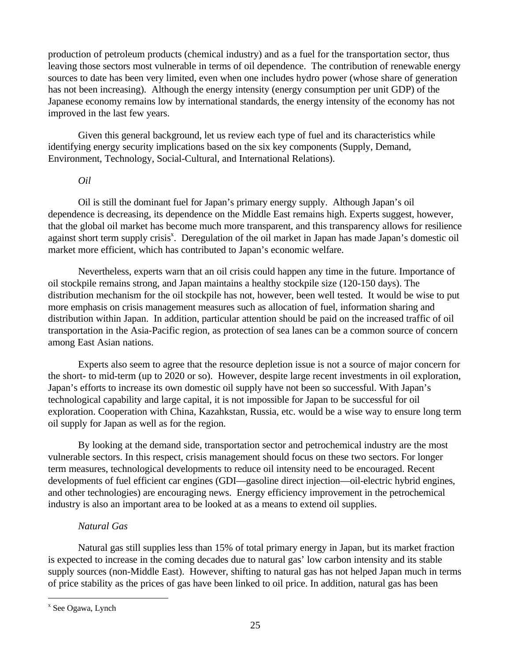production of petroleum products (chemical industry) and as a fuel for the transportation sector, thus leaving those sectors most vulnerable in terms of oil dependence. The contribution of renewable energy sources to date has been very limited, even when one includes hydro power (whose share of generation has not been increasing). Although the energy intensity (energy consumption per unit GDP) of the Japanese economy remains low by international standards, the energy intensity of the economy has not improved in the last few years.

Given this general background, let us review each type of fuel and its characteristics while identifying energy security implications based on the six key components (Supply, Demand, Environment, Technology, Social-Cultural, and International Relations).

#### *Oil*

Oil is still the dominant fuel for Japan's primary energy supply. Although Japan's oil dependence is decreasing, its dependence on the Middle East remains high. Experts suggest, however, that the global oil market has become much more transparent, and this transparency allows for resilience against short term supply crisis<sup>x</sup>. Deregulation of the oil market in Japan has made Japan's domestic oil market more efficient, which has contributed to Japan's economic welfare.

Nevertheless, experts warn that an oil crisis could happen any time in the future. Importance of oil stockpile remains strong, and Japan maintains a healthy stockpile size (120-150 days). The distribution mechanism for the oil stockpile has not, however, been well tested. It would be wise to put more emphasis on crisis management measures such as allocation of fuel, information sharing and distribution within Japan. In addition, particular attention should be paid on the increased traffic of oil transportation in the Asia-Pacific region, as protection of sea lanes can be a common source of concern among East Asian nations.

Experts also seem to agree that the resource depletion issue is not a source of major concern for the short- to mid-term (up to 2020 or so). However, despite large recent investments in oil exploration, Japan's efforts to increase its own domestic oil supply have not been so successful. With Japan's technological capability and large capital, it is not impossible for Japan to be successful for oil exploration. Cooperation with China, Kazahkstan, Russia, etc. would be a wise way to ensure long term oil supply for Japan as well as for the region.

By looking at the demand side, transportation sector and petrochemical industry are the most vulnerable sectors. In this respect, crisis management should focus on these two sectors. For longer term measures, technological developments to reduce oil intensity need to be encouraged. Recent developments of fuel efficient car engines (GDI—gasoline direct injection—oil-electric hybrid engines, and other technologies) are encouraging news. Energy efficiency improvement in the petrochemical industry is also an important area to be looked at as a means to extend oil supplies.

#### *Natural Gas*

Natural gas still supplies less than 15% of total primary energy in Japan, but its market fraction is expected to increase in the coming decades due to natural gas' low carbon intensity and its stable supply sources (non-Middle East). However, shifting to natural gas has not helped Japan much in terms of price stability as the prices of gas have been linked to oil price. In addition, natural gas has been

x See Ogawa, Lynch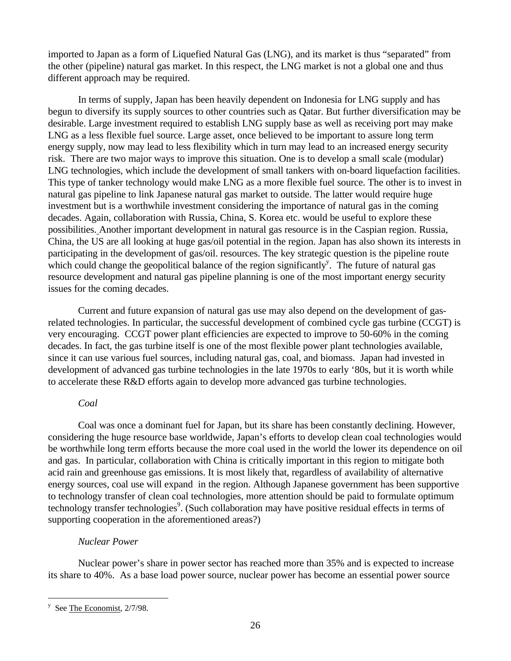imported to Japan as a form of Liquefied Natural Gas (LNG), and its market is thus "separated" from the other (pipeline) natural gas market. In this respect, the LNG market is not a global one and thus different approach may be required.

In terms of supply, Japan has been heavily dependent on Indonesia for LNG supply and has begun to diversify its supply sources to other countries such as Qatar. But further diversification may be desirable. Large investment required to establish LNG supply base as well as receiving port may make LNG as a less flexible fuel source. Large asset, once believed to be important to assure long term energy supply, now may lead to less flexibility which in turn may lead to an increased energy security risk. There are two major ways to improve this situation. One is to develop a small scale (modular) LNG technologies, which include the development of small tankers with on-board liquefaction facilities. This type of tanker technology would make LNG as a more flexible fuel source. The other is to invest in natural gas pipeline to link Japanese natural gas market to outside. The latter would require huge investment but is a worthwhile investment considering the importance of natural gas in the coming decades. Again, collaboration with Russia, China, S. Korea etc. would be useful to explore these possibilities. Another important development in natural gas resource is in the Caspian region. Russia, China, the US are all looking at huge gas/oil potential in the region. Japan has also shown its interests in participating in the development of gas/oil. resources. The key strategic question is the pipeline route which could change the geopolitical balance of the region significantly<sup>y</sup>. The future of natural gas resource development and natural gas pipeline planning is one of the most important energy security issues for the coming decades.

Current and future expansion of natural gas use may also depend on the development of gasrelated technologies. In particular, the successful development of combined cycle gas turbine (CCGT) is very encouraging. CCGT power plant efficiencies are expected to improve to 50-60% in the coming decades. In fact, the gas turbine itself is one of the most flexible power plant technologies available, since it can use various fuel sources, including natural gas, coal, and biomass. Japan had invested in development of advanced gas turbine technologies in the late 1970s to early '80s, but it is worth while to accelerate these R&D efforts again to develop more advanced gas turbine technologies.

#### *Coal*

Coal was once a dominant fuel for Japan, but its share has been constantly declining. However, considering the huge resource base worldwide, Japan's efforts to develop clean coal technologies would be worthwhile long term efforts because the more coal used in the world the lower its dependence on oil and gas. In particular, collaboration with China is critically important in this region to mitigate both acid rain and greenhouse gas emissions. It is most likely that, regardless of availability of alternative energy sources, coal use will expand in the region. Although Japanese government has been supportive to technology transfer of clean coal technologies, more attention should be paid to formulate optimum technology transfer technologies<sup>9</sup>. (Such collaboration may have positive residual effects in terms of supporting cooperation in the aforementioned areas?)

#### *Nuclear Power*

Nuclear power's share in power sector has reached more than 35% and is expected to increase its share to 40%. As a base load power source, nuclear power has become an essential power source

 $y$  See The Economist, 2/7/98.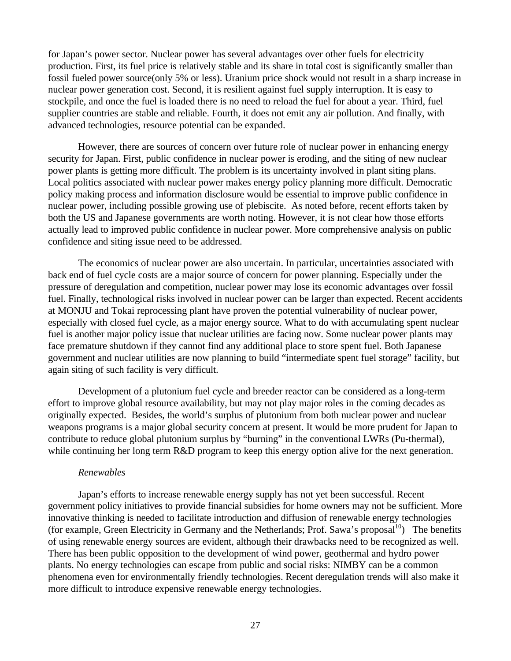for Japan's power sector. Nuclear power has several advantages over other fuels for electricity production. First, its fuel price is relatively stable and its share in total cost is significantly smaller than fossil fueled power source(only 5% or less). Uranium price shock would not result in a sharp increase in nuclear power generation cost. Second, it is resilient against fuel supply interruption. It is easy to stockpile, and once the fuel is loaded there is no need to reload the fuel for about a year. Third, fuel supplier countries are stable and reliable. Fourth, it does not emit any air pollution. And finally, with advanced technologies, resource potential can be expanded.

However, there are sources of concern over future role of nuclear power in enhancing energy security for Japan. First, public confidence in nuclear power is eroding, and the siting of new nuclear power plants is getting more difficult. The problem is its uncertainty involved in plant siting plans. Local politics associated with nuclear power makes energy policy planning more difficult. Democratic policy making process and information disclosure would be essential to improve public confidence in nuclear power, including possible growing use of plebiscite. As noted before, recent efforts taken by both the US and Japanese governments are worth noting. However, it is not clear how those efforts actually lead to improved public confidence in nuclear power. More comprehensive analysis on public confidence and siting issue need to be addressed.

The economics of nuclear power are also uncertain. In particular, uncertainties associated with back end of fuel cycle costs are a major source of concern for power planning. Especially under the pressure of deregulation and competition, nuclear power may lose its economic advantages over fossil fuel. Finally, technological risks involved in nuclear power can be larger than expected. Recent accidents at MONJU and Tokai reprocessing plant have proven the potential vulnerability of nuclear power, especially with closed fuel cycle, as a major energy source. What to do with accumulating spent nuclear fuel is another major policy issue that nuclear utilities are facing now. Some nuclear power plants may face premature shutdown if they cannot find any additional place to store spent fuel. Both Japanese government and nuclear utilities are now planning to build "intermediate spent fuel storage" facility, but again siting of such facility is very difficult.

Development of a plutonium fuel cycle and breeder reactor can be considered as a long-term effort to improve global resource availability, but may not play major roles in the coming decades as originally expected. Besides, the world's surplus of plutonium from both nuclear power and nuclear weapons programs is a major global security concern at present. It would be more prudent for Japan to contribute to reduce global plutonium surplus by "burning" in the conventional LWRs (Pu-thermal), while continuing her long term R&D program to keep this energy option alive for the next generation.

#### *Renewables*

Japan's efforts to increase renewable energy supply has not yet been successful. Recent government policy initiatives to provide financial subsidies for home owners may not be sufficient. More innovative thinking is needed to facilitate introduction and diffusion of renewable energy technologies (for example, Green Electricity in Germany and the Netherlands; Prof. Sawa's proposal<sup>10</sup>) The benefits of using renewable energy sources are evident, although their drawbacks need to be recognized as well. There has been public opposition to the development of wind power, geothermal and hydro power plants. No energy technologies can escape from public and social risks: NIMBY can be a common phenomena even for environmentally friendly technologies. Recent deregulation trends will also make it more difficult to introduce expensive renewable energy technologies.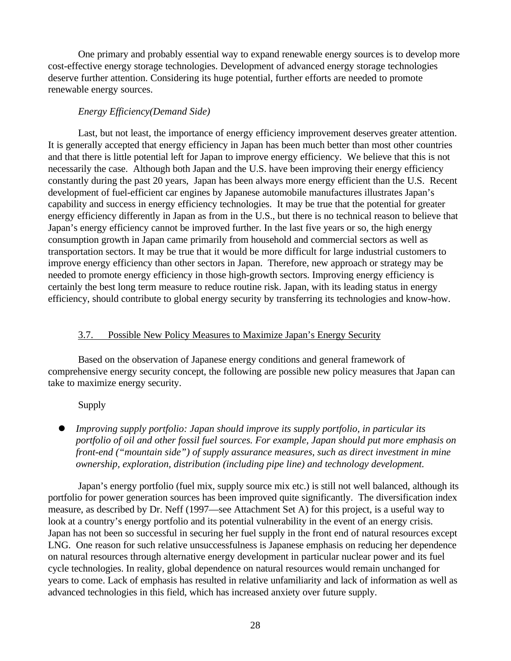<span id="page-32-0"></span>One primary and probably essential way to expand renewable energy sources is to develop more cost-effective energy storage technologies. Development of advanced energy storage technologies deserve further attention. Considering its huge potential, further efforts are needed to promote renewable energy sources.

#### *Energy Efficiency(Demand Side)*

Last, but not least, the importance of energy efficiency improvement deserves greater attention. It is generally accepted that energy efficiency in Japan has been much better than most other countries and that there is little potential left for Japan to improve energy efficiency. We believe that this is not necessarily the case. Although both Japan and the U.S. have been improving their energy efficiency constantly during the past 20 years, Japan has been always more energy efficient than the U.S. Recent development of fuel-efficient car engines by Japanese automobile manufactures illustrates Japan's capability and success in energy efficiency technologies. It may be true that the potential for greater energy efficiency differently in Japan as from in the U.S., but there is no technical reason to believe that Japan's energy efficiency cannot be improved further. In the last five years or so, the high energy consumption growth in Japan came primarily from household and commercial sectors as well as transportation sectors. It may be true that it would be more difficult for large industrial customers to improve energy efficiency than other sectors in Japan. Therefore, new approach or strategy may be needed to promote energy efficiency in those high-growth sectors. Improving energy efficiency is certainly the best long term measure to reduce routine risk. Japan, with its leading status in energy efficiency, should contribute to global energy security by transferring its technologies and know-how.

#### 3.7. Possible New Policy Measures to Maximize Japan's Energy Security

Based on the observation of Japanese energy conditions and general framework of comprehensive energy security concept, the following are possible new policy measures that Japan can take to maximize energy security.

#### Supply

l *Improving supply portfolio: Japan should improve its supply portfolio, in particular its portfolio of oil and other fossil fuel sources. For example, Japan should put more emphasis on front-end ("mountain side") of supply assurance measures, such as direct investment in mine ownership, exploration, distribution (including pipe line) and technology development.*

Japan's energy portfolio (fuel mix, supply source mix etc.) is still not well balanced, although its portfolio for power generation sources has been improved quite significantly. The diversification index measure, as described by Dr. Neff (1997—see Attachment Set A) for this project, is a useful way to look at a country's energy portfolio and its potential vulnerability in the event of an energy crisis. Japan has not been so successful in securing her fuel supply in the front end of natural resources except LNG. One reason for such relative unsuccessfulness is Japanese emphasis on reducing her dependence on natural resources through alternative energy development in particular nuclear power and its fuel cycle technologies. In reality, global dependence on natural resources would remain unchanged for years to come. Lack of emphasis has resulted in relative unfamiliarity and lack of information as well as advanced technologies in this field, which has increased anxiety over future supply.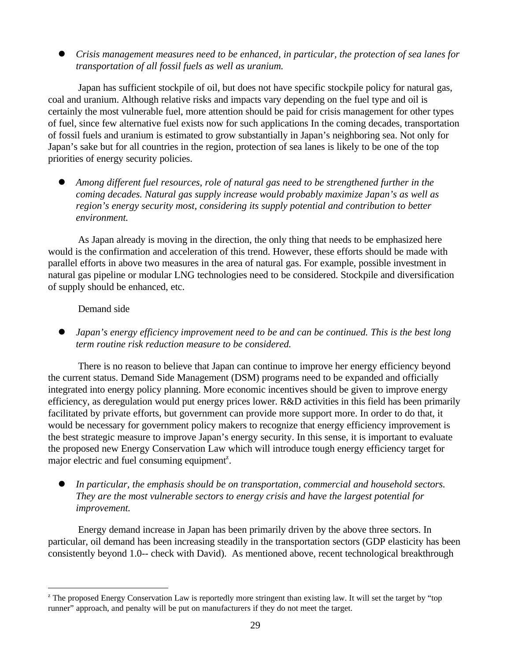l *Crisis management measures need to be enhanced, in particular, the protection of sea lanes for transportation of all fossil fuels as well as uranium.*

Japan has sufficient stockpile of oil, but does not have specific stockpile policy for natural gas, coal and uranium. Although relative risks and impacts vary depending on the fuel type and oil is certainly the most vulnerable fuel, more attention should be paid for crisis management for other types of fuel, since few alternative fuel exists now for such applications In the coming decades, transportation of fossil fuels and uranium is estimated to grow substantially in Japan's neighboring sea. Not only for Japan's sake but for all countries in the region, protection of sea lanes is likely to be one of the top priorities of energy security policies.

l *Among different fuel resources, role of natural gas need to be strengthened further in the coming decades. Natural gas supply increase would probably maximize Japan's as well as region's energy security most, considering its supply potential and contribution to better environment.*

As Japan already is moving in the direction, the only thing that needs to be emphasized here would is the confirmation and acceleration of this trend. However, these efforts should be made with parallel efforts in above two measures in the area of natural gas. For example, possible investment in natural gas pipeline or modular LNG technologies need to be considered. Stockpile and diversification of supply should be enhanced, etc.

#### Demand side

 $\overline{a}$ 

l *Japan's energy efficiency improvement need to be and can be continued. This is the best long term routine risk reduction measure to be considered.*

There is no reason to believe that Japan can continue to improve her energy efficiency beyond the current status. Demand Side Management (DSM) programs need to be expanded and officially integrated into energy policy planning. More economic incentives should be given to improve energy efficiency, as deregulation would put energy prices lower. R&D activities in this field has been primarily facilitated by private efforts, but government can provide more support more. In order to do that, it would be necessary for government policy makers to recognize that energy efficiency improvement is the best strategic measure to improve Japan's energy security. In this sense, it is important to evaluate the proposed new Energy Conservation Law which will introduce tough energy efficiency target for major electric and fuel consuming equipment<sup>2</sup>.

In particular, the emphasis should be on transportation, commercial and household sectors. *They are the most vulnerable sectors to energy crisis and have the largest potential for improvement.*

Energy demand increase in Japan has been primarily driven by the above three sectors. In particular, oil demand has been increasing steadily in the transportation sectors (GDP elasticity has been consistently beyond 1.0-- check with David). As mentioned above, recent technological breakthrough

 $z$  The proposed Energy Conservation Law is reportedly more stringent than existing law. It will set the target by "top runner" approach, and penalty will be put on manufacturers if they do not meet the target.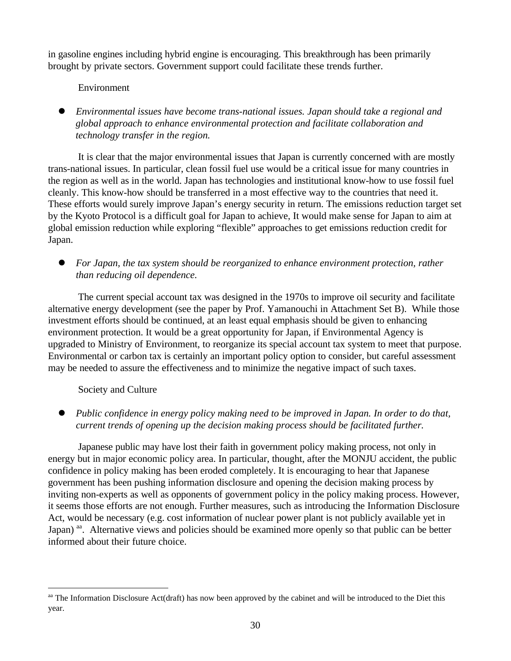in gasoline engines including hybrid engine is encouraging. This breakthrough has been primarily brought by private sectors. Government support could facilitate these trends further.

#### Environment

l *Environmental issues have become trans-national issues. Japan should take a regional and global approach to enhance environmental protection and facilitate collaboration and technology transfer in the region.*

It is clear that the major environmental issues that Japan is currently concerned with are mostly trans-national issues. In particular, clean fossil fuel use would be a critical issue for many countries in the region as well as in the world. Japan has technologies and institutional know-how to use fossil fuel cleanly. This know-how should be transferred in a most effective way to the countries that need it. These efforts would surely improve Japan's energy security in return. The emissions reduction target set by the Kyoto Protocol is a difficult goal for Japan to achieve, It would make sense for Japan to aim at global emission reduction while exploring "flexible" approaches to get emissions reduction credit for Japan.

l *For Japan, the tax system should be reorganized to enhance environment protection, rather than reducing oil dependence.*

The current special account tax was designed in the 1970s to improve oil security and facilitate alternative energy development (see the paper by Prof. Yamanouchi in Attachment Set B). While those investment efforts should be continued, at an least equal emphasis should be given to enhancing environment protection. It would be a great opportunity for Japan, if Environmental Agency is upgraded to Ministry of Environment, to reorganize its special account tax system to meet that purpose. Environmental or carbon tax is certainly an important policy option to consider, but careful assessment may be needed to assure the effectiveness and to minimize the negative impact of such taxes.

#### Society and Culture

 $\overline{a}$ 

l *Public confidence in energy policy making need to be improved in Japan. In order to do that, current trends of opening up the decision making process should be facilitated further.*

Japanese public may have lost their faith in government policy making process, not only in energy but in major economic policy area. In particular, thought, after the MONJU accident, the public confidence in policy making has been eroded completely. It is encouraging to hear that Japanese government has been pushing information disclosure and opening the decision making process by inviting non-experts as well as opponents of government policy in the policy making process. However, it seems those efforts are not enough. Further measures, such as introducing the Information Disclosure Act, would be necessary (e.g. cost information of nuclear power plant is not publicly available yet in Japan) aa. Alternative views and policies should be examined more openly so that public can be better informed about their future choice.

<sup>&</sup>lt;sup>aa</sup> The Information Disclosure Act(draft) has now been approved by the cabinet and will be introduced to the Diet this year.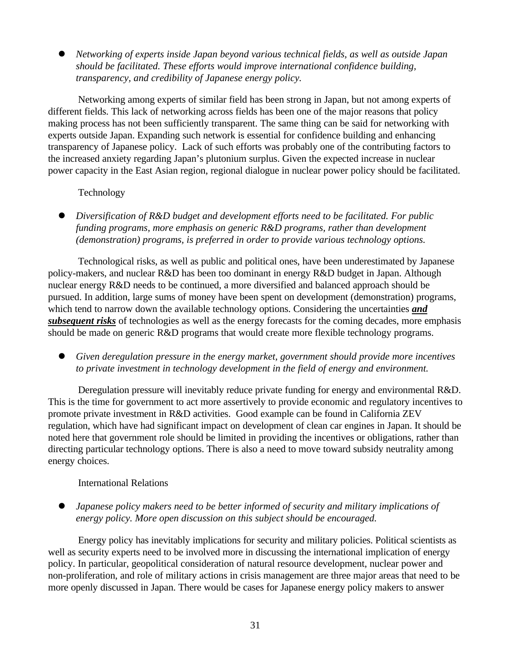l *Networking of experts inside Japan beyond various technical fields, as well as outside Japan should be facilitated. These efforts would improve international confidence building, transparency, and credibility of Japanese energy policy.*

Networking among experts of similar field has been strong in Japan, but not among experts of different fields. This lack of networking across fields has been one of the major reasons that policy making process has not been sufficiently transparent. The same thing can be said for networking with experts outside Japan. Expanding such network is essential for confidence building and enhancing transparency of Japanese policy. Lack of such efforts was probably one of the contributing factors to the increased anxiety regarding Japan's plutonium surplus. Given the expected increase in nuclear power capacity in the East Asian region, regional dialogue in nuclear power policy should be facilitated.

#### Technology

l *Diversification of R&D budget and development efforts need to be facilitated. For public funding programs, more emphasis on generic R&D programs, rather than development (demonstration) programs, is preferred in order to provide various technology options.*

Technological risks, as well as public and political ones, have been underestimated by Japanese policy-makers, and nuclear R&D has been too dominant in energy R&D budget in Japan. Although nuclear energy R&D needs to be continued, a more diversified and balanced approach should be pursued. In addition, large sums of money have been spent on development (demonstration) programs, which tend to narrow down the available technology options. Considering the uncertainties **and** *subsequent risks* of technologies as well as the energy forecasts for the coming decades, more emphasis should be made on generic R&D programs that would create more flexible technology programs.

Given deregulation pressure in the energy market, government should provide more incentives *to private investment in technology development in the field of energy and environment.*

Deregulation pressure will inevitably reduce private funding for energy and environmental R&D. This is the time for government to act more assertively to provide economic and regulatory incentives to promote private investment in R&D activities. Good example can be found in California ZEV regulation, which have had significant impact on development of clean car engines in Japan. It should be noted here that government role should be limited in providing the incentives or obligations, rather than directing particular technology options. There is also a need to move toward subsidy neutrality among energy choices.

#### International Relations

l *Japanese policy makers need to be better informed of security and military implications of energy policy. More open discussion on this subject should be encouraged.*

Energy policy has inevitably implications for security and military policies. Political scientists as well as security experts need to be involved more in discussing the international implication of energy policy. In particular, geopolitical consideration of natural resource development, nuclear power and non-proliferation, and role of military actions in crisis management are three major areas that need to be more openly discussed in Japan. There would be cases for Japanese energy policy makers to answer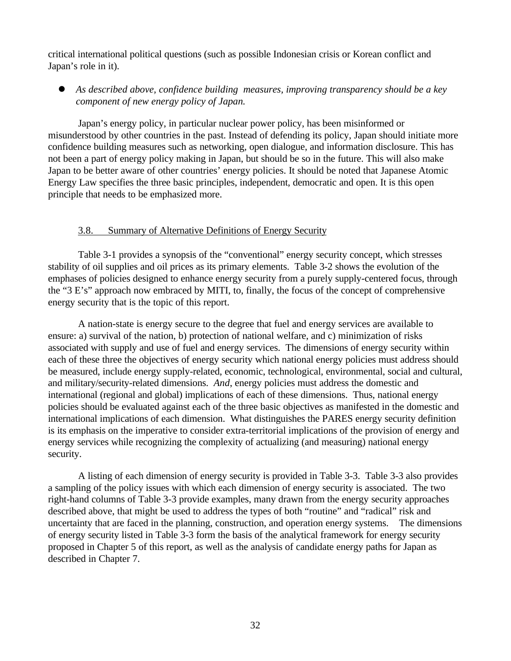critical international political questions (such as possible Indonesian crisis or Korean conflict and Japan's role in it).

l *As described above, confidence building measures, improving transparency should be a key component of new energy policy of Japan.*

Japan's energy policy, in particular nuclear power policy, has been misinformed or misunderstood by other countries in the past. Instead of defending its policy, Japan should initiate more confidence building measures such as networking, open dialogue, and information disclosure. This has not been a part of energy policy making in Japan, but should be so in the future. This will also make Japan to be better aware of other countries' energy policies. It should be noted that Japanese Atomic Energy Law specifies the three basic principles, independent, democratic and open. It is this open principle that needs to be emphasized more.

#### 3.8. Summary of Alternative Definitions of Energy Security

Table 3-1 provides a synopsis of the "conventional" energy security concept, which stresses stability of oil supplies and oil prices as its primary elements. Table 3-2 shows the evolution of the emphases of policies designed to enhance energy security from a purely supply-centered focus, through the "3 E's" approach now embraced by MITI, to, finally, the focus of the concept of comprehensive energy security that is the topic of this report.

A nation-state is energy secure to the degree that fuel and energy services are available to ensure: a) survival of the nation, b) protection of national welfare, and c) minimization of risks associated with supply and use of fuel and energy services. The dimensions of energy security within each of these three the objectives of energy security which national energy policies must address should be measured, include energy supply-related, economic, technological, environmental, social and cultural, and military/security-related dimensions. *And*, energy policies must address the domestic and international (regional and global) implications of each of these dimensions. Thus, national energy policies should be evaluated against each of the three basic objectives as manifested in the domestic and international implications of each dimension. What distinguishes the PARES energy security definition is its emphasis on the imperative to consider extra-territorial implications of the provision of energy and energy services while recognizing the complexity of actualizing (and measuring) national energy security.

A listing of each dimension of energy security is provided in Table 3-3. Table 3-3 also provides a sampling of the policy issues with which each dimension of energy security is associated. The two right-hand columns of Table 3-3 provide examples, many drawn from the energy security approaches described above, that might be used to address the types of both "routine" and "radical" risk and uncertainty that are faced in the planning, construction, and operation energy systems. The dimensions of energy security listed in Table 3-3 form the basis of the analytical framework for energy security proposed in Chapter 5 of this report, as well as the analysis of candidate energy paths for Japan as described in Chapter 7.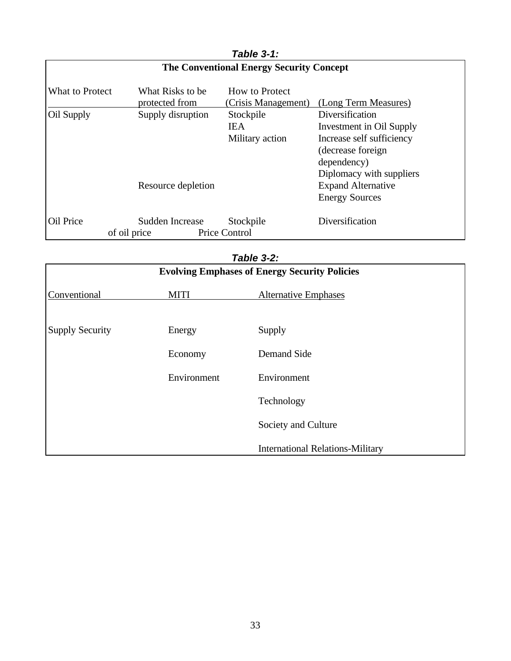| Table 3-1:<br><b>The Conventional Energy Security Concept</b> |                                         |                                            |                                                                                                                                                                                                |  |  |  |  |
|---------------------------------------------------------------|-----------------------------------------|--------------------------------------------|------------------------------------------------------------------------------------------------------------------------------------------------------------------------------------------------|--|--|--|--|
| What to Protect                                               | What Risks to be<br>protected from      | How to Protect<br>(Crisis Management)      | (Long Term Measures)                                                                                                                                                                           |  |  |  |  |
| Oil Supply                                                    | Supply disruption<br>Resource depletion | Stockpile<br><b>IEA</b><br>Military action | Diversification<br>Investment in Oil Supply<br>Increase self sufficiency<br>(decrease foreign<br>dependency)<br>Diplomacy with suppliers<br><b>Expand Alternative</b><br><b>Energy Sources</b> |  |  |  |  |
| Oil Price                                                     | Sudden Increase<br>of oil price         | Stockpile<br><b>Price Control</b>          | Diversification                                                                                                                                                                                |  |  |  |  |

|                        |             | Table 3-2:                                           |  |
|------------------------|-------------|------------------------------------------------------|--|
|                        |             | <b>Evolving Emphases of Energy Security Policies</b> |  |
| Conventional           | <b>MITI</b> | <b>Alternative Emphases</b>                          |  |
| <b>Supply Security</b> | Energy      | Supply                                               |  |
|                        | Economy     | Demand Side                                          |  |
|                        | Environment | Environment                                          |  |
|                        |             | Technology                                           |  |
|                        |             | Society and Culture                                  |  |
|                        |             | <b>International Relations-Military</b>              |  |

# *Table 3-1:*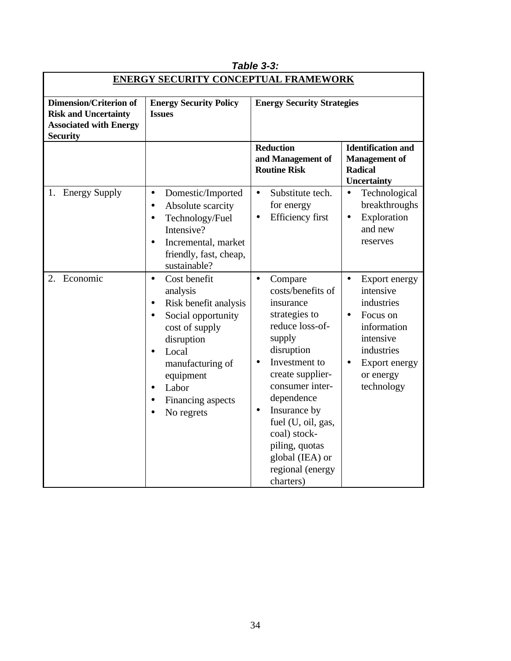| <b>ENERGY SECURITY CONCEPTUAL FRAMEWORK</b>                                                                      |                                                                                                                                                                                                                                                                                          |                                                                                                                                                                                                                                                                                                                                   |                                                                                                                                                                      |  |  |  |  |  |  |
|------------------------------------------------------------------------------------------------------------------|------------------------------------------------------------------------------------------------------------------------------------------------------------------------------------------------------------------------------------------------------------------------------------------|-----------------------------------------------------------------------------------------------------------------------------------------------------------------------------------------------------------------------------------------------------------------------------------------------------------------------------------|----------------------------------------------------------------------------------------------------------------------------------------------------------------------|--|--|--|--|--|--|
| <b>Dimension/Criterion of</b><br><b>Risk and Uncertainty</b><br><b>Associated with Energy</b><br><b>Security</b> | <b>Energy Security Policy</b><br><b>Issues</b>                                                                                                                                                                                                                                           | <b>Energy Security Strategies</b>                                                                                                                                                                                                                                                                                                 |                                                                                                                                                                      |  |  |  |  |  |  |
|                                                                                                                  |                                                                                                                                                                                                                                                                                          | <b>Reduction</b><br>and Management of<br><b>Routine Risk</b>                                                                                                                                                                                                                                                                      | <b>Identification and</b><br><b>Management</b> of<br><b>Radical</b><br><b>Uncertainty</b>                                                                            |  |  |  |  |  |  |
| 1. Energy Supply                                                                                                 | Domestic/Imported<br>$\bullet$<br>Absolute scarcity<br>$\bullet$<br>Technology/Fuel<br>$\bullet$<br>Intensive?<br>Incremental, market<br>$\bullet$<br>friendly, fast, cheap,<br>sustainable?                                                                                             | Substitute tech.<br>$\bullet$<br>for energy<br><b>Efficiency first</b><br>$\bullet$                                                                                                                                                                                                                                               | Technological<br>$\bullet$<br>breakthroughs<br>Exploration<br>$\bullet$<br>and new<br>reserves                                                                       |  |  |  |  |  |  |
| 2. Economic                                                                                                      | Cost benefit<br>$\bullet$<br>analysis<br>Risk benefit analysis<br>$\bullet$<br>Social opportunity<br>$\bullet$<br>cost of supply<br>disruption<br>Local<br>$\bullet$<br>manufacturing of<br>equipment<br>Labor<br>$\bullet$<br>Financing aspects<br>$\bullet$<br>No regrets<br>$\bullet$ | Compare<br>$\bullet$<br>costs/benefits of<br>insurance<br>strategies to<br>reduce loss-of-<br>supply<br>disruption<br>Investment to<br>create supplier-<br>consumer inter-<br>dependence<br>Insurance by<br>$\bullet$<br>fuel (U, oil, gas,<br>coal) stock-<br>piling, quotas<br>global (IEA) or<br>regional (energy<br>charters) | Export energy<br>intensive<br>industries<br>Focus on<br>$\bullet$<br>information<br>intensive<br>industries<br>Export energy<br>$\bullet$<br>or energy<br>technology |  |  |  |  |  |  |

# *Table 3-3:*

 $\overline{\phantom{0}}$ 

 $\Gamma$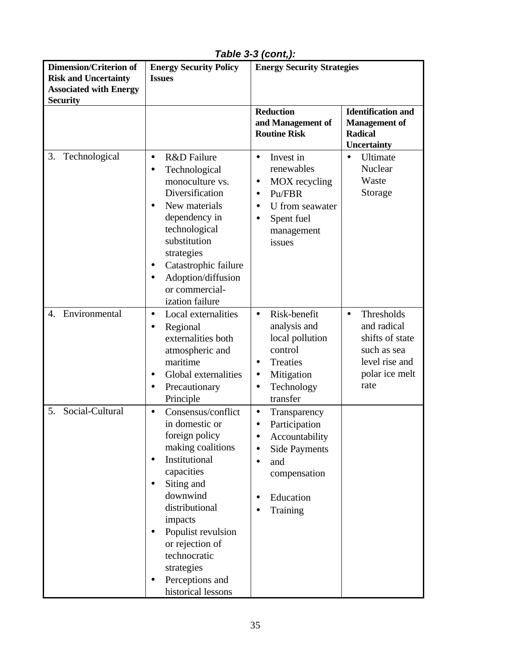| <b>Dimension/Criterion of</b>                                | <b>Energy Security Policy</b>                                                                                                                                                                                                                                                                                                 | <b>Energy Security Strategies</b>                                                                                                                                            |                                                                                                                      |  |  |
|--------------------------------------------------------------|-------------------------------------------------------------------------------------------------------------------------------------------------------------------------------------------------------------------------------------------------------------------------------------------------------------------------------|------------------------------------------------------------------------------------------------------------------------------------------------------------------------------|----------------------------------------------------------------------------------------------------------------------|--|--|
| <b>Risk and Uncertainty</b><br><b>Associated with Energy</b> | <b>Issues</b>                                                                                                                                                                                                                                                                                                                 |                                                                                                                                                                              |                                                                                                                      |  |  |
| <b>Security</b>                                              |                                                                                                                                                                                                                                                                                                                               |                                                                                                                                                                              |                                                                                                                      |  |  |
|                                                              |                                                                                                                                                                                                                                                                                                                               | <b>Reduction</b><br>and Management of<br><b>Routine Risk</b>                                                                                                                 | <b>Identification and</b><br><b>Management of</b><br><b>Radical</b><br><b>Uncertainty</b>                            |  |  |
| 3.<br>Technological                                          | R&D Failure<br>$\bullet$<br>Technological<br>$\bullet$<br>monoculture vs.<br>Diversification<br>New materials<br>$\bullet$<br>dependency in<br>technological<br>substitution<br>strategies<br>Catastrophic failure<br>Adoption/diffusion<br>$\bullet$<br>or commercial-<br>ization failure                                    | Invest in<br>$\bullet$<br>renewables<br>MOX recycling<br>$\bullet$<br>Pu/FBR<br>$\bullet$<br>U from seawater<br>$\bullet$<br>Spent fuel<br>$\bullet$<br>management<br>issues | Ultimate<br>$\bullet$<br>Nuclear<br>Waste<br>Storage                                                                 |  |  |
| Environmental<br>4.                                          | Local externalities<br>$\bullet$<br>Regional<br>$\bullet$<br>externalities both<br>atmospheric and<br>maritime<br>Global externalities<br>$\bullet$<br>Precautionary<br>$\bullet$<br>Principle                                                                                                                                | Risk-benefit<br>$\bullet$<br>analysis and<br>local pollution<br>control<br>Treaties<br>$\bullet$<br>Mitigation<br>$\bullet$<br>Technology<br>$\bullet$<br>transfer           | Thresholds<br>$\bullet$<br>and radical<br>shifts of state<br>such as sea<br>level rise and<br>polar ice melt<br>rate |  |  |
| Social-Cultural<br>5.                                        | Consensus/conflict<br>$\bullet$<br>in domestic or<br>foreign policy<br>making coalitions<br>Institutional<br>$\bullet$<br>capacities<br>Siting and<br>$\bullet$<br>downwind<br>distributional<br>impacts<br>Populist revulsion<br>or rejection of<br>technocratic<br>strategies<br>Perceptions and<br>٠<br>historical lessons | Transparency<br>$\bullet$<br>Participation<br>$\bullet$<br>Accountability<br><b>Side Payments</b><br>and<br>$\bullet$<br>compensation<br>Education<br>Training<br>$\bullet$  |                                                                                                                      |  |  |

*Table 3-3 (cont,):*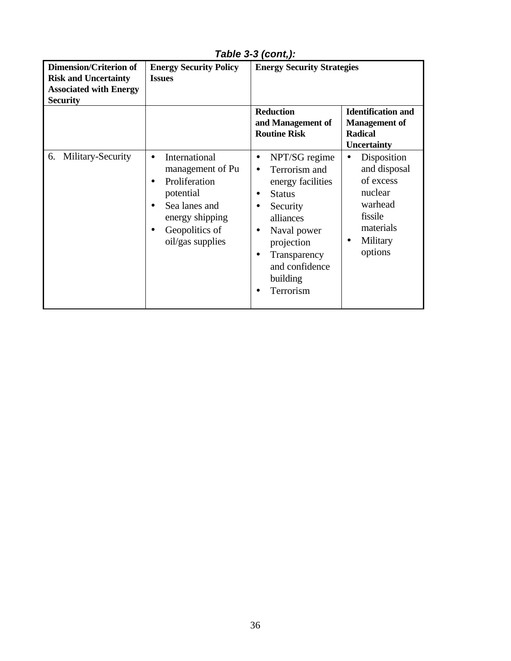| <b>Dimension/Criterion of</b><br><b>Risk and Uncertainty</b><br><b>Associated with Energy</b><br><b>Security</b> | <b>Energy Security Policy</b><br><b>Issues</b>                                                                                                                                                | <b>Energy Security Strategies</b><br><b>Reduction</b><br>and Management of<br><b>Routine Risk</b>                                                                                                                            | <b>Identification and</b><br><b>Management</b> of<br><b>Radical</b><br><b>Uncertainty</b>                                  |
|------------------------------------------------------------------------------------------------------------------|-----------------------------------------------------------------------------------------------------------------------------------------------------------------------------------------------|------------------------------------------------------------------------------------------------------------------------------------------------------------------------------------------------------------------------------|----------------------------------------------------------------------------------------------------------------------------|
| Military-Security<br>6.                                                                                          | International<br>$\bullet$<br>management of Pu<br>Proliferation<br>$\bullet$<br>potential<br>Sea lanes and<br>$\bullet$<br>energy shipping<br>Geopolitics of<br>$\bullet$<br>oil/gas supplies | NPT/SG regime<br>$\bullet$<br>Terrorism and<br>$\bullet$<br>energy facilities<br><b>Status</b><br>Security<br>alliances<br>Naval power<br>$\bullet$<br>projection<br>Transparency<br>and confidence<br>building<br>Terrorism | Disposition<br>$\bullet$<br>and disposal<br>of excess<br>nuclear<br>warhead<br>fissile<br>materials<br>Military<br>options |

*Table 3-3 (cont,):*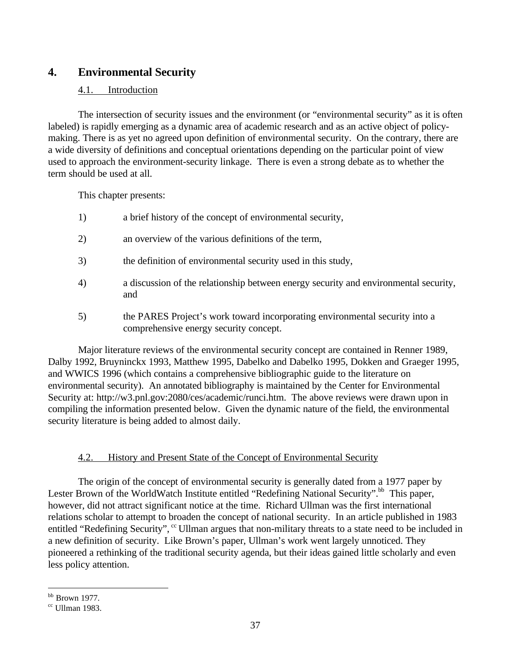# **4. Environmental Security**

## 4.1. Introduction

The intersection of security issues and the environment (or "environmental security" as it is often labeled) is rapidly emerging as a dynamic area of academic research and as an active object of policymaking. There is as yet no agreed upon definition of environmental security. On the contrary, there are a wide diversity of definitions and conceptual orientations depending on the particular point of view used to approach the environment-security linkage. There is even a strong debate as to whether the term should be used at all.

This chapter presents:

- 1) a brief history of the concept of environmental security,
- 2) an overview of the various definitions of the term,
- 3) the definition of environmental security used in this study,
- 4) a discussion of the relationship between energy security and environmental security, and
- 5) the PARES Project's work toward incorporating environmental security into a comprehensive energy security concept.

Major literature reviews of the environmental security concept are contained in Renner 1989, Dalby 1992, Bruyninckx 1993, Matthew 1995, Dabelko and Dabelko 1995, Dokken and Graeger 1995, and WWICS 1996 (which contains a comprehensive bibliographic guide to the literature on environmental security). An annotated bibliography is maintained by the Center for Environmental Security at: http://w3.pnl.gov:2080/ces/academic/runci.htm. The above reviews were drawn upon in compiling the information presented below. Given the dynamic nature of the field, the environmental security literature is being added to almost daily.

## 4.2. History and Present State of the Concept of Environmental Security

The origin of the concept of environmental security is generally dated from a 1977 paper by Lester Brown of the WorldWatch Institute entitled "Redefining National Security".<sup>bb</sup> This paper, however, did not attract significant notice at the time. Richard Ullman was the first international relations scholar to attempt to broaden the concept of national security. In an article published in 1983 entitled "Redefining Security", " Ullman argues that non-military threats to a state need to be included in a new definition of security. Like Brown's paper, Ullman's work went largely unnoticed. They pioneered a rethinking of the traditional security agenda, but their ideas gained little scholarly and even less policy attention.

 $\overline{a}$  $<sup>bb</sup>$  Brown 1977.</sup>

 $cc$  Ullman 1983.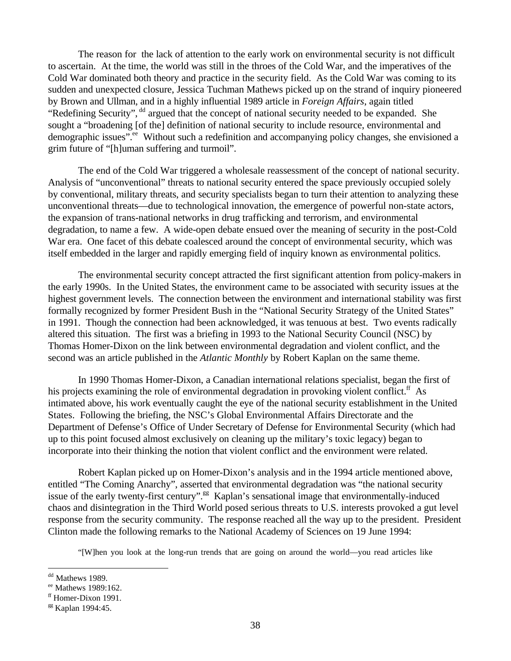The reason for the lack of attention to the early work on environmental security is not difficult to ascertain. At the time, the world was still in the throes of the Cold War, and the imperatives of the Cold War dominated both theory and practice in the security field. As the Cold War was coming to its sudden and unexpected closure, Jessica Tuchman Mathews picked up on the strand of inquiry pioneered by Brown and Ullman, and in a highly influential 1989 article in *Foreign Affairs*, again titled "Redefining Security", <sup>dd</sup> argued that the concept of national security needed to be expanded. She sought a "broadening [of the] definition of national security to include resource, environmental and demographic issues".<sup>ee</sup> Without such a redefinition and accompanying policy changes, she envisioned a grim future of "[h]uman suffering and turmoil".

The end of the Cold War triggered a wholesale reassessment of the concept of national security. Analysis of "unconventional" threats to national security entered the space previously occupied solely by conventional, military threats, and security specialists began to turn their attention to analyzing these unconventional threats—due to technological innovation, the emergence of powerful non-state actors, the expansion of trans-national networks in drug trafficking and terrorism, and environmental degradation, to name a few. A wide-open debate ensued over the meaning of security in the post-Cold War era. One facet of this debate coalesced around the concept of environmental security, which was itself embedded in the larger and rapidly emerging field of inquiry known as environmental politics.

The environmental security concept attracted the first significant attention from policy-makers in the early 1990s. In the United States, the environment came to be associated with security issues at the highest government levels. The connection between the environment and international stability was first formally recognized by former President Bush in the "National Security Strategy of the United States" in 1991. Though the connection had been acknowledged, it was tenuous at best. Two events radically altered this situation. The first was a briefing in 1993 to the National Security Council (NSC) by Thomas Homer-Dixon on the link between environmental degradation and violent conflict, and the second was an article published in the *Atlantic Monthly* by Robert Kaplan on the same theme.

In 1990 Thomas Homer-Dixon, a Canadian international relations specialist, began the first of his projects examining the role of environmental degradation in provoking violent conflict.<sup>ff</sup> As intimated above, his work eventually caught the eye of the national security establishment in the United States. Following the briefing, the NSC's Global Environmental Affairs Directorate and the Department of Defense's Office of Under Secretary of Defense for Environmental Security (which had up to this point focused almost exclusively on cleaning up the military's toxic legacy) began to incorporate into their thinking the notion that violent conflict and the environment were related.

Robert Kaplan picked up on Homer-Dixon's analysis and in the 1994 article mentioned above, entitled "The Coming Anarchy", asserted that environmental degradation was "the national security issue of the early twenty-first century".<sup>gg</sup> Kaplan's sensational image that environmentally-induced chaos and disintegration in the Third World posed serious threats to U.S. interests provoked a gut level response from the security community. The response reached all the way up to the president. President Clinton made the following remarks to the National Academy of Sciences on 19 June 1994:

"[W]hen you look at the long-run trends that are going on around the world—you read articles like

<sup>&</sup>lt;sup>dd</sup> Mathews 1989.

ee Mathews 1989:162.

ff Homer-Dixon 1991.

<sup>&</sup>lt;sup>gg</sup> Kaplan 1994:45.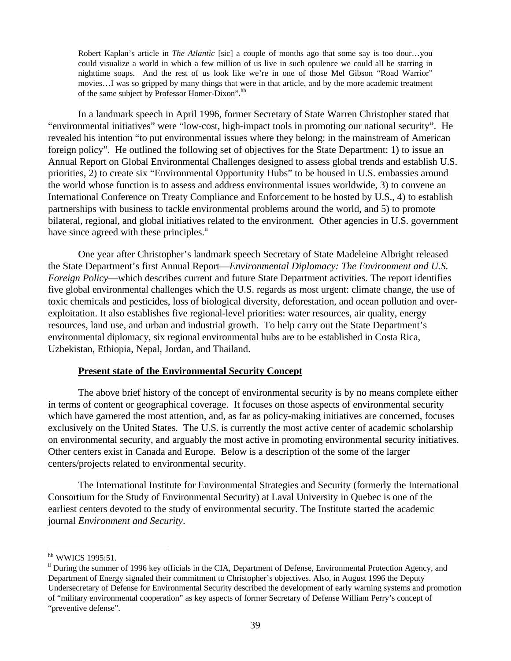Robert Kaplan's article in *The Atlantic* [sic] a couple of months ago that some say is too dour…you could visualize a world in which a few million of us live in such opulence we could all be starring in nighttime soaps. And the rest of us look like we're in one of those Mel Gibson "Road Warrior" movies…I was so gripped by many things that were in that article, and by the more academic treatment of the same subject by Professor Homer-Dixon".<sup>hh</sup>

In a landmark speech in April 1996, former Secretary of State Warren Christopher stated that "environmental initiatives" were "low-cost, high-impact tools in promoting our national security". He revealed his intention "to put environmental issues where they belong: in the mainstream of American foreign policy". He outlined the following set of objectives for the State Department: 1) to issue an Annual Report on Global Environmental Challenges designed to assess global trends and establish U.S. priorities, 2) to create six "Environmental Opportunity Hubs" to be housed in U.S. embassies around the world whose function is to assess and address environmental issues worldwide, 3) to convene an International Conference on Treaty Compliance and Enforcement to be hosted by U.S., 4) to establish partnerships with business to tackle environmental problems around the world, and 5) to promote bilateral, regional, and global initiatives related to the environment. Other agencies in U.S. government have since agreed with these principles.<sup>ii</sup>

One year after Christopher's landmark speech Secretary of State Madeleine Albright released the State Department's first Annual Report—*Environmental Diplomacy: The Environment and U.S. Foreign Policy*—which describes current and future State Department activities. The report identifies five global environmental challenges which the U.S. regards as most urgent: climate change, the use of toxic chemicals and pesticides, loss of biological diversity, deforestation, and ocean pollution and overexploitation. It also establishes five regional-level priorities: water resources, air quality, energy resources, land use, and urban and industrial growth. To help carry out the State Department's environmental diplomacy, six regional environmental hubs are to be established in Costa Rica, Uzbekistan, Ethiopia, Nepal, Jordan, and Thailand.

#### **Present state of the Environmental Security Concept**

The above brief history of the concept of environmental security is by no means complete either in terms of content or geographical coverage. It focuses on those aspects of environmental security which have garnered the most attention, and, as far as policy-making initiatives are concerned, focuses exclusively on the United States. The U.S. is currently the most active center of academic scholarship on environmental security, and arguably the most active in promoting environmental security initiatives. Other centers exist in Canada and Europe. Below is a description of the some of the larger centers/projects related to environmental security.

The International Institute for Environmental Strategies and Security (formerly the International Consortium for the Study of Environmental Security) at Laval University in Quebec is one of the earliest centers devoted to the study of environmental security. The Institute started the academic journal *Environment and Security*.

hh WWICS 1995:51.

<sup>&</sup>lt;sup>ii</sup> During the summer of 1996 key officials in the CIA, Department of Defense, Environmental Protection Agency, and Department of Energy signaled their commitment to Christopher's objectives. Also, in August 1996 the Deputy Undersecretary of Defense for Environmental Security described the development of early warning systems and promotion of "military environmental cooperation" as key aspects of former Secretary of Defense William Perry's concept of "preventive defense".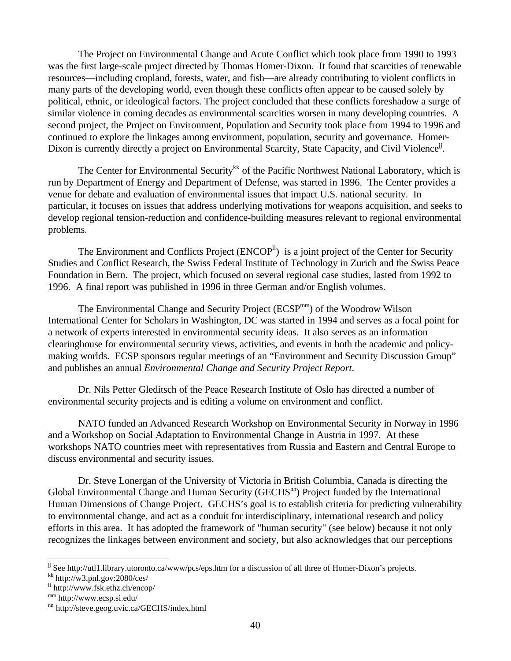The Project on Environmental Change and Acute Conflict which took place from 1990 to 1993 was the first large-scale project directed by Thomas Homer-Dixon. It found that scarcities of renewable resources—including cropland, forests, water, and fish—are already contributing to violent conflicts in many parts of the developing world, even though these conflicts often appear to be caused solely by political, ethnic, or ideological factors. The project concluded that these conflicts foreshadow a surge of similar violence in coming decades as environmental scarcities worsen in many developing countries. A second project, the Project on Environment, Population and Security took place from 1994 to 1996 and continued to explore the linkages among environment, population, security and governance. Homer-Dixon is currently directly a project on Environmental Scarcity, State Capacity, and Civil Violence<sup>jj</sup>.

The Center for Environmental Security<sup>kk</sup> of the Pacific Northwest National Laboratory, which is run by Department of Energy and Department of Defense, was started in 1996. The Center provides a venue for debate and evaluation of environmental issues that impact U.S. national security. In particular, it focuses on issues that address underlying motivations for weapons acquisition, and seeks to develop regional tension-reduction and confidence-building measures relevant to regional environmental problems.

The Environment and Conflicts Project  $(ENCOP<sup>II</sup>)$  is a joint project of the Center for Security Studies and Conflict Research, the Swiss Federal Institute of Technology in Zurich and the Swiss Peace Foundation in Bern. The project, which focused on several regional case studies, lasted from 1992 to 1996. A final report was published in 1996 in three German and/or English volumes.

The Environmental Change and Security Project (ECSP<sup>mm</sup>) of the Woodrow Wilson International Center for Scholars in Washington, DC was started in 1994 and serves as a focal point for a network of experts interested in environmental security ideas. It also serves as an information clearinghouse for environmental security views, activities, and events in both the academic and policymaking worlds. ECSP sponsors regular meetings of an "Environment and Security Discussion Group" and publishes an annual *Environmental Change and Security Project Report*.

Dr. Nils Petter Gleditsch of the Peace Research Institute of Oslo has directed a number of environmental security projects and is editing a volume on environment and conflict.

NATO funded an Advanced Research Workshop on Environmental Security in Norway in 1996 and a Workshop on Social Adaptation to Environmental Change in Austria in 1997. At these workshops NATO countries meet with representatives from Russia and Eastern and Central Europe to discuss environmental and security issues.

Dr. Steve Lonergan of the University of Victoria in British Columbia, Canada is directing the Global Environmental Change and Human Security (GECHS<sup>nn</sup>) Project funded by the International Human Dimensions of Change Project. GECHS's goal is to establish criteria for predicting vulnerability to environmental change, and act as a conduit for interdisciplinary, international research and policy efforts in this area. It has adopted the framework of "human security" (see below) because it not only recognizes the linkages between environment and society, but also acknowledges that our perceptions

 $k$ kk http://w3.pnl.gov:2080/ces/

jj See http://utl1.library.utoronto.ca/www/pcs/eps.htm for a discussion of all three of Homer-Dixon's projects.

 $\frac{11 \text{ http://www.fsk.ethz.ch/encop/}}$ 

mm http://www.ecsp.si.edu/

nn http://steve.geog.uvic.ca/GECHS/index.html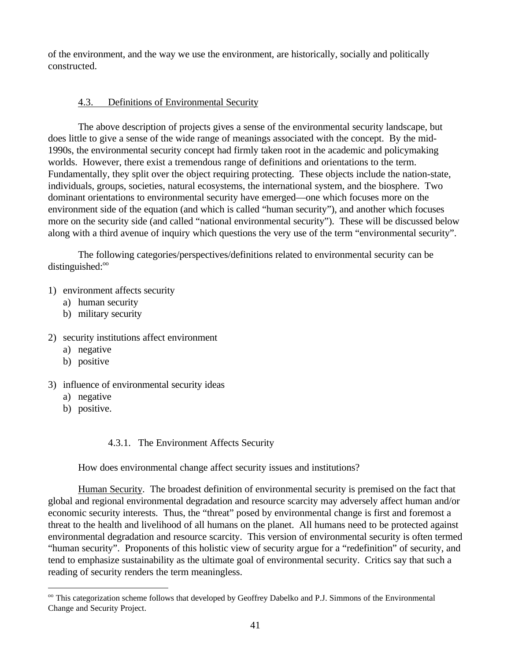of the environment, and the way we use the environment, are historically, socially and politically constructed.

## 4.3. Definitions of Environmental Security

The above description of projects gives a sense of the environmental security landscape, but does little to give a sense of the wide range of meanings associated with the concept. By the mid-1990s, the environmental security concept had firmly taken root in the academic and policymaking worlds. However, there exist a tremendous range of definitions and orientations to the term. Fundamentally, they split over the object requiring protecting. These objects include the nation-state, individuals, groups, societies, natural ecosystems, the international system, and the biosphere. Two dominant orientations to environmental security have emerged—one which focuses more on the environment side of the equation (and which is called "human security"), and another which focuses more on the security side (and called "national environmental security"). These will be discussed below along with a third avenue of inquiry which questions the very use of the term "environmental security".

The following categories/perspectives/definitions related to environmental security can be  $distinguished: <sup>oo</sup>$ 

## 1) environment affects security

- a) human security
- b) military security
- 2) security institutions affect environment
	- a) negative
	- b) positive
- 3) influence of environmental security ideas
	- a) negative
	- b) positive.

 $\overline{a}$ 

## 4.3.1. The Environment Affects Security

How does environmental change affect security issues and institutions?

Human Security. The broadest definition of environmental security is premised on the fact that global and regional environmental degradation and resource scarcity may adversely affect human and/or economic security interests. Thus, the "threat" posed by environmental change is first and foremost a threat to the health and livelihood of all humans on the planet. All humans need to be protected against environmental degradation and resource scarcity. This version of environmental security is often termed "human security". Proponents of this holistic view of security argue for a "redefinition" of security, and tend to emphasize sustainability as the ultimate goal of environmental security. Critics say that such a reading of security renders the term meaningless.

<sup>&</sup>lt;sup>oo</sup> This categorization scheme follows that developed by Geoffrey Dabelko and P.J. Simmons of the Environmental Change and Security Project.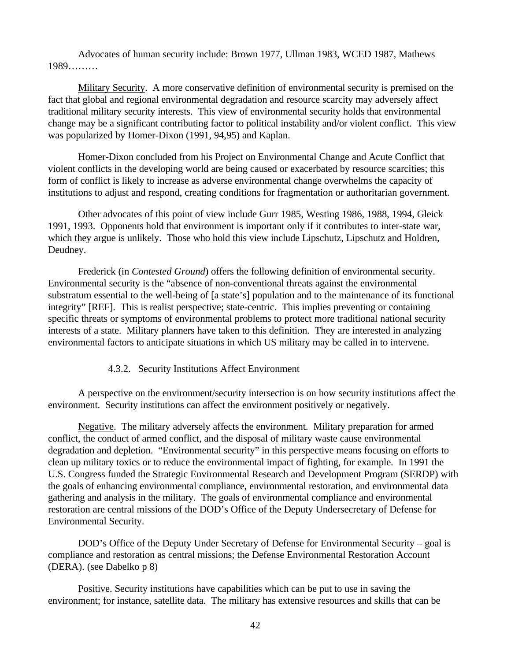Advocates of human security include: Brown 1977, Ullman 1983, WCED 1987, Mathews 1989………

Military Security. A more conservative definition of environmental security is premised on the fact that global and regional environmental degradation and resource scarcity may adversely affect traditional military security interests. This view of environmental security holds that environmental change may be a significant contributing factor to political instability and/or violent conflict. This view was popularized by Homer-Dixon (1991, 94,95) and Kaplan.

Homer-Dixon concluded from his Project on Environmental Change and Acute Conflict that violent conflicts in the developing world are being caused or exacerbated by resource scarcities; this form of conflict is likely to increase as adverse environmental change overwhelms the capacity of institutions to adjust and respond, creating conditions for fragmentation or authoritarian government.

Other advocates of this point of view include Gurr 1985, Westing 1986, 1988, 1994, Gleick 1991, 1993. Opponents hold that environment is important only if it contributes to inter-state war, which they argue is unlikely. Those who hold this view include Lipschutz, Lipschutz and Holdren, Deudney.

Frederick (in *Contested Ground*) offers the following definition of environmental security. Environmental security is the "absence of non-conventional threats against the environmental substratum essential to the well-being of [a state's] population and to the maintenance of its functional integrity" [REF]. This is realist perspective; state-centric. This implies preventing or containing specific threats or symptoms of environmental problems to protect more traditional national security interests of a state. Military planners have taken to this definition. They are interested in analyzing environmental factors to anticipate situations in which US military may be called in to intervene.

## 4.3.2. Security Institutions Affect Environment

A perspective on the environment/security intersection is on how security institutions affect the environment. Security institutions can affect the environment positively or negatively.

Negative. The military adversely affects the environment. Military preparation for armed conflict, the conduct of armed conflict, and the disposal of military waste cause environmental degradation and depletion. "Environmental security" in this perspective means focusing on efforts to clean up military toxics or to reduce the environmental impact of fighting, for example. In 1991 the U.S. Congress funded the Strategic Environmental Research and Development Program (SERDP) with the goals of enhancing environmental compliance, environmental restoration, and environmental data gathering and analysis in the military. The goals of environmental compliance and environmental restoration are central missions of the DOD's Office of the Deputy Undersecretary of Defense for Environmental Security.

DOD's Office of the Deputy Under Secretary of Defense for Environmental Security – goal is compliance and restoration as central missions; the Defense Environmental Restoration Account (DERA). (see Dabelko p 8)

Positive. Security institutions have capabilities which can be put to use in saving the environment; for instance, satellite data. The military has extensive resources and skills that can be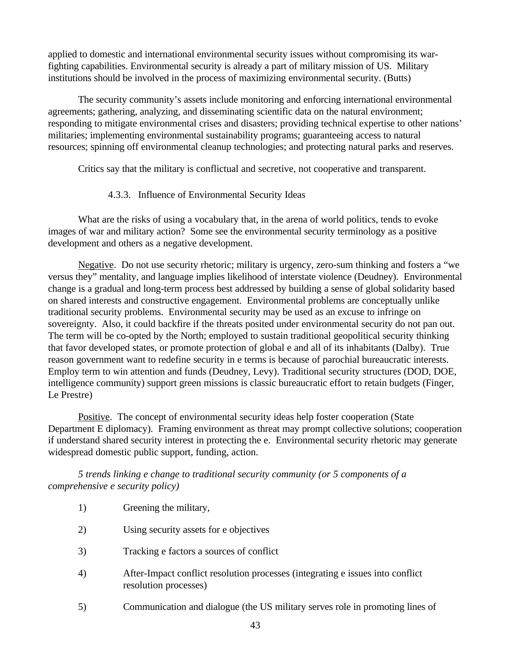applied to domestic and international environmental security issues without compromising its warfighting capabilities. Environmental security is already a part of military mission of US. Military institutions should be involved in the process of maximizing environmental security. (Butts)

The security community's assets include monitoring and enforcing international environmental agreements; gathering, analyzing, and disseminating scientific data on the natural environment; responding to mitigate environmental crises and disasters; providing technical expertise to other nations' militaries; implementing environmental sustainability programs; guaranteeing access to natural resources; spinning off environmental cleanup technologies; and protecting natural parks and reserves.

Critics say that the military is conflictual and secretive, not cooperative and transparent.

# 4.3.3. Influence of Environmental Security Ideas

What are the risks of using a vocabulary that, in the arena of world politics, tends to evoke images of war and military action? Some see the environmental security terminology as a positive development and others as a negative development.

Negative. Do not use security rhetoric; military is urgency, zero-sum thinking and fosters a "we versus they" mentality, and language implies likelihood of interstate violence (Deudney). Environmental change is a gradual and long-term process best addressed by building a sense of global solidarity based on shared interests and constructive engagement. Environmental problems are conceptually unlike traditional security problems. Environmental security may be used as an excuse to infringe on sovereignty. Also, it could backfire if the threats posited under environmental security do not pan out. The term will be co-opted by the North; employed to sustain traditional geopolitical security thinking that favor developed states, or promote protection of global e and all of its inhabitants (Dalby). True reason government want to redefine security in e terms is because of parochial bureaucratic interests. Employ term to win attention and funds (Deudney, Levy). Traditional security structures (DOD, DOE, intelligence community) support green missions is classic bureaucratic effort to retain budgets (Finger, Le Prestre)

Positive. The concept of environmental security ideas help foster cooperation (State Department E diplomacy). Framing environment as threat may prompt collective solutions; cooperation if understand shared security interest in protecting the e. Environmental security rhetoric may generate widespread domestic public support, funding, action.

*5 trends linking e change to traditional security community (or 5 components of a comprehensive e security policy)*

- 1) Greening the military,
- 2) Using security assets for e objectives
- 3) Tracking e factors a sources of conflict
- 4) After-Impact conflict resolution processes (integrating e issues into conflict resolution processes)
- 5) Communication and dialogue (the US military serves role in promoting lines of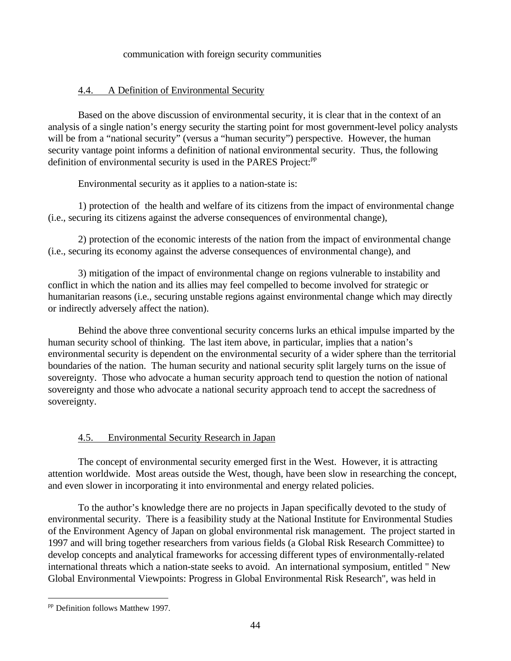#### communication with foreign security communities

## 4.4. A Definition of Environmental Security

Based on the above discussion of environmental security, it is clear that in the context of an analysis of a single nation's energy security the starting point for most government-level policy analysts will be from a "national security" (versus a "human security") perspective. However, the human security vantage point informs a definition of national environmental security. Thus, the following definition of environmental security is used in the PARES Project:<sup>pp</sup>

Environmental security as it applies to a nation-state is:

1) protection of the health and welfare of its citizens from the impact of environmental change (i.e., securing its citizens against the adverse consequences of environmental change),

2) protection of the economic interests of the nation from the impact of environmental change (i.e., securing its economy against the adverse consequences of environmental change), and

3) mitigation of the impact of environmental change on regions vulnerable to instability and conflict in which the nation and its allies may feel compelled to become involved for strategic or humanitarian reasons (i.e., securing unstable regions against environmental change which may directly or indirectly adversely affect the nation).

Behind the above three conventional security concerns lurks an ethical impulse imparted by the human security school of thinking. The last item above, in particular, implies that a nation's environmental security is dependent on the environmental security of a wider sphere than the territorial boundaries of the nation. The human security and national security split largely turns on the issue of sovereignty. Those who advocate a human security approach tend to question the notion of national sovereignty and those who advocate a national security approach tend to accept the sacredness of sovereignty.

## 4.5. Environmental Security Research in Japan

The concept of environmental security emerged first in the West. However, it is attracting attention worldwide. Most areas outside the West, though, have been slow in researching the concept, and even slower in incorporating it into environmental and energy related policies.

To the author's knowledge there are no projects in Japan specifically devoted to the study of environmental security. There is a feasibility study at the National Institute for Environmental Studies of the Environment Agency of Japan on global environmental risk management. The project started in 1997 and will bring together researchers from various fields (a Global Risk Research Committee) to develop concepts and analytical frameworks for accessing different types of environmentally-related international threats which a nation-state seeks to avoid. An international symposium, entitled " New Global Environmental Viewpoints: Progress in Global Environmental Risk Research", was held in

<sup>&</sup>lt;sup>pp</sup> Definition follows Matthew 1997.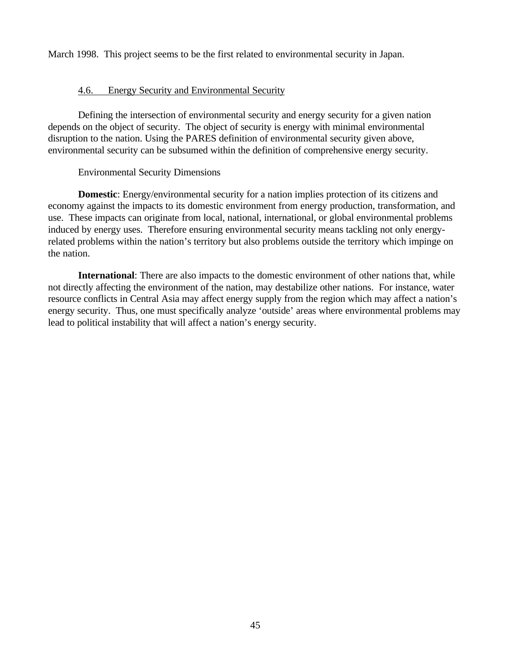March 1998. This project seems to be the first related to environmental security in Japan.

#### 4.6. Energy Security and Environmental Security

Defining the intersection of environmental security and energy security for a given nation depends on the object of security. The object of security is energy with minimal environmental disruption to the nation. Using the PARES definition of environmental security given above, environmental security can be subsumed within the definition of comprehensive energy security.

#### Environmental Security Dimensions

**Domestic**: Energy/environmental security for a nation implies protection of its citizens and economy against the impacts to its domestic environment from energy production, transformation, and use. These impacts can originate from local, national, international, or global environmental problems induced by energy uses. Therefore ensuring environmental security means tackling not only energyrelated problems within the nation's territory but also problems outside the territory which impinge on the nation.

**International**: There are also impacts to the domestic environment of other nations that, while not directly affecting the environment of the nation, may destabilize other nations. For instance, water resource conflicts in Central Asia may affect energy supply from the region which may affect a nation's energy security. Thus, one must specifically analyze 'outside' areas where environmental problems may lead to political instability that will affect a nation's energy security.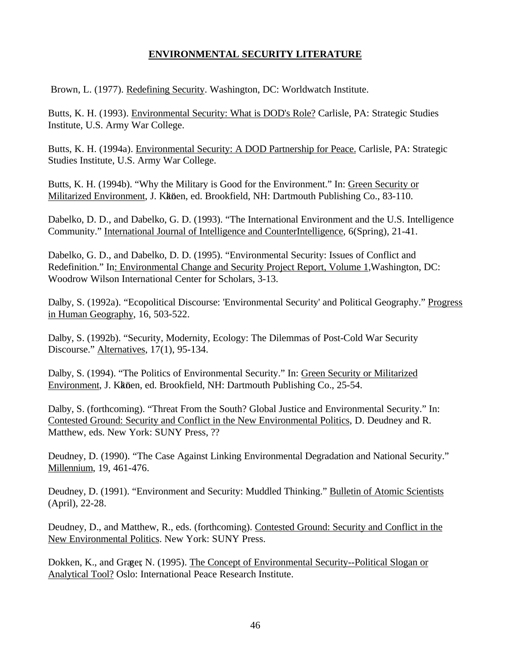## **ENVIRONMENTAL SECURITY LITERATURE**

Brown, L. (1977). Redefining Security. Washington, DC: Worldwatch Institute.

Butts, K. H. (1993). Environmental Security: What is DOD's Role? Carlisle, PA: Strategic Studies Institute, U.S. Army War College.

Butts, K. H. (1994a). Environmental Security: A DOD Partnership for Peace. Carlisle, PA: Strategic Studies Institute, U.S. Army War College.

Butts, K. H. (1994b). "Why the Military is Good for the Environment." In: Green Security or Militarized Environment, J. Kköen, ed. Brookfield, NH: Dartmouth Publishing Co., 83-110.

Dabelko, D. D., and Dabelko, G. D. (1993). "The International Environment and the U.S. Intelligence Community." International Journal of Intelligence and CounterIntelligence, 6(Spring), 21-41.

Dabelko, G. D., and Dabelko, D. D. (1995). "Environmental Security: Issues of Conflict and Redefinition." In: Environmental Change and Security Project Report, Volume 1,Washington, DC: Woodrow Wilson International Center for Scholars, 3-13.

Dalby, S. (1992a). "Ecopolitical Discourse: 'Environmental Security' and Political Geography." Progress in Human Geography, 16, 503-522.

Dalby, S. (1992b). "Security, Modernity, Ecology: The Dilemmas of Post-Cold War Security Discourse." Alternatives, 17(1), 95-134.

Dalby, S. (1994). "The Politics of Environmental Security." In: Green Security or Militarized Environment, J. Kköen, ed. Brookfield, NH: Dartmouth Publishing Co., 25-54.

Dalby, S. (forthcoming). "Threat From the South? Global Justice and Environmental Security." In: Contested Ground: Security and Conflict in the New Environmental Politics, D. Deudney and R. Matthew, eds. New York: SUNY Press, ??

Deudney, D. (1990). "The Case Against Linking Environmental Degradation and National Security." Millennium, 19, 461-476.

Deudney, D. (1991). "Environment and Security: Muddled Thinking." Bulletin of Atomic Scientists (April), 22-28.

Deudney, D., and Matthew, R., eds. (forthcoming). Contested Ground: Security and Conflict in the New Environmental Politics. New York: SUNY Press.

Dokken, K., and Græer, N. (1995). The Concept of Environmental Security--Political Slogan or Analytical Tool? Oslo: International Peace Research Institute.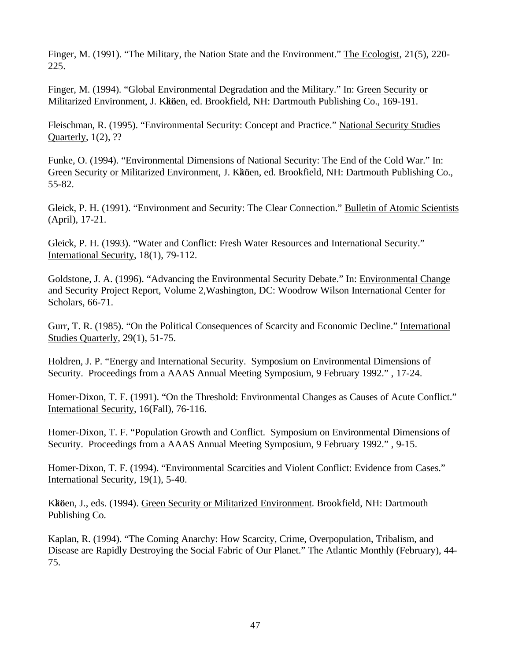Finger, M. (1991). "The Military, the Nation State and the Environment." The Ecologist, 21(5), 220- 225.

Finger, M. (1994). "Global Environmental Degradation and the Military." In: Green Security or Militarized Environment, J. Kköen, ed. Brookfield, NH: Dartmouth Publishing Co., 169-191.

Fleischman, R. (1995). "Environmental Security: Concept and Practice." National Security Studies Quarterly, 1(2), ??

Funke, O. (1994). "Environmental Dimensions of National Security: The End of the Cold War." In: Green Security or Militarized Environment, J. Kkönen, ed. Brookfield, NH: Dartmouth Publishing Co., 55-82.

Gleick, P. H. (1991). "Environment and Security: The Clear Connection." Bulletin of Atomic Scientists (April), 17-21.

Gleick, P. H. (1993). "Water and Conflict: Fresh Water Resources and International Security." International Security, 18(1), 79-112.

Goldstone, J. A. (1996). "Advancing the Environmental Security Debate." In: Environmental Change and Security Project Report, Volume 2,Washington, DC: Woodrow Wilson International Center for Scholars, 66-71.

Gurr, T. R. (1985). "On the Political Consequences of Scarcity and Economic Decline." International Studies Quarterly, 29(1), 51-75.

Holdren, J. P. "Energy and International Security. Symposium on Environmental Dimensions of Security. Proceedings from a AAAS Annual Meeting Symposium, 9 February 1992." , 17-24.

Homer-Dixon, T. F. (1991). "On the Threshold: Environmental Changes as Causes of Acute Conflict." International Security, 16(Fall), 76-116.

Homer-Dixon, T. F. "Population Growth and Conflict. Symposium on Environmental Dimensions of Security. Proceedings from a AAAS Annual Meeting Symposium, 9 February 1992." , 9-15.

Homer-Dixon, T. F. (1994). "Environmental Scarcities and Violent Conflict: Evidence from Cases." International Security, 19(1), 5-40.

Kköen, J., eds. (1994). Green Security or Militarized Environment. Brookfield, NH: Dartmouth Publishing Co.

Kaplan, R. (1994). "The Coming Anarchy: How Scarcity, Crime, Overpopulation, Tribalism, and Disease are Rapidly Destroying the Social Fabric of Our Planet." The Atlantic Monthly (February), 44- 75.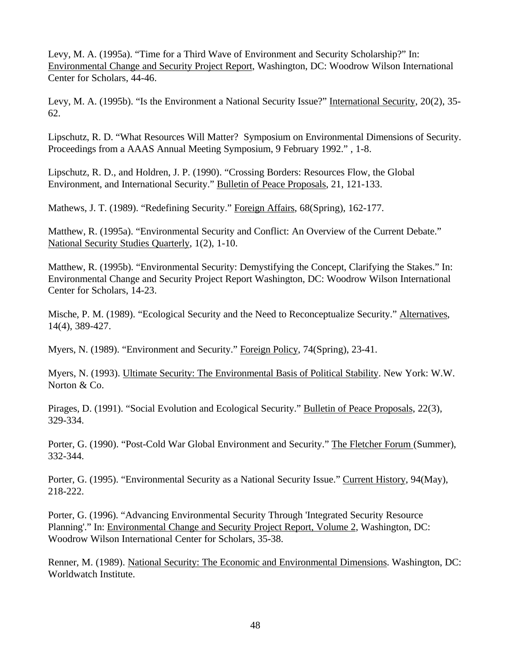Levy, M. A. (1995a). "Time for a Third Wave of Environment and Security Scholarship?" In: Environmental Change and Security Project Report, Washington, DC: Woodrow Wilson International Center for Scholars, 44-46.

Levy, M. A. (1995b). "Is the Environment a National Security Issue?" International Security, 20(2), 35- 62.

Lipschutz, R. D. "What Resources Will Matter? Symposium on Environmental Dimensions of Security. Proceedings from a AAAS Annual Meeting Symposium, 9 February 1992." , 1-8.

Lipschutz, R. D., and Holdren, J. P. (1990). "Crossing Borders: Resources Flow, the Global Environment, and International Security." Bulletin of Peace Proposals, 21, 121-133.

Mathews, J. T. (1989). "Redefining Security." Foreign Affairs, 68(Spring), 162-177.

Matthew, R. (1995a). "Environmental Security and Conflict: An Overview of the Current Debate." National Security Studies Quarterly, 1(2), 1-10.

Matthew, R. (1995b). "Environmental Security: Demystifying the Concept, Clarifying the Stakes." In: Environmental Change and Security Project Report Washington, DC: Woodrow Wilson International Center for Scholars, 14-23.

Mische, P. M. (1989). "Ecological Security and the Need to Reconceptualize Security." Alternatives, 14(4), 389-427.

Myers, N. (1989). "Environment and Security." Foreign Policy, 74(Spring), 23-41.

Myers, N. (1993). Ultimate Security: The Environmental Basis of Political Stability. New York: W.W. Norton & Co.

Pirages, D. (1991). "Social Evolution and Ecological Security." Bulletin of Peace Proposals, 22(3), 329-334.

Porter, G. (1990). "Post-Cold War Global Environment and Security." The Fletcher Forum (Summer), 332-344.

Porter, G. (1995). "Environmental Security as a National Security Issue." Current History, 94(May), 218-222.

Porter, G. (1996). "Advancing Environmental Security Through 'Integrated Security Resource Planning'." In: Environmental Change and Security Project Report, Volume 2, Washington, DC: Woodrow Wilson International Center for Scholars, 35-38.

Renner, M. (1989). National Security: The Economic and Environmental Dimensions. Washington, DC: Worldwatch Institute.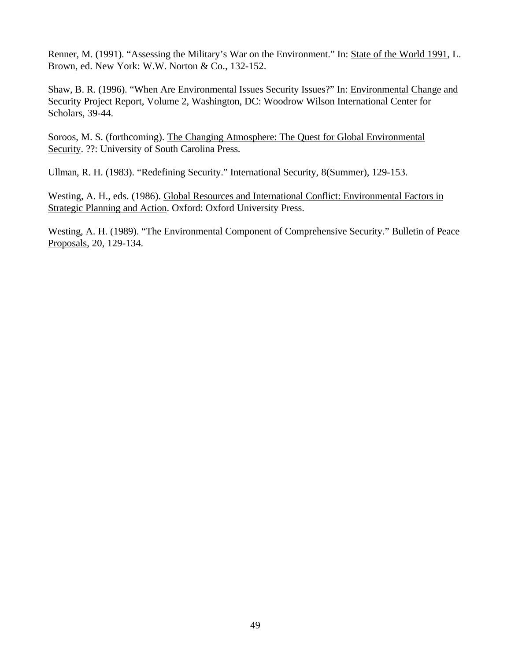Renner, M. (1991). "Assessing the Military's War on the Environment." In: State of the World 1991, L. Brown, ed. New York: W.W. Norton & Co., 132-152.

Shaw, B. R. (1996). "When Are Environmental Issues Security Issues?" In: Environmental Change and Security Project Report, Volume 2, Washington, DC: Woodrow Wilson International Center for Scholars, 39-44.

Soroos, M. S. (forthcoming). The Changing Atmosphere: The Quest for Global Environmental Security. ??: University of South Carolina Press.

Ullman, R. H. (1983). "Redefining Security." International Security, 8(Summer), 129-153.

Westing, A. H., eds. (1986). Global Resources and International Conflict: Environmental Factors in Strategic Planning and Action. Oxford: Oxford University Press.

Westing, A. H. (1989). "The Environmental Component of Comprehensive Security." Bulletin of Peace Proposals, 20, 129-134.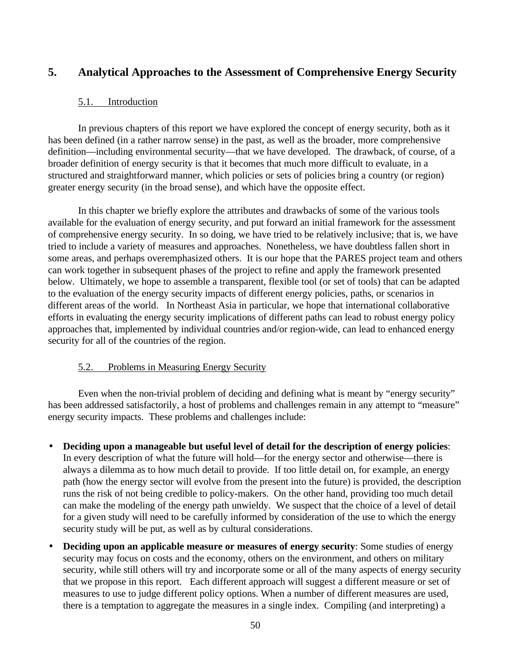# **5. Analytical Approaches to the Assessment of Comprehensive Energy Security**

## 5.1. Introduction

In previous chapters of this report we have explored the concept of energy security, both as it has been defined (in a rather narrow sense) in the past, as well as the broader, more comprehensive definition—including environmental security—that we have developed. The drawback, of course, of a broader definition of energy security is that it becomes that much more difficult to evaluate, in a structured and straightforward manner, which policies or sets of policies bring a country (or region) greater energy security (in the broad sense), and which have the opposite effect.

In this chapter we briefly explore the attributes and drawbacks of some of the various tools available for the evaluation of energy security, and put forward an initial framework for the assessment of comprehensive energy security. In so doing, we have tried to be relatively inclusive; that is, we have tried to include a variety of measures and approaches. Nonetheless, we have doubtless fallen short in some areas, and perhaps overemphasized others. It is our hope that the PARES project team and others can work together in subsequent phases of the project to refine and apply the framework presented below. Ultimately, we hope to assemble a transparent, flexible tool (or set of tools) that can be adapted to the evaluation of the energy security impacts of different energy policies, paths, or scenarios in different areas of the world. In Northeast Asia in particular, we hope that international collaborative efforts in evaluating the energy security implications of different paths can lead to robust energy policy approaches that, implemented by individual countries and/or region-wide, can lead to enhanced energy security for all of the countries of the region.

## 5.2. Problems in Measuring Energy Security

Even when the non-trivial problem of deciding and defining what is meant by "energy security" has been addressed satisfactorily, a host of problems and challenges remain in any attempt to "measure" energy security impacts. These problems and challenges include:

- **Deciding upon a manageable but useful level of detail for the description of energy policies**: In every description of what the future will hold—for the energy sector and otherwise—there is always a dilemma as to how much detail to provide. If too little detail on, for example, an energy path (how the energy sector will evolve from the present into the future) is provided, the description runs the risk of not being credible to policy-makers. On the other hand, providing too much detail can make the modeling of the energy path unwieldy. We suspect that the choice of a level of detail for a given study will need to be carefully informed by consideration of the use to which the energy security study will be put, as well as by cultural considerations.
- **Deciding upon an applicable measure or measures of energy security**: Some studies of energy security may focus on costs and the economy, others on the environment, and others on military security, while still others will try and incorporate some or all of the many aspects of energy security that we propose in this report. Each different approach will suggest a different measure or set of measures to use to judge different policy options. When a number of different measures are used, there is a temptation to aggregate the measures in a single index. Compiling (and interpreting) a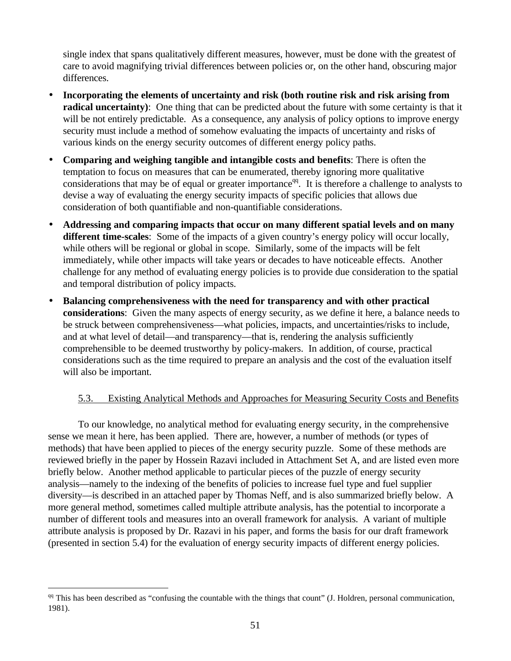single index that spans qualitatively different measures, however, must be done with the greatest of care to avoid magnifying trivial differences between policies or, on the other hand, obscuring major differences.

- **Incorporating the elements of uncertainty and risk (both routine risk and risk arising from radical uncertainty**): One thing that can be predicted about the future with some certainty is that it will be not entirely predictable. As a consequence, any analysis of policy options to improve energy security must include a method of somehow evaluating the impacts of uncertainty and risks of various kinds on the energy security outcomes of different energy policy paths.
- **Comparing and weighing tangible and intangible costs and benefits**: There is often the temptation to focus on measures that can be enumerated, thereby ignoring more qualitative considerations that may be of equal or greater importance<sup>qq</sup>. It is therefore a challenge to analysts to devise a way of evaluating the energy security impacts of specific policies that allows due consideration of both quantifiable and non-quantifiable considerations.
- **Addressing and comparing impacts that occur on many different spatial levels and on many different time-scales**: Some of the impacts of a given country's energy policy will occur locally, while others will be regional or global in scope. Similarly, some of the impacts will be felt immediately, while other impacts will take years or decades to have noticeable effects. Another challenge for any method of evaluating energy policies is to provide due consideration to the spatial and temporal distribution of policy impacts.
- **Balancing comprehensiveness with the need for transparency and with other practical considerations**: Given the many aspects of energy security, as we define it here, a balance needs to be struck between comprehensiveness—what policies, impacts, and uncertainties/risks to include, and at what level of detail—and transparency—that is, rendering the analysis sufficiently comprehensible to be deemed trustworthy by policy-makers. In addition, of course, practical considerations such as the time required to prepare an analysis and the cost of the evaluation itself will also be important.

## 5.3. Existing Analytical Methods and Approaches for Measuring Security Costs and Benefits

To our knowledge, no analytical method for evaluating energy security, in the comprehensive sense we mean it here, has been applied. There are, however, a number of methods (or types of methods) that have been applied to pieces of the energy security puzzle. Some of these methods are reviewed briefly in the paper by Hossein Razavi included in Attachment Set A, and are listed even more briefly below. Another method applicable to particular pieces of the puzzle of energy security analysis—namely to the indexing of the benefits of policies to increase fuel type and fuel supplier diversity—is described in an attached paper by Thomas Neff, and is also summarized briefly below. A more general method, sometimes called multiple attribute analysis, has the potential to incorporate a number of different tools and measures into an overall framework for analysis. A variant of multiple attribute analysis is proposed by Dr. Razavi in his paper, and forms the basis for our draft framework (presented in section 5.4) for the evaluation of energy security impacts of different energy policies.

 $q<sub>q</sub>$  This has been described as "confusing the countable with the things that count" (J. Holdren, personal communication, 1981).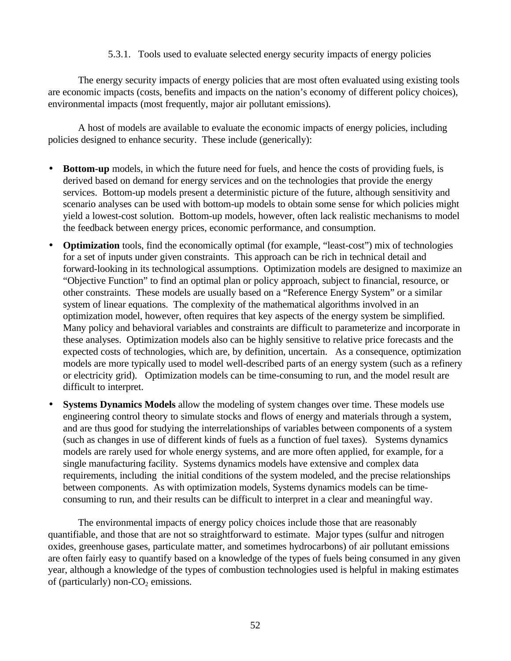## 5.3.1. Tools used to evaluate selected energy security impacts of energy policies

The energy security impacts of energy policies that are most often evaluated using existing tools are economic impacts (costs, benefits and impacts on the nation's economy of different policy choices), environmental impacts (most frequently, major air pollutant emissions).

A host of models are available to evaluate the economic impacts of energy policies, including policies designed to enhance security. These include (generically):

- **Bottom-up** models, in which the future need for fuels, and hence the costs of providing fuels, is derived based on demand for energy services and on the technologies that provide the energy services. Bottom-up models present a deterministic picture of the future, although sensitivity and scenario analyses can be used with bottom-up models to obtain some sense for which policies might yield a lowest-cost solution. Bottom-up models, however, often lack realistic mechanisms to model the feedback between energy prices, economic performance, and consumption.
- **Optimization** tools, find the economically optimal (for example, "least-cost") mix of technologies for a set of inputs under given constraints. This approach can be rich in technical detail and forward-looking in its technological assumptions. Optimization models are designed to maximize an "Objective Function" to find an optimal plan or policy approach, subject to financial, resource, or other constraints. These models are usually based on a "Reference Energy System" or a similar system of linear equations. The complexity of the mathematical algorithms involved in an optimization model, however, often requires that key aspects of the energy system be simplified. Many policy and behavioral variables and constraints are difficult to parameterize and incorporate in these analyses. Optimization models also can be highly sensitive to relative price forecasts and the expected costs of technologies, which are, by definition, uncertain. As a consequence, optimization models are more typically used to model well-described parts of an energy system (such as a refinery or electricity grid). Optimization models can be time-consuming to run, and the model result are difficult to interpret.
- **Systems Dynamics Models** allow the modeling of system changes over time. These models use engineering control theory to simulate stocks and flows of energy and materials through a system, and are thus good for studying the interrelationships of variables between components of a system (such as changes in use of different kinds of fuels as a function of fuel taxes). Systems dynamics models are rarely used for whole energy systems, and are more often applied, for example, for a single manufacturing facility. Systems dynamics models have extensive and complex data requirements, including the initial conditions of the system modeled, and the precise relationships between components. As with optimization models, Systems dynamics models can be timeconsuming to run, and their results can be difficult to interpret in a clear and meaningful way.

The environmental impacts of energy policy choices include those that are reasonably quantifiable, and those that are not so straightforward to estimate. Major types (sulfur and nitrogen oxides, greenhouse gases, particulate matter, and sometimes hydrocarbons) of air pollutant emissions are often fairly easy to quantify based on a knowledge of the types of fuels being consumed in any given year, although a knowledge of the types of combustion technologies used is helpful in making estimates of (particularly) non- $CO<sub>2</sub>$  emissions.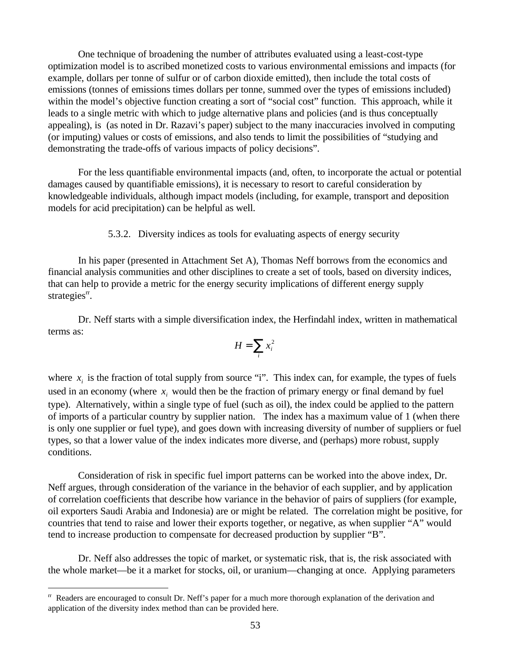One technique of broadening the number of attributes evaluated using a least-cost-type optimization model is to ascribed monetized costs to various environmental emissions and impacts (for example, dollars per tonne of sulfur or of carbon dioxide emitted), then include the total costs of emissions (tonnes of emissions times dollars per tonne, summed over the types of emissions included) within the model's objective function creating a sort of "social cost" function. This approach, while it leads to a single metric with which to judge alternative plans and policies (and is thus conceptually appealing), is (as noted in Dr. Razavi's paper) subject to the many inaccuracies involved in computing (or imputing) values or costs of emissions, and also tends to limit the possibilities of "studying and demonstrating the trade-offs of various impacts of policy decisions".

For the less quantifiable environmental impacts (and, often, to incorporate the actual or potential damages caused by quantifiable emissions), it is necessary to resort to careful consideration by knowledgeable individuals, although impact models (including, for example, transport and deposition models for acid precipitation) can be helpful as well.

5.3.2. Diversity indices as tools for evaluating aspects of energy security

In his paper (presented in Attachment Set A), Thomas Neff borrows from the economics and financial analysis communities and other disciplines to create a set of tools, based on diversity indices, that can help to provide a metric for the energy security implications of different energy supply strategies<sup> $rr$ </sup>.

Dr. Neff starts with a simple diversification index, the Herfindahl index, written in mathematical terms as:

$$
H = \sum_i x_i^2
$$

where  $x_i$  is the fraction of total supply from source "i". This index can, for example, the types of fuels used in an economy (where  $x_i$  would then be the fraction of primary energy or final demand by fuel type). Alternatively, within a single type of fuel (such as oil), the index could be applied to the pattern of imports of a particular country by supplier nation. The index has a maximum value of 1 (when there is only one supplier or fuel type), and goes down with increasing diversity of number of suppliers or fuel types, so that a lower value of the index indicates more diverse, and (perhaps) more robust, supply conditions.

Consideration of risk in specific fuel import patterns can be worked into the above index, Dr. Neff argues, through consideration of the variance in the behavior of each supplier, and by application of correlation coefficients that describe how variance in the behavior of pairs of suppliers (for example, oil exporters Saudi Arabia and Indonesia) are or might be related. The correlation might be positive, for countries that tend to raise and lower their exports together, or negative, as when supplier "A" would tend to increase production to compensate for decreased production by supplier "B".

Dr. Neff also addresses the topic of market, or systematic risk, that is, the risk associated with the whole market—be it a market for stocks, oil, or uranium—changing at once. Applying parameters

 $\text{r}$  Readers are encouraged to consult Dr. Neff's paper for a much more thorough explanation of the derivation and application of the diversity index method than can be provided here.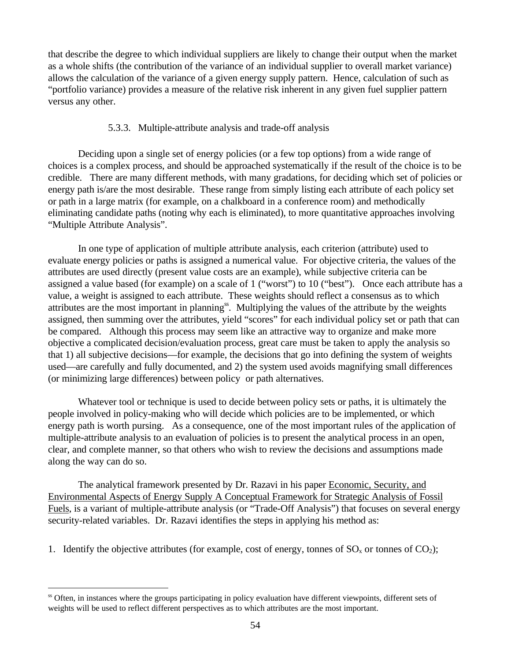that describe the degree to which individual suppliers are likely to change their output when the market as a whole shifts (the contribution of the variance of an individual supplier to overall market variance) allows the calculation of the variance of a given energy supply pattern. Hence, calculation of such as "portfolio variance) provides a measure of the relative risk inherent in any given fuel supplier pattern versus any other.

## 5.3.3. Multiple-attribute analysis and trade-off analysis

Deciding upon a single set of energy policies (or a few top options) from a wide range of choices is a complex process, and should be approached systematically if the result of the choice is to be credible. There are many different methods, with many gradations, for deciding which set of policies or energy path is/are the most desirable. These range from simply listing each attribute of each policy set or path in a large matrix (for example, on a chalkboard in a conference room) and methodically eliminating candidate paths (noting why each is eliminated), to more quantitative approaches involving "Multiple Attribute Analysis".

In one type of application of multiple attribute analysis, each criterion (attribute) used to evaluate energy policies or paths is assigned a numerical value. For objective criteria, the values of the attributes are used directly (present value costs are an example), while subjective criteria can be assigned a value based (for example) on a scale of 1 ("worst") to 10 ("best"). Once each attribute has a value, a weight is assigned to each attribute. These weights should reflect a consensus as to which attributes are the most important in planning<sup>ss</sup>. Multiplying the values of the attribute by the weights assigned, then summing over the attributes, yield "scores" for each individual policy set or path that can be compared. Although this process may seem like an attractive way to organize and make more objective a complicated decision/evaluation process, great care must be taken to apply the analysis so that 1) all subjective decisions—for example, the decisions that go into defining the system of weights used—are carefully and fully documented, and 2) the system used avoids magnifying small differences (or minimizing large differences) between policy or path alternatives.

Whatever tool or technique is used to decide between policy sets or paths, it is ultimately the people involved in policy-making who will decide which policies are to be implemented, or which energy path is worth pursing. As a consequence, one of the most important rules of the application of multiple-attribute analysis to an evaluation of policies is to present the analytical process in an open, clear, and complete manner, so that others who wish to review the decisions and assumptions made along the way can do so.

The analytical framework presented by Dr. Razavi in his paper Economic, Security, and Environmental Aspects of Energy Supply A Conceptual Framework for Strategic Analysis of Fossil Fuels, is a variant of multiple-attribute analysis (or "Trade-Off Analysis") that focuses on several energy security-related variables. Dr. Razavi identifies the steps in applying his method as:

1. Identify the objective attributes (for example, cost of energy, tonnes of  $SO_x$  or tonnes of  $CO_2$ );

ss Often, in instances where the groups participating in policy evaluation have different viewpoints, different sets of weights will be used to reflect different perspectives as to which attributes are the most important.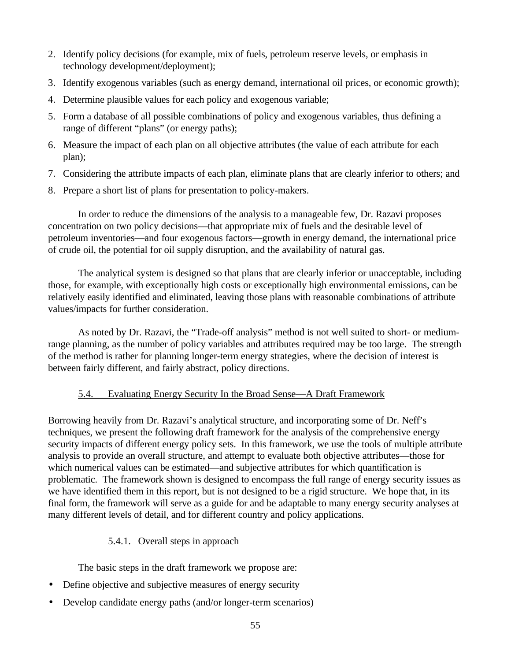- 2. Identify policy decisions (for example, mix of fuels, petroleum reserve levels, or emphasis in technology development/deployment);
- 3. Identify exogenous variables (such as energy demand, international oil prices, or economic growth);
- 4. Determine plausible values for each policy and exogenous variable;
- 5. Form a database of all possible combinations of policy and exogenous variables, thus defining a range of different "plans" (or energy paths);
- 6. Measure the impact of each plan on all objective attributes (the value of each attribute for each plan);
- 7. Considering the attribute impacts of each plan, eliminate plans that are clearly inferior to others; and
- 8. Prepare a short list of plans for presentation to policy-makers.

In order to reduce the dimensions of the analysis to a manageable few, Dr. Razavi proposes concentration on two policy decisions—that appropriate mix of fuels and the desirable level of petroleum inventories—and four exogenous factors—growth in energy demand, the international price of crude oil, the potential for oil supply disruption, and the availability of natural gas.

The analytical system is designed so that plans that are clearly inferior or unacceptable, including those, for example, with exceptionally high costs or exceptionally high environmental emissions, can be relatively easily identified and eliminated, leaving those plans with reasonable combinations of attribute values/impacts for further consideration.

As noted by Dr. Razavi, the "Trade-off analysis" method is not well suited to short- or mediumrange planning, as the number of policy variables and attributes required may be too large. The strength of the method is rather for planning longer-term energy strategies, where the decision of interest is between fairly different, and fairly abstract, policy directions.

# 5.4. Evaluating Energy Security In the Broad Sense—A Draft Framework

Borrowing heavily from Dr. Razavi's analytical structure, and incorporating some of Dr. Neff's techniques, we present the following draft framework for the analysis of the comprehensive energy security impacts of different energy policy sets. In this framework, we use the tools of multiple attribute analysis to provide an overall structure, and attempt to evaluate both objective attributes—those for which numerical values can be estimated—and subjective attributes for which quantification is problematic. The framework shown is designed to encompass the full range of energy security issues as we have identified them in this report, but is not designed to be a rigid structure. We hope that, in its final form, the framework will serve as a guide for and be adaptable to many energy security analyses at many different levels of detail, and for different country and policy applications.

## 5.4.1. Overall steps in approach

The basic steps in the draft framework we propose are:

- Define objective and subjective measures of energy security
- Develop candidate energy paths (and/or longer-term scenarios)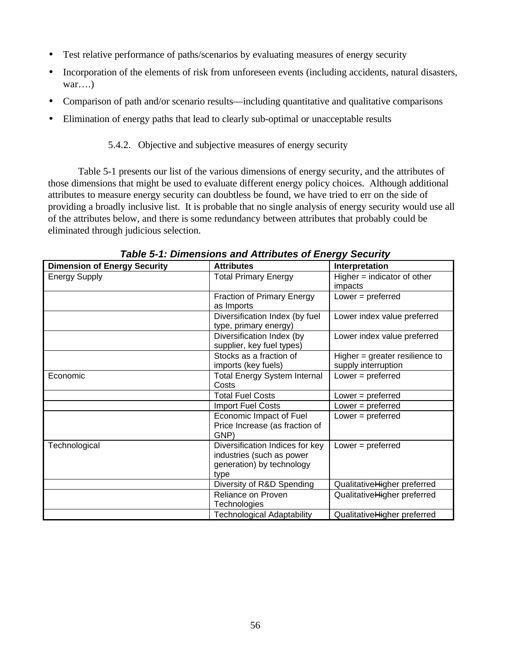- Test relative performance of paths/scenarios by evaluating measures of energy security
- Incorporation of the elements of risk from unforeseen events (including accidents, natural disasters, war….)
- Comparison of path and/or scenario results—including quantitative and qualitative comparisons
- Elimination of energy paths that lead to clearly sub-optimal or unacceptable results

## 5.4.2. Objective and subjective measures of energy security

Table 5-1 presents our list of the various dimensions of energy security, and the attributes of those dimensions that might be used to evaluate different energy policy choices. Although additional attributes to measure energy security can doubtless be found, we have tried to err on the side of providing a broadly inclusive list. It is probable that no single analysis of energy security would use all of the attributes below, and there is some redundancy between attributes that probably could be eliminated through judicious selection.

| <b>Dimension of Energy Security</b> | <b>Attributes</b>                                                                                 | Interpretation                                          |
|-------------------------------------|---------------------------------------------------------------------------------------------------|---------------------------------------------------------|
| <b>Energy Supply</b>                | <b>Total Primary Energy</b>                                                                       | $Higher = indicator of other$<br>impacts                |
|                                     | <b>Fraction of Primary Energy</b><br>as Imports                                                   | Lower $=$ preferred                                     |
|                                     | Diversification Index (by fuel<br>type, primary energy)                                           | Lower index value preferred                             |
|                                     | Diversification Index (by<br>supplier, key fuel types)                                            | Lower index value preferred                             |
|                                     | Stocks as a fraction of<br>imports (key fuels)                                                    | Higher $=$ greater resilience to<br>supply interruption |
| Economic                            | <b>Total Energy System Internal</b><br>Costs                                                      | Lower $=$ preferred                                     |
|                                     | <b>Total Fuel Costs</b>                                                                           | Lower $=$ preferred                                     |
|                                     | <b>Import Fuel Costs</b>                                                                          | Lower $=$ preferred                                     |
|                                     | Economic Impact of Fuel<br>Price Increase (as fraction of<br>GNP)                                 | Lower $=$ preferred                                     |
| Technological                       | Diversification Indices for key<br>industries (such as power<br>generation) by technology<br>type | Lower $=$ preferred                                     |
|                                     | Diversity of R&D Spending                                                                         | QualitativeHigher preferred                             |
|                                     | Reliance on Proven<br><b>Technologies</b>                                                         | QualitativeHigher preferred                             |
|                                     | <b>Technological Adaptability</b>                                                                 | QualitativeHigher preferred                             |

*Table 5-1: Dimensions and Attributes of Energy Security*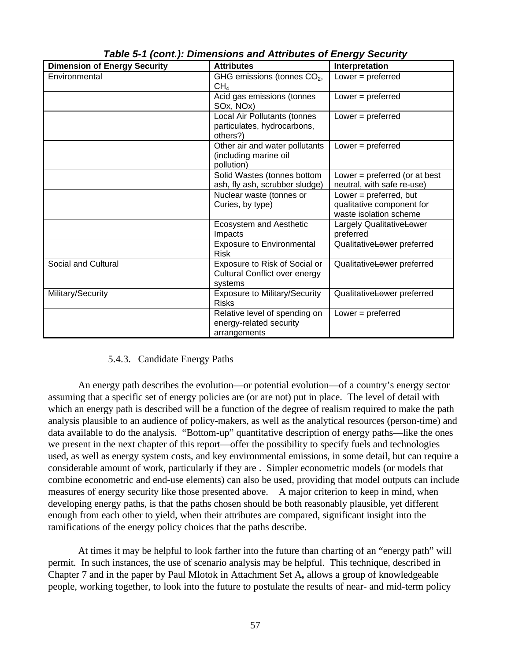| <b>Dimension of Energy Security</b> | <b>Attributes</b>                                                                | Interpretation                                                                   |
|-------------------------------------|----------------------------------------------------------------------------------|----------------------------------------------------------------------------------|
| Environmental                       | GHG emissions (tonnes CO <sub>2</sub> ,                                          | Lower $=$ preferred                                                              |
|                                     | CH <sub>4</sub>                                                                  |                                                                                  |
|                                     | Acid gas emissions (tonnes<br>SOx, NOx)                                          | Lower = $preferred$                                                              |
|                                     | Local Air Pollutants (tonnes<br>particulates, hydrocarbons,<br>others?)          | Lower $=$ preferred                                                              |
|                                     | Other air and water pollutants<br>(including marine oil<br>pollution)            | Lower $=$ preferred                                                              |
|                                     | Solid Wastes (tonnes bottom<br>ash, fly ash, scrubber sludge)                    | Lower = $preferred$ (or at best<br>neutral, with safe re-use)                    |
|                                     | Nuclear waste (tonnes or<br>Curies, by type)                                     | Lower = $preferred$ , but<br>qualitative component for<br>waste isolation scheme |
|                                     | Ecosystem and Aesthetic<br>Impacts                                               | Largely QualitativeLower<br>preferred                                            |
|                                     | <b>Exposure to Environmental</b><br><b>Risk</b>                                  | Qualitative <del>Lo</del> wer preferred                                          |
| Social and Cultural                 | Exposure to Risk of Social or<br><b>Cultural Conflict over energy</b><br>systems | Qualitative <del>Lo</del> wer preferred                                          |
| Military/Security                   | <b>Exposure to Military/Security</b><br><b>Risks</b>                             | Qualitative <del>Lo</del> wer preferred                                          |
|                                     | Relative level of spending on<br>energy-related security<br>arrangements         | Lower = $preferred$                                                              |

*Table 5-1 (cont.): Dimensions and Attributes of Energy Security*

## 5.4.3. Candidate Energy Paths

An energy path describes the evolution—or potential evolution—of a country's energy sector assuming that a specific set of energy policies are (or are not) put in place. The level of detail with which an energy path is described will be a function of the degree of realism required to make the path analysis plausible to an audience of policy-makers, as well as the analytical resources (person-time) and data available to do the analysis. "Bottom-up" quantitative description of energy paths—like the ones we present in the next chapter of this report—offer the possibility to specify fuels and technologies used, as well as energy system costs, and key environmental emissions, in some detail, but can require a considerable amount of work, particularly if they are . Simpler econometric models (or models that combine econometric and end-use elements) can also be used, providing that model outputs can include measures of energy security like those presented above. A major criterion to keep in mind, when developing energy paths, is that the paths chosen should be both reasonably plausible, yet different enough from each other to yield, when their attributes are compared, significant insight into the ramifications of the energy policy choices that the paths describe.

At times it may be helpful to look farther into the future than charting of an "energy path" will permit. In such instances, the use of scenario analysis may be helpful. This technique, described in Chapter 7 and in the paper by Paul Mlotok in Attachment Set A**,** allows a group of knowledgeable people, working together, to look into the future to postulate the results of near- and mid-term policy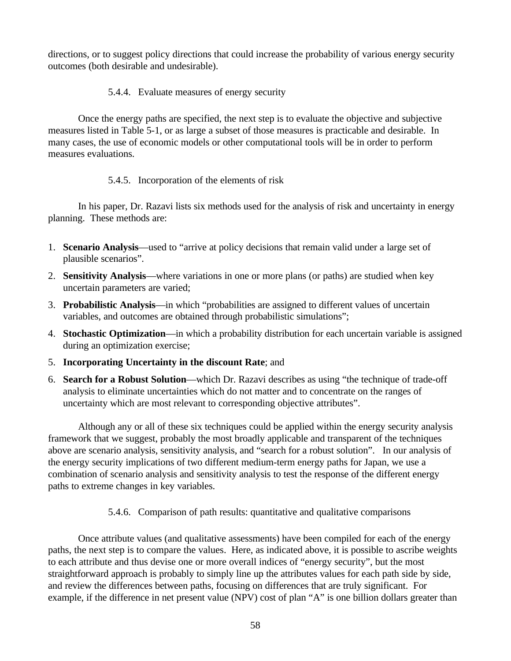directions, or to suggest policy directions that could increase the probability of various energy security outcomes (both desirable and undesirable).

## 5.4.4. Evaluate measures of energy security

Once the energy paths are specified, the next step is to evaluate the objective and subjective measures listed in Table 5-1, or as large a subset of those measures is practicable and desirable. In many cases, the use of economic models or other computational tools will be in order to perform measures evaluations.

## 5.4.5. Incorporation of the elements of risk

In his paper, Dr. Razavi lists six methods used for the analysis of risk and uncertainty in energy planning. These methods are:

- 1. **Scenario Analysis**—used to "arrive at policy decisions that remain valid under a large set of plausible scenarios".
- 2. **Sensitivity Analysis**—where variations in one or more plans (or paths) are studied when key uncertain parameters are varied;
- 3. **Probabilistic Analysis**—in which "probabilities are assigned to different values of uncertain variables, and outcomes are obtained through probabilistic simulations";
- 4. **Stochastic Optimization**—in which a probability distribution for each uncertain variable is assigned during an optimization exercise;
- 5. **Incorporating Uncertainty in the discount Rate**; and
- 6. **Search for a Robust Solution**—which Dr. Razavi describes as using "the technique of trade-off analysis to eliminate uncertainties which do not matter and to concentrate on the ranges of uncertainty which are most relevant to corresponding objective attributes".

Although any or all of these six techniques could be applied within the energy security analysis framework that we suggest, probably the most broadly applicable and transparent of the techniques above are scenario analysis, sensitivity analysis, and "search for a robust solution". In our analysis of the energy security implications of two different medium-term energy paths for Japan, we use a combination of scenario analysis and sensitivity analysis to test the response of the different energy paths to extreme changes in key variables.

## 5.4.6. Comparison of path results: quantitative and qualitative comparisons

Once attribute values (and qualitative assessments) have been compiled for each of the energy paths, the next step is to compare the values. Here, as indicated above, it is possible to ascribe weights to each attribute and thus devise one or more overall indices of "energy security", but the most straightforward approach is probably to simply line up the attributes values for each path side by side, and review the differences between paths, focusing on differences that are truly significant. For example, if the difference in net present value (NPV) cost of plan "A" is one billion dollars greater than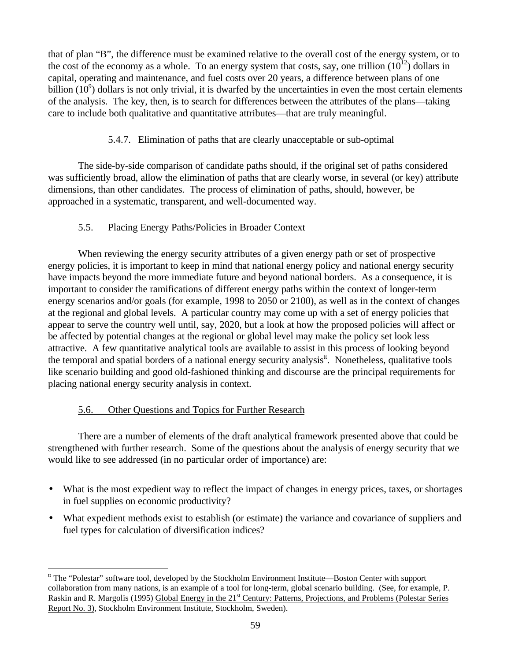that of plan "B", the difference must be examined relative to the overall cost of the energy system, or to the cost of the economy as a whole. To an energy system that costs, say, one trillion  $(10^{12})$  dollars in capital, operating and maintenance, and fuel costs over 20 years, a difference between plans of one billion  $(10^9)$  dollars is not only trivial, it is dwarfed by the uncertainties in even the most certain elements of the analysis. The key, then, is to search for differences between the attributes of the plans—taking care to include both qualitative and quantitative attributes—that are truly meaningful.

# 5.4.7. Elimination of paths that are clearly unacceptable or sub-optimal

The side-by-side comparison of candidate paths should, if the original set of paths considered was sufficiently broad, allow the elimination of paths that are clearly worse, in several (or key) attribute dimensions, than other candidates. The process of elimination of paths, should, however, be approached in a systematic, transparent, and well-documented way.

## 5.5. Placing Energy Paths/Policies in Broader Context

When reviewing the energy security attributes of a given energy path or set of prospective energy policies, it is important to keep in mind that national energy policy and national energy security have impacts beyond the more immediate future and beyond national borders. As a consequence, it is important to consider the ramifications of different energy paths within the context of longer-term energy scenarios and/or goals (for example, 1998 to 2050 or 2100), as well as in the context of changes at the regional and global levels. A particular country may come up with a set of energy policies that appear to serve the country well until, say, 2020, but a look at how the proposed policies will affect or be affected by potential changes at the regional or global level may make the policy set look less attractive. A few quantitative analytical tools are available to assist in this process of looking beyond the temporal and spatial borders of a national energy security analysis<sup>tt</sup>. Nonetheless, qualitative tools like scenario building and good old-fashioned thinking and discourse are the principal requirements for placing national energy security analysis in context.

# 5.6. Other Questions and Topics for Further Research

 $\overline{a}$ 

There are a number of elements of the draft analytical framework presented above that could be strengthened with further research. Some of the questions about the analysis of energy security that we would like to see addressed (in no particular order of importance) are:

- What is the most expedient way to reflect the impact of changes in energy prices, taxes, or shortages in fuel supplies on economic productivity?
- What expedient methods exist to establish (or estimate) the variance and covariance of suppliers and fuel types for calculation of diversification indices?

<sup>&</sup>lt;sup>tt</sup> The "Polestar" software tool, developed by the Stockholm Environment Institute—Boston Center with support collaboration from many nations, is an example of a tool for long-term, global scenario building. (See, for example, P. Raskin and R. Margolis (1995) Global Energy in the 21<sup>st</sup> Century: Patterns, Projections, and Problems (Polestar Series Report No. 3), Stockholm Environment Institute, Stockholm, Sweden).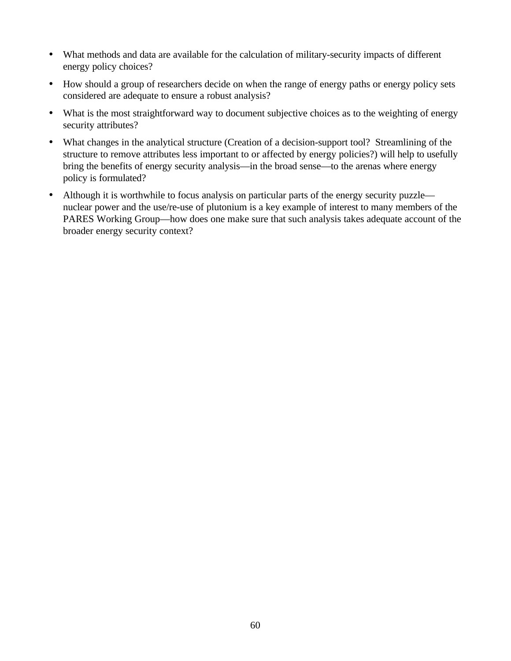- What methods and data are available for the calculation of military-security impacts of different energy policy choices?
- How should a group of researchers decide on when the range of energy paths or energy policy sets considered are adequate to ensure a robust analysis?
- What is the most straightforward way to document subjective choices as to the weighting of energy security attributes?
- What changes in the analytical structure (Creation of a decision-support tool? Streamlining of the structure to remove attributes less important to or affected by energy policies?) will help to usefully bring the benefits of energy security analysis—in the broad sense—to the arenas where energy policy is formulated?
- Although it is worthwhile to focus analysis on particular parts of the energy security puzzle nuclear power and the use/re-use of plutonium is a key example of interest to many members of the PARES Working Group—how does one make sure that such analysis takes adequate account of the broader energy security context?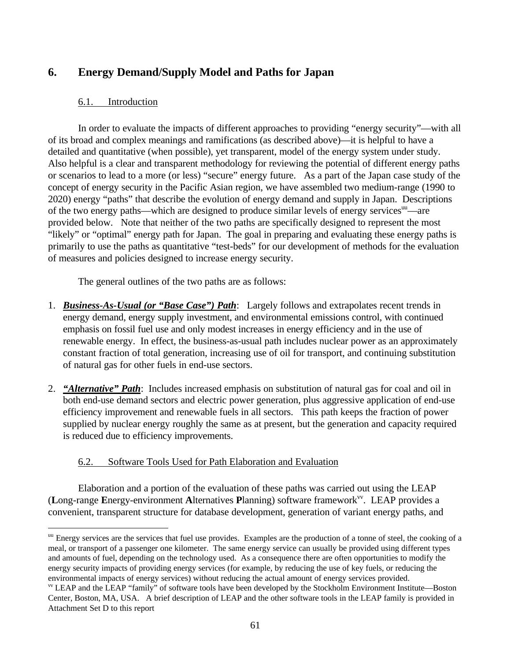# **6. Energy Demand/Supply Model and Paths for Japan**

## 6.1. Introduction

In order to evaluate the impacts of different approaches to providing "energy security"—with all of its broad and complex meanings and ramifications (as described above)—it is helpful to have a detailed and quantitative (when possible), yet transparent, model of the energy system under study. Also helpful is a clear and transparent methodology for reviewing the potential of different energy paths or scenarios to lead to a more (or less) "secure" energy future. As a part of the Japan case study of the concept of energy security in the Pacific Asian region, we have assembled two medium-range (1990 to 2020) energy "paths" that describe the evolution of energy demand and supply in Japan. Descriptions of the two energy paths—which are designed to produce similar levels of energy services<sup>uu</sup>—are provided below. Note that neither of the two paths are specifically designed to represent the most "likely" or "optimal" energy path for Japan. The goal in preparing and evaluating these energy paths is primarily to use the paths as quantitative "test-beds" for our development of methods for the evaluation of measures and policies designed to increase energy security.

The general outlines of the two paths are as follows:

- 1. *Business-As-Usual (or "Base Case") Path*: Largely follows and extrapolates recent trends in energy demand, energy supply investment, and environmental emissions control, with continued emphasis on fossil fuel use and only modest increases in energy efficiency and in the use of renewable energy. In effect, the business-as-usual path includes nuclear power as an approximately constant fraction of total generation, increasing use of oil for transport, and continuing substitution of natural gas for other fuels in end-use sectors.
- 2. *"Alternative" Path*: Includes increased emphasis on substitution of natural gas for coal and oil in both end-use demand sectors and electric power generation, plus aggressive application of end-use efficiency improvement and renewable fuels in all sectors. This path keeps the fraction of power supplied by nuclear energy roughly the same as at present, but the generation and capacity required is reduced due to efficiency improvements.

## 6.2. Software Tools Used for Path Elaboration and Evaluation

Elaboration and a portion of the evaluation of these paths was carried out using the LEAP (Long-range Energy-environment Alternatives Planning) software framework<sup>vv</sup>. LEAP provides a convenient, transparent structure for database development, generation of variant energy paths, and

 $\overline{a}$ <sup>uu</sup> Energy services are the services that fuel use provides. Examples are the production of a tonne of steel, the cooking of a meal, or transport of a passenger one kilometer. The same energy service can usually be provided using different types and amounts of fuel, depending on the technology used. As a consequence there are often opportunities to modify the energy security impacts of providing energy services (for example, by reducing the use of key fuels, or reducing the environmental impacts of energy services) without reducing the actual amount of energy services provided.

vv LEAP and the LEAP "family" of software tools have been developed by the Stockholm Environment Institute—Boston Center, Boston, MA, USA. A brief description of LEAP and the other software tools in the LEAP family is provided in Attachment Set D to this report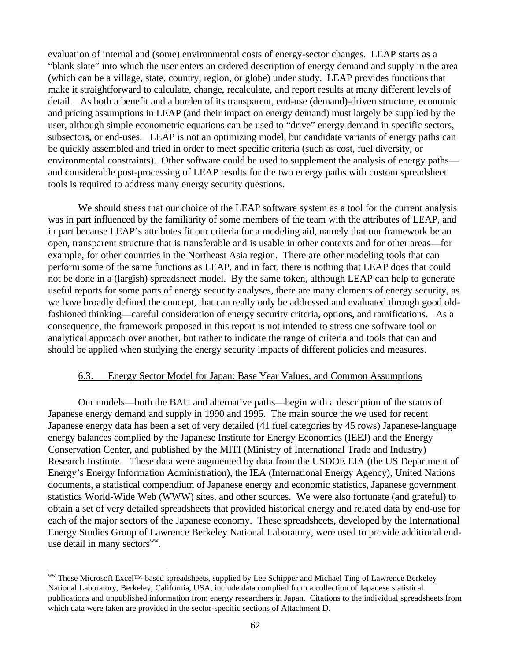evaluation of internal and (some) environmental costs of energy-sector changes. LEAP starts as a "blank slate" into which the user enters an ordered description of energy demand and supply in the area (which can be a village, state, country, region, or globe) under study. LEAP provides functions that make it straightforward to calculate, change, recalculate, and report results at many different levels of detail. As both a benefit and a burden of its transparent, end-use (demand)-driven structure, economic and pricing assumptions in LEAP (and their impact on energy demand) must largely be supplied by the user, although simple econometric equations can be used to "drive" energy demand in specific sectors, subsectors, or end-uses. LEAP is not an optimizing model, but candidate variants of energy paths can be quickly assembled and tried in order to meet specific criteria (such as cost, fuel diversity, or environmental constraints). Other software could be used to supplement the analysis of energy paths and considerable post-processing of LEAP results for the two energy paths with custom spreadsheet tools is required to address many energy security questions.

We should stress that our choice of the LEAP software system as a tool for the current analysis was in part influenced by the familiarity of some members of the team with the attributes of LEAP, and in part because LEAP's attributes fit our criteria for a modeling aid, namely that our framework be an open, transparent structure that is transferable and is usable in other contexts and for other areas—for example, for other countries in the Northeast Asia region. There are other modeling tools that can perform some of the same functions as LEAP, and in fact, there is nothing that LEAP does that could not be done in a (largish) spreadsheet model. By the same token, although LEAP can help to generate useful reports for some parts of energy security analyses, there are many elements of energy security, as we have broadly defined the concept, that can really only be addressed and evaluated through good oldfashioned thinking—careful consideration of energy security criteria, options, and ramifications. As a consequence, the framework proposed in this report is not intended to stress one software tool or analytical approach over another, but rather to indicate the range of criteria and tools that can and should be applied when studying the energy security impacts of different policies and measures.

#### 6.3. Energy Sector Model for Japan: Base Year Values, and Common Assumptions

Our models—both the BAU and alternative paths—begin with a description of the status of Japanese energy demand and supply in 1990 and 1995. The main source the we used for recent Japanese energy data has been a set of very detailed (41 fuel categories by 45 rows) Japanese-language energy balances complied by the Japanese Institute for Energy Economics (IEEJ) and the Energy Conservation Center, and published by the MITI (Ministry of International Trade and Industry) Research Institute. These data were augmented by data from the USDOE EIA (the US Department of Energy's Energy Information Administration), the IEA (International Energy Agency), United Nations documents, a statistical compendium of Japanese energy and economic statistics, Japanese government statistics World-Wide Web (WWW) sites, and other sources. We were also fortunate (and grateful) to obtain a set of very detailed spreadsheets that provided historical energy and related data by end-use for each of the major sectors of the Japanese economy. These spreadsheets, developed by the International Energy Studies Group of Lawrence Berkeley National Laboratory, were used to provide additional enduse detail in many sectors<sup>ww</sup>.

ww These Microsoft Excel™-based spreadsheets, supplied by Lee Schipper and Michael Ting of Lawrence Berkeley National Laboratory, Berkeley, California, USA, include data complied from a collection of Japanese statistical publications and unpublished information from energy researchers in Japan. Citations to the individual spreadsheets from which data were taken are provided in the sector-specific sections of Attachment D.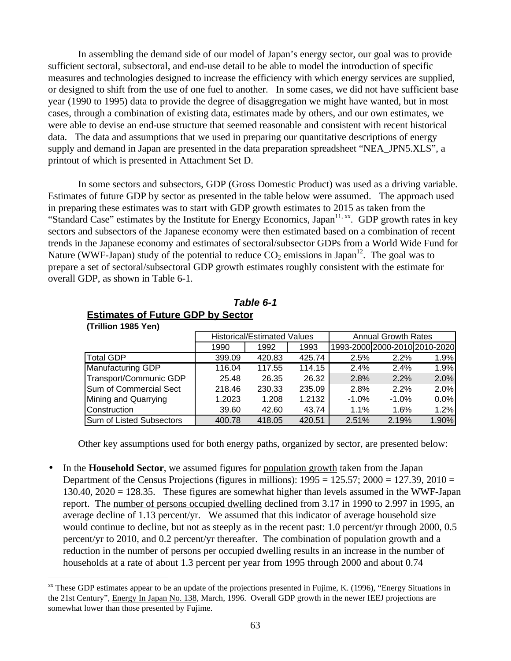In assembling the demand side of our model of Japan's energy sector, our goal was to provide sufficient sectoral, subsectoral, and end-use detail to be able to model the introduction of specific measures and technologies designed to increase the efficiency with which energy services are supplied, or designed to shift from the use of one fuel to another. In some cases, we did not have sufficient base year (1990 to 1995) data to provide the degree of disaggregation we might have wanted, but in most cases, through a combination of existing data, estimates made by others, and our own estimates, we were able to devise an end-use structure that seemed reasonable and consistent with recent historical data. The data and assumptions that we used in preparing our quantitative descriptions of energy supply and demand in Japan are presented in the data preparation spreadsheet "NEA\_JPN5.XLS", a printout of which is presented in Attachment Set D.

In some sectors and subsectors, GDP (Gross Domestic Product) was used as a driving variable. Estimates of future GDP by sector as presented in the table below were assumed. The approach used in preparing these estimates was to start with GDP growth estimates to 2015 as taken from the "Standard Case" estimates by the Institute for Energy Economics, Japan<sup>11, xx</sup>. GDP growth rates in key sectors and subsectors of the Japanese economy were then estimated based on a combination of recent trends in the Japanese economy and estimates of sectoral/subsector GDPs from a World Wide Fund for Nature (WWF-Japan) study of the potential to reduce  $CO_2$  emissions in Japan<sup>12</sup>. The goal was to prepare a set of sectoral/subsectoral GDP growth estimates roughly consistent with the estimate for overall GDP, as shown in Table 6-1.

|                          | <b>Historical/Estimated Values</b> |        |        | <b>Annual Growth Rates</b>    |         |         |  |  |
|--------------------------|------------------------------------|--------|--------|-------------------------------|---------|---------|--|--|
|                          | 1990                               | 1992   | 1993   | 1993-2000 2000-2010 2010-2020 |         |         |  |  |
| <b>Total GDP</b>         | 399.09                             | 420.83 | 425.74 | 2.5%                          | 2.2%    | 1.9%    |  |  |
| <b>Manufacturing GDP</b> | 116.04                             | 117.55 | 114.15 | 2.4%                          | 2.4%    | 1.9%    |  |  |
| Transport/Communic GDP   | 25.48                              | 26.35  | 26.32  | 2.8%                          | 2.2%    | 2.0%    |  |  |
| Sum of Commercial Sect   | 218.46                             | 230.33 | 235.09 | 2.8%                          | 2.2%    | 2.0%    |  |  |
| Mining and Quarrying     | 1.2023                             | 1.208  | 1.2132 | $-1.0%$                       | $-1.0%$ | $0.0\%$ |  |  |
| Construction             | 39.60                              | 42.60  | 43.74  | $1.1\%$                       | 1.6%    | 1.2%    |  |  |
| Sum of Listed Subsectors | 400.78                             | 418.05 | 420.51 | 2.51%                         | 2.19%   | 1.90%   |  |  |

#### *Table 6-1* **Estimates of Future GDP by Sector (Trillion 1985 Yen)**

 $\overline{a}$ 

Other key assumptions used for both energy paths, organized by sector, are presented below:

• In the **Household Sector**, we assumed figures for population growth taken from the Japan Department of the Census Projections (figures in millions):  $1995 = 125.57$ ;  $2000 = 127.39$ ,  $2010 =$ 130.40, 2020 = 128.35. These figures are somewhat higher than levels assumed in the WWF-Japan report. The number of persons occupied dwelling declined from 3.17 in 1990 to 2.997 in 1995, an average decline of 1.13 percent/yr. We assumed that this indicator of average household size would continue to decline, but not as steeply as in the recent past: 1.0 percent/yr through 2000, 0.5 percent/yr to 2010, and 0.2 percent/yr thereafter. The combination of population growth and a reduction in the number of persons per occupied dwelling results in an increase in the number of households at a rate of about 1.3 percent per year from 1995 through 2000 and about 0.74

 $\alpha$ <sup>xx</sup> These GDP estimates appear to be an update of the projections presented in Fujime, K. (1996), "Energy Situations in the 21st Century", Energy In Japan No. 138, March, 1996. Overall GDP growth in the newer IEEJ projections are somewhat lower than those presented by Fujime.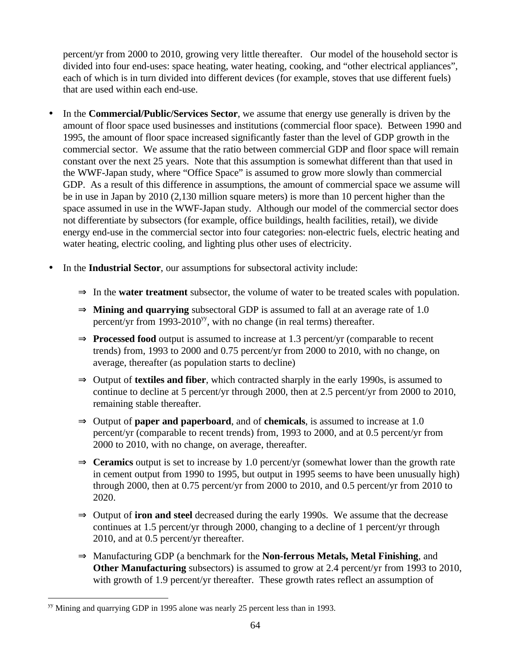percent/yr from 2000 to 2010, growing very little thereafter. Our model of the household sector is divided into four end-uses: space heating, water heating, cooking, and "other electrical appliances", each of which is in turn divided into different devices (for example, stoves that use different fuels) that are used within each end-use.

- In the **Commercial/Public/Services Sector**, we assume that energy use generally is driven by the amount of floor space used businesses and institutions (commercial floor space). Between 1990 and 1995, the amount of floor space increased significantly faster than the level of GDP growth in the commercial sector. We assume that the ratio between commercial GDP and floor space will remain constant over the next 25 years. Note that this assumption is somewhat different than that used in the WWF-Japan study, where "Office Space" is assumed to grow more slowly than commercial GDP. As a result of this difference in assumptions, the amount of commercial space we assume will be in use in Japan by 2010 (2,130 million square meters) is more than 10 percent higher than the space assumed in use in the WWF-Japan study. Although our model of the commercial sector does not differentiate by subsectors (for example, office buildings, health facilities, retail), we divide energy end-use in the commercial sector into four categories: non-electric fuels, electric heating and water heating, electric cooling, and lighting plus other uses of electricity.
- In the **Industrial Sector**, our assumptions for subsectoral activity include:
	- ⇒ In the **water treatment** subsector, the volume of water to be treated scales with population.
	- ⇒ **Mining and quarrying** subsectoral GDP is assumed to fall at an average rate of 1.0 percent/yr from 1993-2010<sup>yy</sup>, with no change (in real terms) thereafter.
	- ⇒ **Processed food** output is assumed to increase at 1.3 percent/yr (comparable to recent trends) from, 1993 to 2000 and 0.75 percent/yr from 2000 to 2010, with no change, on average, thereafter (as population starts to decline)
	- ⇒ Output of **textiles and fiber**, which contracted sharply in the early 1990s, is assumed to continue to decline at 5 percent/yr through 2000, then at 2.5 percent/yr from 2000 to 2010, remaining stable thereafter.
	- ⇒ Output of **paper and paperboard**, and of **chemicals**, is assumed to increase at 1.0 percent/yr (comparable to recent trends) from, 1993 to 2000, and at 0.5 percent/yr from 2000 to 2010, with no change, on average, thereafter.
	- ⇒ **Ceramics** output is set to increase by 1.0 percent/yr (somewhat lower than the growth rate in cement output from 1990 to 1995, but output in 1995 seems to have been unusually high) through 2000, then at 0.75 percent/yr from 2000 to 2010, and 0.5 percent/yr from 2010 to 2020.
	- ⇒ Output of **iron and steel** decreased during the early 1990s. We assume that the decrease continues at 1.5 percent/yr through 2000, changing to a decline of 1 percent/yr through 2010, and at 0.5 percent/yr thereafter.
	- ⇒ Manufacturing GDP (a benchmark for the **Non-ferrous Metals, Metal Finishing**, and **Other Manufacturing** subsectors) is assumed to grow at 2.4 percent/yr from 1993 to 2010, with growth of 1.9 percent/yr thereafter. These growth rates reflect an assumption of

<sup>&</sup>lt;sup>yy</sup> Mining and quarrying GDP in 1995 alone was nearly 25 percent less than in 1993.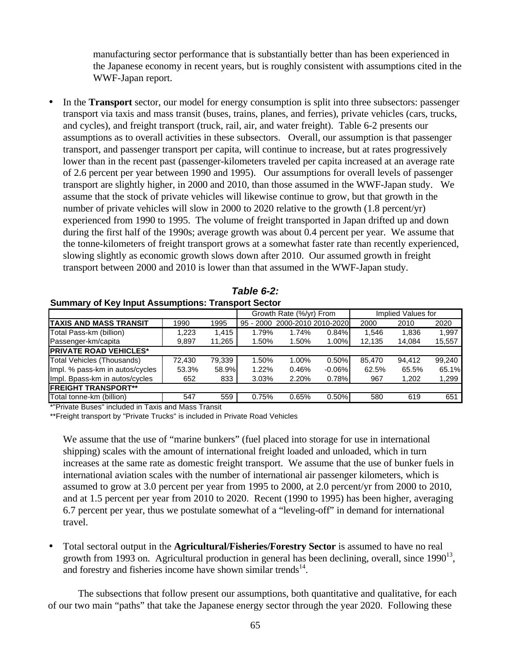manufacturing sector performance that is substantially better than has been experienced in the Japanese economy in recent years, but is roughly consistent with assumptions cited in the WWF-Japan report.

• In the **Transport** sector, our model for energy consumption is split into three subsectors: passenger transport via taxis and mass transit (buses, trains, planes, and ferries), private vehicles (cars, trucks, and cycles), and freight transport (truck, rail, air, and water freight). Table 6-2 presents our assumptions as to overall activities in these subsectors. Overall, our assumption is that passenger transport, and passenger transport per capita, will continue to increase, but at rates progressively lower than in the recent past (passenger-kilometers traveled per capita increased at an average rate of 2.6 percent per year between 1990 and 1995). Our assumptions for overall levels of passenger transport are slightly higher, in 2000 and 2010, than those assumed in the WWF-Japan study. We assume that the stock of private vehicles will likewise continue to grow, but that growth in the number of private vehicles will slow in 2000 to 2020 relative to the growth (1.8 percent/yr) experienced from 1990 to 1995. The volume of freight transported in Japan drifted up and down during the first half of the 1990s; average growth was about 0.4 percent per year. We assume that the tonne-kilometers of freight transport grows at a somewhat faster rate than recently experienced, slowing slightly as economic growth slows down after 2010. Our assumed growth in freight transport between 2000 and 2010 is lower than that assumed in the WWF-Japan study.

|                                 |        |        | Growth Rate (%/yr) From |                               |          |        | Implied Values for |        |
|---------------------------------|--------|--------|-------------------------|-------------------------------|----------|--------|--------------------|--------|
| ITAXIS AND MASS TRANSIT         | 1990   | 1995   |                         | 95 - 2000 2000-2010 2010-2020 |          | 2000   | 2010               | 2020   |
| Total Pass-km (billion)         | 1,223  | 1.415  | 1.79%                   | 1.74%                         | 0.84%    | 1.546  | 1,836              | 1,997  |
| Passenger-km/capita             | 9,897  | 11,265 | 1.50%                   | 1.50%                         | 1.00%    | 12,135 | 14,084             | 15,557 |
| <b>PRIVATE ROAD VEHICLES*</b>   |        |        |                         |                               |          |        |                    |        |
| Total Vehicles (Thousands)      | 72.430 | 79.339 | 1.50%                   | 1.00%                         | 0.50%    | 85.470 | 94.412             | 99.240 |
| Impl. % pass-km in autos/cycles | 53.3%  | 58.9%  | 1.22%                   | 0.46%                         | $-0.06%$ | 62.5%  | 65.5%              | 65.1%  |
| Impl. Bpass-km in autos/cycles  | 652    | 833    | 3.03%                   | 2.20%                         | 0.78%    | 967    | 1,202              | 1,299  |
| <b>IFREIGHT TRANSPORT**</b>     |        |        |                         |                               |          |        |                    |        |
| Total tonne-km (billion)        | 547    | 559    | 0.75%                   | 0.65%                         | 0.50%    | 580    | 619                | 651    |
|                                 |        |        |                         |                               |          |        |                    |        |

*Table 6-2:* **Summary of Key Input Assumptions: Transport Sector**

\*"Private Buses" included in Taxis and Mass Transit

\*\*Freight transport by "Private Trucks" is included in Private Road Vehicles

We assume that the use of "marine bunkers" (fuel placed into storage for use in international shipping) scales with the amount of international freight loaded and unloaded, which in turn increases at the same rate as domestic freight transport. We assume that the use of bunker fuels in international aviation scales with the number of international air passenger kilometers, which is assumed to grow at 3.0 percent per year from 1995 to 2000, at 2.0 percent/yr from 2000 to 2010, and at 1.5 percent per year from 2010 to 2020. Recent (1990 to 1995) has been higher, averaging 6.7 percent per year, thus we postulate somewhat of a "leveling-off" in demand for international travel.

• Total sectoral output in the **Agricultural/Fisheries/Forestry Sector** is assumed to have no real growth from 1993 on. Agricultural production in general has been declining, overall, since  $1990^{13}$ , and forestry and fisheries income have shown similar trends $14$ .

The subsections that follow present our assumptions, both quantitative and qualitative, for each of our two main "paths" that take the Japanese energy sector through the year 2020. Following these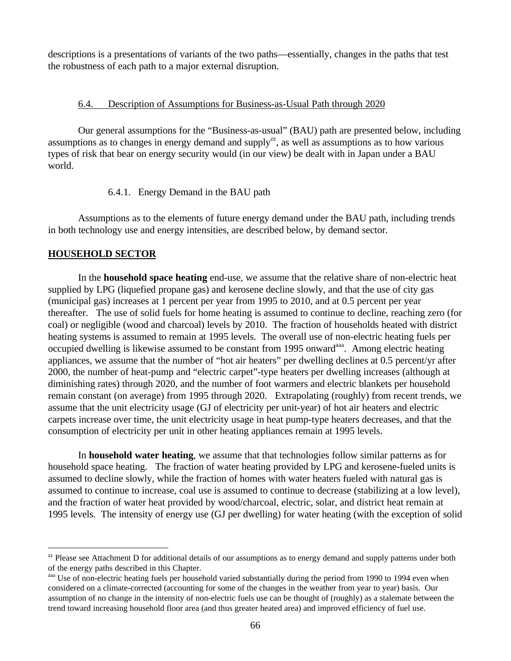descriptions is a presentations of variants of the two paths—essentially, changes in the paths that test the robustness of each path to a major external disruption.

#### 6.4. Description of Assumptions for Business-as-Usual Path through 2020

Our general assumptions for the "Business-as-usual" (BAU) path are presented below, including assumptions as to changes in energy demand and supply<sup>zz</sup>, as well as assumptions as to how various types of risk that bear on energy security would (in our view) be dealt with in Japan under a BAU world.

6.4.1. Energy Demand in the BAU path

Assumptions as to the elements of future energy demand under the BAU path, including trends in both technology use and energy intensities, are described below, by demand sector.

## **HOUSEHOLD SECTOR**

 $\overline{a}$ 

In the **household space heating** end-use, we assume that the relative share of non-electric heat supplied by LPG (liquefied propane gas) and kerosene decline slowly, and that the use of city gas (municipal gas) increases at 1 percent per year from 1995 to 2010, and at 0.5 percent per year thereafter. The use of solid fuels for home heating is assumed to continue to decline, reaching zero (for coal) or negligible (wood and charcoal) levels by 2010. The fraction of households heated with district heating systems is assumed to remain at 1995 levels. The overall use of non-electric heating fuels per occupied dwelling is likewise assumed to be constant from 1995 onward<sup>aaa</sup>. Among electric heating appliances, we assume that the number of "hot air heaters" per dwelling declines at 0.5 percent/yr after 2000, the number of heat-pump and "electric carpet"-type heaters per dwelling increases (although at diminishing rates) through 2020, and the number of foot warmers and electric blankets per household remain constant (on average) from 1995 through 2020. Extrapolating (roughly) from recent trends, we assume that the unit electricity usage (GJ of electricity per unit-year) of hot air heaters and electric carpets increase over time, the unit electricity usage in heat pump-type heaters decreases, and that the consumption of electricity per unit in other heating appliances remain at 1995 levels.

In **household water heating**, we assume that that technologies follow similar patterns as for household space heating. The fraction of water heating provided by LPG and kerosene-fueled units is assumed to decline slowly, while the fraction of homes with water heaters fueled with natural gas is assumed to continue to increase, coal use is assumed to continue to decrease (stabilizing at a low level), and the fraction of water heat provided by wood/charcoal, electric, solar, and district heat remain at 1995 levels. The intensity of energy use (GJ per dwelling) for water heating (with the exception of solid

 $z<sub>z</sub>$  Please see Attachment D for additional details of our assumptions as to energy demand and supply patterns under both of the energy paths described in this Chapter.

aaa Use of non-electric heating fuels per household varied substantially during the period from 1990 to 1994 even when considered on a climate-corrected (accounting for some of the changes in the weather from year to year) basis. Our assumption of no change in the intensity of non-electric fuels use can be thought of (roughly) as a stalemate between the trend toward increasing household floor area (and thus greater heated area) and improved efficiency of fuel use.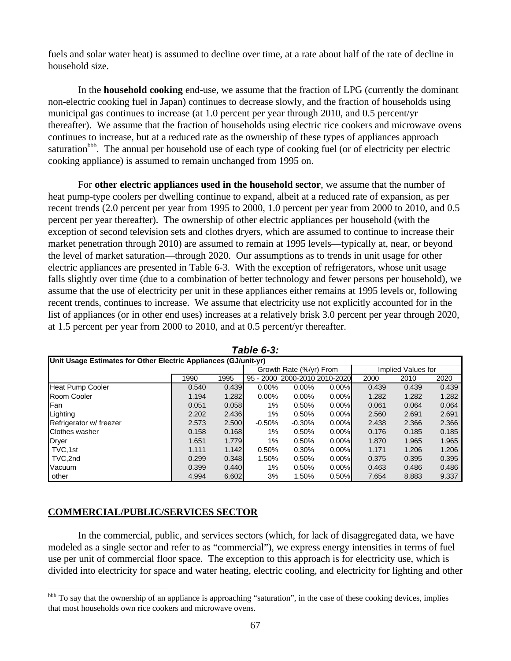fuels and solar water heat) is assumed to decline over time, at a rate about half of the rate of decline in household size.

In the **household cooking** end-use, we assume that the fraction of LPG (currently the dominant non-electric cooking fuel in Japan) continues to decrease slowly, and the fraction of households using municipal gas continues to increase (at 1.0 percent per year through 2010, and 0.5 percent/yr thereafter). We assume that the fraction of households using electric rice cookers and microwave ovens continues to increase, but at a reduced rate as the ownership of these types of appliances approach saturation<sup>bbb</sup>. The annual per household use of each type of cooking fuel (or of electricity per electric cooking appliance) is assumed to remain unchanged from 1995 on.

For **other electric appliances used in the household sector**, we assume that the number of heat pump-type coolers per dwelling continue to expand, albeit at a reduced rate of expansion, as per recent trends (2.0 percent per year from 1995 to 2000, 1.0 percent per year from 2000 to 2010, and 0.5 percent per year thereafter). The ownership of other electric appliances per household (with the exception of second television sets and clothes dryers, which are assumed to continue to increase their market penetration through 2010) are assumed to remain at 1995 levels—typically at, near, or beyond the level of market saturation—through 2020. Our assumptions as to trends in unit usage for other electric appliances are presented in Table 6-3. With the exception of refrigerators, whose unit usage falls slightly over time (due to a combination of better technology and fewer persons per household), we assume that the use of electricity per unit in these appliances either remains at 1995 levels or, following recent trends, continues to increase. We assume that electricity use not explicitly accounted for in the list of appliances (or in other end uses) increases at a relatively brisk 3.0 percent per year through 2020, at 1.5 percent per year from 2000 to 2010, and at 0.5 percent/yr thereafter.

| Unit Usage Estimates for Other Electric Appliances (GJ/unit-yr) |       |       |                         |                               |          |                    |       |       |  |
|-----------------------------------------------------------------|-------|-------|-------------------------|-------------------------------|----------|--------------------|-------|-------|--|
|                                                                 |       |       | Growth Rate (%/yr) From |                               |          | Implied Values for |       |       |  |
|                                                                 | 1990  | 1995  |                         | 95 - 2000 2000-2010 2010-2020 |          | 2000               | 2010  | 2020  |  |
| <b>Heat Pump Cooler</b>                                         | 0.540 | 0.439 | 0.00%                   | $0.00\%$                      | $0.00\%$ | 0.439              | 0.439 | 0.439 |  |
| Room Cooler                                                     | 1.194 | 1.282 | 0.00%                   | $0.00\%$                      | $0.00\%$ | 1.282              | 1.282 | 1.282 |  |
| Fan                                                             | 0.051 | 0.058 | 1%                      | 0.50%                         | $0.00\%$ | 0.061              | 0.064 | 0.064 |  |
| Lighting                                                        | 2.202 | 2.436 | 1%                      | 0.50%                         | $0.00\%$ | 2.560              | 2.691 | 2.691 |  |
| Refrigerator w/ freezer                                         | 2.573 | 2.500 | $-0.50%$                | $-0.30%$                      | $0.00\%$ | 2.438              | 2.366 | 2.366 |  |
| Clothes washer                                                  | 0.158 | 0.168 | 1%                      | 0.50%                         | $0.00\%$ | 0.176              | 0.185 | 0.185 |  |
| Dryer                                                           | 1.651 | 1.779 | 1%                      | 0.50%                         | $0.00\%$ | 1.870              | 1.965 | 1.965 |  |
| TVC.1st                                                         | 1.111 | 1.142 | 0.50%                   | 0.30%                         | $0.00\%$ | 1.171              | 1.206 | 1.206 |  |
| TVC.2nd                                                         | 0.299 | 0.348 | 1.50%                   | 0.50%                         | $0.00\%$ | 0.375              | 0.395 | 0.395 |  |
| Vacuum                                                          | 0.399 | 0.440 | 1%                      | 0.50%                         | $0.00\%$ | 0.463              | 0.486 | 0.486 |  |
| other                                                           | 4.994 | 6.602 | 3%                      | 1.50%                         | 0.50%    | 7.654              | 8.883 | 9.337 |  |

*Table 6-3:*

## **COMMERCIAL/PUBLIC/SERVICES SECTOR**

 $\overline{a}$ 

In the commercial, public, and services sectors (which, for lack of disaggregated data, we have modeled as a single sector and refer to as "commercial"), we express energy intensities in terms of fuel use per unit of commercial floor space. The exception to this approach is for electricity use, which is divided into electricity for space and water heating, electric cooling, and electricity for lighting and other

<sup>&</sup>lt;sup>bbb</sup> To say that the ownership of an appliance is approaching "saturation", in the case of these cooking devices, implies that most households own rice cookers and microwave ovens.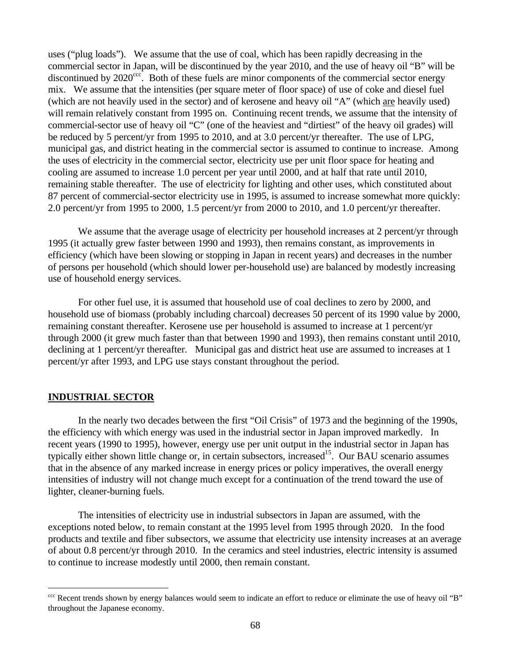uses ("plug loads"). We assume that the use of coal, which has been rapidly decreasing in the commercial sector in Japan, will be discontinued by the year 2010, and the use of heavy oil "B" will be discontinued by  $2020^{\text{ccc}}$ . Both of these fuels are minor components of the commercial sector energy mix. We assume that the intensities (per square meter of floor space) of use of coke and diesel fuel (which are not heavily used in the sector) and of kerosene and heavy oil "A" (which are heavily used) will remain relatively constant from 1995 on. Continuing recent trends, we assume that the intensity of commercial-sector use of heavy oil "C" (one of the heaviest and "dirtiest" of the heavy oil grades) will be reduced by 5 percent/yr from 1995 to 2010, and at 3.0 percent/yr thereafter. The use of LPG, municipal gas, and district heating in the commercial sector is assumed to continue to increase. Among the uses of electricity in the commercial sector, electricity use per unit floor space for heating and cooling are assumed to increase 1.0 percent per year until 2000, and at half that rate until 2010, remaining stable thereafter. The use of electricity for lighting and other uses, which constituted about 87 percent of commercial-sector electricity use in 1995, is assumed to increase somewhat more quickly: 2.0 percent/yr from 1995 to 2000, 1.5 percent/yr from 2000 to 2010, and 1.0 percent/yr thereafter.

We assume that the average usage of electricity per household increases at 2 percent/yr through 1995 (it actually grew faster between 1990 and 1993), then remains constant, as improvements in efficiency (which have been slowing or stopping in Japan in recent years) and decreases in the number of persons per household (which should lower per-household use) are balanced by modestly increasing use of household energy services.

For other fuel use, it is assumed that household use of coal declines to zero by 2000, and household use of biomass (probably including charcoal) decreases 50 percent of its 1990 value by 2000, remaining constant thereafter. Kerosene use per household is assumed to increase at 1 percent/yr through 2000 (it grew much faster than that between 1990 and 1993), then remains constant until 2010, declining at 1 percent/yr thereafter. Municipal gas and district heat use are assumed to increases at 1 percent/yr after 1993, and LPG use stays constant throughout the period.

#### **INDUSTRIAL SECTOR**

 $\overline{a}$ 

In the nearly two decades between the first "Oil Crisis" of 1973 and the beginning of the 1990s, the efficiency with which energy was used in the industrial sector in Japan improved markedly. In recent years (1990 to 1995), however, energy use per unit output in the industrial sector in Japan has typically either shown little change or, in certain subsectors, increased<sup>15</sup>. Our BAU scenario assumes that in the absence of any marked increase in energy prices or policy imperatives, the overall energy intensities of industry will not change much except for a continuation of the trend toward the use of lighter, cleaner-burning fuels.

The intensities of electricity use in industrial subsectors in Japan are assumed, with the exceptions noted below, to remain constant at the 1995 level from 1995 through 2020. In the food products and textile and fiber subsectors, we assume that electricity use intensity increases at an average of about 0.8 percent/yr through 2010. In the ceramics and steel industries, electric intensity is assumed to continue to increase modestly until 2000, then remain constant.

<sup>&</sup>lt;sup>ccc</sup> Recent trends shown by energy balances would seem to indicate an effort to reduce or eliminate the use of heavy oil "B" throughout the Japanese economy.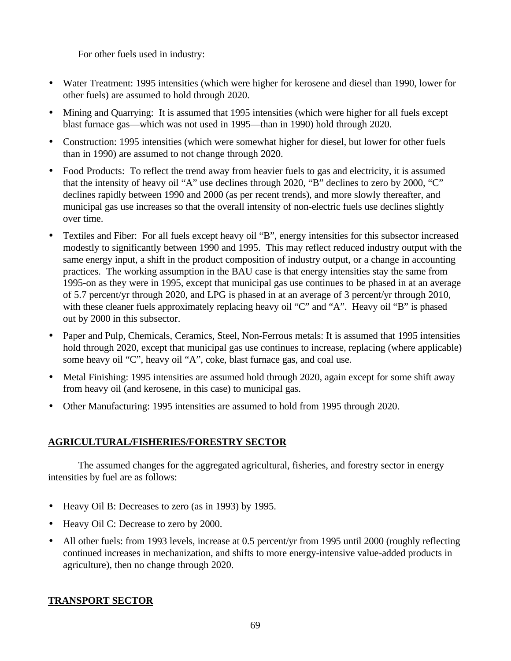For other fuels used in industry:

- Water Treatment: 1995 intensities (which were higher for kerosene and diesel than 1990, lower for other fuels) are assumed to hold through 2020.
- Mining and Quarrying: It is assumed that 1995 intensities (which were higher for all fuels except blast furnace gas—which was not used in 1995—than in 1990) hold through 2020.
- Construction: 1995 intensities (which were somewhat higher for diesel, but lower for other fuels than in 1990) are assumed to not change through 2020.
- Food Products: To reflect the trend away from heavier fuels to gas and electricity, it is assumed that the intensity of heavy oil "A" use declines through 2020, "B" declines to zero by 2000, "C" declines rapidly between 1990 and 2000 (as per recent trends), and more slowly thereafter, and municipal gas use increases so that the overall intensity of non-electric fuels use declines slightly over time.
- Textiles and Fiber: For all fuels except heavy oil "B", energy intensities for this subsector increased modestly to significantly between 1990 and 1995. This may reflect reduced industry output with the same energy input, a shift in the product composition of industry output, or a change in accounting practices. The working assumption in the BAU case is that energy intensities stay the same from 1995-on as they were in 1995, except that municipal gas use continues to be phased in at an average of 5.7 percent/yr through 2020, and LPG is phased in at an average of 3 percent/yr through 2010, with these cleaner fuels approximately replacing heavy oil "C" and "A". Heavy oil "B" is phased out by 2000 in this subsector.
- Paper and Pulp, Chemicals, Ceramics, Steel, Non-Ferrous metals: It is assumed that 1995 intensities hold through 2020, except that municipal gas use continues to increase, replacing (where applicable) some heavy oil "C", heavy oil "A", coke, blast furnace gas, and coal use.
- Metal Finishing: 1995 intensities are assumed hold through 2020, again except for some shift away from heavy oil (and kerosene, in this case) to municipal gas.
- Other Manufacturing: 1995 intensities are assumed to hold from 1995 through 2020.

# **AGRICULTURAL/FISHERIES/FORESTRY SECTOR**

The assumed changes for the aggregated agricultural, fisheries, and forestry sector in energy intensities by fuel are as follows:

- Heavy Oil B: Decreases to zero (as in 1993) by 1995.
- Heavy Oil C: Decrease to zero by 2000.
- All other fuels: from 1993 levels, increase at 0.5 percent/yr from 1995 until 2000 (roughly reflecting continued increases in mechanization, and shifts to more energy-intensive value-added products in agriculture), then no change through 2020.

# **TRANSPORT SECTOR**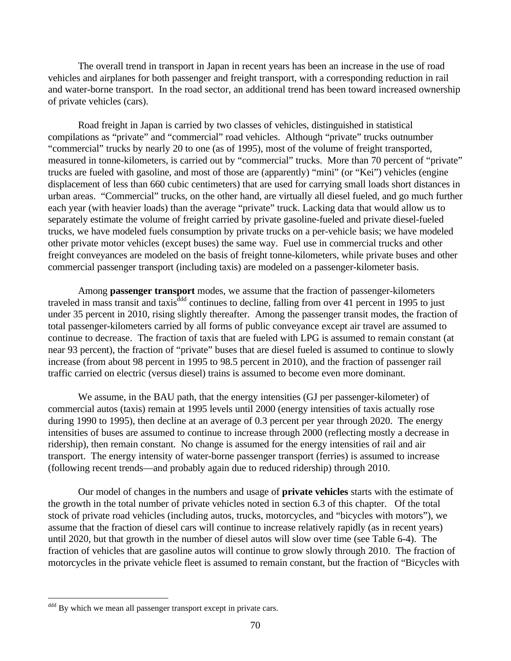The overall trend in transport in Japan in recent years has been an increase in the use of road vehicles and airplanes for both passenger and freight transport, with a corresponding reduction in rail and water-borne transport. In the road sector, an additional trend has been toward increased ownership of private vehicles (cars).

Road freight in Japan is carried by two classes of vehicles, distinguished in statistical compilations as "private" and "commercial" road vehicles. Although "private" trucks outnumber "commercial" trucks by nearly 20 to one (as of 1995), most of the volume of freight transported, measured in tonne-kilometers, is carried out by "commercial" trucks. More than 70 percent of "private" trucks are fueled with gasoline, and most of those are (apparently) "mini" (or "Kei") vehicles (engine displacement of less than 660 cubic centimeters) that are used for carrying small loads short distances in urban areas. "Commercial" trucks, on the other hand, are virtually all diesel fueled, and go much further each year (with heavier loads) than the average "private" truck. Lacking data that would allow us to separately estimate the volume of freight carried by private gasoline-fueled and private diesel-fueled trucks, we have modeled fuels consumption by private trucks on a per-vehicle basis; we have modeled other private motor vehicles (except buses) the same way. Fuel use in commercial trucks and other freight conveyances are modeled on the basis of freight tonne-kilometers, while private buses and other commercial passenger transport (including taxis) are modeled on a passenger-kilometer basis.

Among **passenger transport** modes, we assume that the fraction of passenger-kilometers traveled in mass transit and taxis<sup>ddd</sup> continues to decline, falling from over 41 percent in 1995 to just under 35 percent in 2010, rising slightly thereafter. Among the passenger transit modes, the fraction of total passenger-kilometers carried by all forms of public conveyance except air travel are assumed to continue to decrease. The fraction of taxis that are fueled with LPG is assumed to remain constant (at near 93 percent), the fraction of "private" buses that are diesel fueled is assumed to continue to slowly increase (from about 98 percent in 1995 to 98.5 percent in 2010), and the fraction of passenger rail traffic carried on electric (versus diesel) trains is assumed to become even more dominant.

We assume, in the BAU path, that the energy intensities (GJ per passenger-kilometer) of commercial autos (taxis) remain at 1995 levels until 2000 (energy intensities of taxis actually rose during 1990 to 1995), then decline at an average of 0.3 percent per year through 2020. The energy intensities of buses are assumed to continue to increase through 2000 (reflecting mostly a decrease in ridership), then remain constant. No change is assumed for the energy intensities of rail and air transport. The energy intensity of water-borne passenger transport (ferries) is assumed to increase (following recent trends—and probably again due to reduced ridership) through 2010.

Our model of changes in the numbers and usage of **private vehicles** starts with the estimate of the growth in the total number of private vehicles noted in section 6.3 of this chapter. Of the total stock of private road vehicles (including autos, trucks, motorcycles, and "bicycles with motors"), we assume that the fraction of diesel cars will continue to increase relatively rapidly (as in recent years) until 2020, but that growth in the number of diesel autos will slow over time (see Table 6-4). The fraction of vehicles that are gasoline autos will continue to grow slowly through 2010. The fraction of motorcycles in the private vehicle fleet is assumed to remain constant, but the fraction of "Bicycles with

ddd By which we mean all passenger transport except in private cars.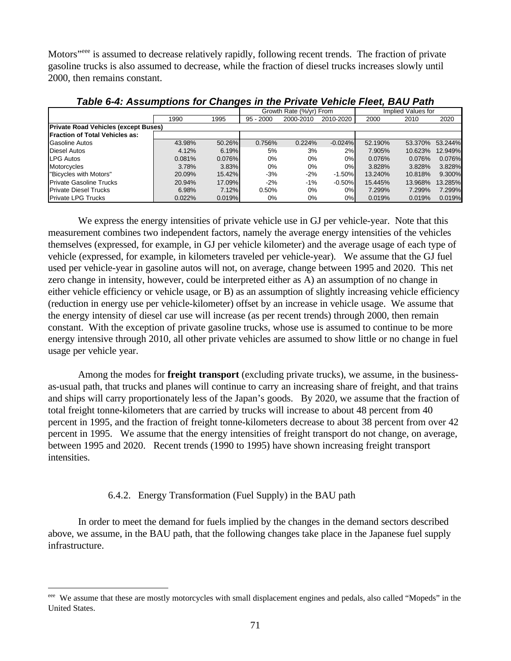Motors<sup>"eee</sup> is assumed to decrease relatively rapidly, following recent trends. The fraction of private gasoline trucks is also assumed to decrease, while the fraction of diesel trucks increases slowly until 2000, then remains constant.

|                                             |        |        | Growth Rate (%/vr) From |           |           |         | Implied Values for |         |
|---------------------------------------------|--------|--------|-------------------------|-----------|-----------|---------|--------------------|---------|
|                                             | 1990   | 1995   | $95 - 2000$             | 2000-2010 | 2010-2020 | 2000    | 2010               | 2020    |
| <b>Private Road Vehicles (except Buses)</b> |        |        |                         |           |           |         |                    |         |
| <b>Fraction of Total Vehicles as:</b>       |        |        |                         |           |           |         |                    |         |
| Gasoline Autos                              | 43.98% | 50.26% | 0.756%                  | 0.224%    | $-0.024%$ | 52.190% | 53.370%            | 53.244% |
| <b>Diesel Autos</b>                         | 4.12%  | 6.19%  | 5%                      | 3%        | 2%        | 7.905%  | 10.623%            | 12.949% |
| LPG Autos                                   | 0.081% | 0.076% | $0\%$                   | $0\%$     | 0%        | 0.076%  | 0.076%             | 0.076%  |
| <b>Motorcycles</b>                          | 3.78%  | 3.83%  | $0\%$                   | $0\%$     | 0%        | 3.828%  | 3.828%             | 3.828%  |
| "Bicycles with Motors"                      | 20.09% | 15.42% | -3%                     | $-2%$     | $-1.50%$  | 13.240% | 10.818%            | 9.300%  |
| <b>Private Gasoline Trucks</b>              | 20.94% | 17.09% | $-2\%$                  | $-1%$     | $-0.50%$  | 15.445% | 13.968%            | 13.285% |
| <b>Private Diesel Trucks</b>                | 6.98%  | 7.12%  | 0.50%                   | 0%        | 0%        | 7.299%  | 7.299%             | 7.299%  |
| <b>Private LPG Trucks</b>                   | 0.022% | 0.019% | 0%                      | 0%        | 0%        | 0.019%  | 0.019%             | 0.019%  |

*Table 6-4: Assumptions for Changes in the Private Vehicle Fleet, BAU Path*

We express the energy intensities of private vehicle use in GJ per vehicle-year. Note that this measurement combines two independent factors, namely the average energy intensities of the vehicles themselves (expressed, for example, in GJ per vehicle kilometer) and the average usage of each type of vehicle (expressed, for example, in kilometers traveled per vehicle-year). We assume that the GJ fuel used per vehicle-year in gasoline autos will not, on average, change between 1995 and 2020. This net zero change in intensity, however, could be interpreted either as A) an assumption of no change in either vehicle efficiency or vehicle usage, or B) as an assumption of slightly increasing vehicle efficiency (reduction in energy use per vehicle-kilometer) offset by an increase in vehicle usage. We assume that the energy intensity of diesel car use will increase (as per recent trends) through 2000, then remain constant. With the exception of private gasoline trucks, whose use is assumed to continue to be more energy intensive through 2010, all other private vehicles are assumed to show little or no change in fuel usage per vehicle year.

Among the modes for **freight transport** (excluding private trucks), we assume, in the businessas-usual path, that trucks and planes will continue to carry an increasing share of freight, and that trains and ships will carry proportionately less of the Japan's goods. By 2020, we assume that the fraction of total freight tonne-kilometers that are carried by trucks will increase to about 48 percent from 40 percent in 1995, and the fraction of freight tonne-kilometers decrease to about 38 percent from over 42 percent in 1995. We assume that the energy intensities of freight transport do not change, on average, between 1995 and 2020. Recent trends (1990 to 1995) have shown increasing freight transport intensities.

#### 6.4.2. Energy Transformation (Fuel Supply) in the BAU path

 $\overline{a}$ 

In order to meet the demand for fuels implied by the changes in the demand sectors described above, we assume, in the BAU path, that the following changes take place in the Japanese fuel supply infrastructure.

eee We assume that these are mostly motorcycles with small displacement engines and pedals, also called "Mopeds" in the United States.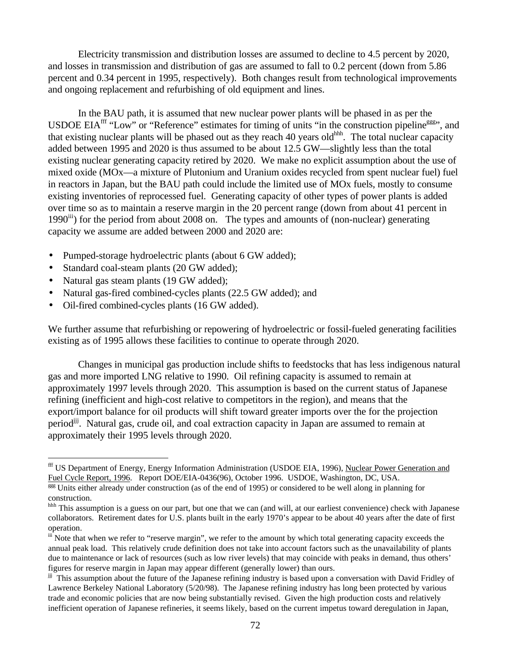Electricity transmission and distribution losses are assumed to decline to 4.5 percent by 2020, and losses in transmission and distribution of gas are assumed to fall to 0.2 percent (down from 5.86 percent and 0.34 percent in 1995, respectively). Both changes result from technological improvements and ongoing replacement and refurbishing of old equipment and lines.

In the BAU path, it is assumed that new nuclear power plants will be phased in as per the USDOE EIA<sup>fff</sup> "Low" or "Reference" estimates for timing of units "in the construction pipeline<sup>ggg</sup>", and that existing nuclear plants will be phased out as they reach 40 years old<sup>hhh</sup>. The total nuclear capacity added between 1995 and 2020 is thus assumed to be about 12.5 GW—slightly less than the total existing nuclear generating capacity retired by 2020. We make no explicit assumption about the use of mixed oxide (MOx—a mixture of Plutonium and Uranium oxides recycled from spent nuclear fuel) fuel in reactors in Japan, but the BAU path could include the limited use of MOx fuels, mostly to consume existing inventories of reprocessed fuel. Generating capacity of other types of power plants is added over time so as to maintain a reserve margin in the 20 percent range (down from about 41 percent in 1990<sup>iii</sup>) for the period from about 2008 on. The types and amounts of (non-nuclear) generating capacity we assume are added between 2000 and 2020 are:

- Pumped-storage hydroelectric plants (about 6 GW added);
- Standard coal-steam plants (20 GW added);
- Natural gas steam plants (19 GW added);

 $\overline{a}$ 

- Natural gas-fired combined-cycles plants (22.5 GW added); and
- Oil-fired combined-cycles plants (16 GW added).

We further assume that refurbishing or repowering of hydroelectric or fossil-fueled generating facilities existing as of 1995 allows these facilities to continue to operate through 2020.

Changes in municipal gas production include shifts to feedstocks that has less indigenous natural gas and more imported LNG relative to 1990. Oil refining capacity is assumed to remain at approximately 1997 levels through 2020. This assumption is based on the current status of Japanese refining (inefficient and high-cost relative to competitors in the region), and means that the export/import balance for oil products will shift toward greater imports over the for the projection period<sup>ijj</sup>. Natural gas, crude oil, and coal extraction capacity in Japan are assumed to remain at approximately their 1995 levels through 2020.

fff US Department of Energy, Energy Information Administration (USDOE EIA, 1996), Nuclear Power Generation and Fuel Cycle Report, 1996. Report DOE/EIA-0436(96), October 1996. USDOE, Washington, DC, USA.

ggg Units either already under construction (as of the end of 1995) or considered to be well along in planning for construction.

hhh This assumption is a guess on our part, but one that we can (and will, at our earliest convenience) check with Japanese collaborators. Retirement dates for U.S. plants built in the early 1970's appear to be about 40 years after the date of first operation.

iii Note that when we refer to "reserve margin", we refer to the amount by which total generating capacity exceeds the annual peak load. This relatively crude definition does not take into account factors such as the unavailability of plants due to maintenance or lack of resources (such as low river levels) that may coincide with peaks in demand, thus others' figures for reserve margin in Japan may appear different (generally lower) than ours.

jji This assumption about the future of the Japanese refining industry is based upon a conversation with David Fridley of Lawrence Berkeley National Laboratory (5/20/98). The Japanese refining industry has long been protected by various trade and economic policies that are now being substantially revised. Given the high production costs and relatively inefficient operation of Japanese refineries, it seems likely, based on the current impetus toward deregulation in Japan,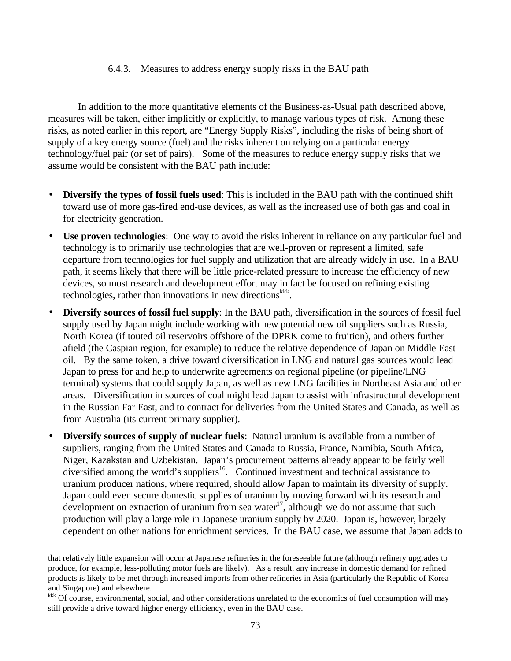#### 6.4.3. Measures to address energy supply risks in the BAU path

In addition to the more quantitative elements of the Business-as-Usual path described above, measures will be taken, either implicitly or explicitly, to manage various types of risk. Among these risks, as noted earlier in this report, are "Energy Supply Risks", including the risks of being short of supply of a key energy source (fuel) and the risks inherent on relying on a particular energy technology/fuel pair (or set of pairs). Some of the measures to reduce energy supply risks that we assume would be consistent with the BAU path include:

- **Diversify the types of fossil fuels used**: This is included in the BAU path with the continued shift toward use of more gas-fired end-use devices, as well as the increased use of both gas and coal in for electricity generation.
- **Use proven technologies**: One way to avoid the risks inherent in reliance on any particular fuel and technology is to primarily use technologies that are well-proven or represent a limited, safe departure from technologies for fuel supply and utilization that are already widely in use. In a BAU path, it seems likely that there will be little price-related pressure to increase the efficiency of new devices, so most research and development effort may in fact be focused on refining existing technologies, rather than innovations in new directions <sup>kkk</sup>.
- **Diversify sources of fossil fuel supply**: In the BAU path, diversification in the sources of fossil fuel supply used by Japan might include working with new potential new oil suppliers such as Russia, North Korea (if touted oil reservoirs offshore of the DPRK come to fruition), and others further afield (the Caspian region, for example) to reduce the relative dependence of Japan on Middle East oil. By the same token, a drive toward diversification in LNG and natural gas sources would lead Japan to press for and help to underwrite agreements on regional pipeline (or pipeline/LNG terminal) systems that could supply Japan, as well as new LNG facilities in Northeast Asia and other areas. Diversification in sources of coal might lead Japan to assist with infrastructural development in the Russian Far East, and to contract for deliveries from the United States and Canada, as well as from Australia (its current primary supplier).
- **Diversify sources of supply of nuclear fuels**: Natural uranium is available from a number of suppliers, ranging from the United States and Canada to Russia, France, Namibia, South Africa, Niger, Kazakstan and Uzbekistan. Japan's procurement patterns already appear to be fairly well diversified among the world's suppliers<sup>16</sup>. Continued investment and technical assistance to uranium producer nations, where required, should allow Japan to maintain its diversity of supply. Japan could even secure domestic supplies of uranium by moving forward with its research and development on extraction of uranium from sea water<sup>17</sup>, although we do not assume that such production will play a large role in Japanese uranium supply by 2020. Japan is, however, largely dependent on other nations for enrichment services. In the BAU case, we assume that Japan adds to

 $\overline{a}$ 

<sup>kkk</sup> Of course, environmental, social, and other considerations unrelated to the economics of fuel consumption will may still provide a drive toward higher energy efficiency, even in the BAU case.

that relatively little expansion will occur at Japanese refineries in the foreseeable future (although refinery upgrades to produce, for example, less-polluting motor fuels are likely). As a result, any increase in domestic demand for refined products is likely to be met through increased imports from other refineries in Asia (particularly the Republic of Korea and Singapore) and elsewhere.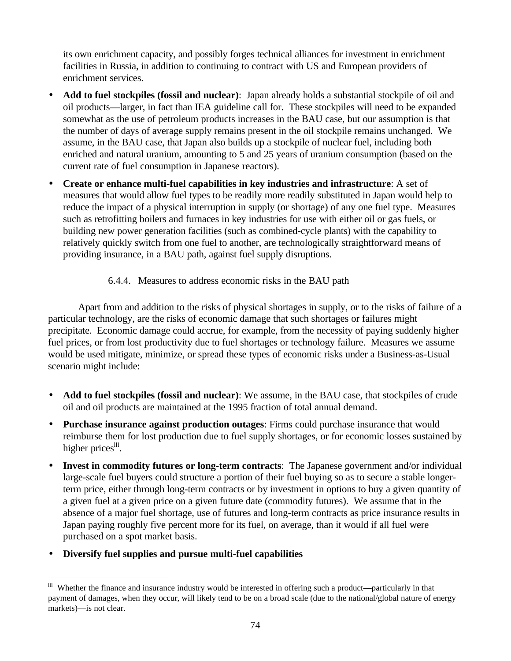its own enrichment capacity, and possibly forges technical alliances for investment in enrichment facilities in Russia, in addition to continuing to contract with US and European providers of enrichment services.

- **Add to fuel stockpiles (fossil and nuclear)**: Japan already holds a substantial stockpile of oil and oil products—larger, in fact than IEA guideline call for. These stockpiles will need to be expanded somewhat as the use of petroleum products increases in the BAU case, but our assumption is that the number of days of average supply remains present in the oil stockpile remains unchanged. We assume, in the BAU case, that Japan also builds up a stockpile of nuclear fuel, including both enriched and natural uranium, amounting to 5 and 25 years of uranium consumption (based on the current rate of fuel consumption in Japanese reactors).
- **Create or enhance multi-fuel capabilities in key industries and infrastructure**: A set of measures that would allow fuel types to be readily more readily substituted in Japan would help to reduce the impact of a physical interruption in supply (or shortage) of any one fuel type. Measures such as retrofitting boilers and furnaces in key industries for use with either oil or gas fuels, or building new power generation facilities (such as combined-cycle plants) with the capability to relatively quickly switch from one fuel to another, are technologically straightforward means of providing insurance, in a BAU path, against fuel supply disruptions.

# 6.4.4. Measures to address economic risks in the BAU path

Apart from and addition to the risks of physical shortages in supply, or to the risks of failure of a particular technology, are the risks of economic damage that such shortages or failures might precipitate. Economic damage could accrue, for example, from the necessity of paying suddenly higher fuel prices, or from lost productivity due to fuel shortages or technology failure. Measures we assume would be used mitigate, minimize, or spread these types of economic risks under a Business-as-Usual scenario might include:

- **Add to fuel stockpiles (fossil and nuclear)**: We assume, in the BAU case, that stockpiles of crude oil and oil products are maintained at the 1995 fraction of total annual demand.
- **Purchase insurance against production outages**: Firms could purchase insurance that would reimburse them for lost production due to fuel supply shortages, or for economic losses sustained by higher prices<sup>III</sup>.
- **Invest in commodity futures or long-term contracts**: The Japanese government and/or individual large-scale fuel buyers could structure a portion of their fuel buying so as to secure a stable longerterm price, either through long-term contracts or by investment in options to buy a given quantity of a given fuel at a given price on a given future date (commodity futures). We assume that in the absence of a major fuel shortage, use of futures and long-term contracts as price insurance results in Japan paying roughly five percent more for its fuel, on average, than it would if all fuel were purchased on a spot market basis.
- **Diversify fuel supplies and pursue multi-fuel capabilities**

 $\overline{a}$ <sup>Ill</sup> Whether the finance and insurance industry would be interested in offering such a product—particularly in that payment of damages, when they occur, will likely tend to be on a broad scale (due to the national/global nature of energy markets)—is not clear.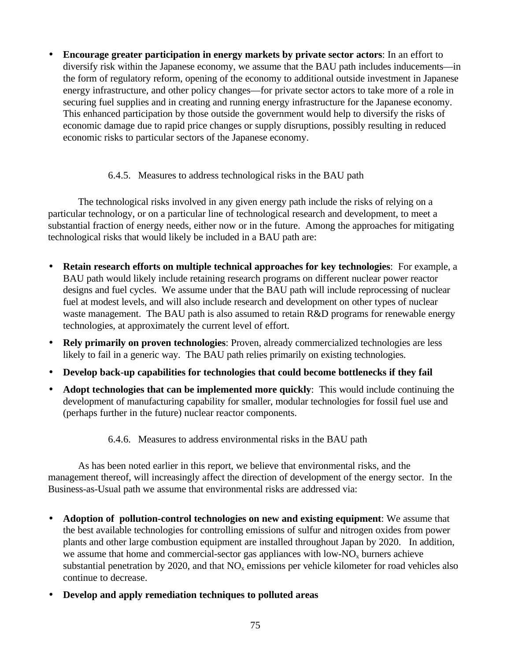• **Encourage greater participation in energy markets by private sector actors**: In an effort to diversify risk within the Japanese economy, we assume that the BAU path includes inducements—in the form of regulatory reform, opening of the economy to additional outside investment in Japanese energy infrastructure, and other policy changes—for private sector actors to take more of a role in securing fuel supplies and in creating and running energy infrastructure for the Japanese economy. This enhanced participation by those outside the government would help to diversify the risks of economic damage due to rapid price changes or supply disruptions, possibly resulting in reduced economic risks to particular sectors of the Japanese economy.

# 6.4.5. Measures to address technological risks in the BAU path

The technological risks involved in any given energy path include the risks of relying on a particular technology, or on a particular line of technological research and development, to meet a substantial fraction of energy needs, either now or in the future. Among the approaches for mitigating technological risks that would likely be included in a BAU path are:

- **Retain research efforts on multiple technical approaches for key technologies**: For example, a BAU path would likely include retaining research programs on different nuclear power reactor designs and fuel cycles. We assume under that the BAU path will include reprocessing of nuclear fuel at modest levels, and will also include research and development on other types of nuclear waste management. The BAU path is also assumed to retain R&D programs for renewable energy technologies, at approximately the current level of effort.
- **Rely primarily on proven technologies**: Proven, already commercialized technologies are less likely to fail in a generic way. The BAU path relies primarily on existing technologies.
- **Develop back-up capabilities for technologies that could become bottlenecks if they fail**
- **Adopt technologies that can be implemented more quickly**: This would include continuing the development of manufacturing capability for smaller, modular technologies for fossil fuel use and (perhaps further in the future) nuclear reactor components.

# 6.4.6. Measures to address environmental risks in the BAU path

As has been noted earlier in this report, we believe that environmental risks, and the management thereof, will increasingly affect the direction of development of the energy sector. In the Business-as-Usual path we assume that environmental risks are addressed via:

- **Adoption of pollution-control technologies on new and existing equipment**: We assume that the best available technologies for controlling emissions of sulfur and nitrogen oxides from power plants and other large combustion equipment are installed throughout Japan by 2020. In addition, we assume that home and commercial-sector gas appliances with low- $NO<sub>x</sub>$  burners achieve substantial penetration by 2020, and that  $NO<sub>x</sub>$  emissions per vehicle kilometer for road vehicles also continue to decrease.
- **Develop and apply remediation techniques to polluted areas**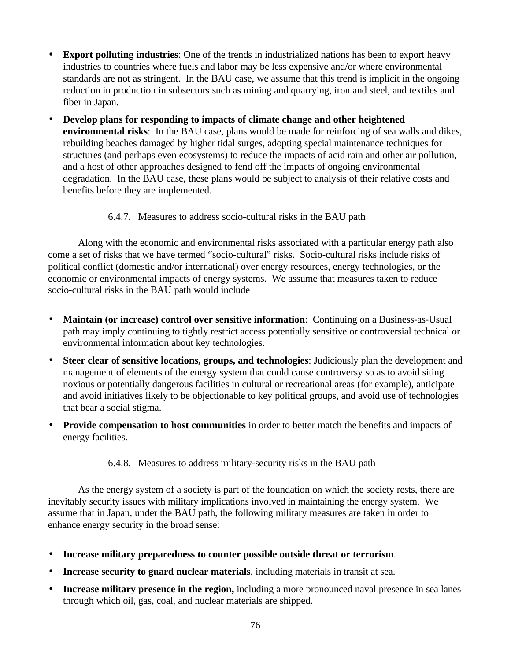- **Export polluting industries**: One of the trends in industrialized nations has been to export heavy industries to countries where fuels and labor may be less expensive and/or where environmental standards are not as stringent. In the BAU case, we assume that this trend is implicit in the ongoing reduction in production in subsectors such as mining and quarrying, iron and steel, and textiles and fiber in Japan.
- **Develop plans for responding to impacts of climate change and other heightened environmental risks**: In the BAU case, plans would be made for reinforcing of sea walls and dikes, rebuilding beaches damaged by higher tidal surges, adopting special maintenance techniques for structures (and perhaps even ecosystems) to reduce the impacts of acid rain and other air pollution, and a host of other approaches designed to fend off the impacts of ongoing environmental degradation. In the BAU case, these plans would be subject to analysis of their relative costs and benefits before they are implemented.

# 6.4.7. Measures to address socio-cultural risks in the BAU path

Along with the economic and environmental risks associated with a particular energy path also come a set of risks that we have termed "socio-cultural" risks. Socio-cultural risks include risks of political conflict (domestic and/or international) over energy resources, energy technologies, or the economic or environmental impacts of energy systems. We assume that measures taken to reduce socio-cultural risks in the BAU path would include

- **Maintain (or increase) control over sensitive information**: Continuing on a Business-as-Usual path may imply continuing to tightly restrict access potentially sensitive or controversial technical or environmental information about key technologies.
- **Steer clear of sensitive locations, groups, and technologies**: Judiciously plan the development and management of elements of the energy system that could cause controversy so as to avoid siting noxious or potentially dangerous facilities in cultural or recreational areas (for example), anticipate and avoid initiatives likely to be objectionable to key political groups, and avoid use of technologies that bear a social stigma.
- **Provide compensation to host communities** in order to better match the benefits and impacts of energy facilities.
	- 6.4.8. Measures to address military-security risks in the BAU path

As the energy system of a society is part of the foundation on which the society rests, there are inevitably security issues with military implications involved in maintaining the energy system. We assume that in Japan, under the BAU path, the following military measures are taken in order to enhance energy security in the broad sense:

- **Increase military preparedness to counter possible outside threat or terrorism**.
- **Increase security to guard nuclear materials**, including materials in transit at sea.
- **Increase military presence in the region,** including a more pronounced naval presence in sea lanes through which oil, gas, coal, and nuclear materials are shipped.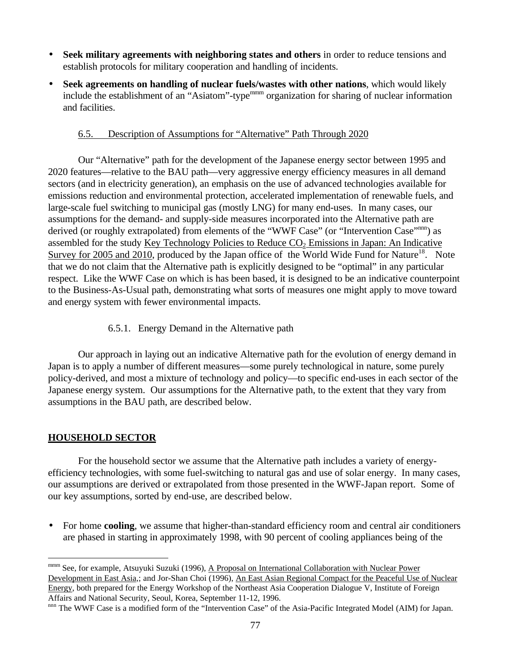- **Seek military agreements with neighboring states and others** in order to reduce tensions and establish protocols for military cooperation and handling of incidents.
- **Seek agreements on handling of nuclear fuels/wastes with other nations**, which would likely include the establishment of an "Asiatom"-type<sup>mmm</sup> organization for sharing of nuclear information and facilities.

### 6.5. Description of Assumptions for "Alternative" Path Through 2020

Our "Alternative" path for the development of the Japanese energy sector between 1995 and 2020 features—relative to the BAU path—very aggressive energy efficiency measures in all demand sectors (and in electricity generation), an emphasis on the use of advanced technologies available for emissions reduction and environmental protection, accelerated implementation of renewable fuels, and large-scale fuel switching to municipal gas (mostly LNG) for many end-uses. In many cases, our assumptions for the demand- and supply-side measures incorporated into the Alternative path are derived (or roughly extrapolated) from elements of the "WWF Case" (or "Intervention Case"<sup>nnn</sup>) as assembled for the study Key Technology Policies to Reduce  $CO<sub>2</sub>$  Emissions in Japan: An Indicative Survey for 2005 and 2010, produced by the Japan office of the World Wide Fund for Nature<sup>18</sup>. Note that we do not claim that the Alternative path is explicitly designed to be "optimal" in any particular respect. Like the WWF Case on which is has been based, it is designed to be an indicative counterpoint to the Business-As-Usual path, demonstrating what sorts of measures one might apply to move toward and energy system with fewer environmental impacts.

### 6.5.1. Energy Demand in the Alternative path

Our approach in laying out an indicative Alternative path for the evolution of energy demand in Japan is to apply a number of different measures—some purely technological in nature, some purely policy-derived, and most a mixture of technology and policy—to specific end-uses in each sector of the Japanese energy system. Our assumptions for the Alternative path, to the extent that they vary from assumptions in the BAU path, are described below.

# **HOUSEHOLD SECTOR**

For the household sector we assume that the Alternative path includes a variety of energyefficiency technologies, with some fuel-switching to natural gas and use of solar energy. In many cases, our assumptions are derived or extrapolated from those presented in the WWF-Japan report. Some of our key assumptions, sorted by end-use, are described below.

• For home **cooling**, we assume that higher-than-standard efficiency room and central air conditioners are phased in starting in approximately 1998, with 90 percent of cooling appliances being of the

 $\overline{a}$ mmm See, for example, Atsuyuki Suzuki (1996), A Proposal on International Collaboration with Nuclear Power Development in East Asia,; and Jor-Shan Choi (1996), An East Asian Regional Compact for the Peaceful Use of Nuclear Energy, both prepared for the Energy Workshop of the Northeast Asia Cooperation Dialogue V, Institute of Foreign Affairs and National Security, Seoul, Korea, September 11-12, 1996.

nnn The WWF Case is a modified form of the "Intervention Case" of the Asia-Pacific Integrated Model (AIM) for Japan.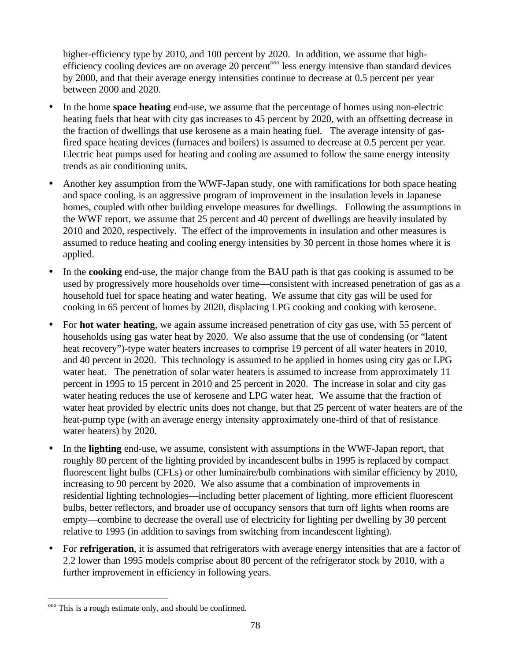higher-efficiency type by 2010, and 100 percent by 2020. In addition, we assume that highefficiency cooling devices are on average 20 percent<sup>ooo</sup> less energy intensive than standard devices by 2000, and that their average energy intensities continue to decrease at 0.5 percent per year between 2000 and 2020.

- In the home **space heating** end-use, we assume that the percentage of homes using non-electric heating fuels that heat with city gas increases to 45 percent by 2020, with an offsetting decrease in the fraction of dwellings that use kerosene as a main heating fuel. The average intensity of gasfired space heating devices (furnaces and boilers) is assumed to decrease at 0.5 percent per year. Electric heat pumps used for heating and cooling are assumed to follow the same energy intensity trends as air conditioning units.
- Another key assumption from the WWF-Japan study, one with ramifications for both space heating and space cooling, is an aggressive program of improvement in the insulation levels in Japanese homes, coupled with other building envelope measures for dwellings. Following the assumptions in the WWF report, we assume that 25 percent and 40 percent of dwellings are heavily insulated by 2010 and 2020, respectively. The effect of the improvements in insulation and other measures is assumed to reduce heating and cooling energy intensities by 30 percent in those homes where it is applied.
- In the **cooking** end-use, the major change from the BAU path is that gas cooking is assumed to be used by progressively more households over time—consistent with increased penetration of gas as a household fuel for space heating and water heating. We assume that city gas will be used for cooking in 65 percent of homes by 2020, displacing LPG cooking and cooking with kerosene.
- For **hot water heating**, we again assume increased penetration of city gas use, with 55 percent of households using gas water heat by 2020. We also assume that the use of condensing (or "latent heat recovery")-type water heaters increases to comprise 19 percent of all water heaters in 2010, and 40 percent in 2020. This technology is assumed to be applied in homes using city gas or LPG water heat. The penetration of solar water heaters is assumed to increase from approximately 11 percent in 1995 to 15 percent in 2010 and 25 percent in 2020. The increase in solar and city gas water heating reduces the use of kerosene and LPG water heat. We assume that the fraction of water heat provided by electric units does not change, but that 25 percent of water heaters are of the heat-pump type (with an average energy intensity approximately one-third of that of resistance water heaters) by 2020.
- In the **lighting** end-use, we assume, consistent with assumptions in the WWF-Japan report, that roughly 80 percent of the lighting provided by incandescent bulbs in 1995 is replaced by compact fluorescent light bulbs (CFLs) or other luminaire/bulb combinations with similar efficiency by 2010, increasing to 90 percent by 2020. We also assume that a combination of improvements in residential lighting technologies—including better placement of lighting, more efficient fluorescent bulbs, better reflectors, and broader use of occupancy sensors that turn off lights when rooms are empty—combine to decrease the overall use of electricity for lighting per dwelling by 30 percent relative to 1995 (in addition to savings from switching from incandescent lighting).
- For **refrigeration**, it is assumed that refrigerators with average energy intensities that are a factor of 2.2 lower than 1995 models comprise about 80 percent of the refrigerator stock by 2010, with a further improvement in efficiency in following years.

 $\overline{a}$ <sup>000</sup> This is a rough estimate only, and should be confirmed.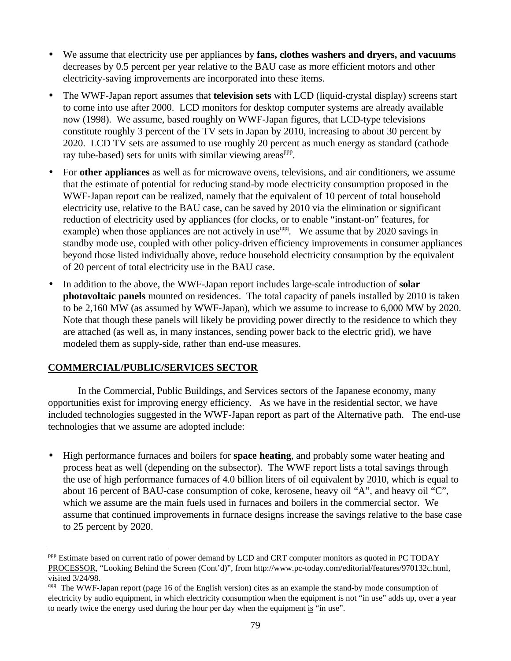- We assume that electricity use per appliances by **fans, clothes washers and dryers, and vacuums** decreases by 0.5 percent per year relative to the BAU case as more efficient motors and other electricity-saving improvements are incorporated into these items.
- The WWF-Japan report assumes that **television sets** with LCD (liquid-crystal display) screens start to come into use after 2000. LCD monitors for desktop computer systems are already available now (1998). We assume, based roughly on WWF-Japan figures, that LCD-type televisions constitute roughly 3 percent of the TV sets in Japan by 2010, increasing to about 30 percent by 2020. LCD TV sets are assumed to use roughly 20 percent as much energy as standard (cathode ray tube-based) sets for units with similar viewing areas<sup>ppp</sup>.
- For **other appliances** as well as for microwave ovens, televisions, and air conditioners, we assume that the estimate of potential for reducing stand-by mode electricity consumption proposed in the WWF-Japan report can be realized, namely that the equivalent of 10 percent of total household electricity use, relative to the BAU case, can be saved by 2010 via the elimination or significant reduction of electricity used by appliances (for clocks, or to enable "instant-on" features, for example) when those appliances are not actively in use<sup>qqq</sup>. We assume that by 2020 savings in standby mode use, coupled with other policy-driven efficiency improvements in consumer appliances beyond those listed individually above, reduce household electricity consumption by the equivalent of 20 percent of total electricity use in the BAU case.
- In addition to the above, the WWF-Japan report includes large-scale introduction of **solar photovoltaic panels** mounted on residences. The total capacity of panels installed by 2010 is taken to be 2,160 MW (as assumed by WWF-Japan), which we assume to increase to 6,000 MW by 2020. Note that though these panels will likely be providing power directly to the residence to which they are attached (as well as, in many instances, sending power back to the electric grid), we have modeled them as supply-side, rather than end-use measures.

# **COMMERCIAL/PUBLIC/SERVICES SECTOR**

 $\overline{a}$ 

In the Commercial, Public Buildings, and Services sectors of the Japanese economy, many opportunities exist for improving energy efficiency. As we have in the residential sector, we have included technologies suggested in the WWF-Japan report as part of the Alternative path. The end-use technologies that we assume are adopted include:

• High performance furnaces and boilers for **space heating**, and probably some water heating and process heat as well (depending on the subsector). The WWF report lists a total savings through the use of high performance furnaces of 4.0 billion liters of oil equivalent by 2010, which is equal to about 16 percent of BAU-case consumption of coke, kerosene, heavy oil "A", and heavy oil "C", which we assume are the main fuels used in furnaces and boilers in the commercial sector. We assume that continued improvements in furnace designs increase the savings relative to the base case to 25 percent by 2020.

<sup>&</sup>lt;sup>ppp</sup> Estimate based on current ratio of power demand by LCD and CRT computer monitors as quoted in PC TODAY PROCESSOR, "Looking Behind the Screen (Cont'd)", from http://www.pc-today.com/editorial/features/970132c.html, visited 3/24/98.

qqq The WWF-Japan report (page 16 of the English version) cites as an example the stand-by mode consumption of electricity by audio equipment, in which electricity consumption when the equipment is not "in use" adds up, over a year to nearly twice the energy used during the hour per day when the equipment is "in use".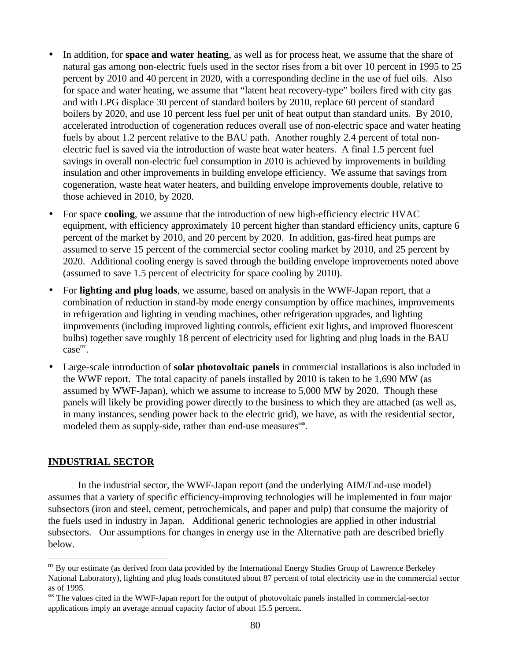- In addition, for **space and water heating**, as well as for process heat, we assume that the share of natural gas among non-electric fuels used in the sector rises from a bit over 10 percent in 1995 to 25 percent by 2010 and 40 percent in 2020, with a corresponding decline in the use of fuel oils. Also for space and water heating, we assume that "latent heat recovery-type" boilers fired with city gas and with LPG displace 30 percent of standard boilers by 2010, replace 60 percent of standard boilers by 2020, and use 10 percent less fuel per unit of heat output than standard units. By 2010, accelerated introduction of cogeneration reduces overall use of non-electric space and water heating fuels by about 1.2 percent relative to the BAU path. Another roughly 2.4 percent of total nonelectric fuel is saved via the introduction of waste heat water heaters. A final 1.5 percent fuel savings in overall non-electric fuel consumption in 2010 is achieved by improvements in building insulation and other improvements in building envelope efficiency. We assume that savings from cogeneration, waste heat water heaters, and building envelope improvements double, relative to those achieved in 2010, by 2020.
- For space **cooling**, we assume that the introduction of new high-efficiency electric HVAC equipment, with efficiency approximately 10 percent higher than standard efficiency units, capture 6 percent of the market by 2010, and 20 percent by 2020. In addition, gas-fired heat pumps are assumed to serve 15 percent of the commercial sector cooling market by 2010, and 25 percent by 2020. Additional cooling energy is saved through the building envelope improvements noted above (assumed to save 1.5 percent of electricity for space cooling by 2010).
- For **lighting and plug loads**, we assume, based on analysis in the WWF-Japan report, that a combination of reduction in stand-by mode energy consumption by office machines, improvements in refrigeration and lighting in vending machines, other refrigeration upgrades, and lighting improvements (including improved lighting controls, efficient exit lights, and improved fluorescent bulbs) together save roughly 18 percent of electricity used for lighting and plug loads in the BAU case<sup>rrr</sup>.
- Large-scale introduction of **solar photovoltaic panels** in commercial installations is also included in the WWF report. The total capacity of panels installed by 2010 is taken to be 1,690 MW (as assumed by WWF-Japan), which we assume to increase to 5,000 MW by 2020. Though these panels will likely be providing power directly to the business to which they are attached (as well as, in many instances, sending power back to the electric grid), we have, as with the residential sector, modeled them as supply-side, rather than end-use measures<sup>sss</sup>.

#### **INDUSTRIAL SECTOR**

 $\overline{a}$ 

In the industrial sector, the WWF-Japan report (and the underlying AIM/End-use model) assumes that a variety of specific efficiency-improving technologies will be implemented in four major subsectors (iron and steel, cement, petrochemicals, and paper and pulp) that consume the majority of the fuels used in industry in Japan. Additional generic technologies are applied in other industrial subsectors. Our assumptions for changes in energy use in the Alternative path are described briefly below.

rrr By our estimate (as derived from data provided by the International Energy Studies Group of Lawrence Berkeley National Laboratory), lighting and plug loads constituted about 87 percent of total electricity use in the commercial sector as of 1995.

sss The values cited in the WWF-Japan report for the output of photovoltaic panels installed in commercial-sector applications imply an average annual capacity factor of about 15.5 percent.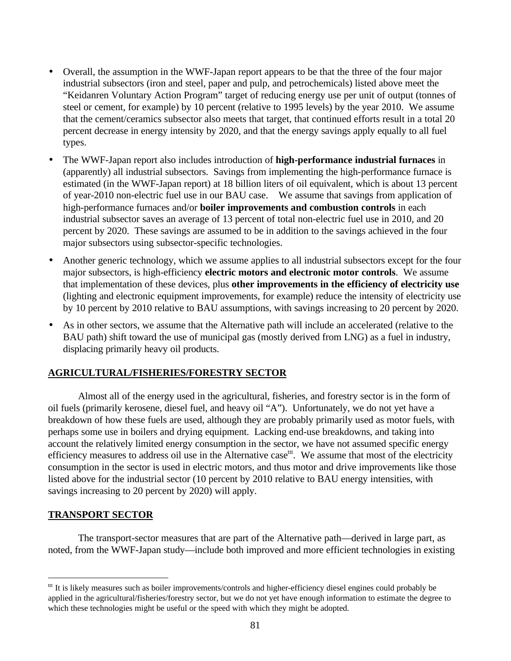- Overall, the assumption in the WWF-Japan report appears to be that the three of the four major industrial subsectors (iron and steel, paper and pulp, and petrochemicals) listed above meet the "Keidanren Voluntary Action Program" target of reducing energy use per unit of output (tonnes of steel or cement, for example) by 10 percent (relative to 1995 levels) by the year 2010. We assume that the cement/ceramics subsector also meets that target, that continued efforts result in a total 20 percent decrease in energy intensity by 2020, and that the energy savings apply equally to all fuel types.
- The WWF-Japan report also includes introduction of **high-performance industrial furnaces** in (apparently) all industrial subsectors. Savings from implementing the high-performance furnace is estimated (in the WWF-Japan report) at 18 billion liters of oil equivalent, which is about 13 percent of year-2010 non-electric fuel use in our BAU case. We assume that savings from application of high-performance furnaces and/or **boiler improvements and combustion controls** in each industrial subsector saves an average of 13 percent of total non-electric fuel use in 2010, and 20 percent by 2020. These savings are assumed to be in addition to the savings achieved in the four major subsectors using subsector-specific technologies.
- Another generic technology, which we assume applies to all industrial subsectors except for the four major subsectors, is high-efficiency **electric motors and electronic motor controls**. We assume that implementation of these devices, plus **other improvements in the efficiency of electricity use** (lighting and electronic equipment improvements, for example) reduce the intensity of electricity use by 10 percent by 2010 relative to BAU assumptions, with savings increasing to 20 percent by 2020.
- As in other sectors, we assume that the Alternative path will include an accelerated (relative to the BAU path) shift toward the use of municipal gas (mostly derived from LNG) as a fuel in industry, displacing primarily heavy oil products.

# **AGRICULTURAL/FISHERIES/FORESTRY SECTOR**

Almost all of the energy used in the agricultural, fisheries, and forestry sector is in the form of oil fuels (primarily kerosene, diesel fuel, and heavy oil "A"). Unfortunately, we do not yet have a breakdown of how these fuels are used, although they are probably primarily used as motor fuels, with perhaps some use in boilers and drying equipment. Lacking end-use breakdowns, and taking into account the relatively limited energy consumption in the sector, we have not assumed specific energy efficiency measures to address oil use in the Alternative case<sup>ttt</sup>. We assume that most of the electricity consumption in the sector is used in electric motors, and thus motor and drive improvements like those listed above for the industrial sector (10 percent by 2010 relative to BAU energy intensities, with savings increasing to 20 percent by 2020) will apply.

#### **TRANSPORT SECTOR**

 $\overline{a}$ 

The transport-sector measures that are part of the Alternative path—derived in large part, as noted, from the WWF-Japan study—include both improved and more efficient technologies in existing

 $t$ <sup>ttt</sup> It is likely measures such as boiler improvements/controls and higher-efficiency diesel engines could probably be applied in the agricultural/fisheries/forestry sector, but we do not yet have enough information to estimate the degree to which these technologies might be useful or the speed with which they might be adopted.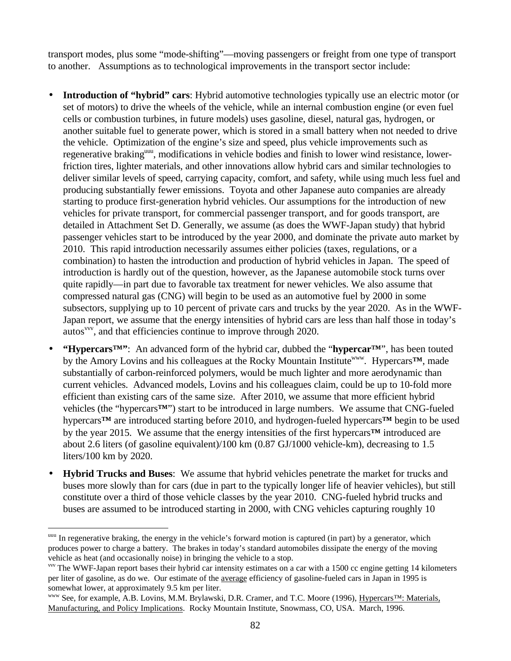transport modes, plus some "mode-shifting"—moving passengers or freight from one type of transport to another. Assumptions as to technological improvements in the transport sector include:

- **Introduction of "hybrid" cars**: Hybrid automotive technologies typically use an electric motor (or set of motors) to drive the wheels of the vehicle, while an internal combustion engine (or even fuel cells or combustion turbines, in future models) uses gasoline, diesel, natural gas, hydrogen, or another suitable fuel to generate power, which is stored in a small battery when not needed to drive the vehicle. Optimization of the engine's size and speed, plus vehicle improvements such as regenerative braking<sup>uuu</sup>, modifications in vehicle bodies and finish to lower wind resistance, lowerfriction tires, lighter materials, and other innovations allow hybrid cars and similar technologies to deliver similar levels of speed, carrying capacity, comfort, and safety, while using much less fuel and producing substantially fewer emissions. Toyota and other Japanese auto companies are already starting to produce first-generation hybrid vehicles. Our assumptions for the introduction of new vehicles for private transport, for commercial passenger transport, and for goods transport, are detailed in Attachment Set D. Generally, we assume (as does the WWF-Japan study) that hybrid passenger vehicles start to be introduced by the year 2000, and dominate the private auto market by 2010. This rapid introduction necessarily assumes either policies (taxes, regulations, or a combination) to hasten the introduction and production of hybrid vehicles in Japan. The speed of introduction is hardly out of the question, however, as the Japanese automobile stock turns over quite rapidly—in part due to favorable tax treatment for newer vehicles. We also assume that compressed natural gas (CNG) will begin to be used as an automotive fuel by 2000 in some subsectors, supplying up to 10 percent of private cars and trucks by the year 2020. As in the WWF-Japan report, we assume that the energy intensities of hybrid cars are less than half those in today's autos<sup>vvv</sup>, and that efficiencies continue to improve through 2020.
- **"Hypercars™"**: An advanced form of the hybrid car, dubbed the "**hypercar™**", has been touted by the Amory Lovins and his colleagues at the Rocky Mountain Institute<sup>www</sup>. Hypercars™, made substantially of carbon-reinforced polymers, would be much lighter and more aerodynamic than current vehicles. Advanced models, Lovins and his colleagues claim, could be up to 10-fold more efficient than existing cars of the same size. After 2010, we assume that more efficient hybrid vehicles (the "hypercars**™**") start to be introduced in large numbers. We assume that CNG-fueled hypercars**™** are introduced starting before 2010, and hydrogen-fueled hypercars**™** begin to be used by the year 2015. We assume that the energy intensities of the first hypercars**™** introduced are about 2.6 liters (of gasoline equivalent)/100 km (0.87 GJ/1000 vehicle-km), decreasing to 1.5 liters/100 km by 2020.
- **Hybrid Trucks and Buses**: We assume that hybrid vehicles penetrate the market for trucks and buses more slowly than for cars (due in part to the typically longer life of heavier vehicles), but still constitute over a third of those vehicle classes by the year 2010. CNG-fueled hybrid trucks and buses are assumed to be introduced starting in 2000, with CNG vehicles capturing roughly 10

uuu In regenerative braking, the energy in the vehicle's forward motion is captured (in part) by a generator, which produces power to charge a battery. The brakes in today's standard automobiles dissipate the energy of the moving vehicle as heat (and occasionally noise) in bringing the vehicle to a stop.

vvv The WWF-Japan report bases their hybrid car intensity estimates on a car with a 1500 cc engine getting 14 kilometers per liter of gasoline, as do we. Our estimate of the average efficiency of gasoline-fueled cars in Japan in 1995 is somewhat lower, at approximately 9.5 km per liter.

www See, for example, A.B. Lovins, M.M. Brylawski, D.R. Cramer, and T.C. Moore (1996), Hypercars™: Materials, Manufacturing, and Policy Implications. Rocky Mountain Institute, Snowmass, CO, USA. March, 1996.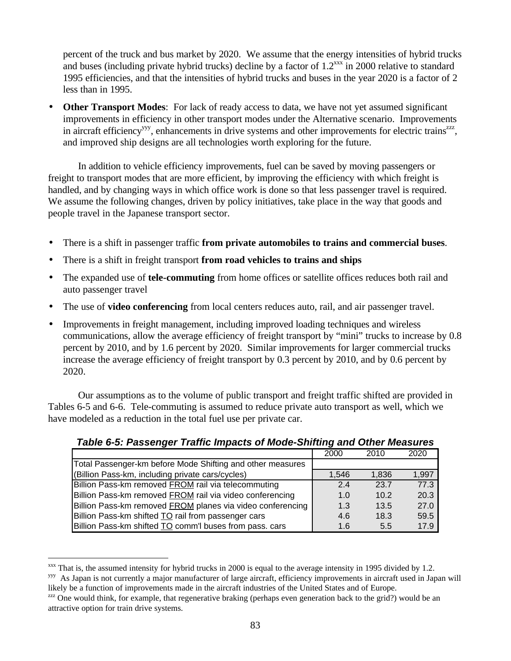percent of the truck and bus market by 2020. We assume that the energy intensities of hybrid trucks and buses (including private hybrid trucks) decline by a factor of  $1.2^{xxx}$  in 2000 relative to standard 1995 efficiencies, and that the intensities of hybrid trucks and buses in the year 2020 is a factor of 2 less than in 1995.

• **Other Transport Modes**: For lack of ready access to data, we have not yet assumed significant improvements in efficiency in other transport modes under the Alternative scenario. Improvements in aircraft efficiency<sup>yyy</sup>, enhancements in drive systems and other improvements for electric trains<sup>zzz</sup>, and improved ship designs are all technologies worth exploring for the future.

In addition to vehicle efficiency improvements, fuel can be saved by moving passengers or freight to transport modes that are more efficient, by improving the efficiency with which freight is handled, and by changing ways in which office work is done so that less passenger travel is required. We assume the following changes, driven by policy initiatives, take place in the way that goods and people travel in the Japanese transport sector.

- There is a shift in passenger traffic **from private automobiles to trains and commercial buses**.
- There is a shift in freight transport **from road vehicles to trains and ships**
- The expanded use of **tele-commuting** from home offices or satellite offices reduces both rail and auto passenger travel
- The use of **video conferencing** from local centers reduces auto, rail, and air passenger travel.
- Improvements in freight management, including improved loading techniques and wireless communications, allow the average efficiency of freight transport by "mini" trucks to increase by 0.8 percent by 2010, and by 1.6 percent by 2020. Similar improvements for larger commercial trucks increase the average efficiency of freight transport by 0.3 percent by 2010, and by 0.6 percent by 2020.

Our assumptions as to the volume of public transport and freight traffic shifted are provided in Tables 6-5 and 6-6. Tele-commuting is assumed to reduce private auto transport as well, which we have modeled as a reduction in the total fuel use per private car.

|                                                            | 2000  | 2010  | 2020  |
|------------------------------------------------------------|-------|-------|-------|
| Total Passenger-km before Mode Shifting and other measures |       |       |       |
| (Billion Pass-km, including private cars/cycles)           | 1.546 | 1.836 | 1,997 |
| Billion Pass-km removed FROM rail via telecommuting        | 24    | 23.7  | 77.3  |
| Billion Pass-km removed FROM rail via video conferencing   | 1.0   | 10.2  | 20.3  |
| Billion Pass-km removed FROM planes via video conferencing | 1.3   | 13.5  | 27.0  |
| Billion Pass-km shifted TO rail from passenger cars        | 4.6   | 18.3  | 59.5  |
| Billion Pass-km shifted TO comm'l buses from pass. cars    | 1.6   | 5.5   | 17.9  |

*Table 6-5: Passenger Traffic Impacts of Mode-Shifting and Other Measures*

 $xxx$  That is, the assumed intensity for hybrid trucks in 2000 is equal to the average intensity in 1995 divided by 1.2.

<sup>&</sup>lt;sup>yyy</sup> As Japan is not currently a major manufacturer of large aircraft, efficiency improvements in aircraft used in Japan will likely be a function of improvements made in the aircraft industries of the United States and of Europe.

 $zzz$  One would think, for example, that regenerative braking (perhaps even generation back to the grid?) would be an attractive option for train drive systems.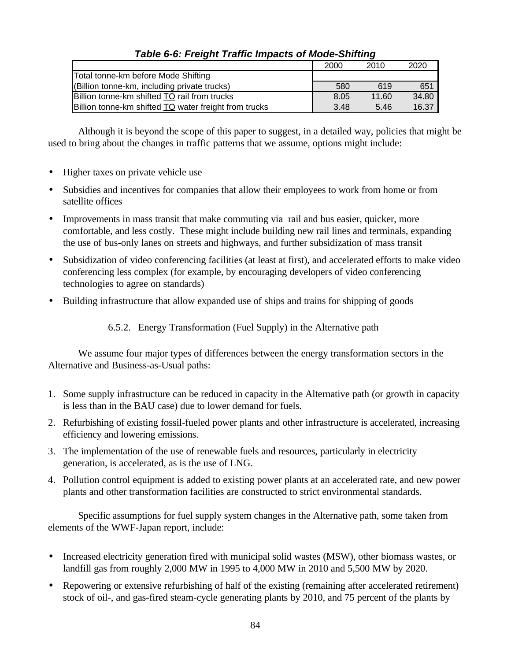|                                                       | 2000 | 2010  | 2020  |
|-------------------------------------------------------|------|-------|-------|
| Total tonne-km before Mode Shifting                   |      |       |       |
| (Billion tonne-km, including private trucks)          | 580  | 619   | 651   |
| Billion tonne-km shifted TO rail from trucks          | 8.05 | 11.60 | 34.80 |
| Billion tonne-km shifted TO water freight from trucks | 3.48 | 5.46  | 16.37 |

# *Table 6-6: Freight Traffic Impacts of Mode-Shifting*

Although it is beyond the scope of this paper to suggest, in a detailed way, policies that might be used to bring about the changes in traffic patterns that we assume, options might include:

- Higher taxes on private vehicle use
- Subsidies and incentives for companies that allow their employees to work from home or from satellite offices
- Improvements in mass transit that make commuting via rail and bus easier, quicker, more comfortable, and less costly. These might include building new rail lines and terminals, expanding the use of bus-only lanes on streets and highways, and further subsidization of mass transit
- Subsidization of video conferencing facilities (at least at first), and accelerated efforts to make video conferencing less complex (for example, by encouraging developers of video conferencing technologies to agree on standards)
- Building infrastructure that allow expanded use of ships and trains for shipping of goods

6.5.2. Energy Transformation (Fuel Supply) in the Alternative path

We assume four major types of differences between the energy transformation sectors in the Alternative and Business-as-Usual paths:

- 1. Some supply infrastructure can be reduced in capacity in the Alternative path (or growth in capacity is less than in the BAU case) due to lower demand for fuels.
- 2. Refurbishing of existing fossil-fueled power plants and other infrastructure is accelerated, increasing efficiency and lowering emissions.
- 3. The implementation of the use of renewable fuels and resources, particularly in electricity generation, is accelerated, as is the use of LNG.
- 4. Pollution control equipment is added to existing power plants at an accelerated rate, and new power plants and other transformation facilities are constructed to strict environmental standards.

Specific assumptions for fuel supply system changes in the Alternative path, some taken from elements of the WWF-Japan report, include:

- Increased electricity generation fired with municipal solid wastes (MSW), other biomass wastes, or landfill gas from roughly 2,000 MW in 1995 to 4,000 MW in 2010 and 5,500 MW by 2020.
- Repowering or extensive refurbishing of half of the existing (remaining after accelerated retirement) stock of oil-, and gas-fired steam-cycle generating plants by 2010, and 75 percent of the plants by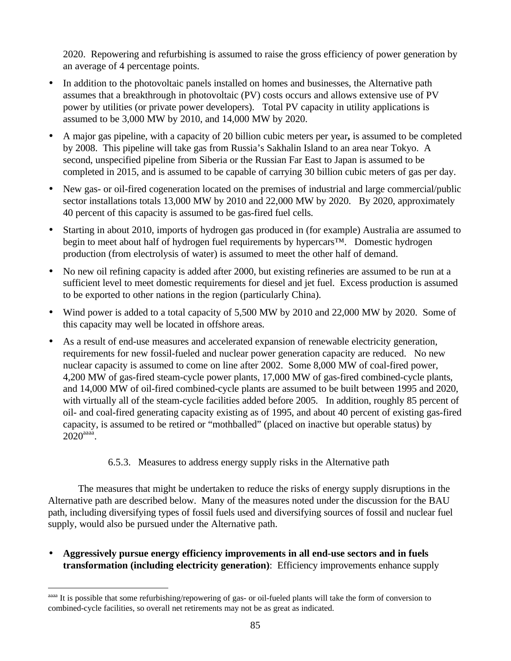2020. Repowering and refurbishing is assumed to raise the gross efficiency of power generation by an average of 4 percentage points.

- In addition to the photovoltaic panels installed on homes and businesses, the Alternative path assumes that a breakthrough in photovoltaic (PV) costs occurs and allows extensive use of PV power by utilities (or private power developers). Total PV capacity in utility applications is assumed to be 3,000 MW by 2010, and 14,000 MW by 2020.
- A major gas pipeline, with a capacity of 20 billion cubic meters per year**,** is assumed to be completed by 2008. This pipeline will take gas from Russia's Sakhalin Island to an area near Tokyo. A second, unspecified pipeline from Siberia or the Russian Far East to Japan is assumed to be completed in 2015, and is assumed to be capable of carrying 30 billion cubic meters of gas per day.
- New gas- or oil-fired cogeneration located on the premises of industrial and large commercial/public sector installations totals 13,000 MW by 2010 and 22,000 MW by 2020. By 2020, approximately 40 percent of this capacity is assumed to be gas-fired fuel cells.
- Starting in about 2010, imports of hydrogen gas produced in (for example) Australia are assumed to begin to meet about half of hydrogen fuel requirements by hypercars<sup>™.</sup> Domestic hydrogen production (from electrolysis of water) is assumed to meet the other half of demand.
- No new oil refining capacity is added after 2000, but existing refineries are assumed to be run at a sufficient level to meet domestic requirements for diesel and jet fuel. Excess production is assumed to be exported to other nations in the region (particularly China).
- Wind power is added to a total capacity of 5,500 MW by 2010 and 22,000 MW by 2020. Some of this capacity may well be located in offshore areas.
- As a result of end-use measures and accelerated expansion of renewable electricity generation, requirements for new fossil-fueled and nuclear power generation capacity are reduced. No new nuclear capacity is assumed to come on line after 2002. Some 8,000 MW of coal-fired power, 4,200 MW of gas-fired steam-cycle power plants, 17,000 MW of gas-fired combined-cycle plants, and 14,000 MW of oil-fired combined-cycle plants are assumed to be built between 1995 and 2020, with virtually all of the steam-cycle facilities added before 2005. In addition, roughly 85 percent of oil- and coal-fired generating capacity existing as of 1995, and about 40 percent of existing gas-fired capacity, is assumed to be retired or "mothballed" (placed on inactive but operable status) by  $2020^{\text{aaaa}}$ .

# 6.5.3. Measures to address energy supply risks in the Alternative path

The measures that might be undertaken to reduce the risks of energy supply disruptions in the Alternative path are described below. Many of the measures noted under the discussion for the BAU path, including diversifying types of fossil fuels used and diversifying sources of fossil and nuclear fuel supply, would also be pursued under the Alternative path.

• **Aggressively pursue energy efficiency improvements in all end-use sectors and in fuels transformation (including electricity generation)**: Efficiency improvements enhance supply

It is possible that some refurbishing/repowering of gas- or oil-fueled plants will take the form of conversion to combined-cycle facilities, so overall net retirements may not be as great as indicated.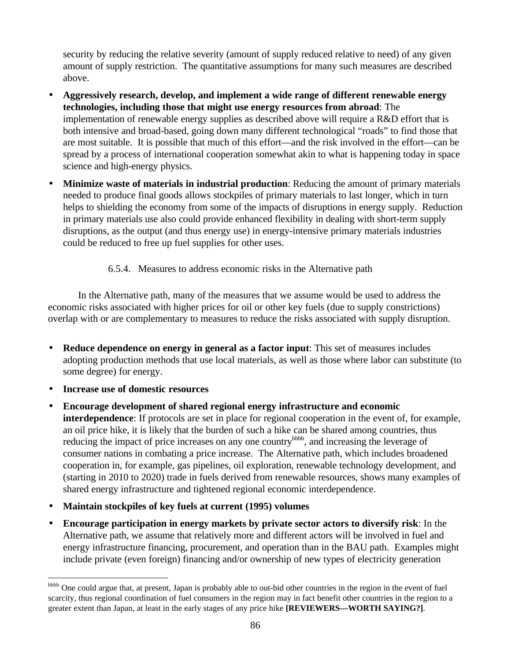security by reducing the relative severity (amount of supply reduced relative to need) of any given amount of supply restriction. The quantitative assumptions for many such measures are described above.

- **Aggressively research, develop, and implement a wide range of different renewable energy technologies, including those that might use energy resources from abroad**: The implementation of renewable energy supplies as described above will require a R&D effort that is both intensive and broad-based, going down many different technological "roads" to find those that are most suitable. It is possible that much of this effort—and the risk involved in the effort—can be spread by a process of international cooperation somewhat akin to what is happening today in space science and high-energy physics.
- **Minimize waste of materials in industrial production**: Reducing the amount of primary materials needed to produce final goods allows stockpiles of primary materials to last longer, which in turn helps to shielding the economy from some of the impacts of disruptions in energy supply. Reduction in primary materials use also could provide enhanced flexibility in dealing with short-term supply disruptions, as the output (and thus energy use) in energy-intensive primary materials industries could be reduced to free up fuel supplies for other uses.

6.5.4. Measures to address economic risks in the Alternative path

In the Alternative path, many of the measures that we assume would be used to address the economic risks associated with higher prices for oil or other key fuels (due to supply constrictions) overlap with or are complementary to measures to reduce the risks associated with supply disruption.

- **Reduce dependence on energy in general as a factor input**: This set of measures includes adopting production methods that use local materials, as well as those where labor can substitute (to some degree) for energy.
- **Increase use of domestic resources**

- **Encourage development of shared regional energy infrastructure and economic interdependence**: If protocols are set in place for regional cooperation in the event of, for example, an oil price hike, it is likely that the burden of such a hike can be shared among countries, thus reducing the impact of price increases on any one country<sup>bbbb</sup>, and increasing the leverage of consumer nations in combating a price increase. The Alternative path, which includes broadened cooperation in, for example, gas pipelines, oil exploration, renewable technology development, and (starting in 2010 to 2020) trade in fuels derived from renewable resources, shows many examples of shared energy infrastructure and tightened regional economic interdependence.
- **Maintain stockpiles of key fuels at current (1995) volumes**
- **Encourage participation in energy markets by private sector actors to diversify risk**: In the Alternative path, we assume that relatively more and different actors will be involved in fuel and energy infrastructure financing, procurement, and operation than in the BAU path. Examples might include private (even foreign) financing and/or ownership of new types of electricity generation

bbbb One could argue that, at present, Japan is probably able to out-bid other countries in the region in the event of fuel scarcity, thus regional coordination of fuel consumers in the region may in fact benefit other countries in the region to a greater extent than Japan, at least in the early stages of any price hike **[REVIEWERS—WORTH SAYING?]**.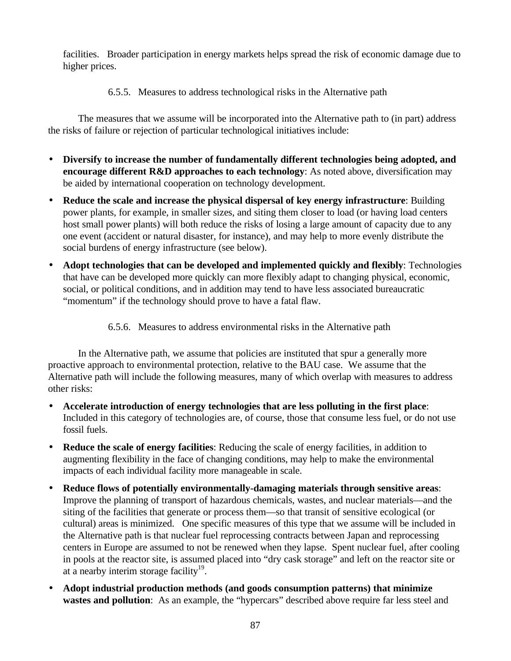facilities. Broader participation in energy markets helps spread the risk of economic damage due to higher prices.

6.5.5. Measures to address technological risks in the Alternative path

The measures that we assume will be incorporated into the Alternative path to (in part) address the risks of failure or rejection of particular technological initiatives include:

- **Diversify to increase the number of fundamentally different technologies being adopted, and encourage different R&D approaches to each technology**: As noted above, diversification may be aided by international cooperation on technology development.
- **Reduce the scale and increase the physical dispersal of key energy infrastructure**: Building power plants, for example, in smaller sizes, and siting them closer to load (or having load centers host small power plants) will both reduce the risks of losing a large amount of capacity due to any one event (accident or natural disaster, for instance), and may help to more evenly distribute the social burdens of energy infrastructure (see below).
- **Adopt technologies that can be developed and implemented quickly and flexibly**: Technologies that have can be developed more quickly can more flexibly adapt to changing physical, economic, social, or political conditions, and in addition may tend to have less associated bureaucratic "momentum" if the technology should prove to have a fatal flaw.
	- 6.5.6. Measures to address environmental risks in the Alternative path

In the Alternative path, we assume that policies are instituted that spur a generally more proactive approach to environmental protection, relative to the BAU case. We assume that the Alternative path will include the following measures, many of which overlap with measures to address other risks:

- **Accelerate introduction of energy technologies that are less polluting in the first place**: Included in this category of technologies are, of course, those that consume less fuel, or do not use fossil fuels.
- **Reduce the scale of energy facilities**: Reducing the scale of energy facilities, in addition to augmenting flexibility in the face of changing conditions, may help to make the environmental impacts of each individual facility more manageable in scale.
- **Reduce flows of potentially environmentally-damaging materials through sensitive areas**: Improve the planning of transport of hazardous chemicals, wastes, and nuclear materials—and the siting of the facilities that generate or process them—so that transit of sensitive ecological (or cultural) areas is minimized. One specific measures of this type that we assume will be included in the Alternative path is that nuclear fuel reprocessing contracts between Japan and reprocessing centers in Europe are assumed to not be renewed when they lapse. Spent nuclear fuel, after cooling in pools at the reactor site, is assumed placed into "dry cask storage" and left on the reactor site or at a nearby interim storage facility $19$ .
- **Adopt industrial production methods (and goods consumption patterns) that minimize wastes and pollution**: As an example, the "hypercars" described above require far less steel and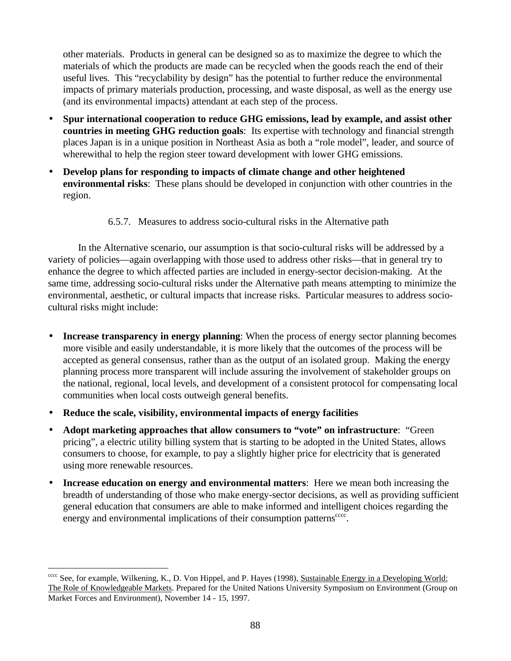other materials. Products in general can be designed so as to maximize the degree to which the materials of which the products are made can be recycled when the goods reach the end of their useful lives. This "recyclability by design" has the potential to further reduce the environmental impacts of primary materials production, processing, and waste disposal, as well as the energy use (and its environmental impacts) attendant at each step of the process.

- **Spur international cooperation to reduce GHG emissions, lead by example, and assist other countries in meeting GHG reduction goals**: Its expertise with technology and financial strength places Japan is in a unique position in Northeast Asia as both a "role model", leader, and source of wherewithal to help the region steer toward development with lower GHG emissions.
- **Develop plans for responding to impacts of climate change and other heightened environmental risks**: These plans should be developed in conjunction with other countries in the region.
	- 6.5.7. Measures to address socio-cultural risks in the Alternative path

In the Alternative scenario, our assumption is that socio-cultural risks will be addressed by a variety of policies—again overlapping with those used to address other risks—that in general try to enhance the degree to which affected parties are included in energy-sector decision-making. At the same time, addressing socio-cultural risks under the Alternative path means attempting to minimize the environmental, aesthetic, or cultural impacts that increase risks. Particular measures to address sociocultural risks might include:

- **Increase transparency in energy planning**: When the process of energy sector planning becomes more visible and easily understandable, it is more likely that the outcomes of the process will be accepted as general consensus, rather than as the output of an isolated group. Making the energy planning process more transparent will include assuring the involvement of stakeholder groups on the national, regional, local levels, and development of a consistent protocol for compensating local communities when local costs outweigh general benefits.
- **Reduce the scale, visibility, environmental impacts of energy facilities**

- **Adopt marketing approaches that allow consumers to "vote" on infrastructure**: "Green pricing", a electric utility billing system that is starting to be adopted in the United States, allows consumers to choose, for example, to pay a slightly higher price for electricity that is generated using more renewable resources.
- **Increase education on energy and environmental matters**: Here we mean both increasing the breadth of understanding of those who make energy-sector decisions, as well as providing sufficient general education that consumers are able to make informed and intelligent choices regarding the energy and environmental implications of their consumption patterns<sup>cccc</sup>.

<sup>&</sup>lt;sub>cccc</sub> See, for example, Wilkening, K., D. Von Hippel, and P. Hayes (1998), Sustainable Energy in a Developing World: The Role of Knowledgeable Markets. Prepared for the United Nations University Symposium on Environment (Group on Market Forces and Environment), November 14 - 15, 1997.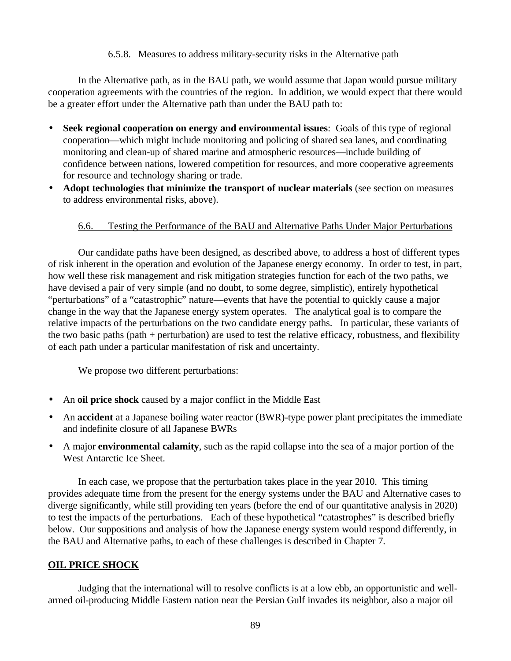#### 6.5.8. Measures to address military-security risks in the Alternative path

In the Alternative path, as in the BAU path, we would assume that Japan would pursue military cooperation agreements with the countries of the region. In addition, we would expect that there would be a greater effort under the Alternative path than under the BAU path to:

- **Seek regional cooperation on energy and environmental issues**: Goals of this type of regional cooperation—which might include monitoring and policing of shared sea lanes, and coordinating monitoring and clean-up of shared marine and atmospheric resources—include building of confidence between nations, lowered competition for resources, and more cooperative agreements for resource and technology sharing or trade.
- **Adopt technologies that minimize the transport of nuclear materials** (see section on measures to address environmental risks, above).

#### 6.6. Testing the Performance of the BAU and Alternative Paths Under Major Perturbations

Our candidate paths have been designed, as described above, to address a host of different types of risk inherent in the operation and evolution of the Japanese energy economy. In order to test, in part, how well these risk management and risk mitigation strategies function for each of the two paths, we have devised a pair of very simple (and no doubt, to some degree, simplistic), entirely hypothetical "perturbations" of a "catastrophic" nature—events that have the potential to quickly cause a major change in the way that the Japanese energy system operates. The analytical goal is to compare the relative impacts of the perturbations on the two candidate energy paths. In particular, these variants of the two basic paths (path + perturbation) are used to test the relative efficacy, robustness, and flexibility of each path under a particular manifestation of risk and uncertainty.

We propose two different perturbations:

- An **oil price shock** caused by a major conflict in the Middle East
- An **accident** at a Japanese boiling water reactor (BWR)-type power plant precipitates the immediate and indefinite closure of all Japanese BWRs
- A major **environmental calamity**, such as the rapid collapse into the sea of a major portion of the West Antarctic Ice Sheet.

In each case, we propose that the perturbation takes place in the year 2010. This timing provides adequate time from the present for the energy systems under the BAU and Alternative cases to diverge significantly, while still providing ten years (before the end of our quantitative analysis in 2020) to test the impacts of the perturbations. Each of these hypothetical "catastrophes" is described briefly below. Our suppositions and analysis of how the Japanese energy system would respond differently, in the BAU and Alternative paths, to each of these challenges is described in Chapter 7.

#### **OIL PRICE SHOCK**

Judging that the international will to resolve conflicts is at a low ebb, an opportunistic and wellarmed oil-producing Middle Eastern nation near the Persian Gulf invades its neighbor, also a major oil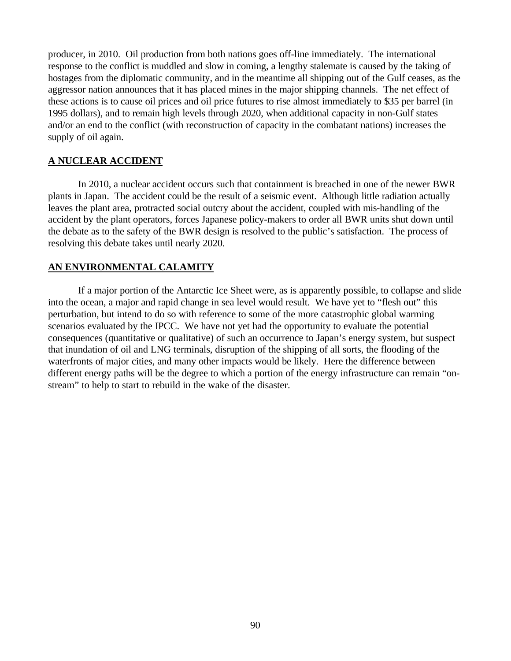producer, in 2010. Oil production from both nations goes off-line immediately. The international response to the conflict is muddled and slow in coming, a lengthy stalemate is caused by the taking of hostages from the diplomatic community, and in the meantime all shipping out of the Gulf ceases, as the aggressor nation announces that it has placed mines in the major shipping channels. The net effect of these actions is to cause oil prices and oil price futures to rise almost immediately to \$35 per barrel (in 1995 dollars), and to remain high levels through 2020, when additional capacity in non-Gulf states and/or an end to the conflict (with reconstruction of capacity in the combatant nations) increases the supply of oil again.

### **A NUCLEAR ACCIDENT**

In 2010, a nuclear accident occurs such that containment is breached in one of the newer BWR plants in Japan. The accident could be the result of a seismic event. Although little radiation actually leaves the plant area, protracted social outcry about the accident, coupled with mis-handling of the accident by the plant operators, forces Japanese policy-makers to order all BWR units shut down until the debate as to the safety of the BWR design is resolved to the public's satisfaction. The process of resolving this debate takes until nearly 2020.

### **AN ENVIRONMENTAL CALAMITY**

If a major portion of the Antarctic Ice Sheet were, as is apparently possible, to collapse and slide into the ocean, a major and rapid change in sea level would result. We have yet to "flesh out" this perturbation, but intend to do so with reference to some of the more catastrophic global warming scenarios evaluated by the IPCC. We have not yet had the opportunity to evaluate the potential consequences (quantitative or qualitative) of such an occurrence to Japan's energy system, but suspect that inundation of oil and LNG terminals, disruption of the shipping of all sorts, the flooding of the waterfronts of major cities, and many other impacts would be likely. Here the difference between different energy paths will be the degree to which a portion of the energy infrastructure can remain "onstream" to help to start to rebuild in the wake of the disaster.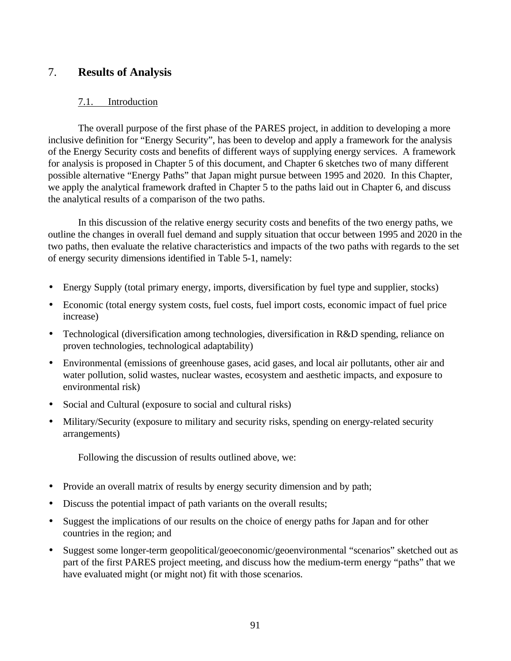# 7. **Results of Analysis**

# 7.1. Introduction

The overall purpose of the first phase of the PARES project, in addition to developing a more inclusive definition for "Energy Security", has been to develop and apply a framework for the analysis of the Energy Security costs and benefits of different ways of supplying energy services. A framework for analysis is proposed in Chapter 5 of this document, and Chapter 6 sketches two of many different possible alternative "Energy Paths" that Japan might pursue between 1995 and 2020. In this Chapter, we apply the analytical framework drafted in Chapter 5 to the paths laid out in Chapter 6, and discuss the analytical results of a comparison of the two paths.

In this discussion of the relative energy security costs and benefits of the two energy paths, we outline the changes in overall fuel demand and supply situation that occur between 1995 and 2020 in the two paths, then evaluate the relative characteristics and impacts of the two paths with regards to the set of energy security dimensions identified in Table 5-1, namely:

- Energy Supply (total primary energy, imports, diversification by fuel type and supplier, stocks)
- Economic (total energy system costs, fuel costs, fuel import costs, economic impact of fuel price increase)
- Technological (diversification among technologies, diversification in R&D spending, reliance on proven technologies, technological adaptability)
- Environmental (emissions of greenhouse gases, acid gases, and local air pollutants, other air and water pollution, solid wastes, nuclear wastes, ecosystem and aesthetic impacts, and exposure to environmental risk)
- Social and Cultural (exposure to social and cultural risks)
- Military/Security (exposure to military and security risks, spending on energy-related security arrangements)

Following the discussion of results outlined above, we:

- Provide an overall matrix of results by energy security dimension and by path;
- Discuss the potential impact of path variants on the overall results;
- Suggest the implications of our results on the choice of energy paths for Japan and for other countries in the region; and
- Suggest some longer-term geopolitical/geoeconomic/geoenvironmental "scenarios" sketched out as part of the first PARES project meeting, and discuss how the medium-term energy "paths" that we have evaluated might (or might not) fit with those scenarios.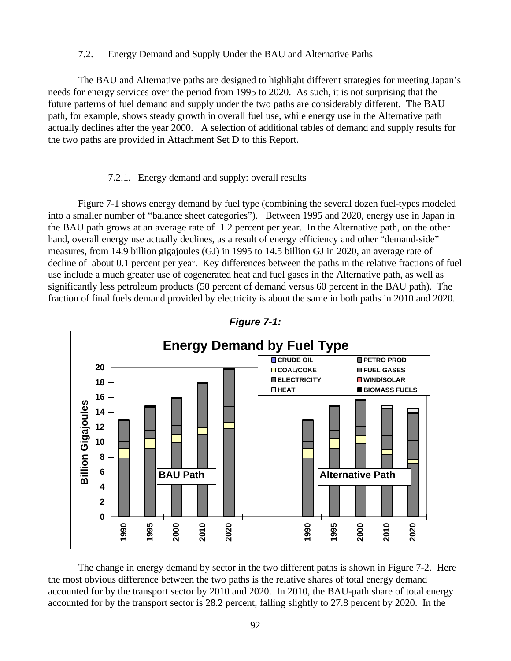#### 7.2. Energy Demand and Supply Under the BAU and Alternative Paths

The BAU and Alternative paths are designed to highlight different strategies for meeting Japan's needs for energy services over the period from 1995 to 2020. As such, it is not surprising that the future patterns of fuel demand and supply under the two paths are considerably different. The BAU path, for example, shows steady growth in overall fuel use, while energy use in the Alternative path actually declines after the year 2000. A selection of additional tables of demand and supply results for the two paths are provided in Attachment Set D to this Report.

#### 7.2.1. Energy demand and supply: overall results

Figure 7-1 shows energy demand by fuel type (combining the several dozen fuel-types modeled into a smaller number of "balance sheet categories"). Between 1995 and 2020, energy use in Japan in the BAU path grows at an average rate of 1.2 percent per year. In the Alternative path, on the other hand, overall energy use actually declines, as a result of energy efficiency and other "demand-side" measures, from 14.9 billion gigajoules (GJ) in 1995 to 14.5 billion GJ in 2020, an average rate of decline of about 0.1 percent per year. Key differences between the paths in the relative fractions of fuel use include a much greater use of cogenerated heat and fuel gases in the Alternative path, as well as significantly less petroleum products (50 percent of demand versus 60 percent in the BAU path). The fraction of final fuels demand provided by electricity is about the same in both paths in 2010 and 2020.





The change in energy demand by sector in the two different paths is shown in Figure 7-2. Here the most obvious difference between the two paths is the relative shares of total energy demand accounted for by the transport sector by 2010 and 2020. In 2010, the BAU-path share of total energy accounted for by the transport sector is 28.2 percent, falling slightly to 27.8 percent by 2020. In the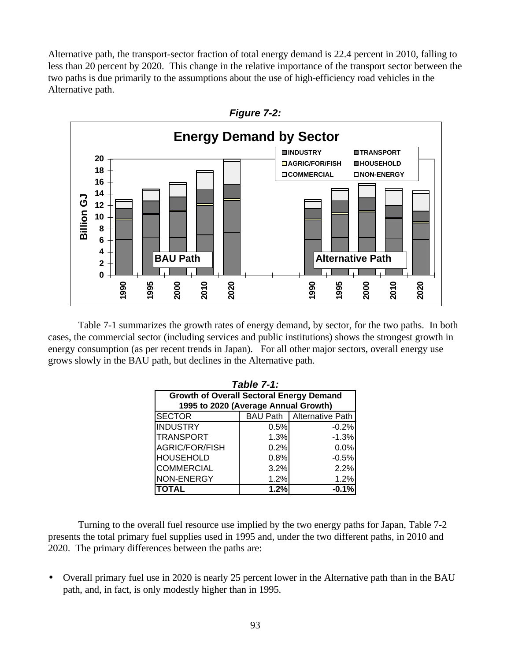Alternative path, the transport-sector fraction of total energy demand is 22.4 percent in 2010, falling to less than 20 percent by 2020. This change in the relative importance of the transport sector between the two paths is due primarily to the assumptions about the use of high-efficiency road vehicles in the Alternative path.



Table 7-1 summarizes the growth rates of energy demand, by sector, for the two paths. In both cases, the commercial sector (including services and public institutions) shows the strongest growth in energy consumption (as per recent trends in Japan). For all other major sectors, overall energy use grows slowly in the BAU path, but declines in the Alternative path.

| <b>Table 7-1:</b>                               |      |         |  |  |  |  |  |  |
|-------------------------------------------------|------|---------|--|--|--|--|--|--|
| <b>Growth of Overall Sectoral Energy Demand</b> |      |         |  |  |  |  |  |  |
| 1995 to 2020 (Average Annual Growth)            |      |         |  |  |  |  |  |  |
| BAU Path   Alternative Path<br><b>SECTOR</b>    |      |         |  |  |  |  |  |  |
| <b>INDUSTRY</b>                                 | 0.5% | $-0.2%$ |  |  |  |  |  |  |
| <b>TRANSPORT</b>                                | 1.3% | $-1.3%$ |  |  |  |  |  |  |
| <b>AGRIC/FOR/FISH</b>                           | 0.2% | 0.0%    |  |  |  |  |  |  |
| <b>HOUSEHOLD</b>                                | 0.8% | $-0.5%$ |  |  |  |  |  |  |
| <b>COMMERCIAL</b>                               | 3.2% | 2.2%    |  |  |  |  |  |  |
| NON-ENERGY                                      | 1.2% | 1.2%    |  |  |  |  |  |  |
| <b>TOTAL</b>                                    | 1.2% | $-0.1%$ |  |  |  |  |  |  |

Turning to the overall fuel resource use implied by the two energy paths for Japan, Table 7-2 presents the total primary fuel supplies used in 1995 and, under the two different paths, in 2010 and 2020. The primary differences between the paths are:

• Overall primary fuel use in 2020 is nearly 25 percent lower in the Alternative path than in the BAU path, and, in fact, is only modestly higher than in 1995.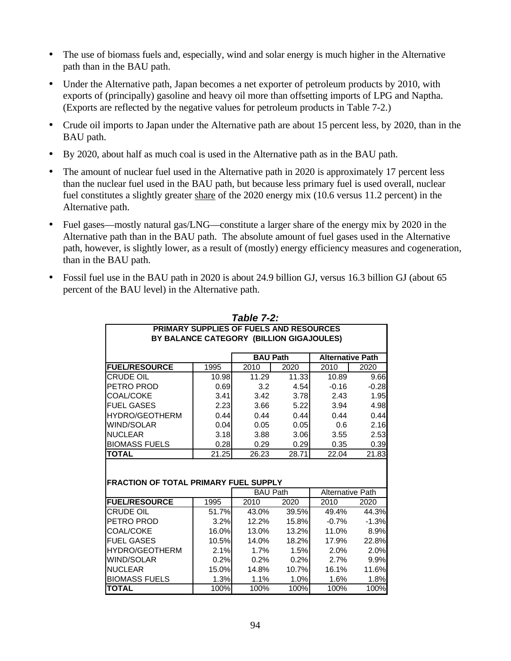- The use of biomass fuels and, especially, wind and solar energy is much higher in the Alternative path than in the BAU path.
- Under the Alternative path, Japan becomes a net exporter of petroleum products by 2010, with exports of (principally) gasoline and heavy oil more than offsetting imports of LPG and Naptha. (Exports are reflected by the negative values for petroleum products in Table 7-2.)
- Crude oil imports to Japan under the Alternative path are about 15 percent less, by 2020, than in the BAU path.
- By 2020, about half as much coal is used in the Alternative path as in the BAU path.
- The amount of nuclear fuel used in the Alternative path in 2020 is approximately 17 percent less than the nuclear fuel used in the BAU path, but because less primary fuel is used overall, nuclear fuel constitutes a slightly greater share of the 2020 energy mix (10.6 versus 11.2 percent) in the Alternative path.
- Fuel gases—mostly natural gas/LNG—constitute a larger share of the energy mix by 2020 in the Alternative path than in the BAU path. The absolute amount of fuel gases used in the Alternative path, however, is slightly lower, as a result of (mostly) energy efficiency measures and cogeneration, than in the BAU path.
- Fossil fuel use in the BAU path in 2020 is about 24.9 billion GJ, versus 16.3 billion GJ (about 65 percent of the BAU level) in the Alternative path.

|                                              |                                                | Table 7-2:      |              |                         |         |
|----------------------------------------------|------------------------------------------------|-----------------|--------------|-------------------------|---------|
|                                              | <b>PRIMARY SUPPLIES OF FUELS AND RESOURCES</b> |                 |              |                         |         |
|                                              | BY BALANCE CATEGORY (BILLION GIGAJOULES)       |                 |              |                         |         |
|                                              |                                                | <b>BAU Path</b> |              | <b>Alternative Path</b> |         |
| <b>FUEL/RESOURCE</b>                         | 1995                                           | 2010            | 2020         | 2010                    | 2020    |
| <b>CRUDE OIL</b>                             | 10.98                                          | 11.29           | 11.33        | 10.89                   | 9.66    |
| PETRO PROD                                   | 0.69                                           | 3.2             | 4.54         | $-0.16$                 | $-0.28$ |
| <b>COAL/COKE</b>                             | 3.41                                           | 3.42            | 3.78         | 2.43                    | 1.95    |
| <b>FUEL GASES</b>                            | 2.23                                           | 3.66            | 5.22         | 3.94                    | 4.98    |
| <b>HYDRO/GEOTHERM</b>                        | 0.44                                           | 0.44            | 0.44         | 0.44                    | 0.44    |
| <b>WIND/SOLAR</b>                            | 0.04                                           | 0.05            | 0.05         | 0.6                     | 2.16    |
| <b>NUCLEAR</b>                               | 3.18                                           | 3.88            | 3.06         | 3.55                    | 2.53    |
| <b>BIOMASS FUELS</b>                         | 0.28                                           | 0.29            | 0.29         | 0.35                    | 0.39    |
| <b>TOTAL</b>                                 | 21.25                                          | 26.23           | 28.71        | 22.04                   | 21.83   |
|                                              |                                                |                 |              |                         |         |
|                                              |                                                |                 |              |                         |         |
| <b>FRACTION OF TOTAL PRIMARY FUEL SUPPLY</b> |                                                |                 |              |                         |         |
|                                              |                                                | <b>BAU Path</b> |              | <b>Alternative Path</b> |         |
| <b>FUEL/RESOURCE</b>                         | 1995                                           | 2010            | 2020         | 2010                    | 2020    |
| <b>CRUDE OIL</b>                             | 51.7%                                          | 43.0%           | 39.5%        | 49.4%                   | 44.3%   |
| PETRO PROD                                   | 3.2%                                           | 12.2%           | <b>15.8%</b> | $-0.7\%$                | $-1.3%$ |
| <b>COAL/COKE</b>                             | 16.0%                                          | 13.0%           | 13.2%        | 11.0%                   | 8.9%    |
| <b>FUEL GASES</b>                            | 10.5%l                                         | 14.0%           | 18.2%        | 17.9%                   | 22.8%   |
| <b>HYDRO/GEOTHERM</b>                        | 2.1%                                           | 1.7%            | 1.5%         | 2.0%                    | 2.0%    |
| WIND/SOLAR                                   | 0.2%                                           | 0.2%            | 0.2%         | 2.7%                    | 9.9%    |
| <b>NUCLEAR</b>                               | 15.0%                                          | 14.8%           | 10.7%        | 16.1%                   | 11.6%   |
| <b>BIOMASS FUELS</b>                         | 1.3%                                           | 1.1%            | 1.0%         | 1.6%                    | 1.8%    |
| <b>TOTAL</b>                                 | 100%                                           | 100%            | 100%         | 100%                    | 100%    |

94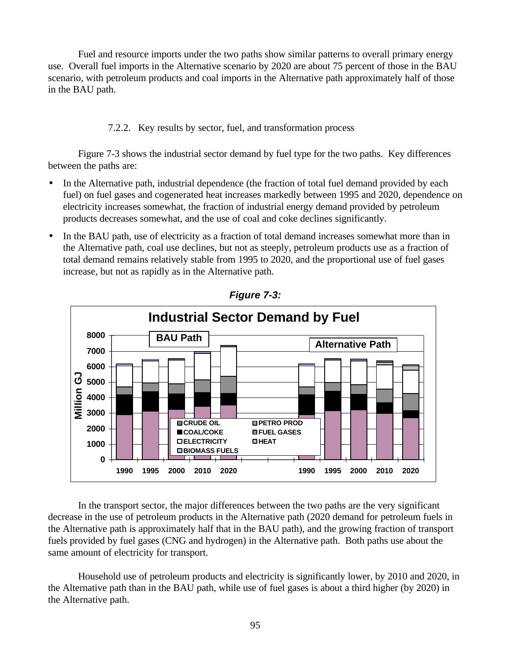Fuel and resource imports under the two paths show similar patterns to overall primary energy use. Overall fuel imports in the Alternative scenario by 2020 are about 75 percent of those in the BAU scenario, with petroleum products and coal imports in the Alternative path approximately half of those in the BAU path.

7.2.2. Key results by sector, fuel, and transformation process

Figure 7-3 shows the industrial sector demand by fuel type for the two paths. Key differences between the paths are:

- In the Alternative path, industrial dependence (the fraction of total fuel demand provided by each fuel) on fuel gases and cogenerated heat increases markedly between 1995 and 2020, dependence on electricity increases somewhat, the fraction of industrial energy demand provided by petroleum products decreases somewhat, and the use of coal and coke declines significantly.
- In the BAU path, use of electricity as a fraction of total demand increases somewhat more than in the Alternative path, coal use declines, but not as steeply, petroleum products use as a fraction of total demand remains relatively stable from 1995 to 2020, and the proportional use of fuel gases increase, but not as rapidly as in the Alternative path.



*Figure 7-3:*

In the transport sector, the major differences between the two paths are the very significant decrease in the use of petroleum products in the Alternative path (2020 demand for petroleum fuels in the Alternative path is approximately half that in the BAU path), and the growing fraction of transport fuels provided by fuel gases (CNG and hydrogen) in the Alternative path. Both paths use about the same amount of electricity for transport.

Household use of petroleum products and electricity is significantly lower, by 2010 and 2020, in the Alternative path than in the BAU path, while use of fuel gases is about a third higher (by 2020) in the Alternative path.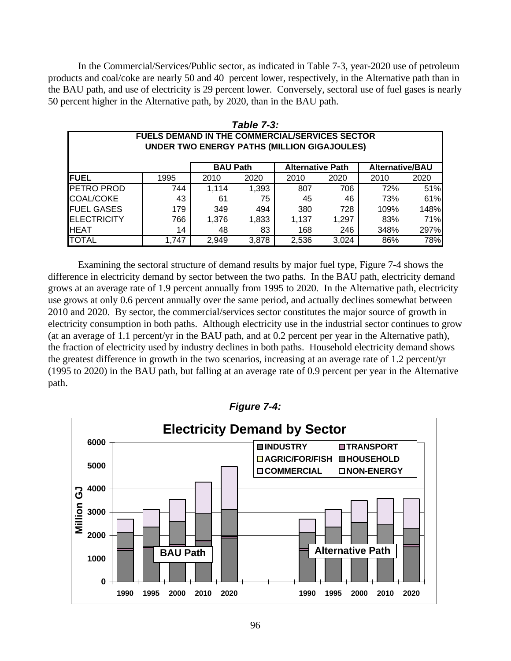In the Commercial/Services/Public sector, as indicated in Table 7-3, year-2020 use of petroleum products and coal/coke are nearly 50 and 40 percent lower, respectively, in the Alternative path than in the BAU path, and use of electricity is 29 percent lower. Conversely, sectoral use of fuel gases is nearly 50 percent higher in the Alternative path, by 2020, than in the BAU path.

| Table 7-3:                                            |                                                                      |       |       |       |       |      |      |  |  |  |
|-------------------------------------------------------|----------------------------------------------------------------------|-------|-------|-------|-------|------|------|--|--|--|
| <b>FUELS DEMAND IN THE COMMERCIAL/SERVICES SECTOR</b> |                                                                      |       |       |       |       |      |      |  |  |  |
|                                                       | <b>UNDER TWO ENERGY PATHS (MILLION GIGAJOULES)</b>                   |       |       |       |       |      |      |  |  |  |
|                                                       |                                                                      |       |       |       |       |      |      |  |  |  |
|                                                       | <b>BAU Path</b><br><b>Alternative Path</b><br><b>Alternative/BAU</b> |       |       |       |       |      |      |  |  |  |
| <b>FUEL</b>                                           | 1995                                                                 | 2010  | 2020  | 2010  | 2020  | 2010 | 2020 |  |  |  |
| <b>PETRO PROD</b>                                     | 744                                                                  | 1.114 | 1,393 | 807   | 706   | 72%  | 51%  |  |  |  |
| COAL/COKE                                             | 43                                                                   | 61    | 75    | 45    | 46    | 73%  | 61%  |  |  |  |
| <b>FUEL GASES</b>                                     | 179                                                                  | 349   | 494   | 380   | 728   | 109% | 148% |  |  |  |
| <b>ELECTRICITY</b>                                    | 766                                                                  | 1.376 | 1,833 | 1.137 | 1,297 | 83%  | 71%  |  |  |  |
| <b>HEAT</b>                                           | 14                                                                   | 48    | 83    | 168   | 246   | 348% | 297% |  |  |  |
| <b>TOTAL</b>                                          | 1,747                                                                | 2.949 | 3,878 | 2,536 | 3.024 | 86%  | 78%  |  |  |  |

Examining the sectoral structure of demand results by major fuel type, Figure 7-4 shows the difference in electricity demand by sector between the two paths. In the BAU path, electricity demand grows at an average rate of 1.9 percent annually from 1995 to 2020. In the Alternative path, electricity use grows at only 0.6 percent annually over the same period, and actually declines somewhat between 2010 and 2020. By sector, the commercial/services sector constitutes the major source of growth in electricity consumption in both paths. Although electricity use in the industrial sector continues to grow (at an average of 1.1 percent/yr in the BAU path, and at 0.2 percent per year in the Alternative path), the fraction of electricity used by industry declines in both paths. Household electricity demand shows the greatest difference in growth in the two scenarios, increasing at an average rate of 1.2 percent/yr (1995 to 2020) in the BAU path, but falling at an average rate of 0.9 percent per year in the Alternative path.



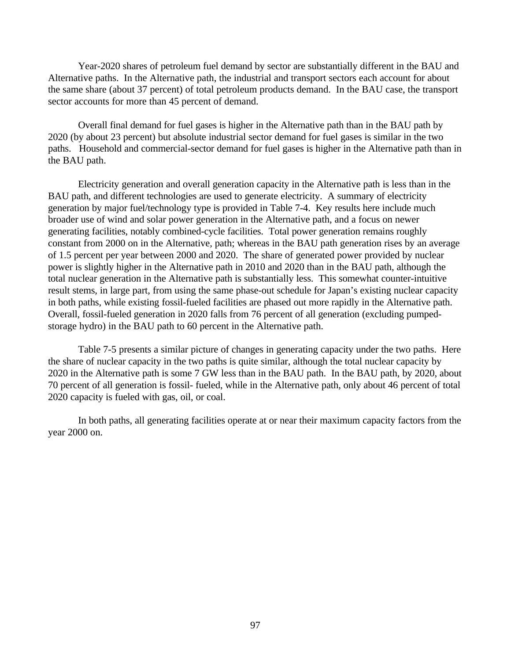Year-2020 shares of petroleum fuel demand by sector are substantially different in the BAU and Alternative paths. In the Alternative path, the industrial and transport sectors each account for about the same share (about 37 percent) of total petroleum products demand. In the BAU case, the transport sector accounts for more than 45 percent of demand.

Overall final demand for fuel gases is higher in the Alternative path than in the BAU path by 2020 (by about 23 percent) but absolute industrial sector demand for fuel gases is similar in the two paths. Household and commercial-sector demand for fuel gases is higher in the Alternative path than in the BAU path.

Electricity generation and overall generation capacity in the Alternative path is less than in the BAU path, and different technologies are used to generate electricity. A summary of electricity generation by major fuel/technology type is provided in Table 7-4. Key results here include much broader use of wind and solar power generation in the Alternative path, and a focus on newer generating facilities, notably combined-cycle facilities. Total power generation remains roughly constant from 2000 on in the Alternative, path; whereas in the BAU path generation rises by an average of 1.5 percent per year between 2000 and 2020. The share of generated power provided by nuclear power is slightly higher in the Alternative path in 2010 and 2020 than in the BAU path, although the total nuclear generation in the Alternative path is substantially less. This somewhat counter-intuitive result stems, in large part, from using the same phase-out schedule for Japan's existing nuclear capacity in both paths, while existing fossil-fueled facilities are phased out more rapidly in the Alternative path. Overall, fossil-fueled generation in 2020 falls from 76 percent of all generation (excluding pumpedstorage hydro) in the BAU path to 60 percent in the Alternative path.

Table 7-5 presents a similar picture of changes in generating capacity under the two paths. Here the share of nuclear capacity in the two paths is quite similar, although the total nuclear capacity by 2020 in the Alternative path is some 7 GW less than in the BAU path. In the BAU path, by 2020, about 70 percent of all generation is fossil- fueled, while in the Alternative path, only about 46 percent of total 2020 capacity is fueled with gas, oil, or coal.

In both paths, all generating facilities operate at or near their maximum capacity factors from the year 2000 on.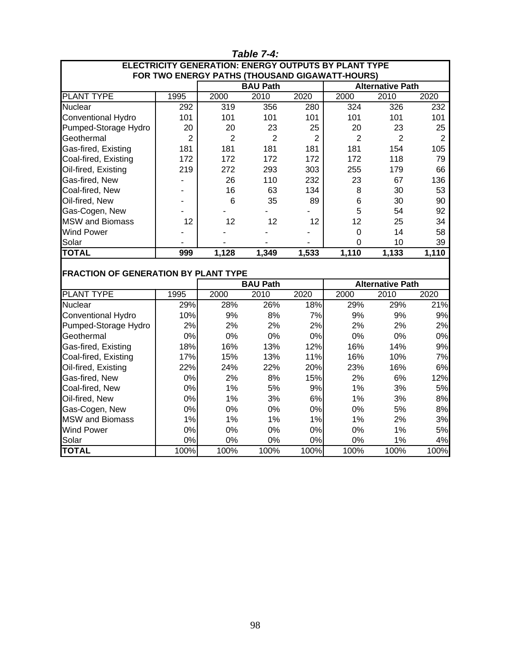| 1 avie 1-4.                                                                                                   |                |                  |                 |                |                |                         |                |  |  |
|---------------------------------------------------------------------------------------------------------------|----------------|------------------|-----------------|----------------|----------------|-------------------------|----------------|--|--|
| <b>ELECTRICITY GENERATION: ENERGY OUTPUTS BY PLANT TYPE</b><br>FOR TWO ENERGY PATHS (THOUSAND GIGAWATT-HOURS) |                |                  |                 |                |                |                         |                |  |  |
| <b>BAU Path</b><br><b>Alternative Path</b>                                                                    |                |                  |                 |                |                |                         |                |  |  |
| <b>PLANT TYPE</b>                                                                                             | 1995           | 2000             | 2010            | 2020           | 2000           | 2010                    | 2020           |  |  |
| Nuclear                                                                                                       | 292            | $\overline{319}$ | 356             | 280            | 324            | 326                     | 232            |  |  |
| Conventional Hydro                                                                                            | 101            | 101              | 101             | 101            | 101            | 101                     | 101            |  |  |
| Pumped-Storage Hydro                                                                                          | 20             | 20               | 23              | 25             | 20             | 23                      | 25             |  |  |
| Geothermal                                                                                                    | $\overline{2}$ | $\overline{2}$   | $\overline{2}$  | $\overline{2}$ | $\overline{2}$ | $\overline{2}$          | $\overline{2}$ |  |  |
| Gas-fired, Existing                                                                                           | 181            | 181              | 181             | 181            | 181            | 154                     | 105            |  |  |
| Coal-fired, Existing                                                                                          | 172            | 172              | 172             | 172            | 172            | 118                     | 79             |  |  |
| Oil-fired, Existing                                                                                           | 219            | 272              | 293             | 303            | 255            | 179                     | 66             |  |  |
| Gas-fired, New                                                                                                |                | 26               | 110             | 232            | 23             | 67                      | 136            |  |  |
| Coal-fired, New                                                                                               |                | 16               | 63              | 134            | 8              | 30                      | 53             |  |  |
| Oil-fired, New                                                                                                |                | 6                | 35              | 89             | 6              | 30                      | 90             |  |  |
| Gas-Cogen, New                                                                                                |                |                  |                 |                | 5              | 54                      | 92             |  |  |
| <b>MSW</b> and Biomass                                                                                        | 12             | 12               | 12              | 12             | 12             | 25                      | 34             |  |  |
| <b>Wind Power</b>                                                                                             |                |                  |                 |                | $\mathbf 0$    | 14                      | 58             |  |  |
| Solar                                                                                                         |                |                  |                 |                | $\overline{0}$ | 10                      | 39             |  |  |
| <b>TOTAL</b>                                                                                                  | 999            | 1,128            | 1,349           | 1,533          | 1,110          | 1,133                   | 1,110          |  |  |
|                                                                                                               |                |                  |                 |                |                |                         |                |  |  |
| <b>FRACTION OF GENERATION BY PLANT TYPE</b>                                                                   |                |                  |                 |                |                |                         |                |  |  |
|                                                                                                               |                |                  | <b>BAU Path</b> |                |                | <b>Alternative Path</b> |                |  |  |
| <b>PLANT TYPE</b>                                                                                             | 1995           | 2000             | 2010            | 2020           | 2000           | 2010                    | 2020           |  |  |
| <b>Nuclear</b>                                                                                                | 29%            | 28%              | 26%             | 18%            | 29%            | 29%                     | 21%            |  |  |
| Conventional Hydro                                                                                            | 10%            | 9%               | 8%              | 7%             | 9%             | 9%                      | 9%             |  |  |
| Pumped-Storage Hydro                                                                                          | 2%             | 2%               | 2%              | 2%             | 2%             | 2%                      | 2%             |  |  |
| Geothermal                                                                                                    | 0%             | 0%               | 0%              | 0%             | 0%             | 0%                      | 0%             |  |  |
| Gas-fired, Existing                                                                                           | 18%            | 16%              | 13%             | 12%            | 16%            | 14%                     | 9%             |  |  |
| Coal-fired, Existing                                                                                          | 17%            | 15%              | 13%             | 11%            | 16%            | 10%                     | 7%             |  |  |
| Oil-fired, Existing                                                                                           | 22%            | 24%              | 22%             | 20%            | 23%            | 16%                     | 6%             |  |  |
| Gas-fired, New                                                                                                | 0%             | 2%               | 8%              | 15%            | 2%             | 6%                      | 12%            |  |  |
| Coal-fired, New                                                                                               | 0%             | 1%               | 5%              | 9%             | 1%             | 3%                      | 5%             |  |  |
| Oil-fired, New                                                                                                | 0%             | 1%               | 3%              | 6%             | 1%             | 3%                      | 8%             |  |  |
| Gas-Cogen, New                                                                                                | 0%             | 0%               | 0%              | 0%             | 0%             | 5%                      | 8%             |  |  |
| <b>MSW</b> and Biomass                                                                                        | 1%             | 1%               | 1%              | 1%             | 1%             | 2%                      | 3%             |  |  |
| <b>Wind Power</b>                                                                                             | 0%             | 0%               | 0%              | $0\%$          | 0%             | 1%                      | 5%             |  |  |
| Solar                                                                                                         | 0%             | 0%               | 0%              | 0%             | 0%             | 1%                      | 4%             |  |  |
| <b>TOTAL</b>                                                                                                  | 100%           | 100%             | 100%            | 100%           | 100%           | 100%                    | 100%           |  |  |

# *Table 7-4:*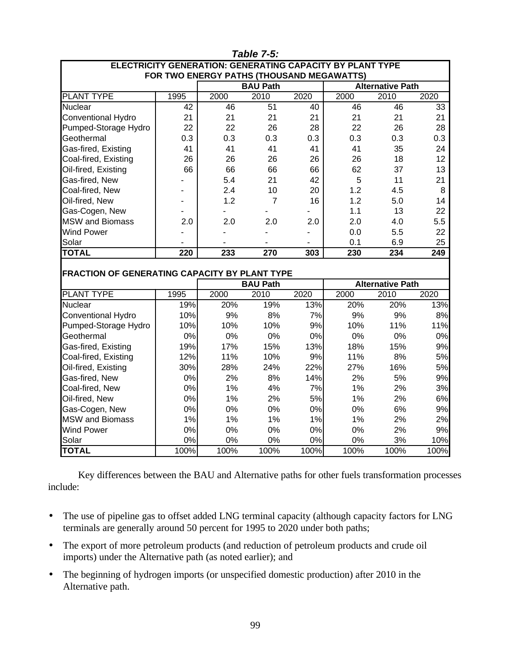|                                                                                         |      |      | <b>Table 7-5:</b> |      |      |                         |      |  |
|-----------------------------------------------------------------------------------------|------|------|-------------------|------|------|-------------------------|------|--|
| <b>ELECTRICITY GENERATION: GENERATING CAPACITY BY PLANT TYPE</b>                        |      |      |                   |      |      |                         |      |  |
| FOR TWO ENERGY PATHS (THOUSAND MEGAWATTS)<br><b>BAU Path</b><br><b>Alternative Path</b> |      |      |                   |      |      |                         |      |  |
| <b>PLANT TYPE</b>                                                                       |      |      |                   |      |      | 2000<br>2010<br>2020    |      |  |
|                                                                                         | 1995 | 2000 | 2010              | 2020 |      |                         |      |  |
| <b>Nuclear</b>                                                                          | 42   | 46   | 51                | 40   | 46   | 46                      | 33   |  |
| Conventional Hydro                                                                      | 21   | 21   | 21                | 21   | 21   | 21                      | 21   |  |
| Pumped-Storage Hydro                                                                    | 22   | 22   | 26                | 28   | 22   | 26                      | 28   |  |
| Geothermal                                                                              | 0.3  | 0.3  | 0.3               | 0.3  | 0.3  | 0.3                     | 0.3  |  |
| Gas-fired, Existing                                                                     | 41   | 41   | 41                | 41   | 41   | 35                      | 24   |  |
| Coal-fired, Existing                                                                    | 26   | 26   | 26                | 26   | 26   | 18                      | 12   |  |
| Oil-fired, Existing                                                                     | 66   | 66   | 66                | 66   | 62   | 37                      | 13   |  |
| Gas-fired, New                                                                          |      | 5.4  | 21                | 42   | 5    | 11                      | 21   |  |
| Coal-fired, New                                                                         |      | 2.4  | 10                | 20   | 1.2  | 4.5                     | 8    |  |
| Oil-fired, New                                                                          |      | 1.2  | $\overline{7}$    | 16   | 1.2  | 5.0                     | 14   |  |
| Gas-Cogen, New                                                                          |      |      |                   |      | 1.1  | 13                      | 22   |  |
| <b>MSW</b> and Biomass                                                                  | 2.0  | 2.0  | 2.0               | 2.0  | 2.0  | 4.0                     | 5.5  |  |
| <b>Wind Power</b>                                                                       |      |      |                   |      | 0.0  | 5.5                     | 22   |  |
| Solar                                                                                   |      |      |                   |      | 0.1  | 6.9                     | 25   |  |
| <b>TOTAL</b>                                                                            | 220  | 233  | 270               | 303  | 230  | 234                     | 249  |  |
|                                                                                         |      |      |                   |      |      |                         |      |  |
| FRACTION OF GENERATING CAPACITY BY PLANT TYPE                                           |      |      |                   |      |      |                         |      |  |
|                                                                                         |      |      | <b>BAU Path</b>   |      |      | <b>Alternative Path</b> |      |  |
| <b>PLANT TYPE</b>                                                                       | 1995 | 2000 | 2010              | 2020 | 2000 | 2010                    | 2020 |  |
| <b>Nuclear</b>                                                                          | 19%  | 20%  | 19%               | 13%  | 20%  | 20%                     | 13%  |  |
| <b>Conventional Hydro</b>                                                               | 10%  | 9%   | 8%                | 7%   | 9%   | 9%                      | 8%   |  |
| Pumped-Storage Hydro                                                                    | 10%  | 10%  | 10%               | 9%   | 10%  | 11%                     | 11%  |  |
| Geothermal                                                                              | 0%   | 0%   | 0%                | 0%   | 0%   | 0%                      | 0%   |  |
| Gas-fired, Existing                                                                     | 19%  | 17%  | 15%               | 13%  | 18%  | 15%                     | 9%   |  |
| Coal-fired, Existing                                                                    | 12%  | 11%  | 10%               | 9%   | 11%  | 8%                      | 5%   |  |
| Oil-fired, Existing                                                                     | 30%  | 28%  | 24%               | 22%  | 27%  | 16%                     | 5%   |  |
| Gas-fired, New                                                                          | 0%   | 2%   | 8%                | 14%  | 2%   | 5%                      | 9%   |  |
| Coal-fired, New                                                                         | 0%   | 1%   | 4%                | 7%   | 1%   | 2%                      | 3%   |  |
| Oil-fired, New                                                                          | 0%   | 1%   | 2%                | 5%   | 1%   | 2%                      | 6%   |  |
| Gas-Cogen, New                                                                          | 0%   | 0%   | 0%                | 0%   | 0%   | 6%                      | 9%   |  |
| <b>MSW</b> and Biomass                                                                  | 1%   | 1%   | 1%                | 1%   | 1%   | 2%                      | 2%   |  |
| <b>Wind Power</b>                                                                       | 0%   | 0%   | 0%                | 0%   | 0%   | 2%                      | 9%   |  |
| Solar                                                                                   | 0%   | 0%   | 0%                | 0%   | 0%   | 3%                      | 10%  |  |
| <b>TOTAL</b>                                                                            | 100% | 100% | 100%              | 100% | 100% | 100%                    | 100% |  |

Key differences between the BAU and Alternative paths for other fuels transformation processes include:

- The use of pipeline gas to offset added LNG terminal capacity (although capacity factors for LNG terminals are generally around 50 percent for 1995 to 2020 under both paths;
- The export of more petroleum products (and reduction of petroleum products and crude oil imports) under the Alternative path (as noted earlier); and
- The beginning of hydrogen imports (or unspecified domestic production) after 2010 in the Alternative path.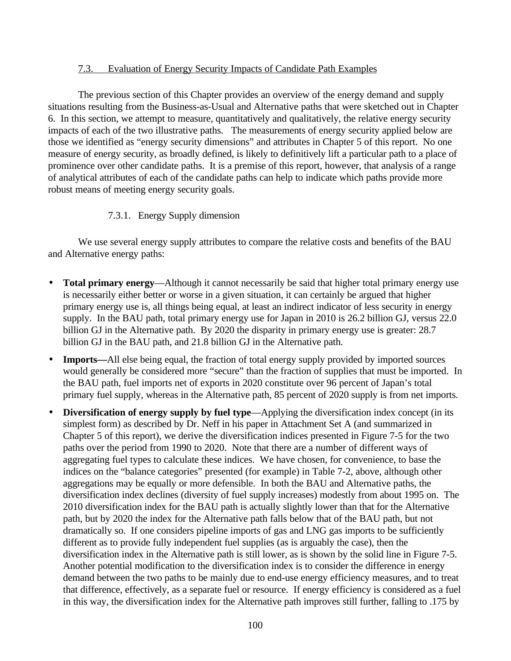#### 7.3. Evaluation of Energy Security Impacts of Candidate Path Examples

The previous section of this Chapter provides an overview of the energy demand and supply situations resulting from the Business-as-Usual and Alternative paths that were sketched out in Chapter 6. In this section, we attempt to measure, quantitatively and qualitatively, the relative energy security impacts of each of the two illustrative paths. The measurements of energy security applied below are those we identified as "energy security dimensions" and attributes in Chapter 5 of this report. No one measure of energy security, as broadly defined, is likely to definitively lift a particular path to a place of prominence over other candidate paths. It is a premise of this report, however, that analysis of a range of analytical attributes of each of the candidate paths can help to indicate which paths provide more robust means of meeting energy security goals.

# 7.3.1. Energy Supply dimension

We use several energy supply attributes to compare the relative costs and benefits of the BAU and Alternative energy paths:

- **Total primary energy**—Although it cannot necessarily be said that higher total primary energy use is necessarily either better or worse in a given situation, it can certainly be argued that higher primary energy use is, all things being equal, at least an indirect indicator of less security in energy supply. In the BAU path, total primary energy use for Japan in 2010 is 26.2 billion GJ, versus 22.0 billion GJ in the Alternative path. By 2020 the disparity in primary energy use is greater: 28.7 billion GJ in the BAU path, and 21.8 billion GJ in the Alternative path.
- **Imports—**All else being equal, the fraction of total energy supply provided by imported sources would generally be considered more "secure" than the fraction of supplies that must be imported. In the BAU path, fuel imports net of exports in 2020 constitute over 96 percent of Japan's total primary fuel supply, whereas in the Alternative path, 85 percent of 2020 supply is from net imports.
- **Diversification of energy supply by fuel type**—Applying the diversification index concept (in its simplest form) as described by Dr. Neff in his paper in Attachment Set A (and summarized in Chapter 5 of this report), we derive the diversification indices presented in Figure 7-5 for the two paths over the period from 1990 to 2020. Note that there are a number of different ways of aggregating fuel types to calculate these indices. We have chosen, for convenience, to base the indices on the "balance categories" presented (for example) in Table 7-2, above, although other aggregations may be equally or more defensible. In both the BAU and Alternative paths, the diversification index declines (diversity of fuel supply increases) modestly from about 1995 on. The 2010 diversification index for the BAU path is actually slightly lower than that for the Alternative path, but by 2020 the index for the Alternative path falls below that of the BAU path, but not dramatically so. If one considers pipeline imports of gas and LNG gas imports to be sufficiently different as to provide fully independent fuel supplies (as is arguably the case), then the diversification index in the Alternative path is still lower, as is shown by the solid line in Figure 7-5. Another potential modification to the diversification index is to consider the difference in energy demand between the two paths to be mainly due to end-use energy efficiency measures, and to treat that difference, effectively, as a separate fuel or resource. If energy efficiency is considered as a fuel in this way, the diversification index for the Alternative path improves still further, falling to .175 by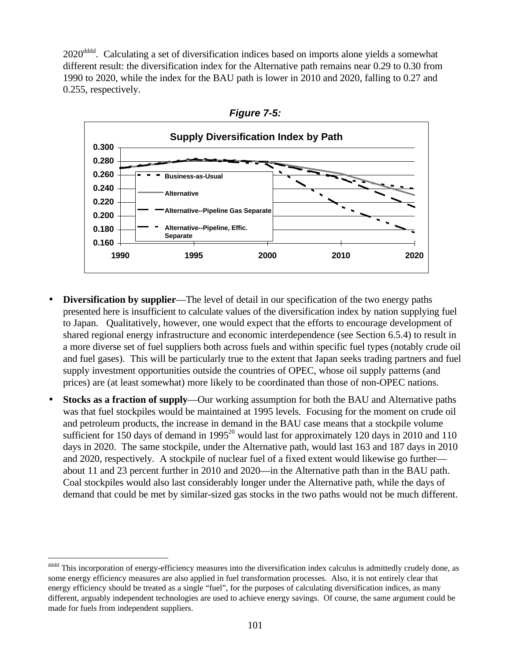2020<sup>dddd</sup>. Calculating a set of diversification indices based on imports alone yields a somewhat different result: the diversification index for the Alternative path remains near 0.29 to 0.30 from 1990 to 2020, while the index for the BAU path is lower in 2010 and 2020, falling to 0.27 and 0.255, respectively.



*Figure 7-5:*

- **Diversification by supplier**—The level of detail in our specification of the two energy paths presented here is insufficient to calculate values of the diversification index by nation supplying fuel to Japan. Qualitatively, however, one would expect that the efforts to encourage development of shared regional energy infrastructure and economic interdependence (see Section 6.5.4) to result in a more diverse set of fuel suppliers both across fuels and within specific fuel types (notably crude oil and fuel gases). This will be particularly true to the extent that Japan seeks trading partners and fuel supply investment opportunities outside the countries of OPEC, whose oil supply patterns (and prices) are (at least somewhat) more likely to be coordinated than those of non-OPEC nations.
- **Stocks as a fraction of supply**—Our working assumption for both the BAU and Alternative paths was that fuel stockpiles would be maintained at 1995 levels. Focusing for the moment on crude oil and petroleum products, the increase in demand in the BAU case means that a stockpile volume sufficient for 150 days of demand in 1995<sup>20</sup> would last for approximately 120 days in 2010 and 110 days in 2020. The same stockpile, under the Alternative path, would last 163 and 187 days in 2010 and 2020, respectively. A stockpile of nuclear fuel of a fixed extent would likewise go further about 11 and 23 percent further in 2010 and 2020—in the Alternative path than in the BAU path. Coal stockpiles would also last considerably longer under the Alternative path, while the days of demand that could be met by similar-sized gas stocks in the two paths would not be much different.

dddd This incorporation of energy-efficiency measures into the diversification index calculus is admittedly crudely done, as some energy efficiency measures are also applied in fuel transformation processes. Also, it is not entirely clear that energy efficiency should be treated as a single "fuel", for the purposes of calculating diversification indices, as many different, arguably independent technologies are used to achieve energy savings. Of course, the same argument could be made for fuels from independent suppliers.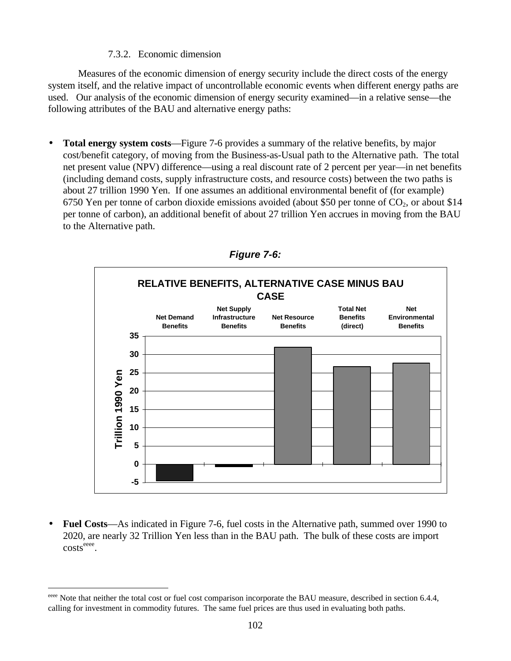#### 7.3.2. Economic dimension

Measures of the economic dimension of energy security include the direct costs of the energy system itself, and the relative impact of uncontrollable economic events when different energy paths are used. Our analysis of the economic dimension of energy security examined—in a relative sense—the following attributes of the BAU and alternative energy paths:

• **Total energy system costs**—Figure 7-6 provides a summary of the relative benefits, by major cost/benefit category, of moving from the Business-as-Usual path to the Alternative path. The total net present value (NPV) difference—using a real discount rate of 2 percent per year—in net benefits (including demand costs, supply infrastructure costs, and resource costs) between the two paths is about 27 trillion 1990 Yen. If one assumes an additional environmental benefit of (for example) 6750 Yen per tonne of carbon dioxide emissions avoided (about \$50 per tonne of  $CO<sub>2</sub>$ , or about \$14 per tonne of carbon), an additional benefit of about 27 trillion Yen accrues in moving from the BAU to the Alternative path.



*Figure 7-6:*

• **Fuel Costs**—As indicated in Figure 7-6, fuel costs in the Alternative path, summed over 1990 to 2020, are nearly 32 Trillion Yen less than in the BAU path. The bulk of these costs are import  $costs<sup>eeee</sup>$ .

eeee Note that neither the total cost or fuel cost comparison incorporate the BAU measure, described in section 6.4.4, calling for investment in commodity futures. The same fuel prices are thus used in evaluating both paths.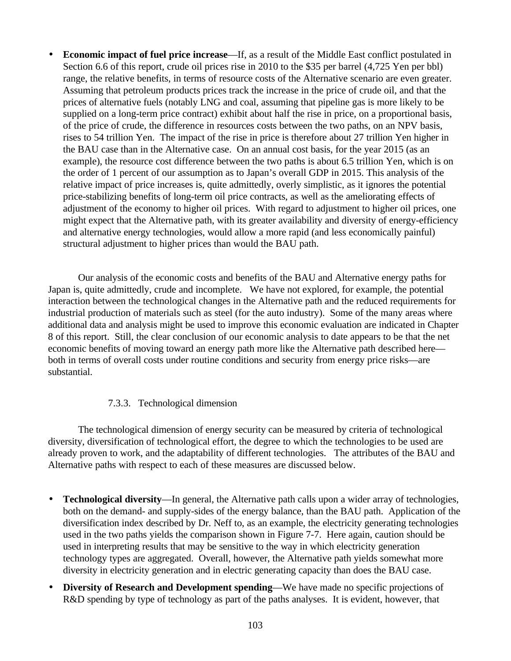• **Economic impact of fuel price increase**—If, as a result of the Middle East conflict postulated in Section 6.6 of this report, crude oil prices rise in 2010 to the \$35 per barrel (4,725 Yen per bbl) range, the relative benefits, in terms of resource costs of the Alternative scenario are even greater. Assuming that petroleum products prices track the increase in the price of crude oil, and that the prices of alternative fuels (notably LNG and coal, assuming that pipeline gas is more likely to be supplied on a long-term price contract) exhibit about half the rise in price, on a proportional basis, of the price of crude, the difference in resources costs between the two paths, on an NPV basis, rises to 54 trillion Yen. The impact of the rise in price is therefore about 27 trillion Yen higher in the BAU case than in the Alternative case. On an annual cost basis, for the year 2015 (as an example), the resource cost difference between the two paths is about 6.5 trillion Yen, which is on the order of 1 percent of our assumption as to Japan's overall GDP in 2015. This analysis of the relative impact of price increases is, quite admittedly, overly simplistic, as it ignores the potential price-stabilizing benefits of long-term oil price contracts, as well as the ameliorating effects of adjustment of the economy to higher oil prices. With regard to adjustment to higher oil prices, one might expect that the Alternative path, with its greater availability and diversity of energy-efficiency and alternative energy technologies, would allow a more rapid (and less economically painful) structural adjustment to higher prices than would the BAU path.

Our analysis of the economic costs and benefits of the BAU and Alternative energy paths for Japan is, quite admittedly, crude and incomplete. We have not explored, for example, the potential interaction between the technological changes in the Alternative path and the reduced requirements for industrial production of materials such as steel (for the auto industry). Some of the many areas where additional data and analysis might be used to improve this economic evaluation are indicated in Chapter 8 of this report. Still, the clear conclusion of our economic analysis to date appears to be that the net economic benefits of moving toward an energy path more like the Alternative path described here both in terms of overall costs under routine conditions and security from energy price risks—are substantial.

# 7.3.3. Technological dimension

The technological dimension of energy security can be measured by criteria of technological diversity, diversification of technological effort, the degree to which the technologies to be used are already proven to work, and the adaptability of different technologies. The attributes of the BAU and Alternative paths with respect to each of these measures are discussed below.

- **Technological diversity**—In general, the Alternative path calls upon a wider array of technologies, both on the demand- and supply-sides of the energy balance, than the BAU path. Application of the diversification index described by Dr. Neff to, as an example, the electricity generating technologies used in the two paths yields the comparison shown in Figure 7-7. Here again, caution should be used in interpreting results that may be sensitive to the way in which electricity generation technology types are aggregated. Overall, however, the Alternative path yields somewhat more diversity in electricity generation and in electric generating capacity than does the BAU case.
- **Diversity of Research and Development spending**—We have made no specific projections of R&D spending by type of technology as part of the paths analyses. It is evident, however, that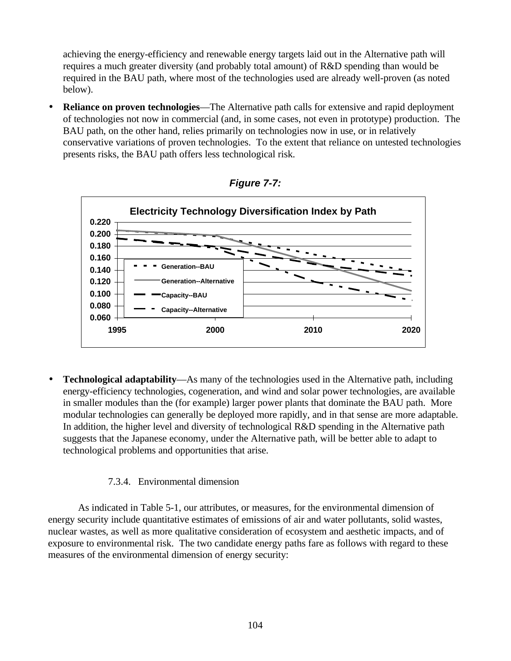achieving the energy-efficiency and renewable energy targets laid out in the Alternative path will requires a much greater diversity (and probably total amount) of R&D spending than would be required in the BAU path, where most of the technologies used are already well-proven (as noted below).

• **Reliance on proven technologies**—The Alternative path calls for extensive and rapid deployment of technologies not now in commercial (and, in some cases, not even in prototype) production. The BAU path, on the other hand, relies primarily on technologies now in use, or in relatively conservative variations of proven technologies. To the extent that reliance on untested technologies presents risks, the BAU path offers less technological risk.





• **Technological adaptability**—As many of the technologies used in the Alternative path, including energy-efficiency technologies, cogeneration, and wind and solar power technologies, are available in smaller modules than the (for example) larger power plants that dominate the BAU path. More modular technologies can generally be deployed more rapidly, and in that sense are more adaptable. In addition, the higher level and diversity of technological R&D spending in the Alternative path suggests that the Japanese economy, under the Alternative path, will be better able to adapt to technological problems and opportunities that arise.

## 7.3.4. Environmental dimension

As indicated in Table 5-1, our attributes, or measures, for the environmental dimension of energy security include quantitative estimates of emissions of air and water pollutants, solid wastes, nuclear wastes, as well as more qualitative consideration of ecosystem and aesthetic impacts, and of exposure to environmental risk. The two candidate energy paths fare as follows with regard to these measures of the environmental dimension of energy security: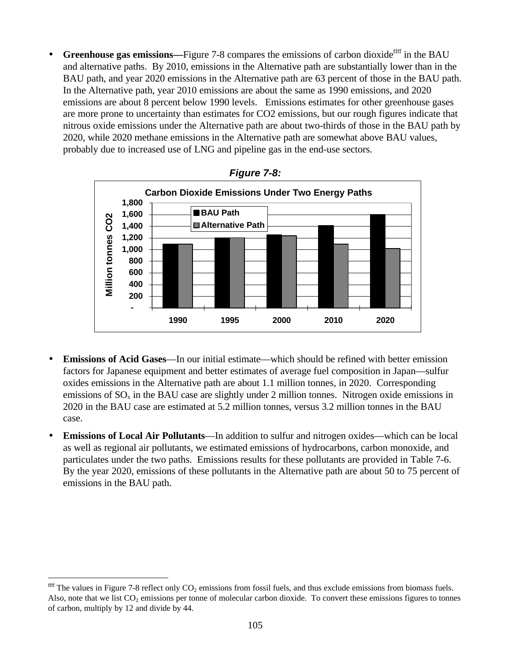Greenhouse gas emissions—Figure 7-8 compares the emissions of carbon dioxide<sup>ffff</sup> in the BAU and alternative paths. By 2010, emissions in the Alternative path are substantially lower than in the BAU path, and year 2020 emissions in the Alternative path are 63 percent of those in the BAU path. In the Alternative path, year 2010 emissions are about the same as 1990 emissions, and 2020 emissions are about 8 percent below 1990 levels. Emissions estimates for other greenhouse gases are more prone to uncertainty than estimates for CO2 emissions, but our rough figures indicate that nitrous oxide emissions under the Alternative path are about two-thirds of those in the BAU path by 2020, while 2020 methane emissions in the Alternative path are somewhat above BAU values, probably due to increased use of LNG and pipeline gas in the end-use sectors.





- **Emissions of Acid Gases—In** our initial estimate—which should be refined with better emission factors for Japanese equipment and better estimates of average fuel composition in Japan—sulfur oxides emissions in the Alternative path are about 1.1 million tonnes, in 2020. Corresponding emissions of  $SO_x$  in the BAU case are slightly under 2 million tonnes. Nitrogen oxide emissions in 2020 in the BAU case are estimated at 5.2 million tonnes, versus 3.2 million tonnes in the BAU case.
- **Emissions of Local Air Pollutants**—In addition to sulfur and nitrogen oxides—which can be local as well as regional air pollutants, we estimated emissions of hydrocarbons, carbon monoxide, and particulates under the two paths. Emissions results for these pollutants are provided in Table 7-6. By the year 2020, emissions of these pollutants in the Alternative path are about 50 to 75 percent of emissions in the BAU path.

 $\overline{a}$ 

 $^{\text{eff}}$  The values in Figure 7-8 reflect only CO<sub>2</sub> emissions from fossil fuels, and thus exclude emissions from biomass fuels. Also, note that we list  $CO<sub>2</sub>$  emissions per tonne of molecular carbon dioxide. To convert these emissions figures to tonnes of carbon, multiply by 12 and divide by 44.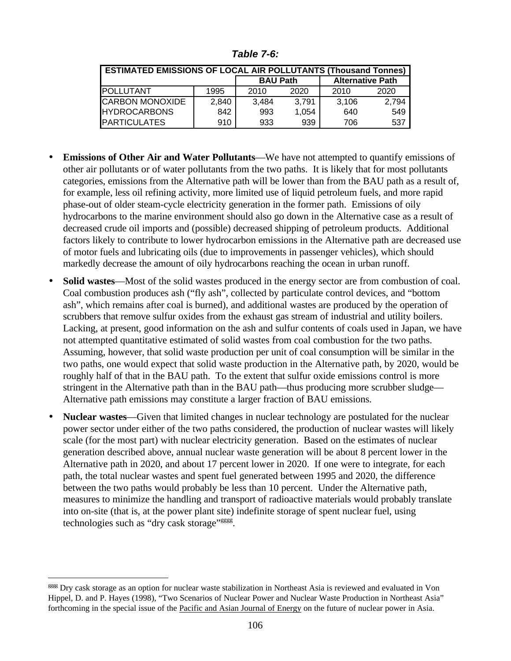| Table 7-6: |  |
|------------|--|
|------------|--|

| <b>ESTIMATED EMISSIONS OF LOCAL AIR POLLUTANTS (Thousand Tonnes)</b> |       |                 |       |       |                         |  |
|----------------------------------------------------------------------|-------|-----------------|-------|-------|-------------------------|--|
|                                                                      |       | <b>BAU Path</b> |       |       | <b>Alternative Path</b> |  |
| <b>IPOLLUTANT</b>                                                    | 1995  | 2010            | 2020  | 2010  | 2020                    |  |
| <b>CARBON MONOXIDE</b>                                               | 2,840 | 3.484           | 3.791 | 3.106 | 2.794                   |  |
| <b>HYDROCARBONS</b>                                                  | 842   | 993             | 1.054 | 640   | 549                     |  |
| <b>IPARTICULATES</b>                                                 | 910   | 933             | 939   | 706   | 537                     |  |

- **Emissions of Other Air and Water Pollutants**—We have not attempted to quantify emissions of other air pollutants or of water pollutants from the two paths. It is likely that for most pollutants categories, emissions from the Alternative path will be lower than from the BAU path as a result of, for example, less oil refining activity, more limited use of liquid petroleum fuels, and more rapid phase-out of older steam-cycle electricity generation in the former path. Emissions of oily hydrocarbons to the marine environment should also go down in the Alternative case as a result of decreased crude oil imports and (possible) decreased shipping of petroleum products. Additional factors likely to contribute to lower hydrocarbon emissions in the Alternative path are decreased use of motor fuels and lubricating oils (due to improvements in passenger vehicles), which should markedly decrease the amount of oily hydrocarbons reaching the ocean in urban runoff.
- **Solid wastes**—Most of the solid wastes produced in the energy sector are from combustion of coal. Coal combustion produces ash ("fly ash", collected by particulate control devices, and "bottom ash", which remains after coal is burned), and additional wastes are produced by the operation of scrubbers that remove sulfur oxides from the exhaust gas stream of industrial and utility boilers. Lacking, at present, good information on the ash and sulfur contents of coals used in Japan, we have not attempted quantitative estimated of solid wastes from coal combustion for the two paths. Assuming, however, that solid waste production per unit of coal consumption will be similar in the two paths, one would expect that solid waste production in the Alternative path, by 2020, would be roughly half of that in the BAU path. To the extent that sulfur oxide emissions control is more stringent in the Alternative path than in the BAU path—thus producing more scrubber sludge— Alternative path emissions may constitute a larger fraction of BAU emissions.
- **Nuclear wastes**—Given that limited changes in nuclear technology are postulated for the nuclear power sector under either of the two paths considered, the production of nuclear wastes will likely scale (for the most part) with nuclear electricity generation. Based on the estimates of nuclear generation described above, annual nuclear waste generation will be about 8 percent lower in the Alternative path in 2020, and about 17 percent lower in 2020. If one were to integrate, for each path, the total nuclear wastes and spent fuel generated between 1995 and 2020, the difference between the two paths would probably be less than 10 percent. Under the Alternative path, measures to minimize the handling and transport of radioactive materials would probably translate into on-site (that is, at the power plant site) indefinite storage of spent nuclear fuel, using technologies such as "dry cask storage"<sup>gggg</sup>.

 $\overline{a}$ 

gggg Dry cask storage as an option for nuclear waste stabilization in Northeast Asia is reviewed and evaluated in Von Hippel, D. and P. Hayes (1998), "Two Scenarios of Nuclear Power and Nuclear Waste Production in Northeast Asia" forthcoming in the special issue of the Pacific and Asian Journal of Energy on the future of nuclear power in Asia.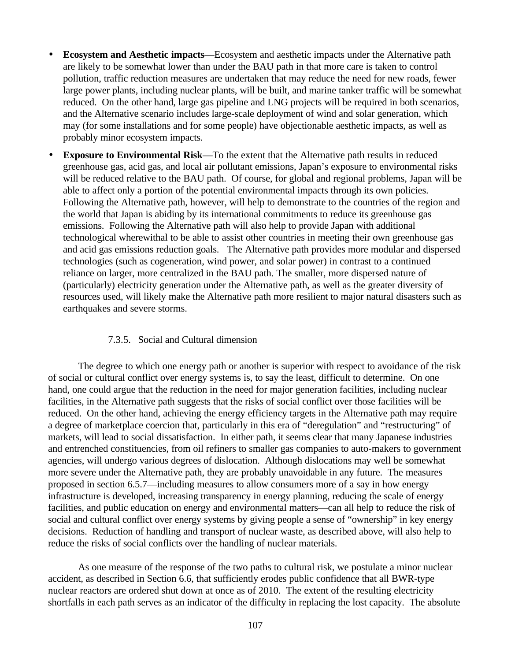- **Ecosystem and Aesthetic impacts**—Ecosystem and aesthetic impacts under the Alternative path are likely to be somewhat lower than under the BAU path in that more care is taken to control pollution, traffic reduction measures are undertaken that may reduce the need for new roads, fewer large power plants, including nuclear plants, will be built, and marine tanker traffic will be somewhat reduced. On the other hand, large gas pipeline and LNG projects will be required in both scenarios, and the Alternative scenario includes large-scale deployment of wind and solar generation, which may (for some installations and for some people) have objectionable aesthetic impacts, as well as probably minor ecosystem impacts.
- **Exposure to Environmental Risk**—To the extent that the Alternative path results in reduced greenhouse gas, acid gas, and local air pollutant emissions, Japan's exposure to environmental risks will be reduced relative to the BAU path. Of course, for global and regional problems, Japan will be able to affect only a portion of the potential environmental impacts through its own policies. Following the Alternative path, however, will help to demonstrate to the countries of the region and the world that Japan is abiding by its international commitments to reduce its greenhouse gas emissions. Following the Alternative path will also help to provide Japan with additional technological wherewithal to be able to assist other countries in meeting their own greenhouse gas and acid gas emissions reduction goals. The Alternative path provides more modular and dispersed technologies (such as cogeneration, wind power, and solar power) in contrast to a continued reliance on larger, more centralized in the BAU path. The smaller, more dispersed nature of (particularly) electricity generation under the Alternative path, as well as the greater diversity of resources used, will likely make the Alternative path more resilient to major natural disasters such as earthquakes and severe storms.

## 7.3.5. Social and Cultural dimension

The degree to which one energy path or another is superior with respect to avoidance of the risk of social or cultural conflict over energy systems is, to say the least, difficult to determine. On one hand, one could argue that the reduction in the need for major generation facilities, including nuclear facilities, in the Alternative path suggests that the risks of social conflict over those facilities will be reduced. On the other hand, achieving the energy efficiency targets in the Alternative path may require a degree of marketplace coercion that, particularly in this era of "deregulation" and "restructuring" of markets, will lead to social dissatisfaction. In either path, it seems clear that many Japanese industries and entrenched constituencies, from oil refiners to smaller gas companies to auto-makers to government agencies, will undergo various degrees of dislocation. Although dislocations may well be somewhat more severe under the Alternative path, they are probably unavoidable in any future. The measures proposed in section 6.5.7—including measures to allow consumers more of a say in how energy infrastructure is developed, increasing transparency in energy planning, reducing the scale of energy facilities, and public education on energy and environmental matters—can all help to reduce the risk of social and cultural conflict over energy systems by giving people a sense of "ownership" in key energy decisions. Reduction of handling and transport of nuclear waste, as described above, will also help to reduce the risks of social conflicts over the handling of nuclear materials.

As one measure of the response of the two paths to cultural risk, we postulate a minor nuclear accident, as described in Section 6.6, that sufficiently erodes public confidence that all BWR-type nuclear reactors are ordered shut down at once as of 2010. The extent of the resulting electricity shortfalls in each path serves as an indicator of the difficulty in replacing the lost capacity. The absolute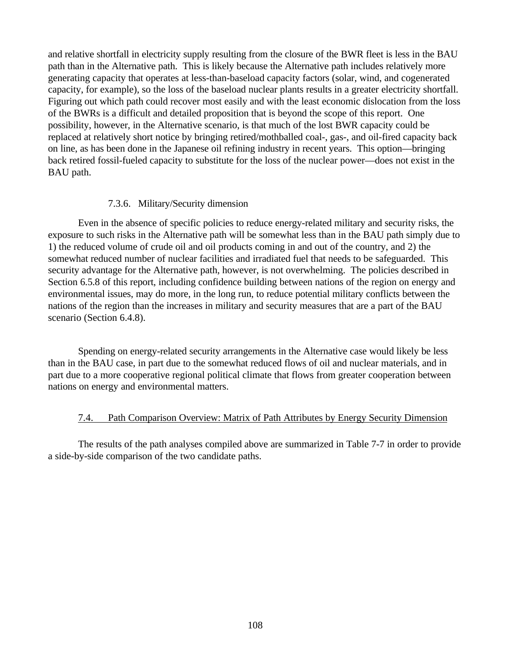and relative shortfall in electricity supply resulting from the closure of the BWR fleet is less in the BAU path than in the Alternative path. This is likely because the Alternative path includes relatively more generating capacity that operates at less-than-baseload capacity factors (solar, wind, and cogenerated capacity, for example), so the loss of the baseload nuclear plants results in a greater electricity shortfall. Figuring out which path could recover most easily and with the least economic dislocation from the loss of the BWRs is a difficult and detailed proposition that is beyond the scope of this report. One possibility, however, in the Alternative scenario, is that much of the lost BWR capacity could be replaced at relatively short notice by bringing retired/mothballed coal-, gas-, and oil-fired capacity back on line, as has been done in the Japanese oil refining industry in recent years. This option—bringing back retired fossil-fueled capacity to substitute for the loss of the nuclear power—does not exist in the BAU path.

#### 7.3.6. Military/Security dimension

Even in the absence of specific policies to reduce energy-related military and security risks, the exposure to such risks in the Alternative path will be somewhat less than in the BAU path simply due to 1) the reduced volume of crude oil and oil products coming in and out of the country, and 2) the somewhat reduced number of nuclear facilities and irradiated fuel that needs to be safeguarded. This security advantage for the Alternative path, however, is not overwhelming. The policies described in Section 6.5.8 of this report, including confidence building between nations of the region on energy and environmental issues, may do more, in the long run, to reduce potential military conflicts between the nations of the region than the increases in military and security measures that are a part of the BAU scenario (Section 6.4.8).

Spending on energy-related security arrangements in the Alternative case would likely be less than in the BAU case, in part due to the somewhat reduced flows of oil and nuclear materials, and in part due to a more cooperative regional political climate that flows from greater cooperation between nations on energy and environmental matters.

## 7.4. Path Comparison Overview: Matrix of Path Attributes by Energy Security Dimension

The results of the path analyses compiled above are summarized in Table 7-7 in order to provide a side-by-side comparison of the two candidate paths.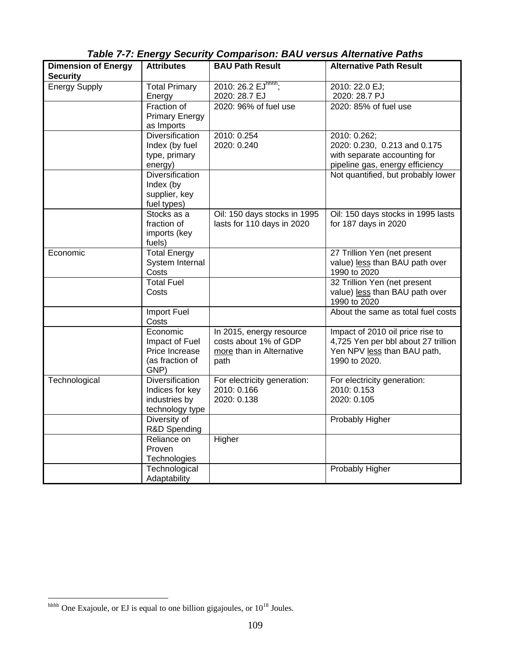|                                               | $10000 + 11009$                                                               | $\sim$ comparison. DAG voi sus Alternative rate                                       |                                                                                                                         |
|-----------------------------------------------|-------------------------------------------------------------------------------|---------------------------------------------------------------------------------------|-------------------------------------------------------------------------------------------------------------------------|
| <b>Dimension of Energy</b><br><b>Security</b> | <b>Attributes</b>                                                             | <b>BAU Path Result</b>                                                                | <b>Alternative Path Result</b>                                                                                          |
| <b>Energy Supply</b>                          | <b>Total Primary</b><br>Energy                                                | 2010: 26.2 EJhhhh;<br>2020: 28.7 EJ                                                   | 2010: 22.0 EJ;<br>2020: 28.7 PJ                                                                                         |
|                                               | Fraction of<br><b>Primary Energy</b><br>as Imports                            | 2020: 96% of fuel use                                                                 | 2020: 85% of fuel use                                                                                                   |
|                                               | <b>Diversification</b><br>Index (by fuel<br>type, primary<br>energy)          | 2010: 0.254<br>2020: 0.240                                                            | 2010: 0.262;<br>2020: 0.230, 0.213 and 0.175<br>with separate accounting for<br>pipeline gas, energy efficiency         |
|                                               | Diversification<br>Index (by<br>supplier, key<br>fuel types)                  |                                                                                       | Not quantified, but probably lower                                                                                      |
|                                               | Stocks as a<br>fraction of<br>imports (key<br>fuels)                          | Oil: 150 days stocks in 1995<br>lasts for 110 days in 2020                            | Oil: 150 days stocks in 1995 lasts<br>for 187 days in 2020                                                              |
| Economic                                      | <b>Total Energy</b><br>System Internal<br>Costs                               |                                                                                       | 27 Trillion Yen (net present<br>value) less than BAU path over<br>1990 to 2020                                          |
|                                               | <b>Total Fuel</b><br>Costs                                                    |                                                                                       | 32 Trillion Yen (net present<br>value) less than BAU path over<br>1990 to 2020                                          |
|                                               | Import Fuel<br>Costs                                                          |                                                                                       | About the same as total fuel costs                                                                                      |
|                                               | Economic<br>Impact of Fuel<br>Price Increase<br>(as fraction of<br>GNP)       | In 2015, energy resource<br>costs about 1% of GDP<br>more than in Alternative<br>path | Impact of 2010 oil price rise to<br>4,725 Yen per bbl about 27 trillion<br>Yen NPV less than BAU path,<br>1990 to 2020. |
| Technological                                 | <b>Diversification</b><br>Indices for key<br>industries by<br>technology type | For electricity generation:<br>2010: 0.166<br>2020: 0.138                             | For electricity generation:<br>2010: 0.153<br>2020: 0.105                                                               |
|                                               | Diversity of<br>R&D Spending                                                  |                                                                                       | Probably Higher                                                                                                         |
|                                               | Reliance on<br>Proven<br>Technologies                                         | Higher                                                                                |                                                                                                                         |
|                                               | Technological<br>Adaptability                                                 |                                                                                       | Probably Higher                                                                                                         |

*Table 7-7: Energy Security Comparison: BAU versus Alternative Paths*

 $\overline{a}$  $h$ <sub>hhhh</sub> One Exajoule, or EJ is equal to one billion gigajoules, or  $10^{18}$  Joules.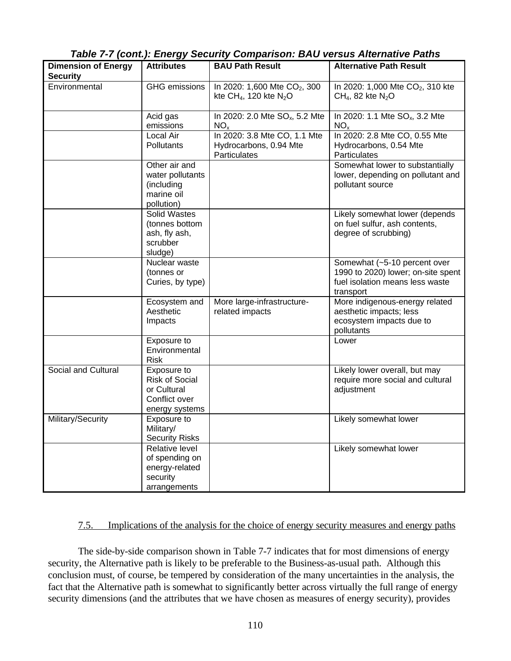| Table 7-7 (cont.): Energy Security Comparison: BAU versus Alternative Paths |
|-----------------------------------------------------------------------------|
|-----------------------------------------------------------------------------|

| <b>Dimension of Energy</b><br><b>Security</b> | <b>Attributes</b>                                                                      | <b>BAU Path Result</b>                                                           | <b>Alternative Path Result</b>                                                                                     |
|-----------------------------------------------|----------------------------------------------------------------------------------------|----------------------------------------------------------------------------------|--------------------------------------------------------------------------------------------------------------------|
| Environmental                                 | <b>GHG</b> emissions                                                                   | In 2020: 1,600 Mte CO <sub>2</sub> , 300<br>kte CH <sub>4</sub> , 120 kte $N_2O$ | In 2020: 1,000 Mte CO <sub>2</sub> , 310 kte<br>$CH4$ , 82 kte N <sub>2</sub> O                                    |
|                                               | Acid gas<br>emissions                                                                  | In 2020: 2.0 Mte SO <sub>x</sub> , 5.2 Mte<br>$NO_{x}$                           | In 2020: 1.1 Mte SO <sub>x</sub> , 3.2 Mte<br>NO <sub>x</sub>                                                      |
|                                               | Local Air<br><b>Pollutants</b>                                                         | In 2020: 3.8 Mte CO, 1.1 Mte<br>Hydrocarbons, 0.94 Mte<br>Particulates           | In 2020: 2.8 Mte CO, 0.55 Mte<br>Hydrocarbons, 0.54 Mte<br>Particulates                                            |
|                                               | Other air and<br>water pollutants<br>(including<br>marine oil<br>pollution)            |                                                                                  | Somewhat lower to substantially<br>lower, depending on pollutant and<br>pollutant source                           |
|                                               | <b>Solid Wastes</b><br>(tonnes bottom<br>ash, fly ash,<br>scrubber<br>sludge)          |                                                                                  | Likely somewhat lower (depends<br>on fuel sulfur, ash contents,<br>degree of scrubbing)                            |
|                                               | Nuclear waste<br>(tonnes or<br>Curies, by type)                                        |                                                                                  | Somewhat (~5-10 percent over<br>1990 to 2020) lower; on-site spent<br>fuel isolation means less waste<br>transport |
|                                               | Ecosystem and<br>Aesthetic<br>Impacts                                                  | More large-infrastructure-<br>related impacts                                    | More indigenous-energy related<br>aesthetic impacts; less<br>ecosystem impacts due to<br>pollutants                |
|                                               | Exposure to<br>Environmental<br>Risk                                                   |                                                                                  | Lower                                                                                                              |
| Social and Cultural                           | Exposure to<br><b>Risk of Social</b><br>or Cultural<br>Conflict over<br>energy systems |                                                                                  | Likely lower overall, but may<br>require more social and cultural<br>adjustment                                    |
| Military/Security                             | Exposure to<br>Military/<br><b>Security Risks</b>                                      |                                                                                  | Likely somewhat lower                                                                                              |
|                                               | Relative level<br>of spending on<br>energy-related<br>security<br>arrangements         |                                                                                  | Likely somewhat lower                                                                                              |

## 7.5. Implications of the analysis for the choice of energy security measures and energy paths

The side-by-side comparison shown in Table 7-7 indicates that for most dimensions of energy security, the Alternative path is likely to be preferable to the Business-as-usual path. Although this conclusion must, of course, be tempered by consideration of the many uncertainties in the analysis, the fact that the Alternative path is somewhat to significantly better across virtually the full range of energy security dimensions (and the attributes that we have chosen as measures of energy security), provides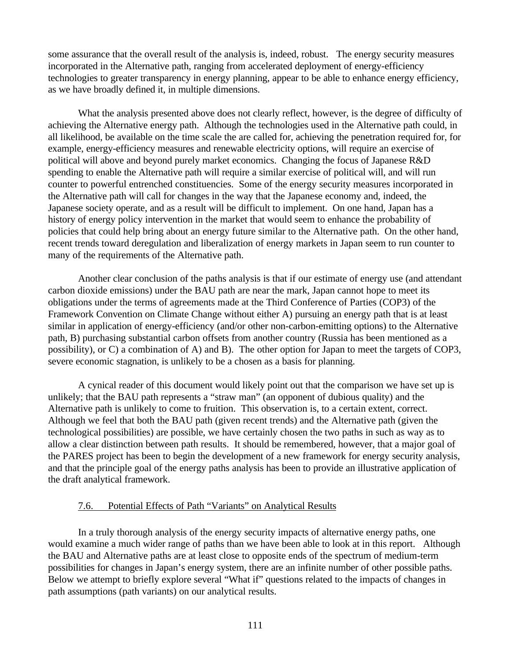some assurance that the overall result of the analysis is, indeed, robust. The energy security measures incorporated in the Alternative path, ranging from accelerated deployment of energy-efficiency technologies to greater transparency in energy planning, appear to be able to enhance energy efficiency, as we have broadly defined it, in multiple dimensions.

What the analysis presented above does not clearly reflect, however, is the degree of difficulty of achieving the Alternative energy path. Although the technologies used in the Alternative path could, in all likelihood, be available on the time scale the are called for, achieving the penetration required for, for example, energy-efficiency measures and renewable electricity options, will require an exercise of political will above and beyond purely market economics. Changing the focus of Japanese R&D spending to enable the Alternative path will require a similar exercise of political will, and will run counter to powerful entrenched constituencies. Some of the energy security measures incorporated in the Alternative path will call for changes in the way that the Japanese economy and, indeed, the Japanese society operate, and as a result will be difficult to implement. On one hand, Japan has a history of energy policy intervention in the market that would seem to enhance the probability of policies that could help bring about an energy future similar to the Alternative path. On the other hand, recent trends toward deregulation and liberalization of energy markets in Japan seem to run counter to many of the requirements of the Alternative path.

Another clear conclusion of the paths analysis is that if our estimate of energy use (and attendant carbon dioxide emissions) under the BAU path are near the mark, Japan cannot hope to meet its obligations under the terms of agreements made at the Third Conference of Parties (COP3) of the Framework Convention on Climate Change without either A) pursuing an energy path that is at least similar in application of energy-efficiency (and/or other non-carbon-emitting options) to the Alternative path, B) purchasing substantial carbon offsets from another country (Russia has been mentioned as a possibility), or C) a combination of A) and B). The other option for Japan to meet the targets of COP3, severe economic stagnation, is unlikely to be a chosen as a basis for planning.

A cynical reader of this document would likely point out that the comparison we have set up is unlikely; that the BAU path represents a "straw man" (an opponent of dubious quality) and the Alternative path is unlikely to come to fruition. This observation is, to a certain extent, correct. Although we feel that both the BAU path (given recent trends) and the Alternative path (given the technological possibilities) are possible, we have certainly chosen the two paths in such as way as to allow a clear distinction between path results. It should be remembered, however, that a major goal of the PARES project has been to begin the development of a new framework for energy security analysis, and that the principle goal of the energy paths analysis has been to provide an illustrative application of the draft analytical framework.

## 7.6. Potential Effects of Path "Variants" on Analytical Results

In a truly thorough analysis of the energy security impacts of alternative energy paths, one would examine a much wider range of paths than we have been able to look at in this report. Although the BAU and Alternative paths are at least close to opposite ends of the spectrum of medium-term possibilities for changes in Japan's energy system, there are an infinite number of other possible paths. Below we attempt to briefly explore several "What if" questions related to the impacts of changes in path assumptions (path variants) on our analytical results.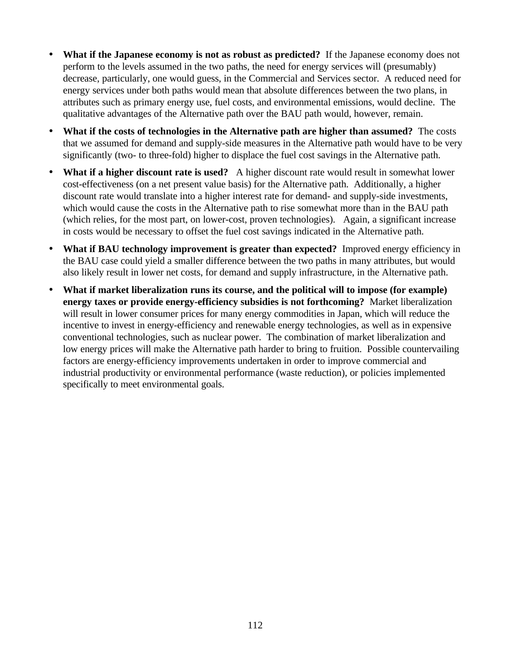- **What if the Japanese economy is not as robust as predicted?** If the Japanese economy does not perform to the levels assumed in the two paths, the need for energy services will (presumably) decrease, particularly, one would guess, in the Commercial and Services sector. A reduced need for energy services under both paths would mean that absolute differences between the two plans, in attributes such as primary energy use, fuel costs, and environmental emissions, would decline. The qualitative advantages of the Alternative path over the BAU path would, however, remain.
- **What if the costs of technologies in the Alternative path are higher than assumed?** The costs that we assumed for demand and supply-side measures in the Alternative path would have to be very significantly (two- to three-fold) higher to displace the fuel cost savings in the Alternative path.
- **What if a higher discount rate is used?** A higher discount rate would result in somewhat lower cost-effectiveness (on a net present value basis) for the Alternative path. Additionally, a higher discount rate would translate into a higher interest rate for demand- and supply-side investments, which would cause the costs in the Alternative path to rise somewhat more than in the BAU path (which relies, for the most part, on lower-cost, proven technologies). Again, a significant increase in costs would be necessary to offset the fuel cost savings indicated in the Alternative path.
- **What if BAU technology improvement is greater than expected?** Improved energy efficiency in the BAU case could yield a smaller difference between the two paths in many attributes, but would also likely result in lower net costs, for demand and supply infrastructure, in the Alternative path.
- **What if market liberalization runs its course, and the political will to impose (for example) energy taxes or provide energy-efficiency subsidies is not forthcoming?** Market liberalization will result in lower consumer prices for many energy commodities in Japan, which will reduce the incentive to invest in energy-efficiency and renewable energy technologies, as well as in expensive conventional technologies, such as nuclear power. The combination of market liberalization and low energy prices will make the Alternative path harder to bring to fruition. Possible countervailing factors are energy-efficiency improvements undertaken in order to improve commercial and industrial productivity or environmental performance (waste reduction), or policies implemented specifically to meet environmental goals.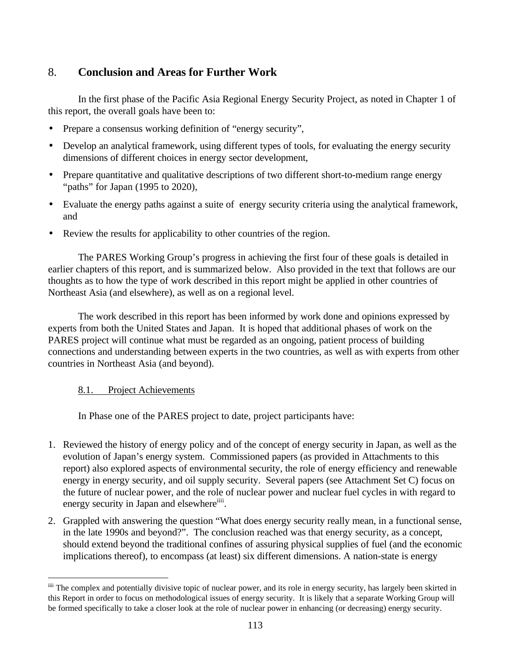# 8. **Conclusion and Areas for Further Work**

In the first phase of the Pacific Asia Regional Energy Security Project, as noted in Chapter 1 of this report, the overall goals have been to:

- Prepare a consensus working definition of "energy security",
- Develop an analytical framework, using different types of tools, for evaluating the energy security dimensions of different choices in energy sector development,
- Prepare quantitative and qualitative descriptions of two different short-to-medium range energy "paths" for Japan (1995 to 2020),
- Evaluate the energy paths against a suite of energy security criteria using the analytical framework, and
- Review the results for applicability to other countries of the region.

The PARES Working Group's progress in achieving the first four of these goals is detailed in earlier chapters of this report, and is summarized below. Also provided in the text that follows are our thoughts as to how the type of work described in this report might be applied in other countries of Northeast Asia (and elsewhere), as well as on a regional level.

The work described in this report has been informed by work done and opinions expressed by experts from both the United States and Japan. It is hoped that additional phases of work on the PARES project will continue what must be regarded as an ongoing, patient process of building connections and understanding between experts in the two countries, as well as with experts from other countries in Northeast Asia (and beyond).

## 8.1. Project Achievements

 $\overline{a}$ 

In Phase one of the PARES project to date, project participants have:

- 1. Reviewed the history of energy policy and of the concept of energy security in Japan, as well as the evolution of Japan's energy system. Commissioned papers (as provided in Attachments to this report) also explored aspects of environmental security, the role of energy efficiency and renewable energy in energy security, and oil supply security. Several papers (see Attachment Set C) focus on the future of nuclear power, and the role of nuclear power and nuclear fuel cycles in with regard to energy security in Japan and elsewhere<sup>iiii</sup>.
- 2. Grappled with answering the question "What does energy security really mean, in a functional sense, in the late 1990s and beyond?". The conclusion reached was that energy security, as a concept, should extend beyond the traditional confines of assuring physical supplies of fuel (and the economic implications thereof), to encompass (at least) six different dimensions. A nation-state is energy

iiii The complex and potentially divisive topic of nuclear power, and its role in energy security, has largely been skirted in this Report in order to focus on methodological issues of energy security. It is likely that a separate Working Group will be formed specifically to take a closer look at the role of nuclear power in enhancing (or decreasing) energy security.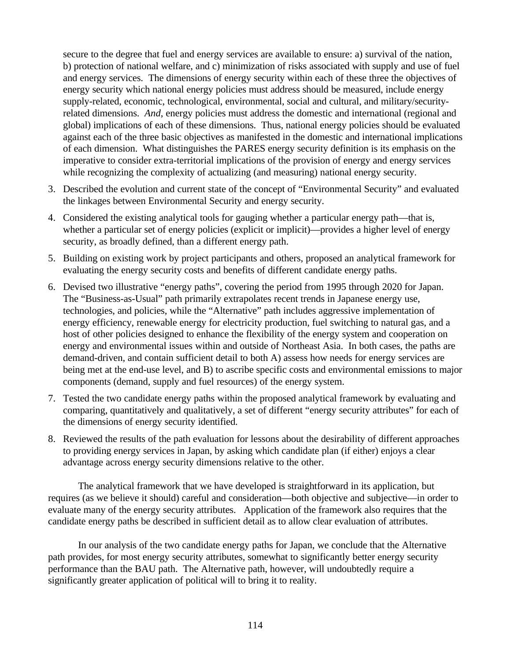secure to the degree that fuel and energy services are available to ensure: a) survival of the nation, b) protection of national welfare, and c) minimization of risks associated with supply and use of fuel and energy services. The dimensions of energy security within each of these three the objectives of energy security which national energy policies must address should be measured, include energy supply-related, economic, technological, environmental, social and cultural, and military/securityrelated dimensions. *And*, energy policies must address the domestic and international (regional and global) implications of each of these dimensions. Thus, national energy policies should be evaluated against each of the three basic objectives as manifested in the domestic and international implications of each dimension. What distinguishes the PARES energy security definition is its emphasis on the imperative to consider extra-territorial implications of the provision of energy and energy services while recognizing the complexity of actualizing (and measuring) national energy security.

- 3. Described the evolution and current state of the concept of "Environmental Security" and evaluated the linkages between Environmental Security and energy security.
- 4. Considered the existing analytical tools for gauging whether a particular energy path—that is, whether a particular set of energy policies (explicit or implicit)—provides a higher level of energy security, as broadly defined, than a different energy path.
- 5. Building on existing work by project participants and others, proposed an analytical framework for evaluating the energy security costs and benefits of different candidate energy paths.
- 6. Devised two illustrative "energy paths", covering the period from 1995 through 2020 for Japan. The "Business-as-Usual" path primarily extrapolates recent trends in Japanese energy use, technologies, and policies, while the "Alternative" path includes aggressive implementation of energy efficiency, renewable energy for electricity production, fuel switching to natural gas, and a host of other policies designed to enhance the flexibility of the energy system and cooperation on energy and environmental issues within and outside of Northeast Asia. In both cases, the paths are demand-driven, and contain sufficient detail to both A) assess how needs for energy services are being met at the end-use level, and B) to ascribe specific costs and environmental emissions to major components (demand, supply and fuel resources) of the energy system.
- 7. Tested the two candidate energy paths within the proposed analytical framework by evaluating and comparing, quantitatively and qualitatively, a set of different "energy security attributes" for each of the dimensions of energy security identified.
- 8. Reviewed the results of the path evaluation for lessons about the desirability of different approaches to providing energy services in Japan, by asking which candidate plan (if either) enjoys a clear advantage across energy security dimensions relative to the other.

The analytical framework that we have developed is straightforward in its application, but requires (as we believe it should) careful and consideration—both objective and subjective—in order to evaluate many of the energy security attributes. Application of the framework also requires that the candidate energy paths be described in sufficient detail as to allow clear evaluation of attributes.

In our analysis of the two candidate energy paths for Japan, we conclude that the Alternative path provides, for most energy security attributes, somewhat to significantly better energy security performance than the BAU path. The Alternative path, however, will undoubtedly require a significantly greater application of political will to bring it to reality.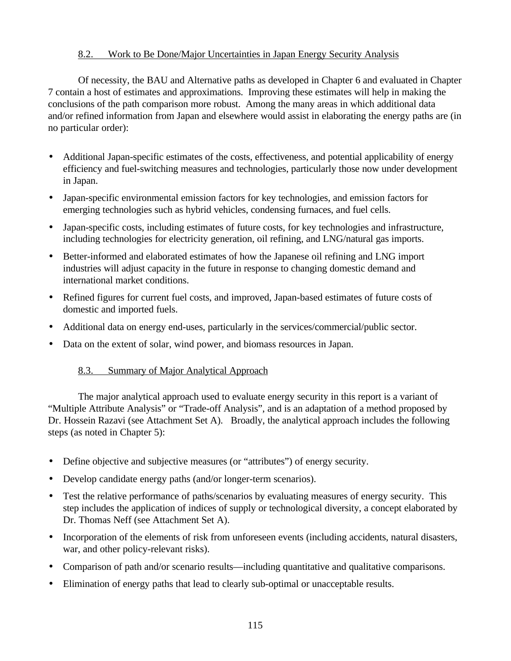## 8.2. Work to Be Done/Major Uncertainties in Japan Energy Security Analysis

Of necessity, the BAU and Alternative paths as developed in Chapter 6 and evaluated in Chapter 7 contain a host of estimates and approximations. Improving these estimates will help in making the conclusions of the path comparison more robust. Among the many areas in which additional data and/or refined information from Japan and elsewhere would assist in elaborating the energy paths are (in no particular order):

- Additional Japan-specific estimates of the costs, effectiveness, and potential applicability of energy efficiency and fuel-switching measures and technologies, particularly those now under development in Japan.
- Japan-specific environmental emission factors for key technologies, and emission factors for emerging technologies such as hybrid vehicles, condensing furnaces, and fuel cells.
- Japan-specific costs, including estimates of future costs, for key technologies and infrastructure, including technologies for electricity generation, oil refining, and LNG/natural gas imports.
- Better-informed and elaborated estimates of how the Japanese oil refining and LNG import industries will adjust capacity in the future in response to changing domestic demand and international market conditions.
- Refined figures for current fuel costs, and improved, Japan-based estimates of future costs of domestic and imported fuels.
- Additional data on energy end-uses, particularly in the services/commercial/public sector.
- Data on the extent of solar, wind power, and biomass resources in Japan.

## 8.3. Summary of Major Analytical Approach

The major analytical approach used to evaluate energy security in this report is a variant of "Multiple Attribute Analysis" or "Trade-off Analysis", and is an adaptation of a method proposed by Dr. Hossein Razavi (see Attachment Set A). Broadly, the analytical approach includes the following steps (as noted in Chapter 5):

- Define objective and subjective measures (or "attributes") of energy security.
- Develop candidate energy paths (and/or longer-term scenarios).
- Test the relative performance of paths/scenarios by evaluating measures of energy security. This step includes the application of indices of supply or technological diversity, a concept elaborated by Dr. Thomas Neff (see Attachment Set A).
- Incorporation of the elements of risk from unforeseen events (including accidents, natural disasters, war, and other policy-relevant risks).
- Comparison of path and/or scenario results—including quantitative and qualitative comparisons.
- Elimination of energy paths that lead to clearly sub-optimal or unacceptable results.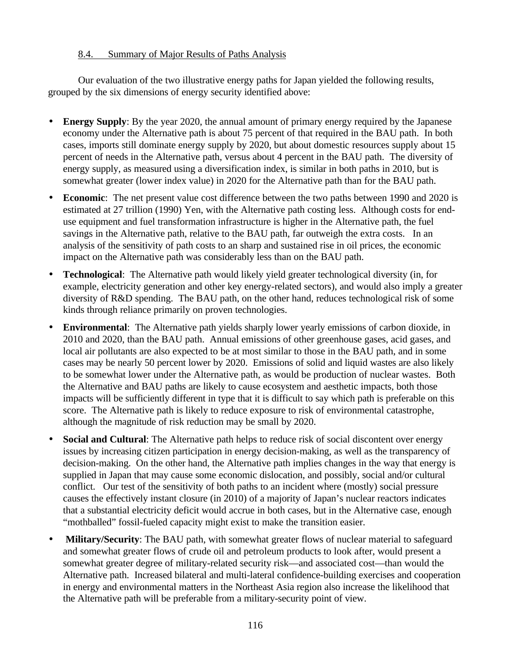## 8.4. Summary of Major Results of Paths Analysis

Our evaluation of the two illustrative energy paths for Japan yielded the following results, grouped by the six dimensions of energy security identified above:

- **Energy Supply**: By the year 2020, the annual amount of primary energy required by the Japanese economy under the Alternative path is about 75 percent of that required in the BAU path. In both cases, imports still dominate energy supply by 2020, but about domestic resources supply about 15 percent of needs in the Alternative path, versus about 4 percent in the BAU path. The diversity of energy supply, as measured using a diversification index, is similar in both paths in 2010, but is somewhat greater (lower index value) in 2020 for the Alternative path than for the BAU path.
- **Economic**: The net present value cost difference between the two paths between 1990 and 2020 is estimated at 27 trillion (1990) Yen, with the Alternative path costing less. Although costs for enduse equipment and fuel transformation infrastructure is higher in the Alternative path, the fuel savings in the Alternative path, relative to the BAU path, far outweigh the extra costs. In an analysis of the sensitivity of path costs to an sharp and sustained rise in oil prices, the economic impact on the Alternative path was considerably less than on the BAU path.
- **Technological**: The Alternative path would likely yield greater technological diversity (in, for example, electricity generation and other key energy-related sectors), and would also imply a greater diversity of R&D spending. The BAU path, on the other hand, reduces technological risk of some kinds through reliance primarily on proven technologies.
- **Environmental**: The Alternative path yields sharply lower yearly emissions of carbon dioxide, in 2010 and 2020, than the BAU path. Annual emissions of other greenhouse gases, acid gases, and local air pollutants are also expected to be at most similar to those in the BAU path, and in some cases may be nearly 50 percent lower by 2020. Emissions of solid and liquid wastes are also likely to be somewhat lower under the Alternative path, as would be production of nuclear wastes. Both the Alternative and BAU paths are likely to cause ecosystem and aesthetic impacts, both those impacts will be sufficiently different in type that it is difficult to say which path is preferable on this score. The Alternative path is likely to reduce exposure to risk of environmental catastrophe, although the magnitude of risk reduction may be small by 2020.
- **Social and Cultural:** The Alternative path helps to reduce risk of social discontent over energy issues by increasing citizen participation in energy decision-making, as well as the transparency of decision-making. On the other hand, the Alternative path implies changes in the way that energy is supplied in Japan that may cause some economic dislocation, and possibly, social and/or cultural conflict. Our test of the sensitivity of both paths to an incident where (mostly) social pressure causes the effectively instant closure (in 2010) of a majority of Japan's nuclear reactors indicates that a substantial electricity deficit would accrue in both cases, but in the Alternative case, enough "mothballed" fossil-fueled capacity might exist to make the transition easier.
- • **Military/Security**: The BAU path, with somewhat greater flows of nuclear material to safeguard and somewhat greater flows of crude oil and petroleum products to look after, would present a somewhat greater degree of military-related security risk—and associated cost—than would the Alternative path. Increased bilateral and multi-lateral confidence-building exercises and cooperation in energy and environmental matters in the Northeast Asia region also increase the likelihood that the Alternative path will be preferable from a military-security point of view.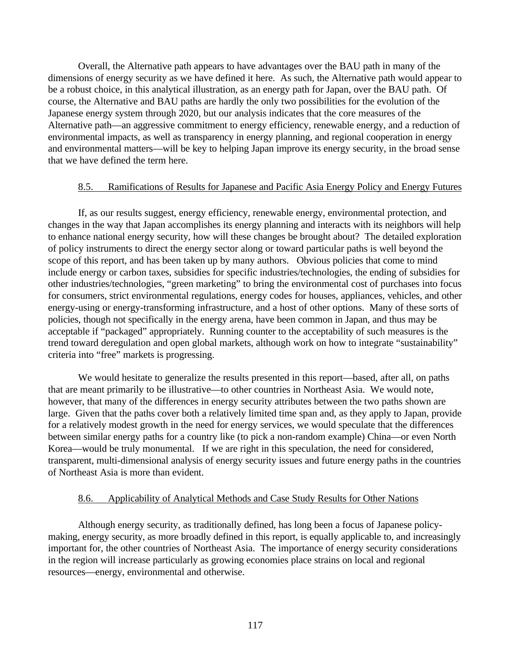Overall, the Alternative path appears to have advantages over the BAU path in many of the dimensions of energy security as we have defined it here. As such, the Alternative path would appear to be a robust choice, in this analytical illustration, as an energy path for Japan, over the BAU path. Of course, the Alternative and BAU paths are hardly the only two possibilities for the evolution of the Japanese energy system through 2020, but our analysis indicates that the core measures of the Alternative path—an aggressive commitment to energy efficiency, renewable energy, and a reduction of environmental impacts, as well as transparency in energy planning, and regional cooperation in energy and environmental matters—will be key to helping Japan improve its energy security, in the broad sense that we have defined the term here.

## 8.5. Ramifications of Results for Japanese and Pacific Asia Energy Policy and Energy Futures

If, as our results suggest, energy efficiency, renewable energy, environmental protection, and changes in the way that Japan accomplishes its energy planning and interacts with its neighbors will help to enhance national energy security, how will these changes be brought about? The detailed exploration of policy instruments to direct the energy sector along or toward particular paths is well beyond the scope of this report, and has been taken up by many authors. Obvious policies that come to mind include energy or carbon taxes, subsidies for specific industries/technologies, the ending of subsidies for other industries/technologies, "green marketing" to bring the environmental cost of purchases into focus for consumers, strict environmental regulations, energy codes for houses, appliances, vehicles, and other energy-using or energy-transforming infrastructure, and a host of other options. Many of these sorts of policies, though not specifically in the energy arena, have been common in Japan, and thus may be acceptable if "packaged" appropriately. Running counter to the acceptability of such measures is the trend toward deregulation and open global markets, although work on how to integrate "sustainability" criteria into "free" markets is progressing.

We would hesitate to generalize the results presented in this report—based, after all, on paths that are meant primarily to be illustrative—to other countries in Northeast Asia. We would note, however, that many of the differences in energy security attributes between the two paths shown are large. Given that the paths cover both a relatively limited time span and, as they apply to Japan, provide for a relatively modest growth in the need for energy services, we would speculate that the differences between similar energy paths for a country like (to pick a non-random example) China—or even North Korea—would be truly monumental. If we are right in this speculation, the need for considered, transparent, multi-dimensional analysis of energy security issues and future energy paths in the countries of Northeast Asia is more than evident.

#### 8.6. Applicability of Analytical Methods and Case Study Results for Other Nations

Although energy security, as traditionally defined, has long been a focus of Japanese policymaking, energy security, as more broadly defined in this report, is equally applicable to, and increasingly important for, the other countries of Northeast Asia. The importance of energy security considerations in the region will increase particularly as growing economies place strains on local and regional resources—energy, environmental and otherwise.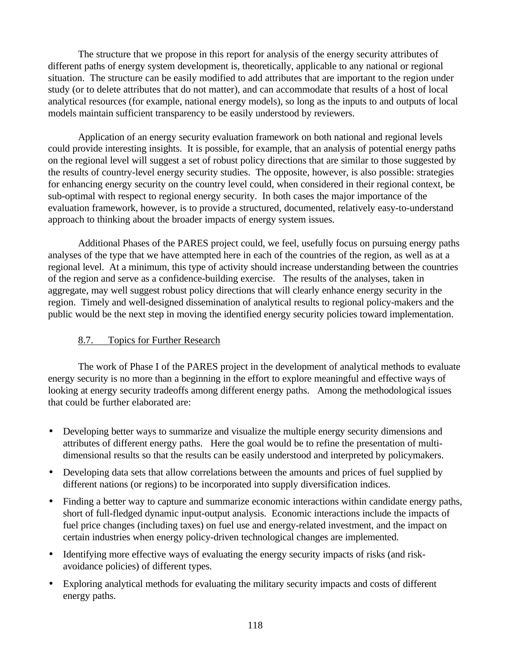The structure that we propose in this report for analysis of the energy security attributes of different paths of energy system development is, theoretically, applicable to any national or regional situation. The structure can be easily modified to add attributes that are important to the region under study (or to delete attributes that do not matter), and can accommodate that results of a host of local analytical resources (for example, national energy models), so long as the inputs to and outputs of local models maintain sufficient transparency to be easily understood by reviewers.

Application of an energy security evaluation framework on both national and regional levels could provide interesting insights. It is possible, for example, that an analysis of potential energy paths on the regional level will suggest a set of robust policy directions that are similar to those suggested by the results of country-level energy security studies. The opposite, however, is also possible: strategies for enhancing energy security on the country level could, when considered in their regional context, be sub-optimal with respect to regional energy security. In both cases the major importance of the evaluation framework, however, is to provide a structured, documented, relatively easy-to-understand approach to thinking about the broader impacts of energy system issues.

Additional Phases of the PARES project could, we feel, usefully focus on pursuing energy paths analyses of the type that we have attempted here in each of the countries of the region, as well as at a regional level. At a minimum, this type of activity should increase understanding between the countries of the region and serve as a confidence-building exercise. The results of the analyses, taken in aggregate, may well suggest robust policy directions that will clearly enhance energy security in the region. Timely and well-designed dissemination of analytical results to regional policy-makers and the public would be the next step in moving the identified energy security policies toward implementation.

## 8.7. Topics for Further Research

The work of Phase I of the PARES project in the development of analytical methods to evaluate energy security is no more than a beginning in the effort to explore meaningful and effective ways of looking at energy security tradeoffs among different energy paths. Among the methodological issues that could be further elaborated are:

- Developing better ways to summarize and visualize the multiple energy security dimensions and attributes of different energy paths. Here the goal would be to refine the presentation of multidimensional results so that the results can be easily understood and interpreted by policymakers.
- Developing data sets that allow correlations between the amounts and prices of fuel supplied by different nations (or regions) to be incorporated into supply diversification indices.
- Finding a better way to capture and summarize economic interactions within candidate energy paths, short of full-fledged dynamic input-output analysis. Economic interactions include the impacts of fuel price changes (including taxes) on fuel use and energy-related investment, and the impact on certain industries when energy policy-driven technological changes are implemented.
- Identifying more effective ways of evaluating the energy security impacts of risks (and riskavoidance policies) of different types.
- Exploring analytical methods for evaluating the military security impacts and costs of different energy paths.